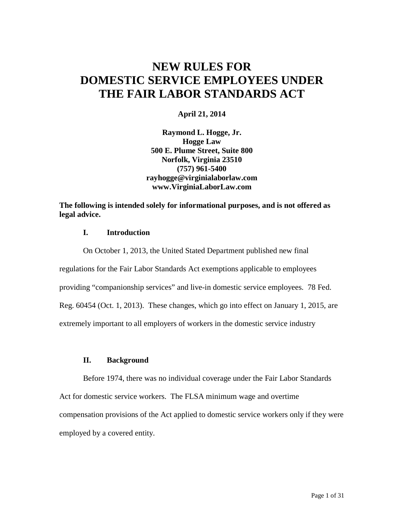# **NEW RULES FOR DOMESTIC SERVICE EMPLOYEES UNDER THE FAIR LABOR STANDARDS ACT**

# **April 21, 2014**

**Raymond L. Hogge, Jr. Hogge Law 500 E. Plume Street, Suite 800 Norfolk, Virginia 23510 (757) 961-5400 rayhogge@virginialaborlaw.com www.VirginiaLaborLaw.com** 

**The following is intended solely for informational purposes, and is not offered as legal advice.**

# **I. Introduction**

 On October 1, 2013, the United Stated Department published new final regulations for the Fair Labor Standards Act exemptions applicable to employees providing "companionship services" and live-in domestic service employees. 78 Fed. Reg. 60454 (Oct. 1, 2013). These changes, which go into effect on January 1, 2015, are extremely important to all employers of workers in the domestic service industry

## **II. Background**

 Before 1974, there was no individual coverage under the Fair Labor Standards Act for domestic service workers. The FLSA minimum wage and overtime compensation provisions of the Act applied to domestic service workers only if they were employed by a covered entity.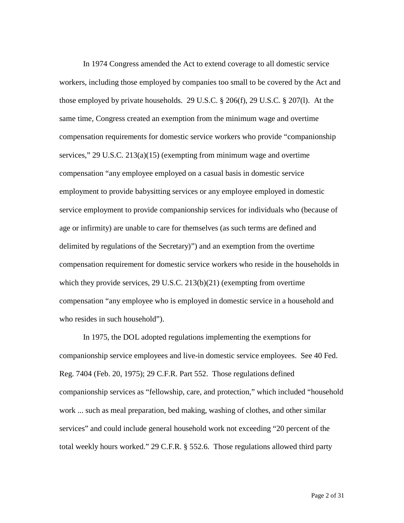In 1974 Congress amended the Act to extend coverage to all domestic service workers, including those employed by companies too small to be covered by the Act and those employed by private households. 29 U.S.C. § 206(f), 29 U.S.C. § 207(l). At the same time, Congress created an exemption from the minimum wage and overtime compensation requirements for domestic service workers who provide "companionship services," 29 U.S.C. 213(a)(15) (exempting from minimum wage and overtime compensation "any employee employed on a casual basis in domestic service employment to provide babysitting services or any employee employed in domestic service employment to provide companionship services for individuals who (because of age or infirmity) are unable to care for themselves (as such terms are defined and delimited by regulations of the Secretary)") and an exemption from the overtime compensation requirement for domestic service workers who reside in the households in which they provide services, 29 U.S.C. 213(b)(21) (exempting from overtime compensation "any employee who is employed in domestic service in a household and who resides in such household").

 In 1975, the DOL adopted regulations implementing the exemptions for companionship service employees and live-in domestic service employees. See 40 Fed. Reg. 7404 (Feb. 20, 1975); 29 C.F.R. Part 552. Those regulations defined companionship services as "fellowship, care, and protection," which included "household work ... such as meal preparation, bed making, washing of clothes, and other similar services" and could include general household work not exceeding "20 percent of the total weekly hours worked." 29 C.F.R. § 552.6. Those regulations allowed third party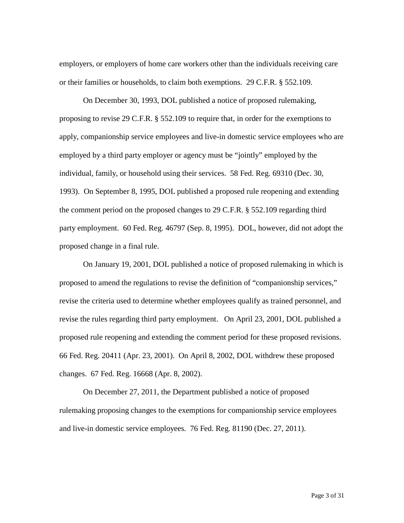employers, or employers of home care workers other than the individuals receiving care or their families or households, to claim both exemptions. 29 C.F.R. § 552.109.

 On December 30, 1993, DOL published a notice of proposed rulemaking, proposing to revise 29 C.F.R. § 552.109 to require that, in order for the exemptions to apply, companionship service employees and live-in domestic service employees who are employed by a third party employer or agency must be "jointly" employed by the individual, family, or household using their services. 58 Fed. Reg. 69310 (Dec. 30, 1993). On September 8, 1995, DOL published a proposed rule reopening and extending the comment period on the proposed changes to 29 C.F.R. § 552.109 regarding third party employment. 60 Fed. Reg. 46797 (Sep. 8, 1995). DOL, however, did not adopt the proposed change in a final rule.

 On January 19, 2001, DOL published a notice of proposed rulemaking in which is proposed to amend the regulations to revise the definition of "companionship services," revise the criteria used to determine whether employees qualify as trained personnel, and revise the rules regarding third party employment. On April 23, 2001, DOL published a proposed rule reopening and extending the comment period for these proposed revisions. 66 Fed. Reg. 20411 (Apr. 23, 2001). On April 8, 2002, DOL withdrew these proposed changes. 67 Fed. Reg. 16668 (Apr. 8, 2002).

 On December 27, 2011, the Department published a notice of proposed rulemaking proposing changes to the exemptions for companionship service employees and live-in domestic service employees. 76 Fed. Reg. 81190 (Dec. 27, 2011).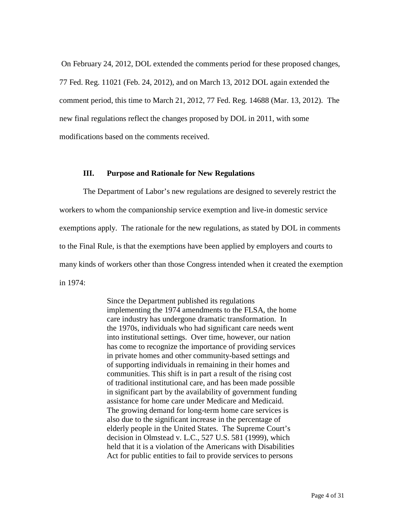On February 24, 2012, DOL extended the comments period for these proposed changes, 77 Fed. Reg. 11021 (Feb. 24, 2012), and on March 13, 2012 DOL again extended the comment period, this time to March 21, 2012, 77 Fed. Reg. 14688 (Mar. 13, 2012). The new final regulations reflect the changes proposed by DOL in 2011, with some modifications based on the comments received.

### **III. Purpose and Rationale for New Regulations**

The Department of Labor's new regulations are designed to severely restrict the workers to whom the companionship service exemption and live-in domestic service exemptions apply. The rationale for the new regulations, as stated by DOL in comments to the Final Rule, is that the exemptions have been applied by employers and courts to many kinds of workers other than those Congress intended when it created the exemption in 1974:

> Since the Department published its regulations implementing the 1974 amendments to the FLSA, the home care industry has undergone dramatic transformation. In the 1970s, individuals who had significant care needs went into institutional settings. Over time, however, our nation has come to recognize the importance of providing services in private homes and other community-based settings and of supporting individuals in remaining in their homes and communities. This shift is in part a result of the rising cost of traditional institutional care, and has been made possible in significant part by the availability of government funding assistance for home care under Medicare and Medicaid. The growing demand for long-term home care services is also due to the significant increase in the percentage of elderly people in the United States. The Supreme Court's decision in Olmstead v. L.C., 527 U.S. 581 (1999), which held that it is a violation of the Americans with Disabilities Act for public entities to fail to provide services to persons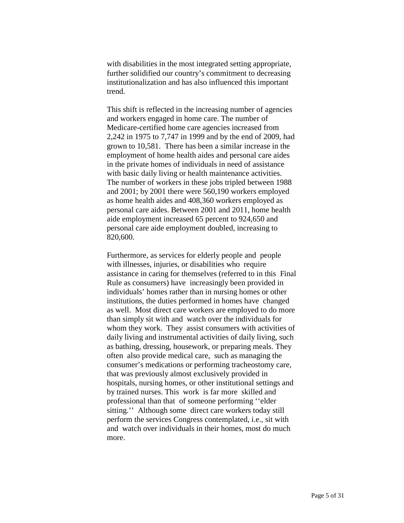with disabilities in the most integrated setting appropriate, further solidified our country's commitment to decreasing institutionalization and has also influenced this important trend.

This shift is reflected in the increasing number of agencies and workers engaged in home care. The number of Medicare-certified home care agencies increased from 2,242 in 1975 to 7,747 in 1999 and by the end of 2009, had grown to 10,581. There has been a similar increase in the employment of home health aides and personal care aides in the private homes of individuals in need of assistance with basic daily living or health maintenance activities. The number of workers in these jobs tripled between 1988 and 2001; by 2001 there were 560,190 workers employed as home health aides and 408,360 workers employed as personal care aides. Between 2001 and 2011, home health aide employment increased 65 percent to 924,650 and personal care aide employment doubled, increasing to 820,600.

Furthermore, as services for elderly people and people with illnesses, injuries, or disabilities who require assistance in caring for themselves (referred to in this Final Rule as consumers) have increasingly been provided in individuals' homes rather than in nursing homes or other institutions, the duties performed in homes have changed as well. Most direct care workers are employed to do more than simply sit with and watch over the individuals for whom they work. They assist consumers with activities of daily living and instrumental activities of daily living, such as bathing, dressing, housework, or preparing meals. They often also provide medical care, such as managing the consumer's medications or performing tracheostomy care, that was previously almost exclusively provided in hospitals, nursing homes, or other institutional settings and by trained nurses. This work is far more skilled and professional than that of someone performing ''elder sitting.'' Although some direct care workers today still perform the services Congress contemplated, i.e., sit with and watch over individuals in their homes, most do much more.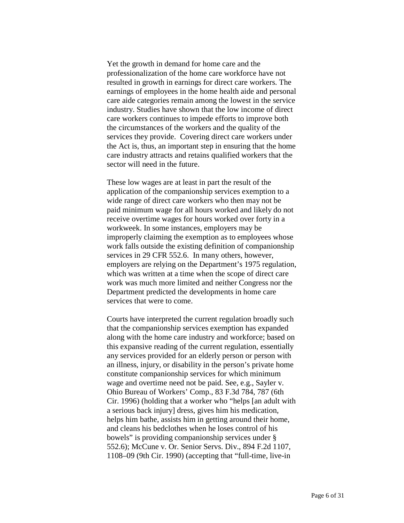Yet the growth in demand for home care and the professionalization of the home care workforce have not resulted in growth in earnings for direct care workers. The earnings of employees in the home health aide and personal care aide categories remain among the lowest in the service industry. Studies have shown that the low income of direct care workers continues to impede efforts to improve both the circumstances of the workers and the quality of the services they provide. Covering direct care workers under the Act is, thus, an important step in ensuring that the home care industry attracts and retains qualified workers that the sector will need in the future.

These low wages are at least in part the result of the application of the companionship services exemption to a wide range of direct care workers who then may not be paid minimum wage for all hours worked and likely do not receive overtime wages for hours worked over forty in a workweek. In some instances, employers may be improperly claiming the exemption as to employees whose work falls outside the existing definition of companionship services in 29 CFR 552.6. In many others, however, employers are relying on the Department's 1975 regulation, which was written at a time when the scope of direct care work was much more limited and neither Congress nor the Department predicted the developments in home care services that were to come.

Courts have interpreted the current regulation broadly such that the companionship services exemption has expanded along with the home care industry and workforce; based on this expansive reading of the current regulation, essentially any services provided for an elderly person or person with an illness, injury, or disability in the person's private home constitute companionship services for which minimum wage and overtime need not be paid. See, e.g., Sayler v. Ohio Bureau of Workers' Comp., 83 F.3d 784, 787 (6th Cir. 1996) (holding that a worker who "helps [an adult with a serious back injury] dress, gives him his medication, helps him bathe, assists him in getting around their home, and cleans his bedclothes when he loses control of his bowels" is providing companionship services under § 552.6); McCune v. Or. Senior Servs. Div., 894 F.2d 1107, 1108–09 (9th Cir. 1990) (accepting that "full-time, live-in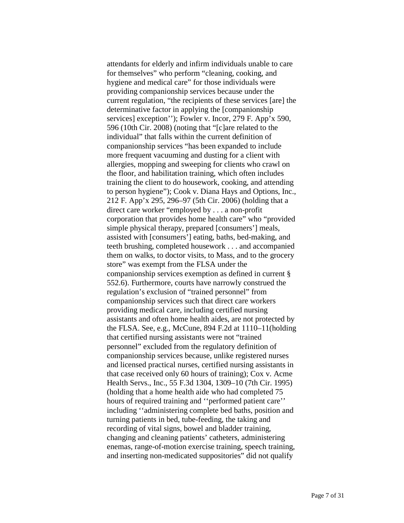attendants for elderly and infirm individuals unable to care for themselves" who perform "cleaning, cooking, and hygiene and medical care" for those individuals were providing companionship services because under the current regulation, "the recipients of these services [are] the determinative factor in applying the [companionship services] exception''); Fowler v. Incor, 279 F. App'x 590, 596 (10th Cir. 2008) (noting that "[c]are related to the individual" that falls within the current definition of companionship services "has been expanded to include more frequent vacuuming and dusting for a client with allergies, mopping and sweeping for clients who crawl on the floor, and habilitation training, which often includes training the client to do housework, cooking, and attending to person hygiene"); Cook v. Diana Hays and Options, Inc., 212 F. App'x 295, 296–97 (5th Cir. 2006) (holding that a direct care worker "employed by . . . a non-profit corporation that provides home health care" who "provided simple physical therapy, prepared [consumers'] meals, assisted with [consumers'] eating, baths, bed-making, and teeth brushing, completed housework . . . and accompanied them on walks, to doctor visits, to Mass, and to the grocery store" was exempt from the FLSA under the companionship services exemption as defined in current § 552.6). Furthermore, courts have narrowly construed the regulation's exclusion of "trained personnel" from companionship services such that direct care workers providing medical care, including certified nursing assistants and often home health aides, are not protected by the FLSA. See, e.g., McCune, 894 F.2d at 1110–11(holding that certified nursing assistants were not "trained personnel" excluded from the regulatory definition of companionship services because, unlike registered nurses and licensed practical nurses, certified nursing assistants in that case received only 60 hours of training); Cox v. Acme Health Servs., Inc., 55 F.3d 1304, 1309–10 (7th Cir. 1995) (holding that a home health aide who had completed 75 hours of required training and ''performed patient care'' including ''administering complete bed baths, position and turning patients in bed, tube-feeding, the taking and recording of vital signs, bowel and bladder training, changing and cleaning patients' catheters, administering enemas, range-of-motion exercise training, speech training, and inserting non-medicated suppositories" did not qualify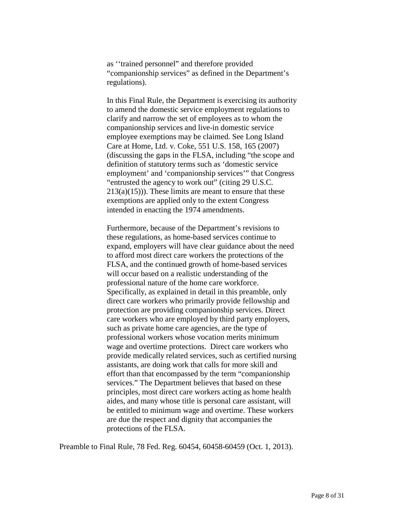as ''trained personnel" and therefore provided "companionship services" as defined in the Department's regulations).

In this Final Rule, the Department is exercising its authority to amend the domestic service employment regulations to clarify and narrow the set of employees as to whom the companionship services and live-in domestic service employee exemptions may be claimed. See Long Island Care at Home, Ltd. v. Coke, 551 U.S. 158, 165 (2007) (discussing the gaps in the FLSA, including "the scope and definition of statutory terms such as 'domestic service employment' and 'companionship services'" that Congress "entrusted the agency to work out" (citing 29 U.S.C.  $213(a)(15)$ ). These limits are meant to ensure that these exemptions are applied only to the extent Congress intended in enacting the 1974 amendments.

Furthermore, because of the Department's revisions to these regulations, as home-based services continue to expand, employers will have clear guidance about the need to afford most direct care workers the protections of the FLSA, and the continued growth of home-based services will occur based on a realistic understanding of the professional nature of the home care workforce. Specifically, as explained in detail in this preamble, only direct care workers who primarily provide fellowship and protection are providing companionship services. Direct care workers who are employed by third party employers, such as private home care agencies, are the type of professional workers whose vocation merits minimum wage and overtime protections. Direct care workers who provide medically related services, such as certified nursing assistants, are doing work that calls for more skill and effort than that encompassed by the term "companionship services." The Department believes that based on these principles, most direct care workers acting as home health aides, and many whose title is personal care assistant, will be entitled to minimum wage and overtime. These workers are due the respect and dignity that accompanies the protections of the FLSA.

Preamble to Final Rule, 78 Fed. Reg. 60454, 60458-60459 (Oct. 1, 2013).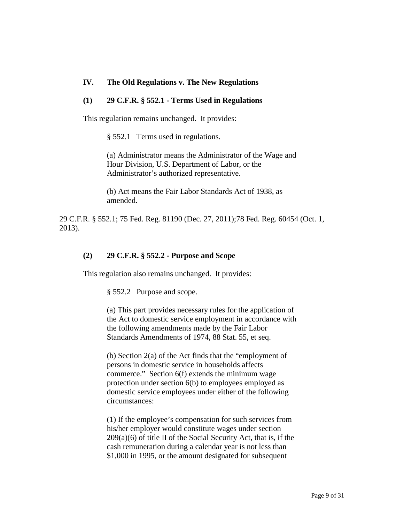# **IV. The Old Regulations v. The New Regulations**

# **(1) 29 C.F.R. § 552.1 - Terms Used in Regulations**

This regulation remains unchanged. It provides:

§ 552.1 Terms used in regulations.

(a) Administrator means the Administrator of the Wage and Hour Division, U.S. Department of Labor, or the Administrator's authorized representative.

(b) Act means the Fair Labor Standards Act of 1938, as amended.

29 C.F.R. § 552.1; 75 Fed. Reg. 81190 (Dec. 27, 2011);78 Fed. Reg. 60454 (Oct. 1, 2013).

# **(2) 29 C.F.R. § 552.2 - Purpose and Scope**

This regulation also remains unchanged. It provides:

§ 552.2 Purpose and scope.

(a) This part provides necessary rules for the application of the Act to domestic service employment in accordance with the following amendments made by the Fair Labor Standards Amendments of 1974, 88 Stat. 55, et seq.

(b) Section 2(a) of the Act finds that the "employment of persons in domestic service in households affects commerce." Section 6(f) extends the minimum wage protection under section 6(b) to employees employed as domestic service employees under either of the following circumstances:

(1) If the employee's compensation for such services from his/her employer would constitute wages under section  $209(a)(6)$  of title II of the Social Security Act, that is, if the cash remuneration during a calendar year is not less than \$1,000 in 1995, or the amount designated for subsequent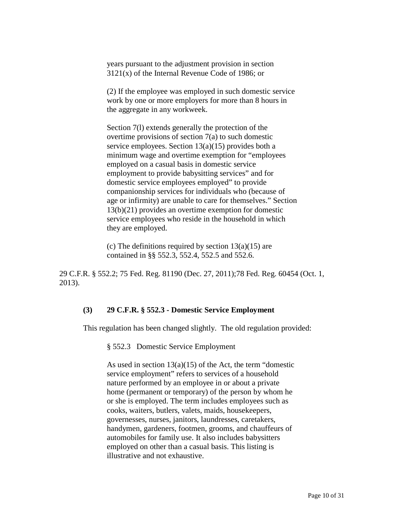years pursuant to the adjustment provision in section 3121(x) of the Internal Revenue Code of 1986; or

(2) If the employee was employed in such domestic service work by one or more employers for more than 8 hours in the aggregate in any workweek.

Section 7(l) extends generally the protection of the overtime provisions of section 7(a) to such domestic service employees. Section 13(a)(15) provides both a minimum wage and overtime exemption for "employees employed on a casual basis in domestic service employment to provide babysitting services" and for domestic service employees employed" to provide companionship services for individuals who (because of age or infirmity) are unable to care for themselves." Section 13(b)(21) provides an overtime exemption for domestic service employees who reside in the household in which they are employed.

(c) The definitions required by section  $13(a)(15)$  are contained in §§ 552.3, 552.4, 552.5 and 552.6.

29 C.F.R. § 552.2; 75 Fed. Reg. 81190 (Dec. 27, 2011);78 Fed. Reg. 60454 (Oct. 1, 2013).

# **(3) 29 C.F.R. § 552.3 - Domestic Service Employment**

This regulation has been changed slightly. The old regulation provided:

§ 552.3 Domestic Service Employment

As used in section  $13(a)(15)$  of the Act, the term "domestic service employment" refers to services of a household nature performed by an employee in or about a private home (permanent or temporary) of the person by whom he or she is employed. The term includes employees such as cooks, waiters, butlers, valets, maids, housekeepers, governesses, nurses, janitors, laundresses, caretakers, handymen, gardeners, footmen, grooms, and chauffeurs of automobiles for family use. It also includes babysitters employed on other than a casual basis. This listing is illustrative and not exhaustive.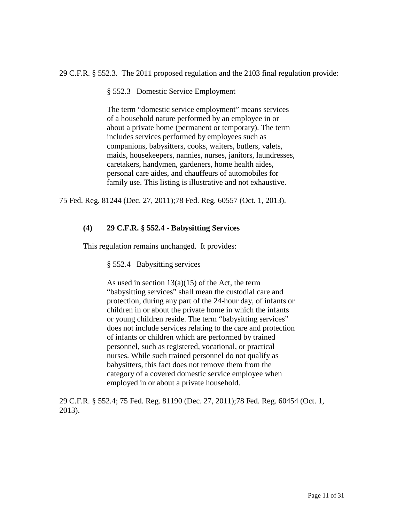29 C.F.R. § 552.3. The 2011 proposed regulation and the 2103 final regulation provide:

§ 552.3 Domestic Service Employment

The term "domestic service employment" means services of a household nature performed by an employee in or about a private home (permanent or temporary). The term includes services performed by employees such as companions, babysitters, cooks, waiters, butlers, valets, maids, housekeepers, nannies, nurses, janitors, laundresses, caretakers, handymen, gardeners, home health aides, personal care aides, and chauffeurs of automobiles for family use. This listing is illustrative and not exhaustive.

75 Fed. Reg. 81244 (Dec. 27, 2011);78 Fed. Reg. 60557 (Oct. 1, 2013).

# **(4) 29 C.F.R. § 552.4 - Babysitting Services**

This regulation remains unchanged. It provides:

§ 552.4 Babysitting services

As used in section  $13(a)(15)$  of the Act, the term "babysitting services" shall mean the custodial care and protection, during any part of the 24-hour day, of infants or children in or about the private home in which the infants or young children reside. The term "babysitting services" does not include services relating to the care and protection of infants or children which are performed by trained personnel, such as registered, vocational, or practical nurses. While such trained personnel do not qualify as babysitters, this fact does not remove them from the category of a covered domestic service employee when employed in or about a private household.

29 C.F.R. § 552.4; 75 Fed. Reg. 81190 (Dec. 27, 2011);78 Fed. Reg. 60454 (Oct. 1, 2013).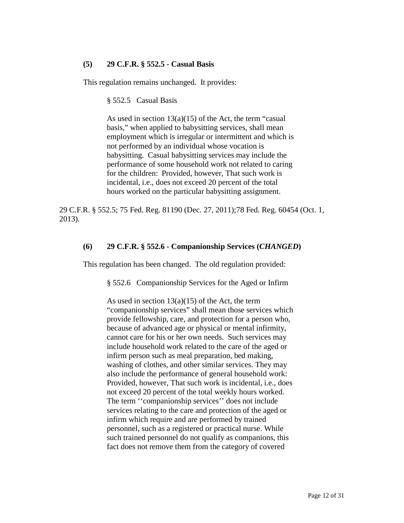### **(5) 29 C.F.R. § 552.5 - Casual Basis**

This regulation remains unchanged. It provides:

§ 552.5 Casual Basis

As used in section 13(a)(15) of the Act, the term "casual basis," when applied to babysitting services, shall mean employment which is irregular or intermittent and which is not performed by an individual whose vocation is babysitting. Casual babysitting services may include the performance of some household work not related to caring for the children: Provided, however, That such work is incidental, i.e., does not exceed 20 percent of the total hours worked on the particular babysitting assignment.

29 C.F.R. § 552.5; 75 Fed. Reg. 81190 (Dec. 27, 2011);78 Fed. Reg. 60454 (Oct. 1, 2013).

# **(6) 29 C.F.R. § 552.6 - Companionship Services (***CHANGED***)**

This regulation has been changed. The old regulation provided:

§ 552.6 Companionship Services for the Aged or Infirm

As used in section  $13(a)(15)$  of the Act, the term "companionship services" shall mean those services which provide fellowship, care, and protection for a person who, because of advanced age or physical or mental infirmity, cannot care for his or her own needs. Such services may include household work related to the care of the aged or infirm person such as meal preparation, bed making, washing of clothes, and other similar services. They may also include the performance of general household work: Provided, however, That such work is incidental, i.e., does not exceed 20 percent of the total weekly hours worked. The term ''companionship services'' does not include services relating to the care and protection of the aged or infirm which require and are performed by trained personnel, such as a registered or practical nurse. While such trained personnel do not qualify as companions, this fact does not remove them from the category of covered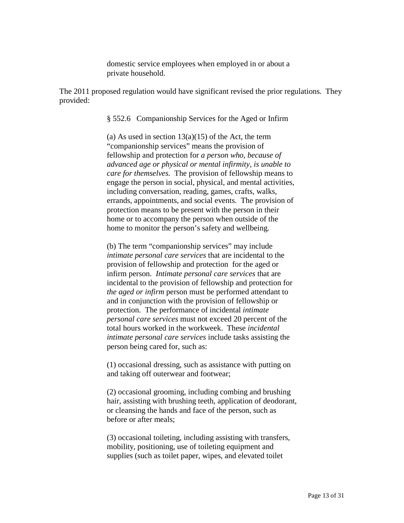domestic service employees when employed in or about a private household.

The 2011 proposed regulation would have significant revised the prior regulations. They provided:

§ 552.6 Companionship Services for the Aged or Infirm

(a) As used in section  $13(a)(15)$  of the Act, the term "companionship services" means the provision of fellowship and protection for *a person who, because of advanced age or physical or mental infirmity, is unable to care for themselves.* The provision of fellowship means to engage the person in social, physical, and mental activities, including conversation, reading, games, crafts, walks, errands, appointments, and social events. The provision of protection means to be present with the person in their home or to accompany the person when outside of the home to monitor the person's safety and wellbeing.

(b) The term "companionship services" may include *intimate personal care services* that are incidental to the provision of fellowship and protection for the aged or infirm person. *Intimate personal care services* that are incidental to the provision of fellowship and protection for *the aged or infirm* person must be performed attendant to and in conjunction with the provision of fellowship or protection. The performance of incidental *intimate personal care services* must not exceed 20 percent of the total hours worked in the workweek. These *incidental intimate personal care services* include tasks assisting the person being cared for, such as:

(1) occasional dressing, such as assistance with putting on and taking off outerwear and footwear;

(2) occasional grooming, including combing and brushing hair, assisting with brushing teeth, application of deodorant, or cleansing the hands and face of the person, such as before or after meals;

(3) occasional toileting, including assisting with transfers, mobility, positioning, use of toileting equipment and supplies (such as toilet paper, wipes, and elevated toilet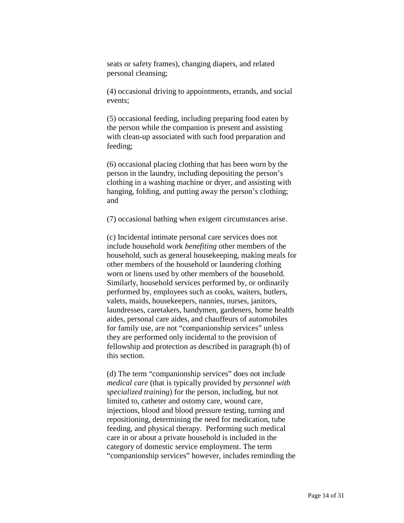seats or safety frames), changing diapers, and related personal cleansing;

(4) occasional driving to appointments, errands, and social events;

(5) occasional feeding, including preparing food eaten by the person while the companion is present and assisting with clean-up associated with such food preparation and feeding;

(6) occasional placing clothing that has been worn by the person in the laundry, including depositing the person's clothing in a washing machine or dryer, and assisting with hanging, folding, and putting away the person's clothing; and

(7) occasional bathing when exigent circumstances arise.

(c) Incidental intimate personal care services does not include household work *benefiting* other members of the household, such as general housekeeping, making meals for other members of the household or laundering clothing worn or linens used by other members of the household. Similarly, household services performed by, or ordinarily performed by, employees such as cooks, waiters, butlers, valets, maids, housekeepers, nannies, nurses, janitors, laundresses, caretakers, handymen, gardeners, home health aides, personal care aides, and chauffeurs of automobiles for family use, are not "companionship services" unless they are performed only incidental to the provision of fellowship and protection as described in paragraph (b) of this section.

(d) The term "companionship services" does not include *medical care* (that is typically provided by *personnel with specialized training*) for the person, including, but not limited to, catheter and ostomy care, wound care, injections, blood and blood pressure testing, turning and repositioning, determining the need for medication, tube feeding, and physical therapy. Performing such medical care in or about a private household is included in the category of domestic service employment. The term "companionship services" however, includes reminding the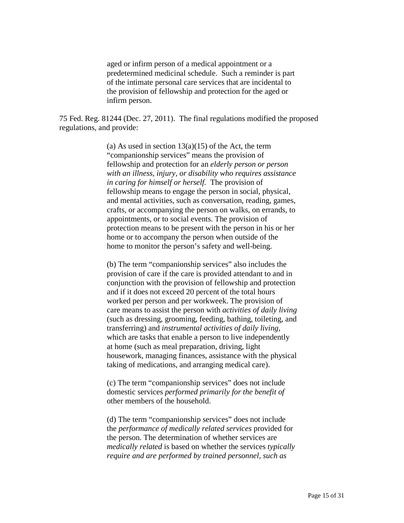aged or infirm person of a medical appointment or a predetermined medicinal schedule. Such a reminder is part of the intimate personal care services that are incidental to the provision of fellowship and protection for the aged or infirm person.

75 Fed. Reg. 81244 (Dec. 27, 2011). The final regulations modified the proposed regulations, and provide:

> (a) As used in section  $13(a)(15)$  of the Act, the term "companionship services" means the provision of fellowship and protection for an *elderly person or person with an illness, injury, or disability who requires assistance in caring for himself or herself.* The provision of fellowship means to engage the person in social, physical, and mental activities, such as conversation, reading, games, crafts, or accompanying the person on walks, on errands, to appointments, or to social events. The provision of protection means to be present with the person in his or her home or to accompany the person when outside of the home to monitor the person's safety and well-being.

> (b) The term "companionship services" also includes the provision of care if the care is provided attendant to and in conjunction with the provision of fellowship and protection and if it does not exceed 20 percent of the total hours worked per person and per workweek. The provision of care means to assist the person with *activities of daily living* (such as dressing, grooming, feeding, bathing, toileting, and transferring) and *instrumental activities of daily living*, which are tasks that enable a person to live independently at home (such as meal preparation, driving, light housework, managing finances, assistance with the physical taking of medications, and arranging medical care).

(c) The term "companionship services" does not include domestic services *performed primarily for the benefit of* other members of the household.

(d) The term "companionship services" does not include the *performance of medically related services* provided for the person. The determination of whether services are *medically related* is based on whether the services *typically require and are performed by trained personnel, such as*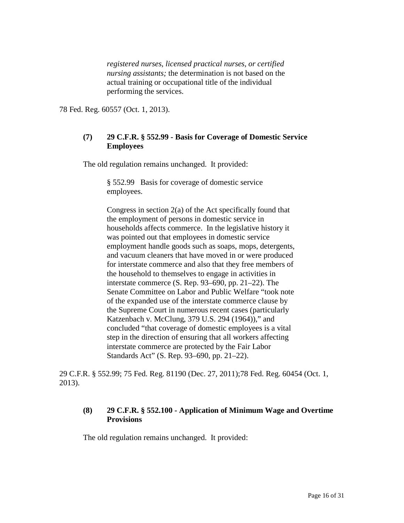*registered nurses, licensed practical nurses, or certified nursing assistants;* the determination is not based on the actual training or occupational title of the individual performing the services.

78 Fed. Reg. 60557 (Oct. 1, 2013).

# **(7) 29 C.F.R. § 552.99 - Basis for Coverage of Domestic Service Employees**

The old regulation remains unchanged. It provided:

§ 552.99 Basis for coverage of domestic service employees.

Congress in section 2(a) of the Act specifically found that the employment of persons in domestic service in households affects commerce. In the legislative history it was pointed out that employees in domestic service employment handle goods such as soaps, mops, detergents, and vacuum cleaners that have moved in or were produced for interstate commerce and also that they free members of the household to themselves to engage in activities in interstate commerce (S. Rep. 93–690, pp. 21–22). The Senate Committee on Labor and Public Welfare "took note of the expanded use of the interstate commerce clause by the Supreme Court in numerous recent cases (particularly Katzenbach v. McClung, 379 U.S. 294 (1964))," and concluded "that coverage of domestic employees is a vital step in the direction of ensuring that all workers affecting interstate commerce are protected by the Fair Labor Standards Act" (S. Rep. 93–690, pp. 21–22).

29 C.F.R. § 552.99; 75 Fed. Reg. 81190 (Dec. 27, 2011);78 Fed. Reg. 60454 (Oct. 1, 2013).

# **(8) 29 C.F.R. § 552.100 - Application of Minimum Wage and Overtime Provisions**

The old regulation remains unchanged. It provided: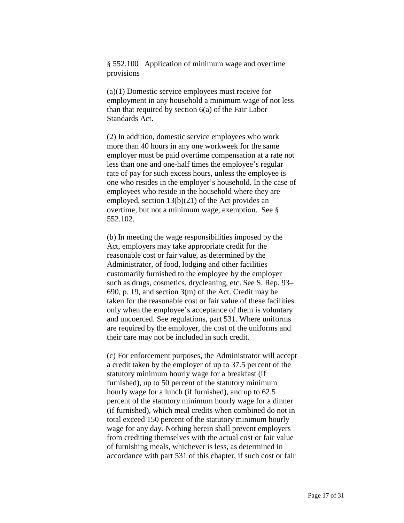§ 552.100 Application of minimum wage and overtime provisions

(a)(1) Domestic service employees must receive for employment in any household a minimum wage of not less than that required by section 6(a) of the Fair Labor Standards Act.

(2) In addition, domestic service employees who work more than 40 hours in any one workweek for the same employer must be paid overtime compensation at a rate not less than one and one-half times the employee's regular rate of pay for such excess hours, unless the employee is one who resides in the employer's household. In the case of employees who reside in the household where they are employed, section 13(b)(21) of the Act provides an overtime, but not a minimum wage, exemption. See § 552.102.

(b) In meeting the wage responsibilities imposed by the Act, employers may take appropriate credit for the reasonable cost or fair value, as determined by the Administrator, of food, lodging and other facilities customarily furnished to the employee by the employer such as drugs, cosmetics, drycleaning, etc. See S. Rep. 93– 690, p. 19, and section 3(m) of the Act. Credit may be taken for the reasonable cost or fair value of these facilities only when the employee's acceptance of them is voluntary and uncoerced. See regulations, part 531. Where uniforms are required by the employer, the cost of the uniforms and their care may not be included in such credit.

(c) For enforcement purposes, the Administrator will accept a credit taken by the employer of up to 37.5 percent of the statutory minimum hourly wage for a breakfast (if furnished), up to 50 percent of the statutory minimum hourly wage for a lunch (if furnished), and up to 62.5 percent of the statutory minimum hourly wage for a dinner (if furnished), which meal credits when combined do not in total exceed 150 percent of the statutory minimum hourly wage for any day. Nothing herein shall prevent employers from crediting themselves with the actual cost or fair value of furnishing meals, whichever is less, as determined in accordance with part 531 of this chapter, if such cost or fair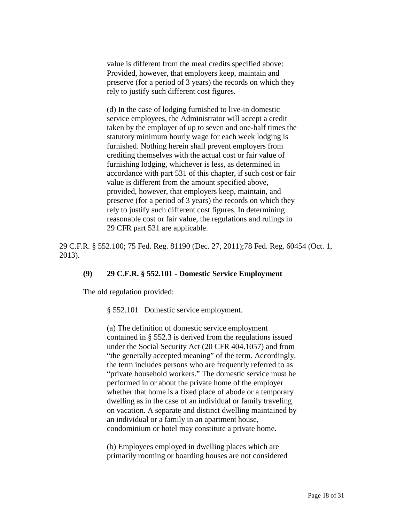value is different from the meal credits specified above: Provided, however, that employers keep, maintain and preserve (for a period of 3 years) the records on which they rely to justify such different cost figures.

(d) In the case of lodging furnished to live-in domestic service employees, the Administrator will accept a credit taken by the employer of up to seven and one-half times the statutory minimum hourly wage for each week lodging is furnished. Nothing herein shall prevent employers from crediting themselves with the actual cost or fair value of furnishing lodging, whichever is less, as determined in accordance with part 531 of this chapter, if such cost or fair value is different from the amount specified above, provided, however, that employers keep, maintain, and preserve (for a period of 3 years) the records on which they rely to justify such different cost figures. In determining reasonable cost or fair value, the regulations and rulings in 29 CFR part 531 are applicable.

29 C.F.R. § 552.100; 75 Fed. Reg. 81190 (Dec. 27, 2011);78 Fed. Reg. 60454 (Oct. 1, 2013).

# **(9) 29 C.F.R. § 552.101 - Domestic Service Employment**

The old regulation provided:

§ 552.101 Domestic service employment.

(a) The definition of domestic service employment contained in § 552.3 is derived from the regulations issued under the Social Security Act (20 CFR 404.1057) and from "the generally accepted meaning" of the term. Accordingly, the term includes persons who are frequently referred to as "private household workers." The domestic service must be performed in or about the private home of the employer whether that home is a fixed place of abode or a temporary dwelling as in the case of an individual or family traveling on vacation. A separate and distinct dwelling maintained by an individual or a family in an apartment house, condominium or hotel may constitute a private home.

(b) Employees employed in dwelling places which are primarily rooming or boarding houses are not considered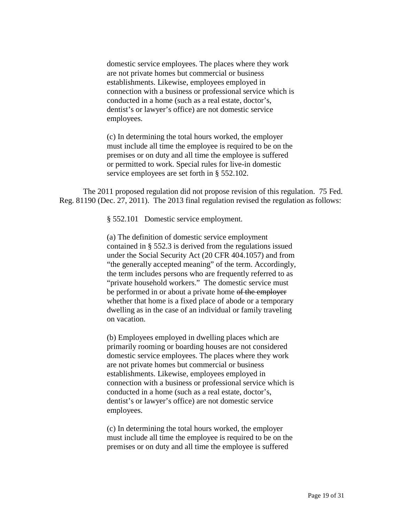domestic service employees. The places where they work are not private homes but commercial or business establishments. Likewise, employees employed in connection with a business or professional service which is conducted in a home (such as a real estate, doctor's, dentist's or lawyer's office) are not domestic service employees.

(c) In determining the total hours worked, the employer must include all time the employee is required to be on the premises or on duty and all time the employee is suffered or permitted to work. Special rules for live-in domestic service employees are set forth in § 552.102.

 The 2011 proposed regulation did not propose revision of this regulation. 75 Fed. Reg. 81190 (Dec. 27, 2011). The 2013 final regulation revised the regulation as follows:

§ 552.101 Domestic service employment.

(a) The definition of domestic service employment contained in § 552.3 is derived from the regulations issued under the Social Security Act (20 CFR 404.1057) and from "the generally accepted meaning" of the term. Accordingly, the term includes persons who are frequently referred to as "private household workers." The domestic service must be performed in or about a private home of the employer whether that home is a fixed place of abode or a temporary dwelling as in the case of an individual or family traveling on vacation.

(b) Employees employed in dwelling places which are primarily rooming or boarding houses are not considered domestic service employees. The places where they work are not private homes but commercial or business establishments. Likewise, employees employed in connection with a business or professional service which is conducted in a home (such as a real estate, doctor's, dentist's or lawyer's office) are not domestic service employees.

(c) In determining the total hours worked, the employer must include all time the employee is required to be on the premises or on duty and all time the employee is suffered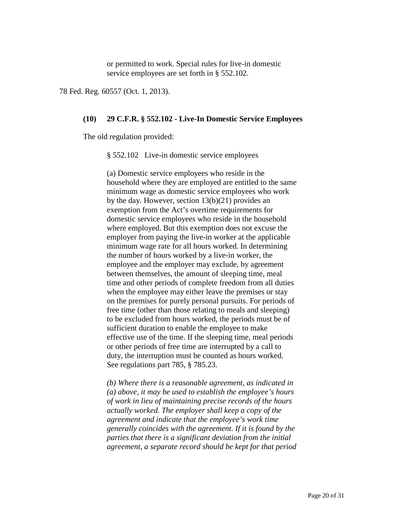or permitted to work. Special rules for live-in domestic service employees are set forth in § 552.102.

78 Fed. Reg. 60557 (Oct. 1, 2013).

### **(10) 29 C.F.R. § 552.102 - Live-In Domestic Service Employees**

The old regulation provided:

§ 552.102 Live-in domestic service employees

(a) Domestic service employees who reside in the household where they are employed are entitled to the same minimum wage as domestic service employees who work by the day. However, section 13(b)(21) provides an exemption from the Act's overtime requirements for domestic service employees who reside in the household where employed. But this exemption does not excuse the employer from paying the live-in worker at the applicable minimum wage rate for all hours worked. In determining the number of hours worked by a live-in worker, the employee and the employer may exclude, by agreement between themselves, the amount of sleeping time, meal time and other periods of complete freedom from all duties when the employee may either leave the premises or stay on the premises for purely personal pursuits. For periods of free time (other than those relating to meals and sleeping) to be excluded from hours worked, the periods must be of sufficient duration to enable the employee to make effective use of the time. If the sleeping time, meal periods or other periods of free time are interrupted by a call to duty, the interruption must be counted as hours worked. See regulations part 785, § 785.23.

*(b) Where there is a reasonable agreement, as indicated in (a) above, it may be used to establish the employee's hours of work in lieu of maintaining precise records of the hours actually worked. The employer shall keep a copy of the agreement and indicate that the employee's work time generally coincides with the agreement. If it is found by the parties that there is a significant deviation from the initial agreement, a separate record should be kept for that period*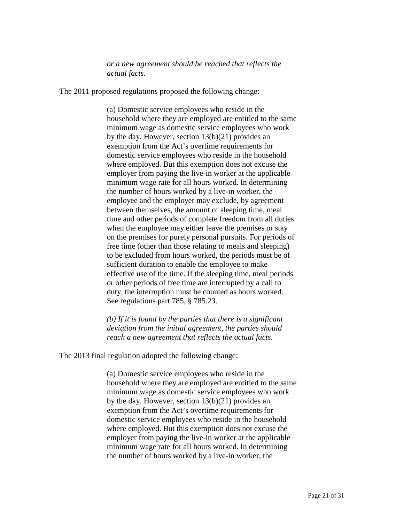*or a new agreement should be reached that reflects the actual facts.* 

The 2011 proposed regulations proposed the following change:

(a) Domestic service employees who reside in the household where they are employed are entitled to the same minimum wage as domestic service employees who work by the day. However, section 13(b)(21) provides an exemption from the Act's overtime requirements for domestic service employees who reside in the household where employed. But this exemption does not excuse the employer from paying the live-in worker at the applicable minimum wage rate for all hours worked. In determining the number of hours worked by a live-in worker, the employee and the employer may exclude, by agreement between themselves, the amount of sleeping time, meal time and other periods of complete freedom from all duties when the employee may either leave the premises or stay on the premises for purely personal pursuits. For periods of free time (other than those relating to meals and sleeping) to be excluded from hours worked, the periods must be of sufficient duration to enable the employee to make effective use of the time. If the sleeping time, meal periods or other periods of free time are interrupted by a call to duty, the interruption must be counted as hours worked. See regulations part 785, § 785.23.

*(b) If it is found by the parties that there is a significant deviation from the initial agreement, the parties should reach a new agreement that reflects the actual facts.* 

The 2013 final regulation adopted the following change:

(a) Domestic service employees who reside in the household where they are employed are entitled to the same minimum wage as domestic service employees who work by the day. However, section 13(b)(21) provides an exemption from the Act's overtime requirements for domestic service employees who reside in the household where employed. But this exemption does not excuse the employer from paying the live-in worker at the applicable minimum wage rate for all hours worked. In determining the number of hours worked by a live-in worker, the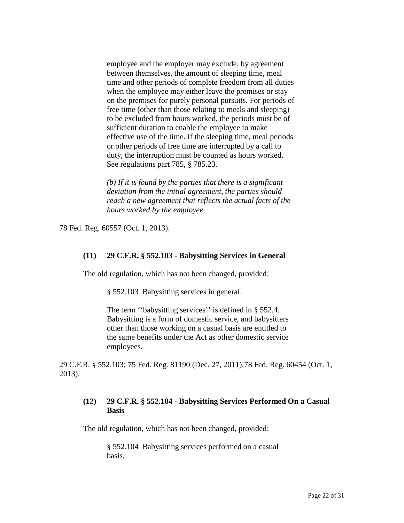employee and the employer may exclude, by agreement between themselves, the amount of sleeping time, meal time and other periods of complete freedom from all duties when the employee may either leave the premises or stay on the premises for purely personal pursuits. For periods of free time (other than those relating to meals and sleeping) to be excluded from hours worked, the periods must be of sufficient duration to enable the employee to make effective use of the time. If the sleeping time, meal periods or other periods of free time are interrupted by a call to duty, the interruption must be counted as hours worked. See regulations part 785, § 785.23.

*(b) If it is found by the parties that there is a significant deviation from the initial agreement, the parties should reach a new agreement that reflects the actual facts of the hours worked by the employee.* 

78 Fed. Reg. 60557 (Oct. 1, 2013).

### **(11) 29 C.F.R. § 552.103 - Babysitting Services in General**

The old regulation, which has not been changed, provided:

§ 552.103 Babysitting services in general.

The term "babysitting services" is defined in § 552.4. Babysitting is a form of domestic service, and babysitters other than those working on a casual basis are entitled to the same benefits under the Act as other domestic service employees.

29 C.F.R. § 552.103; 75 Fed. Reg. 81190 (Dec. 27, 2011);78 Fed. Reg. 60454 (Oct. 1, 2013).

# **(12) 29 C.F.R. § 552.104 - Babysitting Services Performed On a Casual Basis**

The old regulation, which has not been changed, provided:

§ 552.104 Babysitting services performed on a casual basis.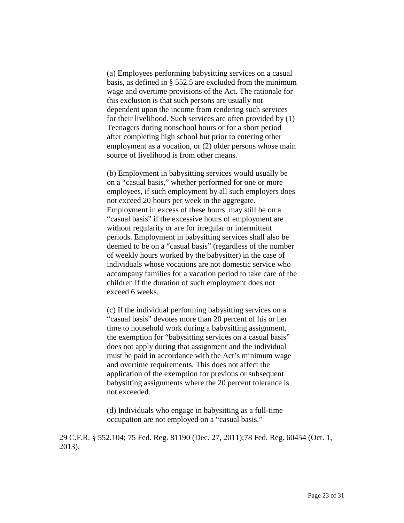(a) Employees performing babysitting services on a casual basis, as defined in § 552.5 are excluded from the minimum wage and overtime provisions of the Act. The rationale for this exclusion is that such persons are usually not dependent upon the income from rendering such services for their livelihood. Such services are often provided by (1) Teenagers during nonschool hours or for a short period after completing high school but prior to entering other employment as a vocation, or (2) older persons whose main source of livelihood is from other means.

(b) Employment in babysitting services would usually be on a "casual basis," whether performed for one or more employees, if such employment by all such employers does not exceed 20 hours per week in the aggregate. Employment in excess of these hours may still be on a "casual basis" if the excessive hours of employment are without regularity or are for irregular or intermittent periods. Employment in babysitting services shall also be deemed to be on a "casual basis" (regardless of the number of weekly hours worked by the babysitter) in the case of individuals whose vocations are not domestic service who accompany families for a vacation period to take care of the children if the duration of such employment does not exceed 6 weeks.

(c) If the individual performing babysitting services on a "casual basis" devotes more than 20 percent of his or her time to household work during a babysitting assignment, the exemption for "babysitting services on a casual basis" does not apply during that assignment and the individual must be paid in accordance with the Act's minimum wage and overtime requirements. This does not affect the application of the exemption for previous or subsequent babysitting assignments where the 20 percent tolerance is not exceeded.

(d) Individuals who engage in babysitting as a full-time occupation are not employed on a "casual basis."

29 C.F.R. § 552.104; 75 Fed. Reg. 81190 (Dec. 27, 2011);78 Fed. Reg. 60454 (Oct. 1, 2013).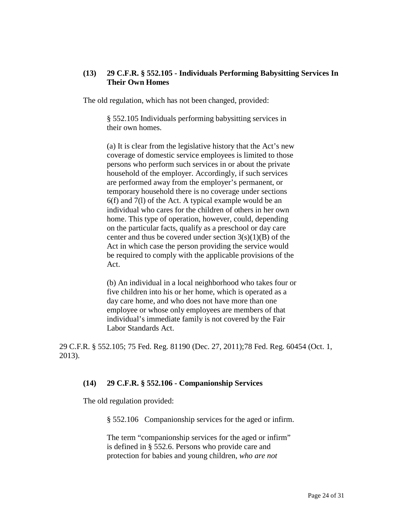# **(13) 29 C.F.R. § 552.105 - Individuals Performing Babysitting Services In Their Own Homes**

The old regulation, which has not been changed, provided:

§ 552.105 Individuals performing babysitting services in their own homes.

(a) It is clear from the legislative history that the Act's new coverage of domestic service employees is limited to those persons who perform such services in or about the private household of the employer. Accordingly, if such services are performed away from the employer's permanent, or temporary household there is no coverage under sections 6(f) and 7(l) of the Act. A typical example would be an individual who cares for the children of others in her own home. This type of operation, however, could, depending on the particular facts, qualify as a preschool or day care center and thus be covered under section 3(s)(1)(B) of the Act in which case the person providing the service would be required to comply with the applicable provisions of the Act.

(b) An individual in a local neighborhood who takes four or five children into his or her home, which is operated as a day care home, and who does not have more than one employee or whose only employees are members of that individual's immediate family is not covered by the Fair Labor Standards Act.

29 C.F.R. § 552.105; 75 Fed. Reg. 81190 (Dec. 27, 2011);78 Fed. Reg. 60454 (Oct. 1, 2013).

# **(14) 29 C.F.R. § 552.106 - Companionship Services**

The old regulation provided:

§ 552.106 Companionship services for the aged or infirm.

The term "companionship services for the aged or infirm" is defined in § 552.6. Persons who provide care and protection for babies and young children, *who are not*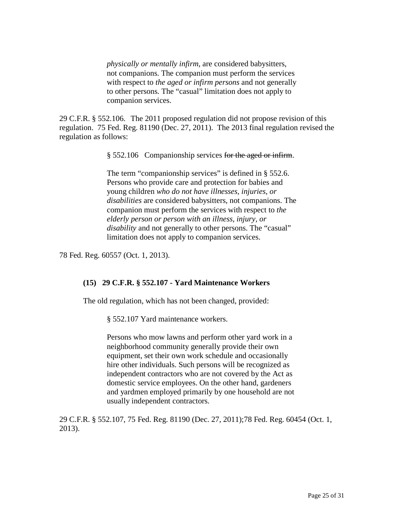*physically or mentally infirm*, are considered babysitters, not companions. The companion must perform the services with respect to *the aged or infirm persons* and not generally to other persons. The "casual" limitation does not apply to companion services.

29 C.F.R. § 552.106. The 2011 proposed regulation did not propose revision of this regulation. 75 Fed. Reg. 81190 (Dec. 27, 2011). The 2013 final regulation revised the regulation as follows:

§ 552.106 Companionship services for the aged or infirm.

The term "companionship services" is defined in § 552.6. Persons who provide care and protection for babies and young children *who do not have illnesses, injuries, or disabilities* are considered babysitters, not companions. The companion must perform the services with respect to *the elderly person or person with an illness, injury, or disability* and not generally to other persons. The "casual" limitation does not apply to companion services.

78 Fed. Reg. 60557 (Oct. 1, 2013).

### **(15) 29 C.F.R. § 552.107 - Yard Maintenance Workers**

The old regulation, which has not been changed, provided:

§ 552.107 Yard maintenance workers.

Persons who mow lawns and perform other yard work in a neighborhood community generally provide their own equipment, set their own work schedule and occasionally hire other individuals. Such persons will be recognized as independent contractors who are not covered by the Act as domestic service employees. On the other hand, gardeners and yardmen employed primarily by one household are not usually independent contractors.

29 C.F.R. § 552.107, 75 Fed. Reg. 81190 (Dec. 27, 2011);78 Fed. Reg. 60454 (Oct. 1, 2013).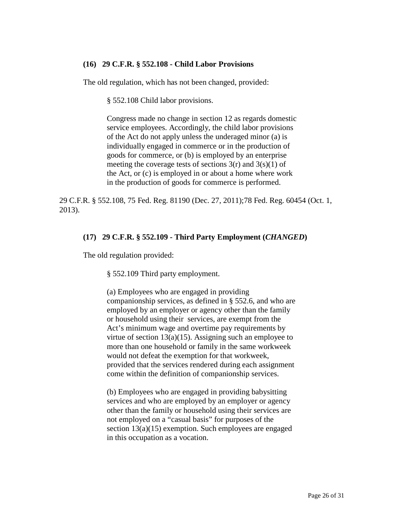# **(16) 29 C.F.R. § 552.108 - Child Labor Provisions**

The old regulation, which has not been changed, provided:

§ 552.108 Child labor provisions.

Congress made no change in section 12 as regards domestic service employees. Accordingly, the child labor provisions of the Act do not apply unless the underaged minor (a) is individually engaged in commerce or in the production of goods for commerce, or (b) is employed by an enterprise meeting the coverage tests of sections  $3(r)$  and  $3(s)(1)$  of the Act, or (c) is employed in or about a home where work in the production of goods for commerce is performed.

29 C.F.R. § 552.108, 75 Fed. Reg. 81190 (Dec. 27, 2011);78 Fed. Reg. 60454 (Oct. 1, 2013).

# **(17) 29 C.F.R. § 552.109 - Third Party Employment (***CHANGED***)**

The old regulation provided:

§ 552.109 Third party employment.

(a) Employees who are engaged in providing companionship services, as defined in § 552.6, and who are employed by an employer or agency other than the family or household using their services, are exempt from the Act's minimum wage and overtime pay requirements by virtue of section 13(a)(15). Assigning such an employee to more than one household or family in the same workweek would not defeat the exemption for that workweek, provided that the services rendered during each assignment come within the definition of companionship services.

(b) Employees who are engaged in providing babysitting services and who are employed by an employer or agency other than the family or household using their services are not employed on a "casual basis" for purposes of the section 13(a)(15) exemption. Such employees are engaged in this occupation as a vocation.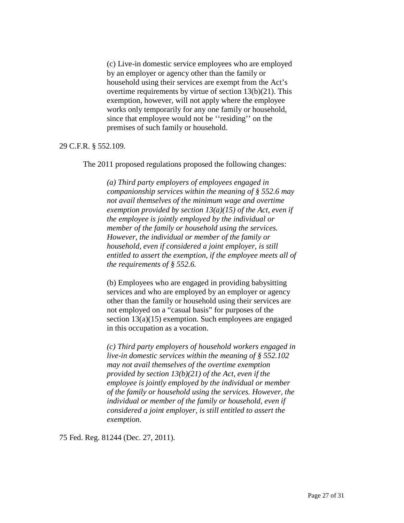(c) Live-in domestic service employees who are employed by an employer or agency other than the family or household using their services are exempt from the Act's overtime requirements by virtue of section 13(b)(21). This exemption, however, will not apply where the employee works only temporarily for any one family or household, since that employee would not be ''residing'' on the premises of such family or household.

### 29 C.F.R. § 552.109.

The 2011 proposed regulations proposed the following changes:

*(a) Third party employers of employees engaged in companionship services within the meaning of § 552.6 may not avail themselves of the minimum wage and overtime exemption provided by section 13(a)(15) of the Act, even if the employee is jointly employed by the individual or member of the family or household using the services. However, the individual or member of the family or household, even if considered a joint employer, is still entitled to assert the exemption, if the employee meets all of the requirements of § 552.6.* 

(b) Employees who are engaged in providing babysitting services and who are employed by an employer or agency other than the family or household using their services are not employed on a "casual basis" for purposes of the section 13(a)(15) exemption. Such employees are engaged in this occupation as a vocation.

*(c) Third party employers of household workers engaged in live-in domestic services within the meaning of § 552.102 may not avail themselves of the overtime exemption provided by section 13(b)(21) of the Act, even if the employee is jointly employed by the individual or member of the family or household using the services. However, the individual or member of the family or household, even if considered a joint employer, is still entitled to assert the exemption.* 

75 Fed. Reg. 81244 (Dec. 27, 2011).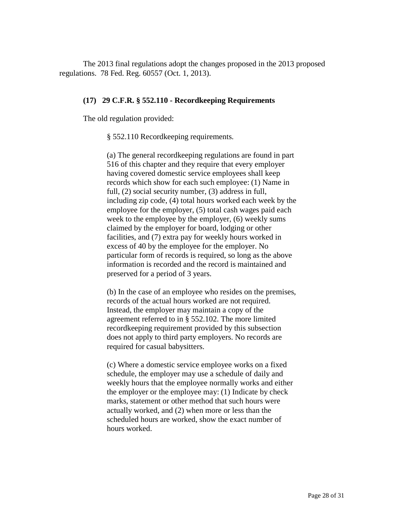The 2013 final regulations adopt the changes proposed in the 2013 proposed regulations. 78 Fed. Reg. 60557 (Oct. 1, 2013).

# **(17) 29 C.F.R. § 552.110 - Recordkeeping Requirements**

The old regulation provided:

§ 552.110 Recordkeeping requirements.

(a) The general recordkeeping regulations are found in part 516 of this chapter and they require that every employer having covered domestic service employees shall keep records which show for each such employee: (1) Name in full, (2) social security number, (3) address in full, including zip code, (4) total hours worked each week by the employee for the employer, (5) total cash wages paid each week to the employee by the employer, (6) weekly sums claimed by the employer for board, lodging or other facilities, and (7) extra pay for weekly hours worked in excess of 40 by the employee for the employer. No particular form of records is required, so long as the above information is recorded and the record is maintained and preserved for a period of 3 years.

(b) In the case of an employee who resides on the premises, records of the actual hours worked are not required. Instead, the employer may maintain a copy of the agreement referred to in § 552.102. The more limited recordkeeping requirement provided by this subsection does not apply to third party employers. No records are required for casual babysitters.

(c) Where a domestic service employee works on a fixed schedule, the employer may use a schedule of daily and weekly hours that the employee normally works and either the employer or the employee may: (1) Indicate by check marks, statement or other method that such hours were actually worked, and (2) when more or less than the scheduled hours are worked, show the exact number of hours worked.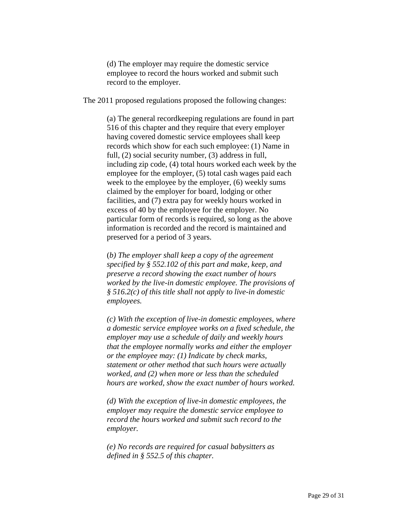(d) The employer may require the domestic service employee to record the hours worked and submit such record to the employer.

The 2011 proposed regulations proposed the following changes:

(a) The general recordkeeping regulations are found in part 516 of this chapter and they require that every employer having covered domestic service employees shall keep records which show for each such employee: (1) Name in full, (2) social security number, (3) address in full, including zip code, (4) total hours worked each week by the employee for the employer, (5) total cash wages paid each week to the employee by the employer, (6) weekly sums claimed by the employer for board, lodging or other facilities, and (7) extra pay for weekly hours worked in excess of 40 by the employee for the employer. No particular form of records is required, so long as the above information is recorded and the record is maintained and preserved for a period of 3 years.

(*b) The employer shall keep a copy of the agreement specified by § 552.102 of this part and make, keep, and preserve a record showing the exact number of hours worked by the live-in domestic employee. The provisions of § 516.2(c) of this title shall not apply to live-in domestic employees.* 

*(c) With the exception of live-in domestic employees, where a domestic service employee works on a fixed schedule, the employer may use a schedule of daily and weekly hours that the employee normally works and either the employer or the employee may: (1) Indicate by check marks, statement or other method that such hours were actually worked, and (2) when more or less than the scheduled hours are worked, show the exact number of hours worked.* 

*(d) With the exception of live-in domestic employees, the employer may require the domestic service employee to record the hours worked and submit such record to the employer.* 

*(e) No records are required for casual babysitters as defined in § 552.5 of this chapter.*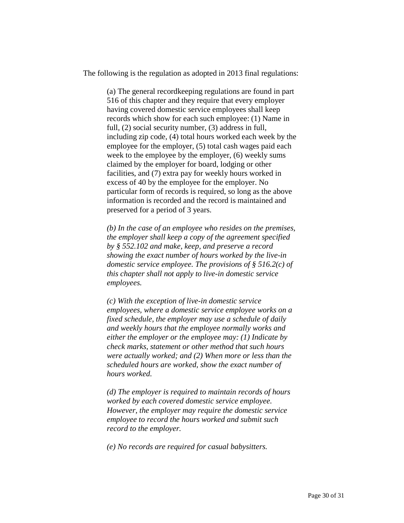The following is the regulation as adopted in 2013 final regulations:

(a) The general recordkeeping regulations are found in part 516 of this chapter and they require that every employer having covered domestic service employees shall keep records which show for each such employee: (1) Name in full, (2) social security number, (3) address in full, including zip code, (4) total hours worked each week by the employee for the employer, (5) total cash wages paid each week to the employee by the employer, (6) weekly sums claimed by the employer for board, lodging or other facilities, and (7) extra pay for weekly hours worked in excess of 40 by the employee for the employer. No particular form of records is required, so long as the above information is recorded and the record is maintained and preserved for a period of 3 years.

*(b) In the case of an employee who resides on the premises, the employer shall keep a copy of the agreement specified by § 552.102 and make, keep, and preserve a record showing the exact number of hours worked by the live-in domestic service employee. The provisions of § 516.2(c) of this chapter shall not apply to live-in domestic service employees.* 

*(c) With the exception of live-in domestic service employees, where a domestic service employee works on a fixed schedule, the employer may use a schedule of daily and weekly hours that the employee normally works and either the employer or the employee may: (1) Indicate by check marks, statement or other method that such hours were actually worked; and (2) When more or less than the scheduled hours are worked, show the exact number of hours worked.* 

*(d) The employer is required to maintain records of hours worked by each covered domestic service employee. However, the employer may require the domestic service employee to record the hours worked and submit such record to the employer.* 

*(e) No records are required for casual babysitters.*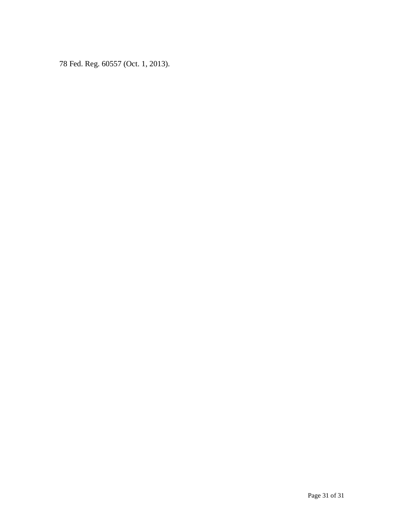78 Fed. Reg. 60557 (Oct. 1, 2013).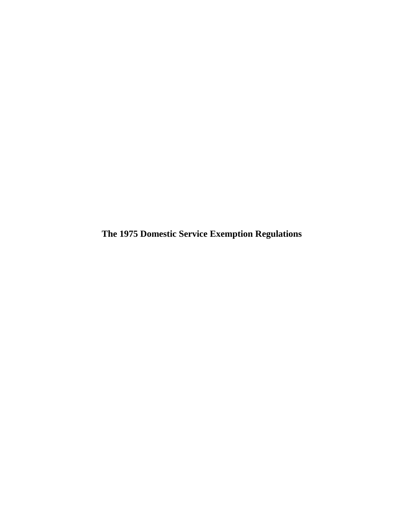**The 1975 Domestic Service Exemption Regulations**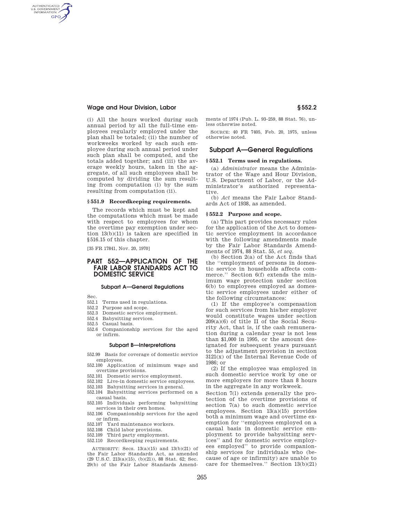### **Wage and Hour Division, Labor § 552.2**

(i) All the hours worked during such annual period by all the full-time employees regularly employed under the plan shall be totaled; (ii) the number of workweeks worked by each such employee during such annual period under such plan shall be computed, and the totals added together; and (iii) the average weekly hours, taken in the aggregate, of all such employees shall be computed by dividing the sum resulting from computation (i) by the sum resulting from computation (ii).

#### **§ 551.9 Recordkeeping requirements.**

The records which must be kept and the computations which must be made with respect to employees for whom the overtime pay exemption under section 13(b)(11) is taken are specified in §516.15 of this chapter.

[35 FR 17841, Nov. 20, 1970]

### **PART 552—APPLICATION OF THE FAIR LABOR STANDARDS ACT TO DOMESTIC SERVICE**

### **Subpart A—General Regulations**

Sec.

AUTHENTICATED<br>U.S. GOVERNMENT<br>INFORMATION **GPO** 

- 552.1 Terms used in regulations.
- 552.2 Purpose and scope.
- 552.3 Domestic service employment.
- 552.4 Babysitting services.
- 552.5 Casual basis.
- 552.6 Companionship services for the aged or infirm.

### **Subpart B—Interpretations**

552.99 Basis for coverage of domestic service employees.

552.100 Application of minimum wage and overtime provisions.

552.101 Domestic service employment.

552.102 Live-in domestic service employees.

552.103 Babysitting services in general.

- 552.104 Babysitting services performed on a casual basis.
- 552.105 Individuals performing babysitting services in their own homes.
- 552.106 Companionship services for the aged or infirm.
- 552.107 Yard maintenance workers.
- 
- 552.108 Child labor provisions.<br>552.109 Third party employme Third party employment.
- 552.110 Recordkeeping requirements.

AUTHORITY: Secs. 13(a)(15) and 13(b)(21) of the Fair Labor Standards Act, as amended (29 U.S.C. 213(a)(15), (b)(21)), 88 Stat. 62; Sec. 29(b) of the Fair Labor Standards Amendments of 1974 (Pub. L. 93–259, 88 Stat. 76), unless otherwise noted.

SOURCE: 40 FR 7405, Feb. 20, 1975, unless otherwise noted.

### **Subpart A—General Regulations**

### **§ 552.1 Terms used in regulations.**

(a) *Administrator* means the Administrator of the Wage and Hour Division, U.S. Department of Labor, or the Administrator's authorized representative.

(b) *Act* means the Fair Labor Standards Act of 1938, as amended.

### **§ 552.2 Purpose and scope.**

(a) This part provides necessary rules for the application of the Act to domestic service employment in accordance with the following amendments made by the Fair Labor Standards Amendments of 1974, 88 Stat. 55, *et seq.* 

(b) Section 2(a) of the Act finds that the ''employment of persons in domestic service in households affects commerce.'' Section 6(f) extends the minimum wage protection under section 6(b) to employees employed as domestic service employees under either of the following circumstances:

(1) If the employee's compensation for such services from his/her employer would constitute wages under section 209(a)(6) of title II of the Social Security Act, that is, if the cash remuneration during a calendar year is not less than \$1,000 in 1995, or the amount designated for subsequent years pursuant to the adjustment provision in section 3121(x) of the Internal Revenue Code of 1986; or

(2) If the employee was employed in such domestic service work by one or more employers for more than 8 hours in the aggregate in any workweek.

Section 7(l) extends generally the protection of the overtime provisions of section 7(a) to such domestic service employees. Section 13(a)(15) provides both a minimum wage and overtime exemption for ''employees employed on a casual basis in domestic service employment to provide babysitting services'' and for domestic service employees employed'' to provide companionship services for individuals who (because of age or infirmity) are unable to care for themselves.'' Section 13(b)(21)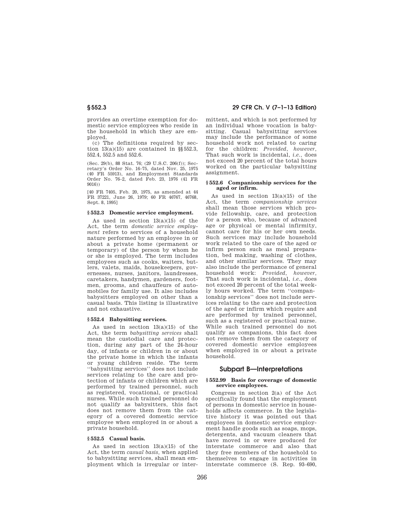provides an overtime exemption for domestic service employees who reside in the household in which they are employed.

(c) The definitions required by section  $13(a)(15)$  are contained in §§552.3, 552.4, 552.5 and 552.6.

(Sec. 29(b), 88 Stat. 76; (29 U.S.C. 206(f)); Secretary's Order No. 16–75, dated Nov. 25, 1975 (40 FR 55913), and Employment Standards Order No. 76–2, dated Feb. 23, 1976 (41 FR 9016))

[40 FR 7405, Feb. 20, 1975, as amended at 44 FR 37221, June 26, 1979; 60 FR 46767, 46768, Sept. 8, 1995]

#### **§ 552.3 Domestic service employment.**

As used in section  $13(a)(15)$  of the Act, the term *domestic service employment* refers to services of a household nature performed by an employee in or about a private home (permanent or temporary) of the person by whom he or she is employed. The term includes employees such as cooks, waiters, butlers, valets, maids, housekeepers, governesses, nurses, janitors, laundresses, caretakers, handymen, gardeners, footmen, grooms, and chauffeurs of automobiles for family use. It also includes babysitters employed on other than a casual basis. This listing is illustrative and not exhaustive.

### **§ 552.4 Babysitting services.**

As used in section  $13(a)(15)$  of the Act, the term *babysitting services* shall mean the custodial care and protection, during any part of the 24-hour day, of infants or children in or about the private home in which the infants or young children reside. The term ''babysitting services'' does not include services relating to the care and protection of infants or children which are performed by trained personnel, such as registered, vocational, or practical nurses. While such trained personnel do not qualify as babysitters, this fact does not remove them from the category of a covered domestic service employee when employed in or about a private household.

### **§ 552.5 Casual basis.**

As used in section  $13(a)(15)$  of the Act, the term *casual basis,* when applied to babysitting services, shall mean employment which is irregular or inter-

**§ 552.3 29 CFR Ch. V (7–1–13 Edition)** 

mittent, and which is not performed by an individual whose vocation is babysitting. Casual babysitting services may include the performance of some household work not related to caring for the children: *Provided, however,*  That such work is incidental, *i.e.,* does not exceed 20 percent of the total hours worked on the particular babysitting assignment.

#### **§ 552.6 Companionship services for the aged or infirm.**

As used in section 13(a)(15) of the Act, the term *companionship services*  shall mean those services which provide fellowship, care, and protection for a person who, because of advanced age or physical or mental infirmity, cannot care for his or her own needs. Such services may include household work related to the care of the aged or infirm person such as meal preparation, bed making, washing of clothes, and other similar services. They may also include the performance of general household work: *Provided, however,*  That such work is incidental, *i.e.,* does not exceed 20 percent of the total weekly hours worked. The term ''companionship services'' does not include services relating to the care and protection of the aged or infirm which require and are performed by trained personnel, such as a registered or practical nurse. While such trained personnel do not qualify as companions, this fact does not remove them from the category of covered domestic service employees when employed in or about a private household.

### **Subpart B—Interpretations**

### **§ 552.99 Basis for coverage of domestic service employees.**

Congress in section  $2(a)$  of the Act specifically found that the employment of persons in domestic service in households affects commerce. In the legislative history it was pointed out that employees in domestic service employment handle goods such as soaps, mops, detergents, and vacuum cleaners that have moved in or were produced for interstate commerce and also that they free members of the household to themselves to engage in activities in interstate commerce (S. Rep. 93–690,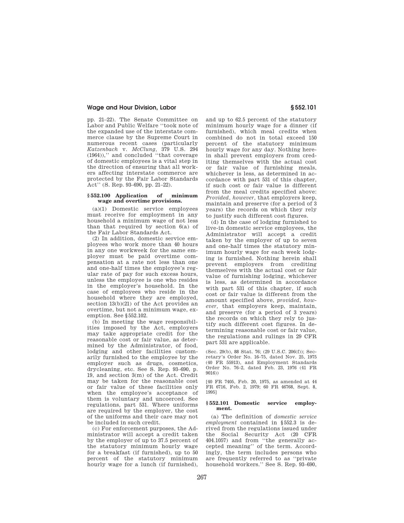### **Wage and Hour Division, Labor § 552.101**

pp. 21–22). The Senate Committee on Labor and Public Welfare ''took note of the expanded use of the interstate commerce clause by the Supreme Court in numerous recent cases (particularly *Katzenbach* v. *McClung,* 379 U.S. 294 (1964)),'' and concluded ''that coverage of domestic employees is a vital step in the direction of ensuring that all workers affecting interstate commerce are protected by the Fair Labor Standards Act'' (S. Rep. 93–690, pp. 21–22).

### **§ 552.100 Application of minimum wage and overtime provisions.**

(a)(1) Domestic service employees must receive for employment in any household a minimum wage of not less than that required by section 6(a) of the Fair Labor Standards Act.

(2) In addition, domestic service employees who work more than 40 hours in any one workweek for the same employer must be paid overtime compensation at a rate not less than one and one-half times the employee's regular rate of pay for such excess hours, unless the employee is one who resides in the employer's household. In the case of employees who reside in the household where they are employed, section 13(b)(21) of the Act provides an overtime, but not a minimum wage, exemption. See §552.102.

(b) In meeting the wage responsibilities imposed by the Act, employers may take appropriate credit for the reasonable cost or fair value, as determined by the Administrator, of food, lodging and other facilities customarily furnished to the employee by the employer such as drugs, cosmetics, drycleaning, etc. See S. Rep. 93–690, p. 19, and section 3(m) of the Act. Credit may be taken for the reasonable cost or fair value of these facilities only when the employee's acceptance of them is voluntary and uncoerced. See regulations, part 531. Where uniforms are required by the employer, the cost of the uniforms and their care may not be included in such credit.

(c) For enforcement purposes, the Administrator will accept a credit taken by the employer of up to 37.5 percent of the statutory minimum hourly wage for a breakfast (if furnished), up to 50 percent of the statutory minimum hourly wage for a lunch (if furnished),

and up to 62.5 percent of the statutory minimum hourly wage for a dinner (if furnished), which meal credits when combined do not in total exceed 150 percent of the statutory minimum hourly wage for any day. Nothing herein shall prevent employers from crediting themselves with the actual cost or fair value of furnishing meals, whichever is less, as determined in accordance with part 531 of this chapter, if such cost or fair value is different from the meal credits specified above: *Provided, however,* that employers keep, maintain and preserve (for a period of 3 years) the records on which they rely to justify such different cost figures.

(d) In the case of lodging furnished to live-in domestic service employees, the Administrator will accept a credit taken by the employer of up to seven and one-half times the statutory minimum hourly wage for each week lodging is furnished. Nothing herein shall prevent employers from crediting themselves with the actual cost or fair value of furnishing lodging, whichever is less, as determined in accordance with part 531 of this chapter, if such cost or fair value is different from the amount specified above, *provided, however,* that employers keep, maintain, and preserve (for a period of 3 years) the records on which they rely to justify such different cost figures. In determining reasonable cost or fair value, the regulations and rulings in 29 CFR part 531 are applicable.

(Sec. 29(b), 88 Stat. 76; (29 U.S.C. 206(f)); Secretary's Order No. 16–75, dated Nov. 25, 1975 (40 FR 55913), and Employment Standards Order No. 76–2, dated Feb. 23, 1976 (41 FR 9016))

[40 FR 7405, Feb. 20, 1975, as amended at 44 FR 6716, Feb. 2, 1979; 60 FR 46768, Sept. 8, 1995]

### **§ 552.101 Domestic service employment.**

(a) The definition of *domestic service employment* contained in §552.3 is derived from the regulations issued under the Social Security Act (20 CFR 404.1057) and from ''the generally accepted meaning'' of the term. Accordingly, the term includes persons who are frequently referred to as ''private household workers.'' See S. Rep. 93–690,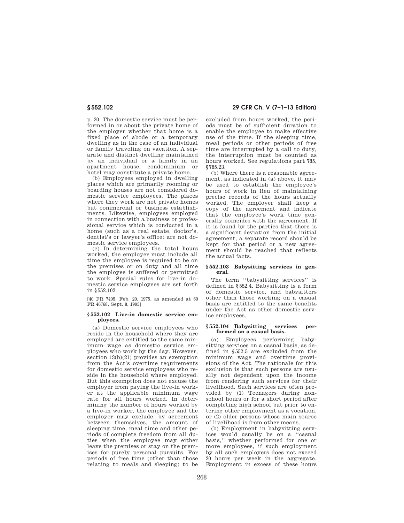p. 20. The domestic service must be performed in or about the private home of the employer whether that home is a fixed place of abode or a temporary dwelling as in the case of an individual or family traveling on vacation. A separate and distinct dwelling maintained by an individual or a family in an apartment house, condominium or hotel may constitute a private home.

(b) Employees employed in dwelling places which are primarily rooming or boarding houses are not considered domestic service employees. The places where they work are not private homes but commercial or business establishments. Likewise, employees employed in connection with a business or professional service which is conducted in a home (such as a real estate, doctor's, dentist's or lawyer's office) are not domestic service employees.

(c) In determining the total hours worked, the employer must include all time the employee is required to be on the premises or on duty and all time the employee is suffered or permitted to work. Special rules for live-in domestic service employees are set forth in §552.102.

[40 FR 7405, Feb. 20, 1975, as amended at 60 FR 46768, Sept. 8, 1995]

### **§ 552.102 Live-in domestic service employees.**

(a) Domestic service employees who reside in the household where they are employed are entitled to the same minimum wage as domestic service employees who work by the day. However, section 13(b)(21) provides an exemption from the Act's overtime requirements for domestic service employees who reside in the household where employed. But this exemption does not excuse the employer from paying the live-in worker at the applicable minimum wage rate for all hours worked. In determining the number of hours worked by a live-in worker, the employee and the employer may exclude, by agreement between themselves, the amount of sleeping time, meal time and other periods of complete freedom from all duties when the employee may either leave the premises or stay on the premises for purely personal pursuits. For periods of free time (other than those relating to meals and sleeping) to be

### **§ 552.102 29 CFR Ch. V (7–1–13 Edition)**

excluded from hours worked, the periods must be of sufficient duration to enable the employee to make effective use of the time. If the sleeping time, meal periods or other periods of free time are interrupted by a call to duty, the interruption must be counted as hours worked. See regulations part 785, §785.23.

(b) Where there is a reasonable agreement, as indicated in (a) above, it may be used to establish the employee's hours of work in lieu of maintaining precise records of the hours actually worked. The employer shall keep a copy of the agreement and indicate that the employee's work time generally coincides with the agreement. If it is found by the parties that there is a significant deviation from the initial agreement, a separate record should be kept for that period or a new agreement should be reached that reflects the actual facts.

### **§ 552.103 Babysitting services in general.**

The term ''babysitting services'' is defined in §552.4. Babysitting is a form of domestic service, and babysitters other than those working on a casual basis are entitled to the same benefits under the Act as other domestic service employees.

### **§ 552.104 Babysitting services performed on a casual basis.**

(a) Employees performing babysitting services on a casual basis, as defined in §552.5 are excluded from the minimum wage and overtime provisions of the Act. The rationale for this exclusion is that such persons are usually not dependent upon the income from rendering such services for their livelihood. Such services are often provided by (1) Teenagers during nonschool hours or for a short period after completing high school but prior to entering other employment as a vocation, or (2) older persons whose main source of livelihood is from other means.

(b) Employment in babysitting services would usually be on a ''casual basis,'' whether performed for one or more employees, if such employment by all such employers does not exceed 20 hours per week in the aggregate. Employment in excess of these hours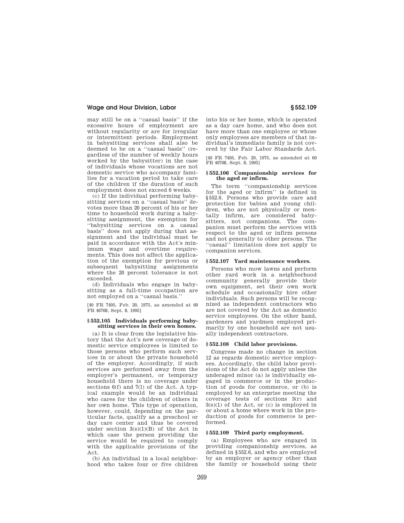#### **Wage and Hour Division, Labor § 552.109**

may still be on a ''casual basis'' if the excessive hours of employment are without regularity or are for irregular or intermittent periods. Employment in babysitting services shall also be deemed to be on a ''casual basis'' (regardless of the number of weekly hours worked by the babysitter) in the case of individuals whose vocations are not domestic service who accompany families for a vacation period to take care of the children if the duration of such employment does not exceed 6 weeks.

(c) If the individual performing babysitting services on a ''casual basis'' devotes more than 20 percent of his or her time to household work during a babysitting assignment, the exemption for ''babysitting services on a casual basis'' does not apply during that assignment and the individual must be paid in accordance with the Act's minimum wage and overtime requirements. This does not affect the application of the exemption for previous or subsequent babysitting assignments where the 20 percent tolerance is not exceeded.

(d) Individuals who engage in babysitting as a full-time occupation are not employed on a ''casual basis.''

[40 FR 7405, Feb. 20, 1975, as amended at 60 FR 46768, Sept. 8, 1995]

#### **§ 552.105 Individuals performing babysitting services in their own homes.**

(a) It is clear from the legislative history that the Act's new coverage of domestic service employees is limited to those persons who perform such services in or about the private household of the employer. Accordingly, if such services are performed away from the employer's permanent, or temporary household there is no coverage under sections  $6(f)$  and  $7(1)$  of the Act. A typical example would be an individual who cares for the children of others in her own home. This type of operation, however, could, depending on the particular facts, qualify as a preschool or day care center and thus be covered under section  $3(s)(1)(B)$  of the Act in which case the person providing the service would be required to comply with the applicable provisions of the Act.

(b) An individual in a local neighborhood who takes four or five children into his or her home, which is operated as a day care home, and who does not have more than one employee or whose only employees are members of that individual's immediate family is not covered by the Fair Labor Standards Act.

[40 FR 7405, Feb. 20, 1975, as amended at 60 FR 46768, Sept. 8, 1995]

#### **§ 552.106 Companionship services for the aged or infirm.**

The term ''companionship services for the aged or infirm'' is defined in §552.6. Persons who provide care and protection for babies and young children, who are not physically or mentally infirm, are considered babysitters, not companions. The companion must perform the services with respect to the aged or infirm persons and not generally to other persons. The ''casual'' limitation does not apply to companion services.

#### **§ 552.107 Yard maintenance workers.**

Persons who mow lawns and perform other yard work in a neighborhood community generally provide their own equipment, set their own work schedule and occasionally hire other individuals. Such persons will be recognized as independent contractors who are not covered by the Act as domestic service employees. On the other hand, gardeners and yardmen employed primarily by one household are not usually independent contractors.

# **§ 552.108 Child labor provisions.**

Congress made no change in section 12 as regards domestic service employees. Accordingly, the child labor provisions of the Act do not apply unless the underaged minor (a) is individually engaged in commerce or in the production of goods for commerce, or (b) is employed by an enterprise meeting the coverage tests of sections 3(r) and 3(s)(1) of the Act, or (c) is employed in or about a home where work in the production of goods for commerce is performed.

#### **§ 552.109 Third party employment.**

(a) Employees who are engaged in providing companionship services, as defined in §552.6, and who are employed by an employer or agency other than the family or household using their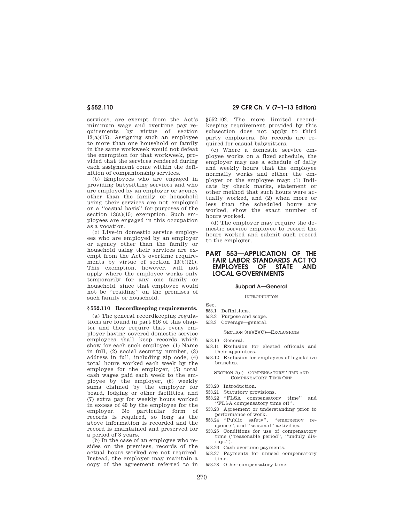services, are exempt from the Act's minimum wage and overtime pay requirements by virtue of section 13(a)(15). Assigning such an employee to more than one household or family in the same workweek would not defeat the exemption for that workweek, provided that the services rendered during each assignment come within the definition of companionship services.

(b) Employees who are engaged in providing babysitting services and who are employed by an employer or agency other than the family or household using their services are not employed on a ''casual basis'' for purposes of the section  $13(a)(15)$  exemption. Such employees are engaged in this occupation as a vocation.

(c) Live-in domestic service employees who are employed by an employer or agency other than the family or household using their services are exempt from the Act's overtime requirements by virtue of section  $13(b)(21)$ . This exemption, however, will not apply where the employee works only temporarily for any one family or household, since that employee would not be ''residing'' on the premises of such family or household.

#### **§ 552.110 Recordkeeping requirements.**

(a) The general recordkeeping regulations are found in part 516 of this chapter and they require that every employer having covered domestic service employees shall keep records which show for each such employee: (1) Name in full, (2) social security number, (3) address in full, including zip code, (4) total hours worked each week by the employee for the employer, (5) total cash wages paid each week to the employee by the employer, (6) weekly sums claimed by the employer for board, lodging or other facilities, and (7) extra pay for weekly hours worked in excess of 40 by the employee for the employer. No particular form of records is required, so long as the above information is recorded and the record is maintained and preserved for a period of 3 years.

(b) In the case of an employee who resides on the premises, records of the actual hours worked are not required. Instead, the employer may maintain a copy of the agreement referred to in

# **§ 552.110 29 CFR Ch. V (7–1–13 Edition)**

§552.102. The more limited recordkeeping requirement provided by this subsection does not apply to third party employers. No records are required for casual babysitters.

(c) Where a domestic service employee works on a fixed schedule, the employer may use a schedule of daily and weekly hours that the employee normally works and either the employer or the employee may: (1) Indicate by check marks, statement or other method that such hours were actually worked, and (2) when more or less than the scheduled hours are worked, show the exact number of hours worked.

(d) The employer may require the domestic service employee to record the hours worked and submit such record to the employer.

# **PART 553—APPLICATION OF THE FAIR LABOR STANDARDS ACT TO PCF** STATE AND **LOCAL GOVERNMENTS**

# **Subpart A—General**

#### **INTRODUCTION**

- Sec.
- 553.1 Definitions.
- 553.2 Purpose and scope.
- 553.3 Coverage—general.

#### SECTION 3(e)(2)(C)—EXCLUSIONS

- 553.10 General.
- 553.11 Exclusion for elected officials and their appointees.
- 553.12 Exclusion for employees of legislative branches.

#### SECTION 7(o)—COMPENSATORY TIME AND COMPENSATORY TIME OFF

- 553.20 Introduction.
- 553.21 Statutory provisions.
- 553.22 ''FLSA compensatory time'' and
- ''FLSA compensatory time off''. 553.23 Agreement or understanding prior to
- performance of work. 553.24 ''Public safety'', ''emergency re-
- sponse'', and ''seasonal'' activities. 553.25 Conditions for use of compensatory
- time (''reasonable period'', ''unduly disrupt'').
- 553.26 Cash overtime payments.
- 553.27 Payments for unused compensatory time.
- 553.28 Other compensatory time.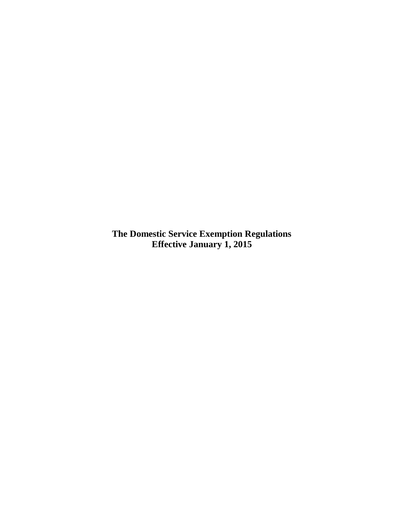**The Domestic Service Exemption Regulations Effective January 1, 2015**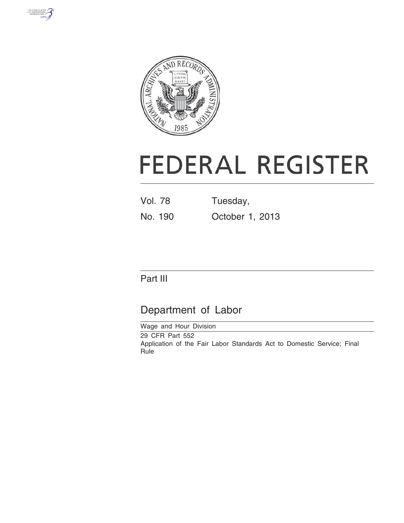



# **FEDERAL REGISTER**

Vol. 78 Tuesday, No. 190 October 1, 2013

# Part III

# Department of Labor

Wage and Hour Division 29 CFR Part 552 Application of the Fair Labor Standards Act to Domestic Service; Final Rule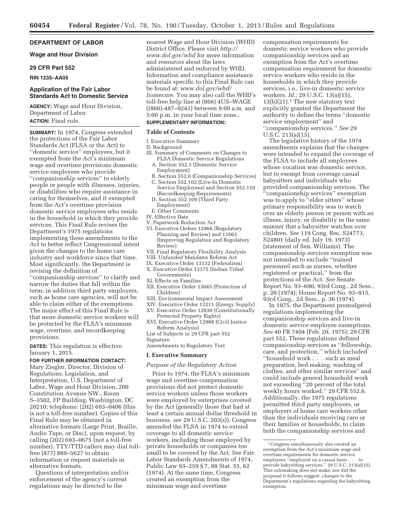# **DEPARTMENT OF LABOR**

# **Wage and Hour Division**

# **29 CFR Part 552**

#### **RIN 1235–AA05**

# **Application of the Fair Labor Standards Act to Domestic Service**

**AGENCY:** Wage and Hour Division, Department of Labor. **ACTION:** Final rule.

**SUMMARY:** In 1974, Congress extended the protections of the Fair Labor Standards Act (FLSA or the Act) to ''domestic service'' employees, but it exempted from the Act's minimum wage and overtime provisions domestic service employees who provide ''companionship services'' to elderly people or people with illnesses, injuries, or disabilities who require assistance in caring for themselves, and it exempted from the Act's overtime provision domestic service employees who reside in the household in which they provide services. This Final Rule revises the Department's 1975 regulations implementing these amendments to the Act to better reflect Congressional intent given the changes to the home care industry and workforce since that time. Most significantly, the Department is revising the definition of ''companionship services'' to clarify and narrow the duties that fall within the term; in addition third party employers, such as home care agencies, will not be able to claim either of the exemptions. The major effect of this Final Rule is that more domestic service workers will be protected by the FLSA's minimum wage, overtime, and recordkeeping provisions.

**DATES:** This regulation is effective January 1, 2015.

**FOR FURTHER INFORMATION CONTACT:**  Mary Ziegler, Director, Division of Regulations, Legislation, and Interpretation, U.S. Department of Labor, Wage and Hour Division, 200 Constitution Avenue NW., Room S–3502, FP Building, Washington, DC 20210; telephone: (202) 693–0406 (this is not a toll-free number). Copies of this Final Rule may be obtained in alternative formats (Large Print, Braille, Audio Tape, or Disc), upon request, by calling (202) 693–0675 (not a toll-free number). TTY/TTD callers may dial tollfree (877) 889–5627 to obtain information or request materials in alternative formats.

Questions of interpretation and/or enforcement of the agency's current regulations may be directed to the

nearest Wage and Hour Division (WHD) District Office. Please visit *http:// www.dol.gov/whd* for more information and resources about the laws administered and enforced by WHD. Information and compliance assistance materials specific to this Final Rule can be found at: *www.dol.gov/whd/ homecare.* You may also call the WHD's toll-free help line at (866) 4US–WAGE ((866)-487–9243) between 8:00 a.m. and 5:00 p.m. in your local time zone.. **SUPPLEMENTARY INFORMATION:** 

#### **Table of Contents**

- I. Executive Summary
- II. Background
- III. Summary of Comments on Changes to FLSA Domestic Service Regulations A. Section 552.3 (Domestic Service
	- Employment)
	- B. Section 552.6 (Companionship Services) C. Section 552.102 (Live-In Domestic
	- Service Employees) and Section 552.110 (Recordkeeping Requirements)
	- D. Section 552.109 (Third Party Employment)
- E. Other Comments
- IV. Effective Date
- V. Paperwork Reduction Act
- VI. Executive Orders 12866 (Regulatory Planning and Review) and 13563 (Improving Regulation and Regulatory Review)
- VII. Final Regulatory Flexibility Analysis
- VIII. Unfunded Mandates Reform Act
- IX. Executive Order 13132 (Federalism)
- X. Executive Order 13175 (Indian Tribal Governments)
- XI. Effects on Families
- XII. Executive Order 13045 (Protection of Children)
- XIII. Environmental Impact Assessment
- XIV. Executive Order 13211 (Energy Supply) XV. Executive Order 12630 (Constitutionally
- Protected Property Rights)
- XVI. Executive Order 12988 (Civil Justice Reform Analysis)
- List of Subjects in 29 CFR part 552 Signature
- Amendments to Regulatory Text

#### **I. Executive Summary**

*Purpose of the Regulatory Action* 

Prior to 1974, the FLSA's minimum wage and overtime compensation provisions did not protect domestic service workers unless those workers were employed by enterprises covered by the Act (generally those that had at least a certain annual dollar threshold in business, *see* 29 U.S.C. 203(s)). Congress amended the FLSA in 1974 to extend coverage to all domestic service workers, including those employed by private households or companies too small to be covered by the Act. See Fair Labor Standards Amendments of 1974, Public Law 93–259 § 7, 88 Stat. 55, 62 (1974). At the same time, Congress created an exemption from the minimum wage and overtime

compensation requirements for domestic service workers who provide companionship services and an exemption from the Act's overtime compensation requirement for domestic service workers who reside in the households in which they provide services, i.e., live-in domestic service workers. *Id.;* 29 U.S.C. 13(a)(15),  $13(b)(21).<sup>1</sup>$  The new statutory text explicitly granted the Department the authority to define the terms ''domestic service employment'' and ''companionship services.'' *See* 29

U.S.C. 213(a)(15).

The legislative history of the 1974 amendments explains that the changes were intended to expand the coverage of the FLSA to include all employees whose vocation was domestic service, but to exempt from coverage casual babysitters and individuals who provided companionship services. The ''companionship services'' exemption was to apply to "elder sitters" whose primary responsibility was to watch over an elderly person or person with an illness, injury, or disability in the same manner that a babysitter watches over children. *See* 119 Cong. Rec. S24773, S24801 (daily ed. July 19, 1973) (statement of Sen. Williams). The companionship services exemption was not intended to exclude ''trained personnel such as nurses, whether registered or practical,'' from the protections of the Act. *See* Senate Report No. 93–690, 93rd Cong., 2d Sess., p. 20 (1974); House Report No. 93–913, 93rd Cong., 2d Sess., p. 36 (1974).

In 1975, the Department promulgated regulations implementing the companionship services and live-in domestic service employee exemptions. *See* 40 FR 7404 (Feb. 20, 1975); 29 CFR part 552. These regulations defined companionship services as ''fellowship, care, and protection,'' which included ''household work . . . such as meal preparation, bed making, washing of clothes, and other similar services'' and could include general household work not exceeding ''20 percent of the total weekly hours worked.'' 29 CFR 552.6. Additionally, the 1975 regulations permitted third party employers, or employers of home care workers other than the individuals receiving care or their families or households, to claim both the companionship services and

<sup>1</sup>Congress simultaneously also created an exemption from the Act's minimum wage and overtime requirements for domestic service employees ''employed on a casual basis . . . to provide babysitting services.'' 29 U.S.C. 213(a)(15). This rulemaking does not make, nor did the proposal it follows suggest, changes to the Department's regulations regarding the babysitting exemption.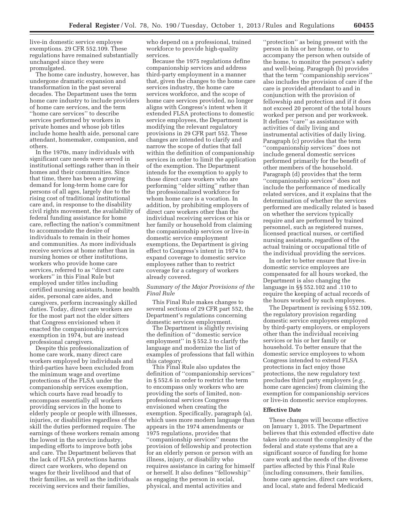live-in domestic service employee exemptions. 29 CFR 552.109. These regulations have remained substantially unchanged since they were promulgated.

The home care industry, however, has undergone dramatic expansion and transformation in the past several decades. The Department uses the term home care industry to include providers of home care services, and the term ''home care services'' to describe services performed by workers in private homes and whose job titles include home health aide, personal care attendant, homemaker, companion, and others.

In the 1970s, many individuals with significant care needs were served in institutional settings rather than in their homes and their communities. Since that time, there has been a growing demand for long-term home care for persons of all ages, largely due to the rising cost of traditional institutional care and, in response to the disability civil rights movement, the availability of federal funding assistance for home care, reflecting the nation's commitment to accommodate the desire of individuals to remain in their homes and communities. As more individuals receive services at home rather than in nursing homes or other institutions, workers who provide home care services, referred to as ''direct care workers'' in this Final Rule but employed under titles including certified nursing assistants, home health aides, personal care aides, and caregivers, perform increasingly skilled duties. Today, direct care workers are for the most part not the elder sitters that Congress envisioned when it enacted the companionship services exemption in 1974, but are instead professional caregivers.

Despite this professionalization of home care work, many direct care workers employed by individuals and third-parties have been excluded from the minimum wage and overtime protections of the FLSA under the companionship services exemption, which courts have read broadly to encompass essentially all workers providing services in the home to elderly people or people with illnesses, injuries, or disabilities regardless of the skill the duties performed require. The earnings of these workers remain among the lowest in the service industry, impeding efforts to improve both jobs and care. The Department believes that the lack of FLSA protections harms direct care workers, who depend on wages for their livelihood and that of their families, as well as the individuals receiving services and their families,

who depend on a professional, trained workforce to provide high-quality services.

Because the 1975 regulations define companionship services and address third-party employment in a manner that, given the changes to the home care services industry, the home care services workforce, and the scope of home care services provided, no longer aligns with Congress's intent when it extended FLSA protections to domestic service employees, the Department is modifying the relevant regulatory provisions in 29 CFR part 552. These changes are intended to clarify and narrow the scope of duties that fall within the definition of companionship services in order to limit the application of the exemption. The Department intends for the exemption to apply to those direct care workers who are performing ''elder sitting'' rather than the professionalized workforce for whom home care is a vocation. In addition, by prohibiting employers of direct care workers other than the individual receiving services or his or her family or household from claiming the companionship services or live-in domestic service employment exemptions, the Department is giving effect to Congress's intent in 1974 to expand coverage to domestic service employees rather than to restrict coverage for a category of workers already covered.

#### *Summary of the Major Provisions of the Final Rule*

This Final Rule makes changes to several sections of 29 CFR part 552, the Department's regulations concerning domestic services employment.

The Department is slightly revising the definition of ''domestic service employment'' in § 552.3 to clarify the language and modernize the list of examples of professions that fall within this category.

This Final Rule also updates the definition of ''companionship services'' in § 552.6 in order to restrict the term to encompass only workers who are providing the sorts of limited, nonprofessional services Congress envisioned when creating the exemption. Specifically, paragraph (a), which uses more modern language than appears in the 1974 amendments or 1975 regulations, provides that ''companionship services'' means the provision of fellowship and protection for an elderly person or person with an illness, injury, or disability who requires assistance in caring for himself or herself. It also defines ''fellowship'' as engaging the person in social, physical, and mental activities and

''protection'' as being present with the person in his or her home, or to accompany the person when outside of the home, to monitor the person's safety and well-being. Paragraph (b) provides that the term ''companionship services'' also includes the provision of care if the care is provided attendant to and in conjunction with the provision of fellowship and protection and if it does not exceed 20 percent of the total hours worked per person and per workweek. It defines ''care'' as assistance with activities of daily living and instrumental activities of daily living. Paragraph (c) provides that the term ''companionship services'' does not include general domestic services performed primarily for the benefit of other members of the household. Paragraph (d) provides that the term ''companionship services'' does not include the performance of medically related services, and it explains that the determination of whether the services performed are medically related is based on whether the services typically require and are performed by trained personnel, such as registered nurses, licensed practical nurses, or certified nursing assistants, regardless of the actual training or occupational title of the individual providing the services.

In order to better ensure that live-in domestic service employees are compensated for all hours worked, the Department is also changing the language in §§ 552.102 and .110 to require the keeping of actual records of the hours worked by such employees.

The Department is revising § 552.109, the regulatory provision regarding domestic service employees employed by third-party employers, or employers other than the individual receiving services or his or her family or household. To better ensure that the domestic service employees to whom Congress intended to extend FLSA protections in fact enjoy those protections, the new regulatory text precludes third party employers (*e.g.,*  home care agencies) from claiming the exemption for companionship services or live-in domestic service employees.

#### **Effective Date**

These changes will become effective on January 1, 2015. The Department believes that this extended effective date takes into account the complexity of the federal and state systems that are a significant source of funding for home care work and the needs of the diverse parties affected by this Final Rule (including consumers, their families, home care agencies, direct care workers, and local, state and federal Medicaid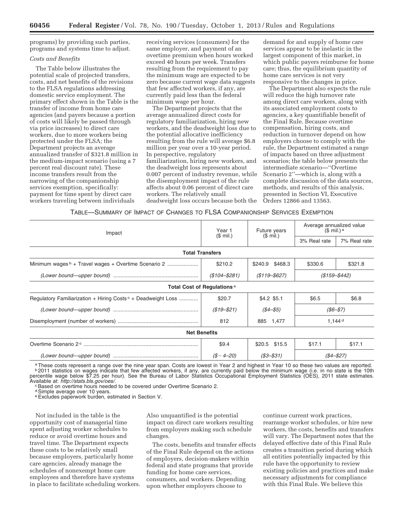programs) by providing such parties, programs and systems time to adjust.

# *Costs and Benefits*

The Table below illustrates the potential scale of projected transfers, costs, and net benefits of the revisions to the FLSA regulations addressing domestic service employment. The primary effect shown in the Table is the transfer of income from home care agencies (and payers because a portion of costs will likely be passed through via price increases) to direct care workers, due to more workers being protected under the FLSA; the Department projects an average annualized transfer of \$321.8 million in the medium-impact scenario (using a 7 percent real discount rate). These income transfers result from the narrowing of the companionship services exemption, specifically: payment for time spent by direct care workers traveling between individuals

receiving services (consumers) for the same employer, and payment of an overtime premium when hours worked exceed 40 hours per week. Transfers resulting from the requirement to pay the minimum wage are expected to be zero because current wage data suggests that few affected workers, if any, are currently paid less than the federal minimum wage per hour.

The Department projects that the average annualized direct costs for regulatory familiarization, hiring new workers, and the deadweight loss due to the potential allocative inefficiency resulting from the rule will average \$6.8 million per year over a 10-year period. In perspective, regulatory familiarization, hiring new workers, and the deadweight loss represents about 0.007 percent of industry revenue, while the disemployment impact of the rule affects about 0.06 percent of direct care workers. The relatively small deadweight loss occurs because both the

demand for and supply of home care services appear to be inelastic in the largest component of this market, in which public payers reimburse for home care; thus, the equilibrium quantity of home care services is not very responsive to the changes in price.

The Department also expects the rule will reduce the high turnover rate among direct care workers, along with its associated employment costs to agencies, a key quantifiable benefit of the Final Rule. Because overtime compensation, hiring costs, and reduction in turnover depend on how employers choose to comply with the rule, the Department estimated a range of impacts based on three adjustment scenarios; the table below presents the intermediate scenario—''Overtime Scenario 2''—which is, along with a complete discussion of the data sources, methods, and results of this analysis, presented in Section VI, Executive Orders 12866 and 13563.

#### TABLE—SUMMARY OF IMPACT OF CHANGES TO FLSA COMPANIONSHIP SERVICES EXEMPTION

| Impact                                                          | Year 1<br>$(S \text{ mil.})$ | Future years<br>$($$ mil.) | Average annualized value<br>$$$ mil.) a |              |
|-----------------------------------------------------------------|------------------------------|----------------------------|-----------------------------------------|--------------|
|                                                                 |                              |                            | 3% Real rate                            | 7% Real rate |
| <b>Total Transfers</b>                                          |                              |                            |                                         |              |
| Minimum wages <sup>b</sup> + Travel wages + Overtime Scenario 2 | \$210.2                      | \$240.9 \$468.3            | \$330.6                                 | \$321.8      |
|                                                                 | $($104 - $281)$              | $($119 - $627)$            | $($159 - $442)$                         |              |
| Total Cost of Requlations <sup>e</sup>                          |                              |                            |                                         |              |
| Regulatory Familiarization + Hiring Costs $c$ + Deadweight Loss | \$20.7                       | \$4.2 \$5.1                | \$6.5                                   | \$6.8        |
|                                                                 | $($19 - $21)$                | $( $4 - $5)$               | $( $6 - $7)$                            |              |
|                                                                 | 812                          | 885<br>1,477               | $1.144$ <sup>d</sup>                    |              |
| <b>Net Benefits</b>                                             |                              |                            |                                         |              |
|                                                                 | \$9.4                        | \$20.5 \$15.5              | \$17.1                                  | \$17.1       |
|                                                                 | $(S - 4 - 20)$               | $(S3 - S31)$               | $( $4 - $27)$                           |              |

a These costs represent a range over the nine year span. Costs are lowest in Year 2 and highest in Year 10 so these two values are reported.<br><sup>b</sup> 2011 statistics on wages indicate that few affected workers, if any, are curr percentile wage below \$7.25 per hour). See the Bureau of Labor Statistics Occupational Employment Statistics (OES), 2011 state estimates.<br>Available at: http://stats.bls.gov/oes/.

<sup>c</sup> Based on overtime hours needed to be covered under Overtime Scenario 2.

<sup>d</sup> Simple average over 10 years.

eExcludes paperwork burden, estimated in Section V.

Not included in the table is the opportunity cost of managerial time spent adjusting worker schedules to reduce or avoid overtime hours and travel time. The Department expects these costs to be relatively small because employers, particularly home care agencies, already manage the schedules of nonexempt home care employees and therefore have systems in place to facilitate scheduling workers. Also unquantified is the potential impact on direct care workers resulting from employers making such schedule changes.

The costs, benefits and transfer effects of the Final Rule depend on the actions of employers, decision-makers within federal and state programs that provide funding for home care services, consumers, and workers. Depending upon whether employers choose to

continue current work practices, rearrange worker schedules, or hire new workers, the costs, benefits and transfers will vary. The Department notes that the delayed effective date of this Final Rule creates a transition period during which all entities potentially impacted by this rule have the opportunity to review existing policies and practices and make necessary adjustments for compliance with this Final Rule. We believe this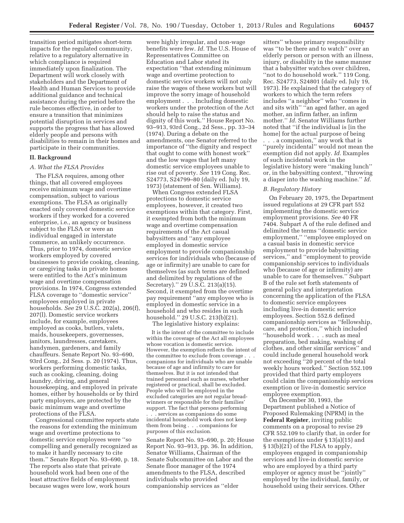transition period mitigates short-term impacts for the regulated community, relative to a regulatory alternative in which compliance is required immediately upon finalization. The Department will work closely with stakeholders and the Department of Health and Human Services to provide additional guidance and technical assistance during the period before the rule becomes effective, in order to ensure a transition that minimizes potential disruption in services and supports the progress that has allowed elderly people and persons with disabilities to remain in their homes and participate in their communities.

# **II. Background**

#### *A. What the FLSA Provides*

The FLSA requires, among other things, that all covered employees receive minimum wage and overtime compensation, subject to various exemptions. The FLSA as originally enacted only covered domestic service workers if they worked for a covered enterprise, i.e., an agency or business subject to the FLSA or were an individual engaged in interstate commerce, an unlikely occurrence. Thus, prior to 1974, domestic service workers employed by covered businesses to provide cooking, cleaning, or caregiving tasks in private homes were entitled to the Act's minimum wage and overtime compensation provisions. In 1974, Congress extended FLSA coverage to ''domestic service'' employees employed in private households. *See* 29 U.S.C. 202(a), 206(f), 207(l). Domestic service workers include, for example, employees employed as cooks, butlers, valets, maids, housekeepers, governesses, janitors, laundresses, caretakers, handymen, gardeners, and family chauffeurs. Senate Report No. 93–690, 93rd Cong., 2d Sess. p. 20 (1974). Thus, workers performing domestic tasks, such as cooking, cleaning, doing laundry, driving, and general housekeeping, and employed in private homes, either by households or by third party employers, are protected by the basic minimum wage and overtime protections of the FLSA.

Congressional committee reports state the reasons for extending the minimum wage and overtime protections to domestic service employees were ''so compelling and generally recognized as to make it hardly necessary to cite them.'' Senate Report No. 93–690, p. 18. The reports also state that private household work had been one of the least attractive fields of employment because wages were low, work hours

were highly irregular, and non-wage benefits were few. *Id.* The U.S. House of Representatives Committee on Education and Labor stated its expectation ''that extending minimum wage and overtime protection to domestic service workers will not only raise the wages of these workers but will improve the sorry image of household employment . . . Including domestic workers under the protection of the Act should help to raise the status and dignity of this work.'' House Report No. 93–913, 93rd Cong., 2d Sess., pp. 33–34 (1974). During a debate on the amendments, one Senator referred to the importance of ''the dignity and respect that ought to come with honest work'' and the low wages that left many domestic service employees unable to rise out of poverty. *See* 119 Cong. Rec. S24773, S24799–80 (daily ed. July 19, 1973) (statement of Sen. Williams).

When Congress extended FLSA protections to domestic service employees, however, it created two exemptions within that category. First, it exempted from both the minimum wage and overtime compensation requirements of the Act casual babysitters and ''any employee employed in domestic service employment to provide companionship services for individuals who (because of age or infirmity) are unable to care for themselves (as such terms are defined and delimited by regulations of the Secretary).'' 29 U.S.C. 213(a)(15). Second, it exempted from the overtime pay requirement ''any employee who is employed in domestic service in a household and who resides in such household.'' 29 U.S.C. 213(b)(21). The legislative history explains:

It is the intent of the committee to include within the coverage of the Act all employees whose vocation is domestic service. However, the exemption reflects the intent of the committee to exclude from coverage. companions for individuals who are unable because of age and infirmity to care for themselves. But it is not intended that trained personnel such as nurses, whether registered or practical, shall be excluded. People who will be employed in the excluded categories are not regular breadwinners or responsible for their families' support. The fact that persons performing . . . services as companions do some incidental household work does not keep them from being . . . companions for purposes of this exclusion.

Senate Report No. 93–690, p. 20; House Report No. 93–913, pp. 36. In addition, Senator Williams, Chairman of the Senate Subcommittee on Labor and the Senate floor manager of the 1974 amendments to the FLSA, described individuals who provided companionship services as ''elder

sitters'' whose primary responsibility was ''to be there and to watch'' over an elderly person or person with an illness, injury, or disability in the same manner that a babysitter watches over children, ''not to do household work.'' 119 Cong. Rec. S24773, S24801 (daily ed. July 19, 1973). He explained that the category of workers to which the term refers includes ''a neighbor'' who ''comes in and sits with'' ''an aged father, an aged mother, an infirm father, an infirm mother.'' *Id.* Senator Williams further noted that ''if the individual is [in the home] for the actual purpose of being . . . a companion,'' any work that is

''purely incidental'' would not mean the exemption did not apply. *Id.* Examples of such incidental work in the legislative history were ''making lunch'' or, in the babysitting context, ''throwing a diaper into the washing machine.'' *Id.* 

#### *B. Regulatory History*

On February 20, 1975, the Department issued regulations at 29 CFR part 552 implementing the domestic service employment provisions. *See* 40 FR 7404. Subpart A of the rule defined and delimited the terms ''domestic service employment,'' ''employee employed on a casual basis in domestic service employment to provide babysitting services,'' and ''employment to provide companionship services to individuals who (because of age or infirmity) are unable to care for themselves.'' Subpart B of the rule set forth statements of general policy and interpretation concerning the application of the FLSA to domestic service employees including live-in domestic service employees. Section 552.6 defined companionship services as ''fellowship, care, and protection,'' which included ''household work . . . such as meal preparation, bed making, washing of clothes, and other similar services'' and could include general household work not exceeding ''20 percent of the total weekly hours worked.'' Section 552.109 provided that third party employers could claim the companionship services exemption or live-in domestic service employee exemption.

On December 30, 1993, the Department published a Notice of Proposed Rulemaking (NPRM) in the **Federal Register**, inviting public comments on a proposal to revise 29 CFR 552.109 to clarify that, in order for the exemptions under § 13(a)(15) and § 13(b)(21) of the FLSA to apply, employees engaged in companionship services and live-in domestic service who are employed by a third party employer or agency must be ''jointly'' employed by the individual, family, or household using their services. Other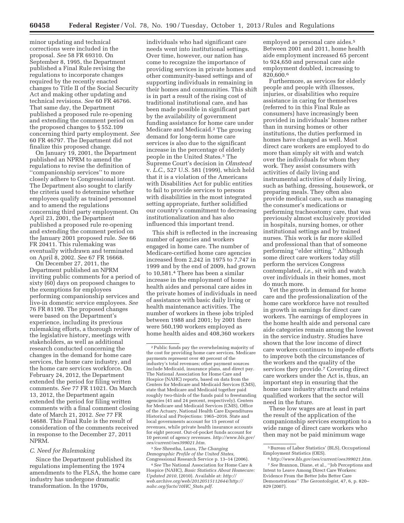minor updating and technical corrections were included in the proposal. *See* 58 FR 69310. On September 8, 1995, the Department published a Final Rule revising the regulations to incorporate changes required by the recently enacted changes to Title II of the Social Security Act and making other updating and technical revisions. *See* 60 FR 46766. That same day, the Department published a proposed rule re-opening and extending the comment period on the proposed changes to § 552.109 concerning third party employment. *See*  60 FR 46797. The Department did not finalize this proposed change.

On January 19, 2001, the Department published an NPRM to amend the regulations to revise the definition of ''companionship services'' to more closely adhere to Congressional intent. The Department also sought to clarify the criteria used to determine whether employees qualify as trained personnel and to amend the regulations concerning third party employment. On April 23, 2001, the Department published a proposed rule re-opening and extending the comment period on the January 2001 proposed rule. *See* 66 FR 20411. This rulemaking was eventually withdrawn and terminated on April 8, 2002. *See* 67 FR 16668.

On December 27, 2011, the Department published an NPRM inviting public comments for a period of sixty (60) days on proposed changes to the exemptions for employees performing companionship services and live-in domestic service employees. *See*  76 FR 81190. The proposed changes were based on the Department's experience, including its previous rulemaking efforts, a thorough review of the legislative history, meetings with stakeholders, as well as additional research conducted concerning the changes in the demand for home care services, the home care industry, and the home care services workforce. On February 24, 2012, the Department extended the period for filing written comments. *See* 77 FR 11021. On March 13, 2012, the Department again extended the period for filing written comments with a final comment closing date of March 21, 2012. *See* 77 FR 14688. This Final Rule is the result of consideration of the comments received in response to the December 27, 2011 NPRM.

#### *C. Need for Rulemaking*

Since the Department published its regulations implementing the 1974 amendments to the FLSA, the home care industry has undergone dramatic transformation. In the 1970s,

individuals who had significant care needs went into institutional settings. Over time, however, our nation has come to recognize the importance of providing services in private homes and other community-based settings and of supporting individuals in remaining in their homes and communities. This shift is in part a result of the rising cost of traditional institutional care, and has been made possible in significant part by the availability of government funding assistance for home care under Medicare and Medicaid.2 The growing demand for long-term home care services is also due to the significant increase in the percentage of elderly people in the United States.3 The Supreme Court's decision in *Olmstead*  v. *L.C.,* 527 U.S. 581 (1999), which held that it is a violation of the Americans with Disabilities Act for public entities to fail to provide services to persons with disabilities in the most integrated setting appropriate, further solidified our country's commitment to decreasing institutionalization and has also influenced this important trend.

This shift is reflected in the increasing number of agencies and workers engaged in home care. The number of Medicare-certified home care agencies increased from 2,242 in 1975 to 7,747 in 1999 and by the end of 2009, had grown to 10,581.4 There has been a similar increase in the employment of home health aides and personal care aides in the private homes of individuals in need of assistance with basic daily living or health maintenance activities. The number of workers in these jobs tripled between 1988 and 2001; by 2001 there were 560,190 workers employed as home health aides and 408,360 workers

3*See* Shrestha, Laura, *The Changing Demographic Profile of the United States,*  Congressional Research Service p. 13–14 (2006). employed as personal care aides.<sup>5</sup> Between 2001 and 2011, home health aide employment increased 65 percent to 924,650 and personal care aide employment doubled, increasing to 820,600.6

Furthermore, as services for elderly people and people with illnesses, injuries, or disabilities who require assistance in caring for themselves (referred to in this Final Rule as consumers) have increasingly been provided in individuals' homes rather than in nursing homes or other institutions, the duties performed in homes have changed as well. Most direct care workers are employed to do more than simply sit with and watch over the individuals for whom they work. They assist consumers with activities of daily living and instrumental activities of daily living, such as bathing, dressing, housework, or preparing meals. They often also provide medical care, such as managing the consumer's medications or performing tracheostomy care, that was previously almost exclusively provided in hospitals, nursing homes, or other institutional settings and by trained nurses. This work is far more skilled and professional than that of someone performing ''elder sitting.'' Although some direct care workers today still perform the services Congress contemplated, *i.e.,* sit with and watch over individuals in their homes, most do much more.

Yet the growth in demand for home care and the professionalization of the home care workforce have not resulted in growth in earnings for direct care workers. The earnings of employees in the home health aide and personal care aide categories remain among the lowest in the service industry. Studies have shown that the low income of direct care workers continues to impede efforts to improve both the circumstances of the workers and the quality of the services they provide.7 Covering direct care workers under the Act is, thus, an important step in ensuring that the home care industry attracts and retains qualified workers that the sector will need in the future.

These low wages are at least in part the result of the application of the companionship services exemption to a wide range of direct care workers who then may not be paid minimum wage

<sup>2</sup>Public funds pay the overwhelming majority of the cost for providing home care services. Medicare payments represent over 40 percent of the industry's total revenues; other payment sources include Medicaid, insurance plans, and direct pay. The National Association for Home Care and Hospice (NAHC) reports, based on data from the Centers for Medicare and Medicaid Services (CMS), state that Medicare and Medicaid together paid roughly two-thirds of the funds paid to freestanding agencies (41 and 24 percent, respectively). Centers for Medicare and Medicaid Services (CMS), Office of the Actuary, National Health Care Expenditures Historical and Projections: 1965–2016. State and local governments account for 15 percent of revenues, while private health insurance accounts for eight percent. Out-of-pocket funds account for 10 percent of agency revenues. *http://www.bls.gov/ oes/current/oes399021.htm.* 

<sup>4</sup>*See* The National Association for Home Care & Hospice (NAHC), *Basic Statistics About Homecare: Updated 2010,* (2010). Available at: *http:// web.archive.org/web/20120515112644/http:// nahc.org/facts/10HC*\_*Stats.pdf.* 

<sup>5</sup>Bureau of Labor Statistics' (BLS), Occupational Employment Statistics (OES).

<sup>6</sup>*http://www.bls.gov/oes/current/oes399021.htm.*  7*See* Brannon, Diane, et al., ''Job Perceptions and Intent to Leave Among Direct Care Workers: Evidence From the Better Jobs Better Care Demonstrations'' *The Gerontologist,* 47, 6, p. 820– 829 (2007).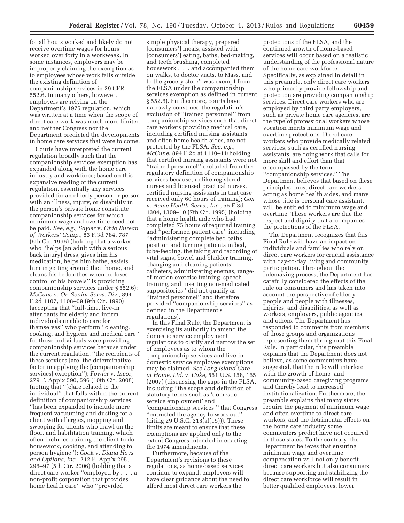for all hours worked and likely do not receive overtime wages for hours worked over forty in a workweek. In some instances, employers may be improperly claiming the exemption as to employees whose work falls outside the existing definition of companionship services in 29 CFR 552.6. In many others, however, employers are relying on the Department's 1975 regulation, which was written at a time when the scope of direct care work was much more limited and neither Congress nor the Department predicted the developments in home care services that were to come.

Courts have interpreted the current regulation broadly such that the companionship services exemption has expanded along with the home care industry and workforce; based on this expansive reading of the current regulation, essentially any services provided for an elderly person or person with an illness, injury, or disability in the person's private home constitute companionship services for which minimum wage and overtime need not be paid. *See, e.g., Sayler* v. *Ohio Bureau of Workers' Comp.,* 83 F.3d 784, 787 (6th Cir. 1996) (holding that a worker who ''helps [an adult with a serious back injury] dress, gives him his medication, helps him bathe, assists him in getting around their home, and cleans his bedclothes when he loses control of his bowels'' is providing companionship services under § 552.6); *McCune* v. *Or. Senior Servs. Div.,* 894 F.2d 1107, 1108–09 (9th Cir. 1990) (accepting that ''full-time, live-in attendants for elderly and infirm individuals unable to care for themselves'' who perform ''cleaning, cooking, and hygiene and medical care'' for those individuals were providing companionship services because under the current regulation, ''the recipients of these services [are] the determinative factor in applying the [companionship services] exception''); *Fowler* v. *Incor,*  279 F. App'x 590, 596 (10th Cir. 2008) (noting that ''[c]are related to the individual'' that falls within the current definition of companionship services ''has been expanded to include more frequent vacuuming and dusting for a client with allergies, mopping and sweeping for clients who crawl on the floor, and habilitation training, which often includes training the client to do housework, cooking, and attending to person hygiene''); *Cook* v. *Diana Hays and Options, Inc.,* 212 F. App'x 295, 296–97 (5th Cir. 2006) (holding that a direct care worker ''employed by . . . a non-profit corporation that provides home health care'' who ''provided

simple physical therapy, prepared [consumers'] meals, assisted with [consumers'] eating, baths, bed-making, and teeth brushing, completed housework . . . and accompanied them on walks, to doctor visits, to Mass, and to the grocery store'' was exempt from the FLSA under the companionship services exemption as defined in current § 552.6). Furthermore, courts have narrowly construed the regulation's exclusion of ''trained personnel'' from companionship services such that direct care workers providing medical care, including certified nursing assistants and often home health aides, are not protected by the FLSA. *See, e.g., McCune,* 894 F.2d at 1110–11(holding that certified nursing assistants were not ''trained personnel'' excluded from the regulatory definition of companionship services because, unlike registered nurses and licensed practical nurses, certified nursing assistants in that case received only 60 hours of training); *Cox*  v. *Acme Health Servs., Inc.,* 55 F.3d 1304, 1309–10 (7th Cir. 1995) (holding that a home health aide who had completed 75 hours of required training and ''performed patient care'' including ''administering complete bed baths, position and turning patients in bed, tube-feeding, the taking and recording of vital signs, bowel and bladder training, changing and cleaning patients' catheters, administering enemas, rangeof-motion exercise training, speech training, and inserting non-medicated suppositories'' did not qualify as ''trained personnel'' and therefore provided ''companionship services'' as defined in the Department's regulations).

In this Final Rule, the Department is exercising its authority to amend the domestic service employment regulations to clarify and narrow the set of employees as to whom the companionship services and live-in domestic service employee exemptions may be claimed. *See Long Island Care at Home, Ltd.* v. *Coke,* 551 U.S. 158, 165 (2007) (discussing the gaps in the FLSA, including ''the scope and definition of statutory terms such as 'domestic service employment' and 'companionship services''' that Congress ''entrusted the agency to work out'' (citing 29 U.S.C. 213(a)(15))). These limits are meant to ensure that these exemptions are applied only to the extent Congress intended in enacting the 1974 amendments.

Furthermore, because of the Department's revisions to these regulations, as home-based services continue to expand, employers will have clear guidance about the need to afford most direct care workers the

protections of the FLSA, and the continued growth of home-based services will occur based on a realistic understanding of the professional nature of the home care workforce. Specifically, as explained in detail in this preamble, only direct care workers who primarily provide fellowship and protection are providing companionship services. Direct care workers who are employed by third party employers, such as private home care agencies, are the type of professional workers whose vocation merits minimum wage and overtime protections. Direct care workers who provide medically related services, such as certified nursing assistants, are doing work that calls for more skill and effort than that encompassed by the term ''companionship services.'' The Department believes that based on these principles, most direct care workers acting as home health aides, and many whose title is personal care assistant, will be entitled to minimum wage and overtime. These workers are due the respect and dignity that accompanies the protections of the FLSA.

The Department recognizes that this Final Rule will have an impact on individuals and families who rely on direct care workers for crucial assistance with day-to-day living and community participation. Throughout the rulemaking process, the Department has carefully considered the effects of the rule on consumers and has taken into account the perspective of elderly people and people with illnesses, injuries, and disabilities, as well as workers, employers, public agencies, and others. The Department has responded to comments from members of those groups and organizations representing them throughout this Final Rule. In particular, this preamble explains that the Department does not believe, as some commenters have suggested, that the rule will interfere with the growth of home- and community-based caregiving programs and thereby lead to increased institutionalization. Furthermore, the preamble explains that many states require the payment of minimum wage and often overtime to direct care workers, and the detrimental effects on the home care industry some commenters predict have not occurred in those states. To the contrary, the Department believes that ensuring minimum wage and overtime compensation will not only benefit direct care workers but also consumers because supporting and stabilizing the direct care workforce will result in better qualified employees, lower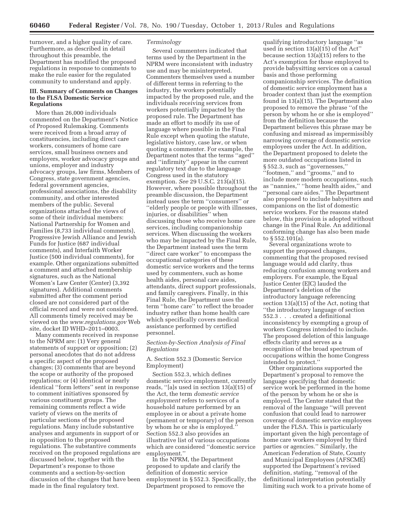turnover, and a higher quality of care. Furthermore, as described in detail throughout this preamble, the Department has modified the proposed regulations in response to comments to make the rule easier for the regulated community to understand and apply.

# **III. Summary of Comments on Changes to the FLSA Domestic Service Regulations**

More than 26,000 individuals commented on the Department's Notice of Proposed Rulemaking. Comments were received from a broad array of constituencies, including direct care workers, consumers of home care services, small business owners and employers, worker advocacy groups and unions, employer and industry advocacy groups, law firms, Members of Congress, state government agencies, federal government agencies, professional associations, the disability community, and other interested members of the public. Several organizations attached the views of some of their individual members: National Partnership for Women and Families (8,733 individual comments), Progressive Jewish Alliance and Jewish Funds for Justice (687 individual comments), and Interfaith Worker Justice (500 individual comments), for example. Other organizations submitted a comment and attached membership signatures, such as the National Women's Law Center (Center) (3,392 signatures). Additional comments submitted after the comment period closed are not considered part of the official record and were not considered. All comments timely received may be viewed on the *www.regulations.gov* Web site, docket ID WHD–2011–0003.

Many comments received in response to the NPRM are: (1) Very general statements of support or opposition; (2) personal anecdotes that do not address a specific aspect of the proposed changes; (3) comments that are beyond the scope or authority of the proposed regulations; or (4) identical or nearly identical ''form letters'' sent in response to comment initiatives sponsored by various constituent groups. The remaining comments reflect a wide variety of views on the merits of particular sections of the proposed regulations. Many include substantive analyses and arguments in support of or in opposition to the proposed regulations. The substantive comments received on the proposed regulations are discussed below, together with the Department's response to those comments and a section-by-section discussion of the changes that have been made in the final regulatory text.

# *Terminology*

Several commenters indicated that terms used by the Department in the NPRM were inconsistent with industry use and may be misinterpreted. Commenters themselves used a number of different terms in referring to the industry, the workers potentially impacted by the proposed rule, and the individuals receiving services from workers potentially impacted by the proposed rule. The Department has made an effort to modify its use of language where possible in the Final Rule except when quoting the statute, legislative history, case law, or when quoting a commenter. For example, the Department notes that the terms ''aged'' and ''infirmity'' appear in the current regulatory text due to the language Congress used in the statutory exemption. *See* 29 U.S.C. 213(a)(15). However, where possible throughout the preamble discussion, the Department instead uses the term ''consumers'' or ''elderly people or people with illnesses, injuries, or disabilities'' when discussing those who receive home care services, including companionship services. When discussing the workers who may be impacted by the Final Rule, the Department instead uses the term ''direct care worker'' to encompass the occupational categories of these domestic service workers and the terms used by commenters, such as home health aides, personal care aides, attendants, direct support professionals, and family caregivers. Finally, in this Final Rule, the Department uses the term ''home care'' to reflect the broader industry rather than home health care which specifically covers medical assistance performed by certified personnel.

#### *Section-by-Section Analysis of Final Regulations*

# A. Section 552.3 (Domestic Service Employment)

Section 552.3, which defines domestic service employment, currently reads, ''[a]s used in section 13(a)(15) of the Act, the term *domestic service employment* refers to services of a household nature performed by an employee in or about a private home (permanent or temporary) of the person by whom he or she is employed.'' Section 552.3 also provides an illustrative list of various occupations which are considered ''domestic service employment.''

In the NPRM, the Department proposed to update and clarify the definition of domestic service employment in § 552.3. Specifically, the Department proposed to remove the

qualifying introductory language ''as used in section 13(a)(15) of the Act'' because section 13(a)(15) refers to the Act's exemption for those employed to provide babysitting services on a casual basis and those performing companionship services. The definition of domestic service employment has a broader context than just the exemption found in 13(a)(15). The Department also proposed to remove the phrase ''of the person by whom he or she is employed'' from the definition because the Department believes this phrase may be confusing and misread as impermissibly narrowing coverage of domestic service employees under the Act. In addition, the Department proposed to delete the more outdated occupations listed in § 552.3, such as ''governesses,'' ''footmen,'' and ''grooms,'' and to include more modern occupations, such as ''nannies,'' ''home health aides,'' and ''personal care aides.'' The Department also proposed to include babysitters and companions on the list of domestic service workers. For the reasons stated below, this provision is adopted without change in the Final Rule. An additional conforming change has also been made to § 552.101(a).

Several organizations wrote to support the proposed changes, commenting that the proposed revised language would add clarity, thus reducing confusion among workers and employers. For example, the Equal Justice Center (EJC) lauded the Department's deletion of the introductory language referencing section 13(a)(15) of the Act, noting that ''the introductory language of section 552.3 . . . created a definitional inconsistency by exempting a group of workers Congress intended to include. The proposed deletion of this language effects clarity and serves as a recognition of the broad spectrum of occupations within the home Congress intended to protect.''

Other organizations supported the Department's proposal to remove the language specifying that domestic service work be performed in the home of the person by whom he or she is employed. The Center stated that the removal of the language ''will prevent confusion that could lead to narrower coverage of domestic service employees under the FLSA. This is particularly important given the high percentage of home care workers employed by third parties or agencies.'' Similarly, the American Federation of State, County and Municipal Employees (AFSCME) supported the Department's revised definition, stating, ''removal of the definitional interpretation potentially limiting such work to a private home of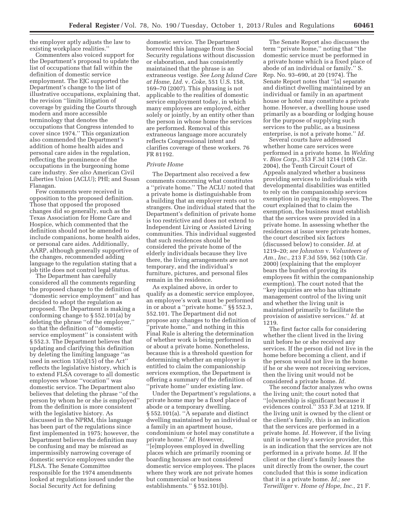the employer aptly adjusts the law to existing workplace realities.''

Commenters also voiced support for the Department's proposal to update the list of occupations that fall within the definition of domestic service employment. The EJC supported the Department's change to the list of illustrative occupations, explaining that, the revision ''limits litigation of coverage by guiding the Courts through modern and more accessible terminology that denotes the occupations that Congress intended to cover since 1974.'' This organization also commended the Department's addition of home health aides and personal care aides in the regulation, reflecting the prominence of the occupations in the burgeoning home care industry. *See also* American Civil Liberties Union (ACLU); PHI; and Susan Flanagan.

Few comments were received in opposition to the proposed definition. Those that opposed the proposed changes did so generally, such as the Texas Association for Home Care and Hospice, which commented that the definition should not be amended to include companions, home health aides, or personal care aides. Additionally, AARP, although generally supportive of the changes, recommended adding language to the regulation stating that a job title does not control legal status.

The Department has carefully considered all the comments regarding the proposed change to the definition of ''domestic service employment'' and has decided to adopt the regulation as proposed. The Department is making a conforming change to § 552.101(a) by deleting the phrase ''of the employer,'' so that the definition of ''domestic service employment'' is consistent with § 552.3. The Department believes that updating and clarifying this definition by deleting the limiting language ''as used in section 13(a)(15) of the Act'' reflects the legislative history, which is to extend FLSA coverage to all domestic employees whose ''vocation'' was domestic service. The Department also believes that deleting the phrase ''of the person by whom he or she is employed'' from the definition is more consistent with the legislative history. As discussed in the NPRM, this language has been part of the regulations since first implemented in 1975; however, the Department believes the definition may be confusing and may be misread as impermissibly narrowing coverage of domestic service employees under the FLSA. The Senate Committee responsible for the 1974 amendments looked at regulations issued under the Social Security Act for defining

domestic service. The Department borrowed this language from the Social Security regulations without discussion or elaboration, and has consistently maintained that the phrase is an extraneous vestige. *See Long Island Care at Home, Ltd.* v. *Coke,* 551 U.S. 158, 169–70 (2007). This phrasing is not applicable to the realities of domestic service employment today, in which many employees are employed, either solely or jointly, by an entity other than the person in whose home the services are performed. Removal of this extraneous language more accurately reflects Congressional intent and clarifies coverage of these workers. 76 FR 81192.

#### *Private Home*

The Department also received a few comments concerning what constitutes a ''private home.'' The ACLU noted that a private home is distinguishable from a building that an employer rents out to strangers. One individual stated that the Department's definition of private home is too restrictive and does not extend to Independent Living or Assisted Living communities. This individual suggested that such residences should be considered the private home of the elderly individuals because they live there, the living arrangements are not temporary, and the individual's furniture, pictures, and personal files remain in the residence.

As explained above, in order to qualify as a domestic service employee, an employee's work must be performed in or about a ''private home.'' §§ 552.3, 552.101. The Department did not propose any changes to the definition of 'private home," and nothing in this Final Rule is altering the determination of whether work is being performed in or about a private home. Nonetheless, because this is a threshold question for determining whether an employer is entitled to claim the companionship services exemption, the Department is offering a summary of the definition of ''private home'' under existing law.

Under the Department's regulations, a private home may be a fixed place of abode or a temporary dwelling. § 552.101(a). "A separate and distinct dwelling maintained by an individual or a family in an apartment house, condominium or hotel may constitute a private home." *Id.* However, '[e]mployees employed in dwelling places which are primarily rooming or boarding houses are not considered domestic service employees. The places where they work are not private homes but commercial or business establishments.'' § 552.101(b).

The Senate Report also discusses the term ''private home,'' noting that ''the domestic service must be performed in a private home which is a fixed place of abode of an individual or family.'' S. Rep. No. 93–690, at 20 (1974). The Senate Report notes that ''[a] separate and distinct dwelling maintained by an individual or family in an apartment house or hotel may constitute a private home. However, a dwelling house used primarily as a boarding or lodging house for the purpose of supplying such services to the public, as a business enterprise, is not a private home.'' *Id.* 

Several courts have addressed whether home care services were performed in a private home. In *Welding*  v. *Bios Corp.,* 353 F.3d 1214 (10th Cir. 2004), the Tenth Circuit Court of Appeals analyzed whether a business providing services to individuals with developmental disabilities was entitled to rely on the companionship services exemption in paying its employees. The court explained that to claim the exemption, the business must establish that the services were provided in a private home. In assessing whether the residences at issue were private homes, the court described six factors (discussed below) to consider. *Id.* at 1219–20; *see Johnston* v. *Volunteers of Am., Inc.,* 213 F.3d 559, 562 (10th Cir. 2000) (explaining that the employer bears the burden of proving its employees fit within the companionship exemption). The court noted that the ''key inquiries are who has ultimate management control of the living unit and whether the living unit is maintained primarily to facilitate the provision of assistive services.'' *Id.* at 1219.

The first factor calls for considering whether the client lived in the living unit before he or she received any services. If the person did not live in the home before becoming a client, and if the person would not live in the home if he or she were not receiving services, then the living unit would not be considered a private home. *Id.* 

The second factor analyzes who owns the living unit; the court noted that ''[o]wnership is significant because it evidences control.'' 353 F.3d at 1219. If the living unit is owned by the client or the client's family, this is an indication that the services are performed in a private home. *Id.* However, if the living unit is owned by a service provider, this is an indication that the services are not performed in a private home. *Id.* If the client or the client's family leases the unit directly from the owner, the court concluded that this is some indication that it is a private home. *Id.; see Terwilliger* v. *Home of Hope, Inc.,* 21 F.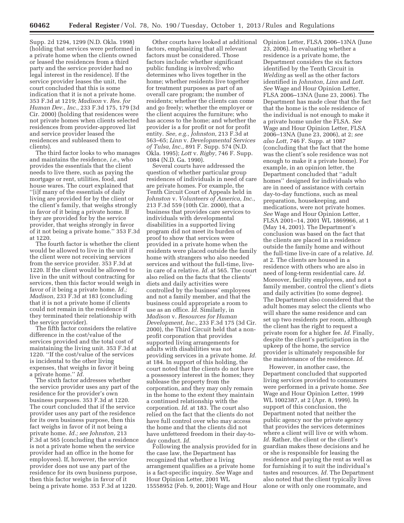Supp. 2d 1294, 1299 (N.D. Okla. 1998) (holding that services were performed in a private home when the clients owned or leased the residences from a third party and the service provider had no legal interest in the residence). If the service provider leases the unit, the court concluded that this is some indication that it is not a private home. 353 F.3d at 1219; *Madison* v. *Res. for Human Dev., Inc.,* 233 F.3d 175, 179 (3d Cir. 2000) (holding that residences were not private homes when clients selected residences from provider-approved list and service provider leased the residences and subleased them to clients).

The third factor looks to who manages and maintains the residence, *i.e.,* who provides the essentials that the client needs to live there, such as paying the mortgage or rent, utilities, food, and house wares. The court explained that ''[i]f many of the essentials of daily living are provided for by the client or the client's family, that weighs strongly in favor of it being a private home. If they are provided for by the service provider, that weighs strongly in favor of it not being a private home.'' 353 F.3d at 1220.

The fourth factor is whether the client would be allowed to live in the unit if the client were not receiving services from the service provider. 353 F.3d at 1220. If the client would be allowed to live in the unit without contracting for services, then this factor would weigh in favor of it being a private home. *Id.; Madison,* 233 F.3d at 183 (concluding that it is not a private home if clients could not remain in the residence if they terminated their relationship with the service provider).

The fifth factor considers the relative difference in the cost/value of the services provided and the total cost of maintaining the living unit. 353 F.3d at 1220. ''If the cost/value of the services is incidental to the other living expenses, that weighs in favor it being a private home.'' *Id.* 

The sixth factor addresses whether the service provider uses any part of the residence for the provider's own business purposes. 353 F.3d at 1220. The court concluded that if the service provider uses any part of the residence for its own business purpose, then this fact weighs in favor of it not being a private home. *Id.; see Johnston,* 213 F.3d at 565 (concluding that a residence is not a private home when the service provider had an office in the home for employees). If, however, the service provider does not use any part of the residence for its own business purpose, then this factor weighs in favor of it being a private home. 353 F.3d at 1220.

Other courts have looked at additional factors, emphasizing that all relevant factors must be considered. Those factors include: whether significant public funding is involved; who determines who lives together in the home; whether residents live together for treatment purposes as part of an overall care program; the number of residents; whether the clients can come and go freely; whether the employer or the client acquires the furniture; who has access to the home; and whether the provider is a for profit or not for profit entity. *See, e.g., Johnston,* 213 F.3d at 563–65; *Linn* v. *Developmental Services of Tulsa, Inc.,* 891 F. Supp. 574 (N.D. Okla. 1995); *Lott* v. *Rigby,* 746 F. Supp. 1084 (N.D. Ga. 1990).

Several courts have addressed the question of whether particular group residences of individuals in need of care are private homes. For example, the Tenth Circuit Court of Appeals held in *Johnston* v. *Volunteers of America, Inc.,*  213 F.3d 559 (10th Cir. 2000), that a business that provides care services to individuals with developmental disabilities in a supported living program did not meet its burden of proof to show that services were provided in a private home when the residents were placed outside the family home with strangers who also needed services and without the full-time, livein care of a relative. *Id.* at 565. The court also relied on the facts that the clients' diets and daily activities were controlled by the business' employees and not a family member, and that the business could appropriate a room to use as an office. *Id.* Similarly, in *Madison* v. *Resources for Human Development, Inc.,* 233 F.3d 175 (3d Cir. 2000), the Third Circuit held that a nonprofit corporation that provides supported living arrangements for adults with disabilities was not providing services in a private home. *Id.*  at 184. In support of this holding, the court noted that the clients do not have a possessory interest in the homes; they sublease the property from the corporation, and they may only remain in the home to the extent they maintain a continued relationship with the corporation. *Id.* at 183. The court also relied on the fact that the clients do not have full control over who may access the home and that the clients did not have unfettered freedom in their day-today conduct. *Id.* 

Following the analysis provided for in the case law, the Department has recognized that whether a living arrangement qualifies as a private home is a fact-specific inquiry. *See* Wage and Hour Opinion Letter, 2001 WL 15558952 (Feb. 9, 2001); Wage and Hour Opinion Letter, FLSA 2006–13NA (June 23, 2006). In evaluating whether a residence is a private home, the Department considers the six factors identified by the Tenth Circuit in *Welding* as well as the other factors identified in *Johnston, Linn* and *Lott*. *See* Wage and Hour Opinion Letter, FLSA 2006–13NA (June 23, 2006). The Department has made clear that the fact that the home is the sole residence of the individual is not enough to make it a private home under the FLSA. *See*  Wage and Hour Opinion Letter, FLSA 2006–13NA (June 23, 2006), at 2; *see also Lott,* 746 F. Supp. at 1087 (concluding that the fact that the home was the client's sole residence was not enough to make it a private home). For example, in an opinion letter, the Department concluded that ''adult homes'' designed for individuals who are in need of assistance with certain day-to-day functions, such as meal preparation, housekeeping, and medications, were not private homes. *See* Wage and Hour Opinion Letter, FLSA 2001–14, 2001 WL 1869966, at 1 (May 14, 2001). The Department's conclusion was based on the fact that the clients are placed in a residence outside the family home and without the full-time live-in care of a relative. *Id.*  at 2. The clients are housed in a residence with others who are also in need of long-term residential care. *Id.*  Moreover, facility employees, and not a family member, control the client's diets and daily activities (to some degree). The Department also considered that the adult homes may select the clients who will share the same residence and can set up two residents per room, although the client has the right to request a private room for a higher fee. *Id.* Finally, despite the client's participation in the upkeep of the home, the service provider is ultimately responsible for the maintenance of the residence. *Id.* 

However, in another case, the Department concluded that supported living services provided to consumers were performed in a private home. *See*  Wage and Hour Opinion Letter, 1999 WL 1002387, at 2 (Apr. 8, 1999). In support of this conclusion, the Department noted that neither the public agency nor the private agency that provides the services determines where a client will live or with whom. *Id.* Rather, the client or the client's guardian makes these decisions and he or she is responsible for leasing the residence and paying the rent as well as for furnishing it to suit the individual's tastes and resources. *Id.* The Department also noted that the client typically lives alone or with only one roommate, and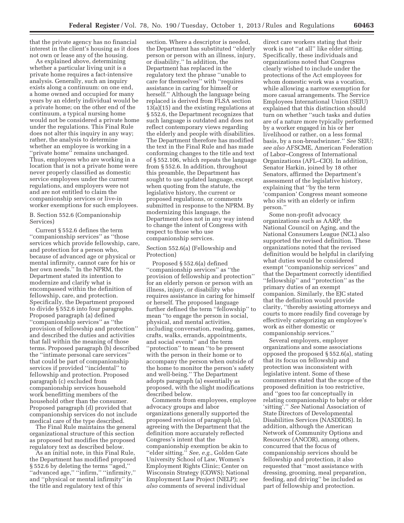that the private agency has no financial interest in the client's housing as it does not own or lease any of the housing.

As explained above, determining whether a particular living unit is a private home requires a fact-intensive analysis. Generally, such an inquiry exists along a continuum: on one end, a home owned and occupied for many years by an elderly individual would be a private home; on the other end of the continuum, a typical nursing home would not be considered a private home under the regulations. This Final Rule does not alter this inquiry in any way; rather, the analysis to determine whether an employee is working in a ''private home'' remains unchanged. Thus, employees who are working in a location that is not a private home were never properly classified as domestic service employees under the current regulations, and employers were not and are not entitled to claim the companionship services or live-in worker exemptions for such employees.

# B. Section 552.6 (Companionship Services)

Current § 552.6 defines the term ''companionship services'' as ''those services which provide fellowship, care, and protection for a person who, because of advanced age or physical or mental infirmity, cannot care for his or her own needs.'' In the NPRM, the Department stated its intention to modernize and clarify what is encompassed within the definition of fellowship, care, and protection. Specifically, the Department proposed to divide § 552.6 into four paragraphs. Proposed paragraph (a) defined ''companionship services'' as ''the provision of fellowship and protection'' and described the duties and activities that fall within the meaning of those terms. Proposed paragraph (b) described the ''intimate personal care services'' that could be part of companionship services if provided ''incidental'' to fellowship and protection. Proposed paragraph (c) excluded from companionship services household work benefitting members of the household other than the consumer. Proposed paragraph (d) provided that companionship services do not include medical care of the type described.

The Final Rule maintains the general organizational structure of this section as proposed but modifies the proposed regulatory text as described below.

As an initial note, in this Final Rule, the Department has modified proposed § 552.6 by deleting the terms ''aged,'' ''advanced age,'' ''infirm,'' ''infirmity,'' and ''physical or mental infirmity'' in the title and regulatory text of this

section. Where a descriptor is needed, the Department has substituted ''elderly person or person with an illness, injury, or disability.'' In addition, the Department has replaced in the regulatory text the phrase ''unable to care for themselves'' with ''requires assistance in caring for himself or herself.'' Although the language being replaced is derived from FLSA section 13(a)(15) and the existing regulations at § 552.6, the Department recognizes that such language is outdated and does not reflect contemporary views regarding the elderly and people with disabilities. The Department therefore has modified the text in the Final Rule and has made conforming changes to the title and text of § 552.106, which repeats the language from § 552.6. In addition, throughout this preamble, the Department has sought to use updated language, except when quoting from the statute, the legislative history, the current or proposed regulations, or comments submitted in response to the NPRM. By modernizing this language, the Department does not in any way intend to change the intent of Congress with respect to those who use companionship services.

# Section 552.6(a) (Fellowship and Protection)

Proposed § 552.6(a) defined ''companionship services'' as ''the provision of fellowship and protection'' for an elderly person or person with an illness, injury, or disability who requires assistance in caring for himself or herself. The proposed language further defined the term ''fellowship'' to mean ''to engage the person in social, physical, and mental activities, including conversation, reading, games, crafts, walks, errands, appointments, and social events'' and the term ''protection'' to mean ''to be present with the person in their home or to accompany the person when outside of the home to monitor the person's safety and well-being.'' The Department adopts paragraph (a) essentially as proposed, with the slight modifications described below.

Comments from employees, employee advocacy groups and labor organizations generally supported the proposed revision of paragraph (a), agreeing with the Department that the definition more accurately reflected Congress's intent that the companionship exemption be akin to ''elder sitting.'' *See, e.g.,* Golden Gate University School of Law, Women's Employment Rights Clinic; Center on Wisconsin Strategy (COWS); National Employment Law Project (NELP); *see also* comments of several individual

direct care workers stating that their work is not ''at all'' like elder sitting. Specifically, these individuals and organizations noted that Congress clearly wished to include under the protections of the Act employees for whom domestic work was a vocation, while allowing a narrow exemption for more casual arrangements. The Service Employees International Union (SEIU) explained that this distinction should turn on whether ''such tasks and duties are of a nature more typically performed by a worker engaged in his or her livelihood or rather, on a less formal basis, by a non-breadwinner.'' *See* SEIU; *see also* AFSCME, American Federation of Labor–Congress of International Organizations (AFL–CIO). In addition, Senator Harkin, joined by 18 other Senators, affirmed the Department's assessment of the legislative history, explaining that ''by the term 'companion' Congress meant someone who sits with an elderly or infirm person.''

Some non-profit advocacy organizations such as AARP, the National Council on Aging, and the National Consumers League (NCL) also supported the revised definition. These organizations noted that the revised definition would be helpful in clarifying what duties would be considered exempt ''companionship services'' and that the Department correctly identified ''fellowship'' and ''protection'' as the primary duties of an exempt companion. Similarly, the EJC stated that the definition would provide clarity, ''thereby assisting attorneys and courts to more readily find coverage by effectively categorizing an employee's work as either domestic or companionship services.''

Several employers, employer organizations and some associations opposed the proposed § 552.6(a), stating that its focus on fellowship and protection was inconsistent with legislative intent. Some of these commenters stated that the scope of the proposed definition is too restrictive, and ''goes too far conceptually in relating companionship to baby or elder 'sitting'.'' *See* National Association of State Directors of Developmental Disabilities Services (NASDDDS). In addition, although the American Network of Community Options and Resources (ANCOR), among others, concurred that the focus of companionship services should be fellowship and protection, it also requested that ''most assistance with dressing, grooming, meal preparation, feeding, and driving'' be included as part of fellowship and protection.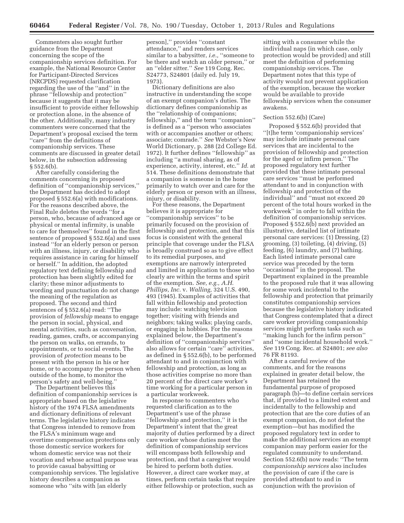Commenters also sought further guidance from the Department concerning the scope of the companionship services definition. For example, the National Resource Center for Participant-Directed Services (NRCPDS) requested clarification regarding the use of the ''and'' in the phrase ''fellowship and protection'' because it suggests that it may be insufficient to provide either fellowship or protection alone, in the absence of the other. Additionally, many industry commenters were concerned that the Department's proposal excised the term ''care'' from the definitions of companionship services. These comments are discussed in greater detail below, in the subsection addressing  $§ 552.6(b).$ 

After carefully considering the comments concerning its proposed definition of ''companionship services,'' the Department has decided to adopt proposed § 552.6(a) with modifications. For the reasons described above, the Final Rule deletes the words ''for a person, who, because of advanced age or physical or mental infirmity, is unable to care for themselves'' found in the first sentence of proposed § 552.6(a) and uses instead ''for an elderly person or person with an illness, injury, or disability who requires assistance in caring for himself or herself.'' In addition, the adopted regulatory text defining fellowship and protection has been slightly edited for clarity; these minor adjustments to wording and punctuation do not change the meaning of the regulation as proposed. The second and third sentences of § 552.6(a) read: ''The provision of *fellowship* means to engage the person in social, physical, and mental activities, such as conversation, reading, games, crafts, or accompanying the person on walks, on errands, to appointments, or to social events. The provision of *protection* means to be present with the person in his or her home, or to accompany the person when outside of the home, to monitor the person's safety and well-being.''

The Department believes this definition of companionship services is appropriate based on the legislative history of the 1974 FLSA amendments and dictionary definitions of relevant terms. The legislative history indicates that Congress intended to remove from the FLSA's minimum wage and overtime compensation protections only those domestic service workers for whom domestic service was not their vocation and whose actual purpose was to provide casual babysitting or companionship services. The legislative history describes a companion as someone who ''sits with [an elderly

person],'' provides ''constant attendance,'' and renders services similar to a babysitter, *i.e.,* ''someone to be there and watch an older person,'' or an ''elder sitter.'' *See* 119 Cong. Rec. S24773, S24801 (daily ed. July 19, 1973).

Dictionary definitions are also instructive in understanding the scope of an exempt companion's duties. The dictionary defines companionship as the ''relationship of companions; fellowship,'' and the term ''companion'' is defined as a ''person who associates with or accompanies another or others; associate; comrade.'' *See* Webster's New World Dictionary, p. 288 (2d College Ed. 1972). It further defines ''fellowship'' as including ''a mutual sharing, as of experience, activity, interest, etc.'' *Id.* at 514. These definitions demonstrate that a companion is someone in the home primarily to watch over and care for the elderly person or person with an illness, injury, or disability.

For these reasons, the Department believes it is appropriate for ''companionship services'' to be primarily focused on the provision of fellowship and protection, and that this focus is consistent with the general principle that coverage under the FLSA is broadly construed so as to give effect to its remedial purposes, and exemptions are narrowly interpreted and limited in application to those who clearly are within the terms and spirit of the exemption. *See, e.g., A.H. Phillips, Inc.* v. *Walling,* 324 U.S. 490, 493 (1945). Examples of activities that fall within fellowship and protection may include: watching television together; visiting with friends and neighbors; taking walks; playing cards, or engaging in hobbies. For the reasons explained below, the Department's definition of ''companionship services'' also allows for certain ''care'' activities, as defined in § 552.6(b), to be performed attendant to and in conjunction with fellowship and protection, as long as those activities comprise no more than 20 percent of the direct care worker's time working for a particular person in a particular workweek.

In response to commenters who requested clarification as to the Department's use of the phrase ''fellowship and protection,'' it is the Department's intent that the great majority of duties performed by a direct care worker whose duties meet the definition of companionship services will encompass both fellowship and protection, and that a caregiver would be hired to perform both duties. However, a direct care worker may, at times, perform certain tasks that require either fellowship or protection, such as

sitting with a consumer while the individual naps (in which case, only protection would be provided) and still meet the definition of performing companionship services. The Department notes that this type of activity would not prevent application of the exemption, because the worker would be available to provide fellowship services when the consumer awakens.

# Section 552.6(b) (Care)

Proposed § 552.6(b) provided that ''[t]he term 'companionship services' may include intimate personal care services that are incidental to the provision of fellowship and protection for the aged or infirm person.'' The proposed regulatory text further provided that these intimate personal care services ''must be performed attendant to and in conjunction with fellowship and protection of the individual'' and ''must not exceed 20 percent of the total hours worked in the workweek'' in order to fall within the definition of companionship services. Proposed § 552.6(b) next provided an illustrative, detailed list of intimate personal care services: (1) Dressing, (2) grooming, (3) toileting, (4) driving, (5) feeding, (6) laundry, and (7) bathing. Each listed intimate personal care service was preceded by the term ''occasional'' in the proposal. The Department explained in the preamble to the proposed rule that it was allowing for some work incidental to the fellowship and protection that primarily constitutes companionship services because the legislative history indicated that Congress contemplated that a direct care worker providing companionship services might perform tasks such as ''making lunch for the infirm person'' and ''some incidental household work.'' *See* 119 Cong. Rec. at S24801; *see also*  76 FR 81193.

After a careful review of the comments, and for the reasons explained in greater detail below, the Department has retained the fundamental purpose of proposed paragraph (b)—to define certain services that, if provided to a limited extent and incidentally to the fellowship and protection that are the core duties of an exempt companion, do not defeat the exemption—but has modified the proposed regulatory text in order to make the additional services an exempt companion may perform easier for the regulated community to understand. Section 552.6(b) now reads: ''The term *companionship services* also includes the provision of care if the care is provided attendant to and in conjunction with the provision of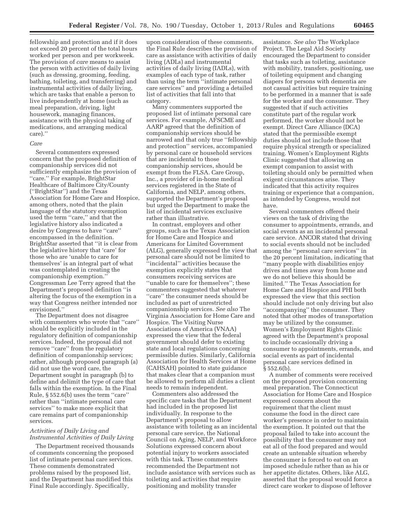fellowship and protection and if it does not exceed 20 percent of the total hours worked per person and per workweek. The provision of *care* means to assist the person with activities of daily living (such as dressing, grooming, feeding, bathing, toileting, and transferring) and instrumental activities of daily living, which are tasks that enable a person to live independently at home (such as meal preparation, driving, light housework, managing finances, assistance with the physical taking of medications, and arranging medical care).''

#### *Care*

Several commenters expressed concern that the proposed definition of companionship services did not sufficiently emphasize the provision of ''care.'' For example, BrightStar Healthcare of Baltimore City/County (''BrightStar'') and the Texas Association for Home Care and Hospice, among others, noted that the plain language of the statutory exemption used the term ''care,'' and that the legislative history also indicated a desire by Congress to have ''care'' encompassed in the definition. BrightStar asserted that ''it is clear from the legislative history that 'care' for those who are 'unable to care for themselves' is an integral part of what was contemplated in creating the companionship exemption.'' Congressman Lee Terry agreed that the Department's proposed definition ''is altering the focus of the exemption in a way that Congress neither intended nor envisioned.''

The Department does not disagree with commenters who wrote that ''care'' should be explicitly included in the regulatory definition of companionship services. Indeed, the proposal did not remove "care" from the regulatory definition of companionship services; rather, although proposed paragraph (a) did not use the word care, the Department sought in paragraph (b) to define and delimit the type of care that falls within the exemption. In the Final Rule, § 552.6(b) uses the term ''care'' rather than ''intimate personal care services'' to make more explicit that care remains part of companionship services.

# *Activities of Daily Living and Instrumental Activities of Daily Living*

The Department received thousands of comments concerning the proposed list of intimate personal care services. These comments demonstrated problems raised by the proposed list, and the Department has modified this Final Rule accordingly. Specifically,

upon consideration of these comments, the Final Rule describes the provision of care as assistance with activities of daily living (ADLs) and instrumental activities of daily living (IADLs), with examples of each type of task, rather than using the term ''intimate personal care services'' and providing a detailed list of activities that fall into that category.

Many commenters supported the proposed list of intimate personal care services. For example, AFSCME and AARP agreed that the definition of companionship services should be narrowed and that only true ''fellowship and protection'' services, accompanied by personal care or household services that are incidental to those companionship services, should be exempt from the FLSA. Care Group, Inc., a provider of in-home medical services registered in the State of California, and NELP, among others, supported the Department's proposal but urged the Department to make the list of incidental services exclusive rather than illustrative.

In contrast, employers and other groups, such as the Texas Association for Home Care and Hospice and Americans for Limited Government (ALG), generally expressed the view that personal care should not be limited to ''incidental'' activities because the exemption explicitly states that consumers receiving services are ''unable to care for themselves''; these commenters suggested that whatever ''care'' the consumer needs should be included as part of unrestricted companionship services. *See also* The Virginia Association for Home Care and Hospice. The Visiting Nurse Associations of America (VNAA) expressed the view that the federal government should defer to existing state and local regulations concerning permissible duties. Similarly, California Association for Health Services at Home (CAHSAH) pointed to state guidance that makes clear that a companion must be allowed to perform all duties a client needs to remain independent.

Commenters also addressed the specific care tasks that the Department had included in the proposed list individually. In response to the Department's proposal to allow assistance with toileting as an incidental personal care service, the National Council on Aging, NELP, and Workforce Solutions expressed concern about potential injury to workers associated with this task. These commenters recommended the Department not include assistance with services such as toileting and activities that require positioning and mobility transfer

assistance. *See also* The Workplace Project. The Legal Aid Society encouraged the Department to consider that tasks such as toileting, assistance with mobility, transfers, positioning, use of toileting equipment and changing diapers for persons with dementia are not casual activities but require training to be performed in a manner that is safe for the worker and the consumer. They suggested that if such activities constitute part of the regular work performed, the worker should not be exempt. Direct Care Alliance (DCA) stated that the permissible exempt duties should not include those that require physical strength or specialized training. Women's Employment Rights Clinic suggested that allowing an exempt companion to assist with toileting should only be permitted when exigent circumstances arise. They indicated that this activity requires training or experience that a companion, as intended by Congress, would not have.

Several commenters offered their views on the task of driving the consumer to appointments, errands, and social events as an incidental personal care service. ANCOR stated that driving to social events should not be included among the ''personal care services'' in the 20 percent limitation, indicating that ''many people with disabilities enjoy drives and times away from home and we do not believe this should be limited.'' The Texas Association for Home Care and Hospice and PHI both expressed the view that this section should include not only driving but also ''accompanying'' the consumer. They noted that other modes of transportation may be utilized by the consumer. Women's Employment Rights Clinic agreed with the Department's proposal to include occasionally driving a consumer to appointments, errands, and social events as part of incidental personal care services defined in  $§ 552.6(b).$ 

A number of comments were received on the proposed provision concerning meal preparation. The Connecticut Association for Home Care and Hospice expressed concern about the requirement that the client must consume the food in the direct care worker's presence in order to maintain the exemption. It pointed out that the proposal failed to take into account the possibility that the consumer may not eat all of the food prepared and would create an untenable situation whereby the consumer is forced to eat on an imposed schedule rather than as his or her appetite dictates. Others, like ALG, asserted that the proposal would force a direct care worker to dispose of leftover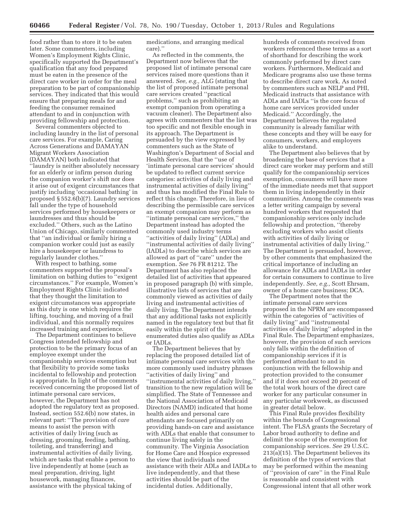food rather than to store it to be eaten later. Some commenters, including Women's Employment Rights Clinic, specifically supported the Department's qualification that any food prepared must be eaten in the presence of the direct care worker in order for the meal preparation to be part of companionship services. They indicated that this would ensure that preparing meals for and feeding the consumer remained attendant to and in conjunction with providing fellowship and protection.

Several commenters objected to including laundry in the list of personal care services. For example, Caring Across Generations and DAMAYAN Migrant Workers Association (DAMAYAN) both indicated that ''laundry is neither absolutely necessary for an elderly or infirm person during the companion worker's shift nor does it arise out of exigent circumstances that justify including 'occasional bathing' in proposed § 552.6(b)(7). Laundry services fall under the type of household services performed by housekeepers or laundresses and thus should be excluded.'' Others, such as the Latino Union of Chicago, similarly commented that ''an individual or family hiring a companion worker could just as easily hire a housekeeper or laundress to regularly launder clothes.''

With respect to bathing, some commenters supported the proposal's limitation on bathing duties to ''exigent circumstances.'' For example, Women's Employment Rights Clinic indicated that they thought the limitation to exigent circumstances was appropriate as this duty is one which requires the lifting, touching, and moving of a frail individual, and this normally requires increased training and experience.

The Department continues to believe Congress intended fellowship and protection to be the primary focus of an employee exempt under the companionship services exemption but that flexibility to provide some tasks incidental to fellowship and protection is appropriate. In light of the comments received concerning the proposed list of intimate personal care services, however, the Department has not adopted the regulatory text as proposed. Instead, section 552.6(b) now states, in relevant part: ''The provision of *care*  means to assist the person with activities of daily living (such as dressing, grooming, feeding, bathing, toileting, and transferring) and instrumental activities of daily living, which are tasks that enable a person to live independently at home (such as meal preparation, driving, light housework, managing finances, assistance with the physical taking of

medications, and arranging medical care).''

As reflected in the comments, the Department now believes that the proposed list of intimate personal care services raised more questions than it answered. *See, e.g.,* ALG (stating that the list of proposed intimate personal care services created ''practical problems,'' such as prohibiting an exempt companion from operating a vacuum cleaner). The Department also agrees with commenters that the list was too specific and not flexible enough in its approach. The Department is persuaded by the view expressed by commenters such as the State of Washington's Department of Social and Health Services, that the ''use of 'intimate personal care services' should be updated to reflect current service categories: activities of daily living and instrumental activities of daily living'' and thus has modified the Final Rule to reflect this change. Therefore, in lieu of describing the permissible care services an exempt companion may perform as ''intimate personal care services,'' the Department instead has adopted the commonly used industry terms ''activities of daily living'' (ADLs) and ''instrumental activities of daily living'' (IADLs) to describe which services are allowed as part of ''care'' under the exemption. *See* 76 FR 81212. The Department has also replaced the detailed list of activities that appeared in proposed paragraph (b) with simple, illustrative lists of services that are commonly viewed as activities of daily living and instrumental activities of daily living. The Department intends that any additional tasks not explicitly named in the regulatory text but that fit easily within the spirit of the enumerated duties also qualify as ADLs or IADLs.

The Department believes that by replacing the proposed detailed list of intimate personal care services with the more commonly used industry phrases ''activities of daily living'' and ''instrumental activities of daily living,'' transition to the new regulation will be simplified. The State of Tennessee and the National Association of Medicaid Directors (NAMD) indicated that home health aides and personal care attendants are focused primarily on providing hands-on care and assistance with ADLs that enable that consumer to continue living safely in the community. The Virginia Association for Home Care and Hospice expressed the view that individuals need assistance with their ADLs and IADLs to live independently, and that these activities should be part of the incidental duties. Additionally,

hundreds of comments received from workers referenced these terms as a sort of shorthand for describing the work commonly performed by direct care workers. Furthermore, Medicaid and Medicare programs also use these terms to describe direct care work. As noted by commenters such as NELP and PHI, Medicaid instructs that assistance with ADLs and IADLs ''is the core focus of home care services provided under Medicaid.'' Accordingly, the Department believes the regulated community is already familiar with these concepts and they will be easy for consumers, workers, and employers alike to understand.

The Department also believes that by broadening the base of services that a direct care worker may perform and still qualify for the companionship services exemption, consumers will have more of the immediate needs met that support them in living independently in their communities. Among the comments was a letter writing campaign by several hundred workers that requested that companionship services only include fellowship and protection, ''thereby excluding workers who assist clients with activities of daily living or instrumental activities of daily living.'' The Department is persuaded, however, by other comments that emphasized the critical importance of including an allowance for ADLs and IADLs in order for certain consumers to continue to live independently. *See, e.g.,* Scott Ehrsam, owner of a home care business; DCA.

The Department notes that the intimate personal care services proposed in the NPRM are encompassed within the categories of ''activities of daily living'' and ''instrumental activities of daily living'' adopted in the Final Rule. The Department emphasizes, however, the provision of such services only falls within the definition of companionship services if it is performed attendant to and in conjunction with the fellowship and protection provided to the consumer and if it does not exceed 20 percent of the total work hours of the direct care worker for any particular consumer in any particular workweek, as discussed in greater detail below.

This Final Rule provides flexibility within the bounds of Congressional intent. The FLSA grants the Secretary of Labor broad authority to define and delimit the scope of the exemption for companionship services. *See* 29 U.S.C. 213(a)(15). The Department believes its definition of the types of services that may be performed within the meaning of ''provision of care'' in the Final Rule is reasonable and consistent with Congressional intent that all other work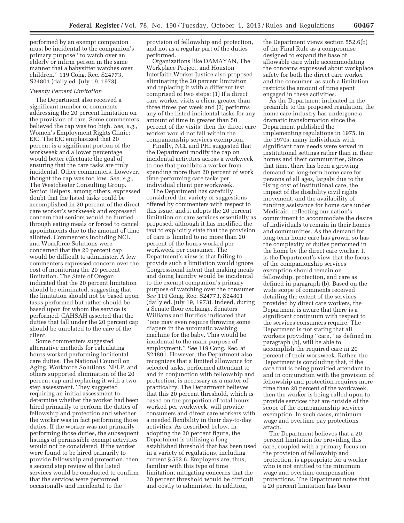performed by an exempt companion must be incidental to the companion's primary purpose ''to watch over an elderly or infirm person in the same manner that a babysitter watches over children.'' 119 Cong. Rec. S24773, S24801 (daily ed. July 19, 1973).

#### *Twenty Percent Limitation*

The Department also received a significant number of comments addressing the 20 percent limitation on the provision of care. Some commenters believed the cap was too high. *See, e.g.,*  Women's Employment Rights Clinic; EJC. The EJC emphasized that 20 percent is a significant portion of the workweek and a lower percentage would better effectuate the goal of ensuring that the care tasks are truly incidental. Other commenters, however, thought the cap was too low. *See, e.g.,*  The Westchester Consulting Group. Senior Helpers, among others, expressed doubt that the listed tasks could be accomplished in 20 percent of the direct care worker's workweek and expressed concern that seniors would be hurried through eating meals or forced to cancel appointments due to the amount of time allotted. Commenters including NCL and Workforce Solutions were concerned that the 20 percent cap would be difficult to administer. A few commenters expressed concern over the cost of monitoring the 20 percent limitation. The State of Oregon indicated that the 20 percent limitation should be eliminated, suggesting that the limitation should not be based upon tasks performed but rather should be based upon for whom the service is performed. CAHSAH asserted that the duties that fall under the 20 percent cap should be unrelated to the care of the client.

Some commenters suggested alternative methods for calculating hours worked performing incidental care duties. The National Council on Aging, Workforce Solutions, NELP, and others supported elimination of the 20 percent cap and replacing it with a twostep assessment. They suggested requiring an initial assessment to determine whether the worker had been hired primarily to perform the duties of fellowship and protection and whether the worker was in fact performing those duties. If the worker was not primarily performing those duties, the subsequent listings of permissible exempt activities would not be considered. If the worker were found to be hired primarily to provide fellowship and protection, then a second step review of the listed services would be conducted to confirm that the services were performed occasionally and incidental to the

provision of fellowship and protection, and not as a regular part of the duties performed.

Organizations like DAMAYAN, The Workplace Project, and Houston Interfaith Worker Justice also proposed eliminating the 20 percent limitation and replacing it with a different test comprised of two steps: (1) If a direct care worker visits a client greater than three times per week and (2) performs any of the listed incidental tasks for any amount of time in greater than 50 percent of the visits, then the direct care worker would not fall within the companionship services exemption.

Finally, NCL and PHI suggested that the Department modify the cap on incidental activities across a workweek to one that prohibits a worker from spending more than 20 percent of work time performing care tasks per individual client per workweek.

The Department has carefully considered the variety of suggestions offered by commenters with respect to this issue, and it adopts the 20 percent limitation on care services essentially as proposed, although it has modified the text to explicitly state that the provision of care is limited to no more than 20 percent of the hours worked per workweek per consumer. The Department's view is that failing to provide such a limitation would ignore Congressional intent that making meals and doing laundry would be incidental to the exempt companion's primary purpose of watching over the consumer. *See* 119 Cong. Rec. S24773, S24801 (daily ed. July 19, 1973). Indeed, during a Senate floor exchange, Senators Williams and Burdick indicated that ''one may even require throwing some diapers in the automatic washing machine for the baby. This would be incidental to the main purpose of employment.'' *See* 119 Cong. Rec. at S24801. However, the Department also recognizes that a limited allowance for selected tasks, performed attendant to and in conjunction with fellowship and protection, is necessary as a matter of practicality. The Department believes that this 20 percent threshold, which is based on the proportion of total hours worked per workweek, will provide consumers and direct care workers with a needed flexibility in their day-to-day activities. As described below, in adopting the 20 percent figure, the Department is utilizing a longestablished threshold that has been used in a variety of regulations, including current § 552.6. Employers are, thus, familiar with this type of time limitation, mitigating concerns that the 20 percent threshold would be difficult and costly to administer. In addition,

the Department views section 552.6(b) of the Final Rule as a compromise designed to expand the base of allowable care while accommodating the concerns expressed about workplace safety for both the direct care worker and the consumer, as such a limitation restricts the amount of time spent engaged in these activities.

As the Department indicated in the preamble to the proposed regulation, the home care industry has undergone a dramatic transformation since the Department published the implementing regulations in 1975. In the 1970s, many individuals with significant care needs were served in institutional settings rather than in their homes and their communities, Since that time, there has been a growing demand for long-term home care for persons of all ages, largely due to the rising cost of institutional care, the impact of the disability civil rights movement, and the availability of funding assistance for home care under Medicaid, reflecting our nation's commitment to accommodate the desire of individuals to remain in their homes and communities. As the demand for long-term home care has grown, so has the complexity of duties performed in the home by the direct care worker. It is the Department's view that the focus of the companionship services exemption should remain on fellowship, protection, and care as defined in paragraph (b). Based on the wide scope of comments received detailing the extent of the services provided by direct care workers, the Department is aware that there is a significant continuum with respect to the services consumers require. The Department is not stating that all workers providing ''care,'' as defined in paragraph (b), will be able to accomplish the required care in 20 percent of their workweek. Rather, the Department is concluding that, if the care that is being provided attendant to and in conjunction with the provision of fellowship and protection requires more time than 20 percent of the workweek, then the worker is being called upon to provide services that are outside of the scope of the companionship services exemption. In such cases, minimum wage and overtime pay protections attach.

The Department believes that a 20 percent limitation for providing this care, coupled with a primary focus on the provision of fellowship and protection, is appropriate for a worker who is not entitled to the minimum wage and overtime compensation protections. The Department notes that a 20 percent limitation has been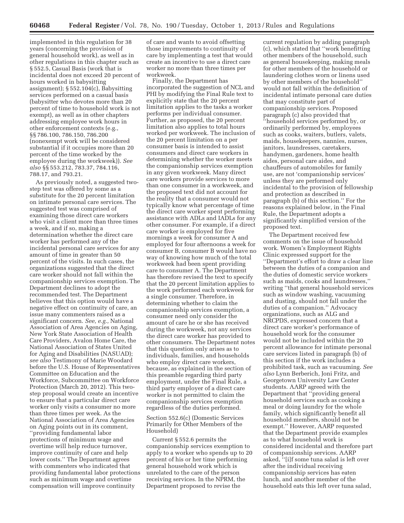implemented in this regulation for 38 years (concerning the provision of general household work), as well as in other regulations in this chapter such as § 552.5, Casual Basis (work that is incidental does not exceed 20 percent of hours worked in babysitting assignment); § 552.104(c), Babysitting services performed on a casual basis (babysitter who devotes more than 20 percent of time to household work is not exempt), as well as in other chapters addressing employee work hours in other enforcement contexts (e.g., §§ 786.100, 786.150, 786.200 (nonexempt work will be considered substantial if it occupies more than 20 percent of the time worked by the employee during the workweek)). *See also* §§ 553.212, 783.37, 784.116, 788.17, and 793.21.

As previously noted, a suggested twostep test was offered by some as a substitute for the 20 percent limitation on intimate personal care services. The suggested test was comprised of examining those direct care workers who visit a client more than three times a week, and if so, making a determination whether the direct care worker has performed any of the incidental personal care services for any amount of time in greater than 50 percent of the visits. In such cases, the organizations suggested that the direct care worker should not fall within the companionship services exemption. The Department declines to adopt the recommended test. The Department believes that this option would have a negative effect on continuity of care, an issue many commenters raised as a significant concern. *See, e.g.,* National Association of Area Agencies on Aging, New York State Association of Health Care Providers, Avalon Home Care, the National Association of States United for Aging and Disabilities (NASUAD); *see also* Testimony of Marie Woodard before the U.S. House of Representatives Committee on Education and the Workforce, Subcommittee on Workforce Protection (March 20, 2012). This twostep proposal would create an incentive to ensure that a particular direct care worker only visits a consumer no more than three times per week. As the National Association of Area Agencies on Aging points out in its comment, ''providing fundamental labor protections of minimum wage and overtime will help reduce turnover, improve continuity of care and help lower costs.'' The Department agrees with commenters who indicated that providing fundamental labor protections such as minimum wage and overtime compensation will improve continuity

of care and wants to avoid offsetting those improvements to continuity of care by implementing a test that would create an incentive to use a direct care worker no more than three times per workweek.

Finally, the Department has incorporated the suggestion of NCL and PHI by modifying the Final Rule text to explicitly state that the 20 percent limitation applies to the tasks a worker performs per individual consumer. Further, as proposed, the 20 percent limitation also applies to total hours worked per workweek. The inclusion of the 20 percent limitation on a per consumer basis is intended to assist consumers and direct care workers in determining whether the worker meets the companionship services exemption in any given workweek. Many direct care workers provide services to more than one consumer in a workweek, and the proposed text did not account for the reality that a consumer would not typically know what percentage of time the direct care worker spent performing assistance with ADLs and IADLs for any other consumer. For example, if a direct care worker is employed for five mornings a week for consumer A and employed for four afternoons a week for consumer B, consumer B would have no way of knowing how much of the total workweek had been spent providing care to consumer A. The Department has therefore revised the text to specify that the 20 percent limitation applies to the work performed each workweek for a single consumer. Therefore, in determining whether to claim the companionship services exemption, a consumer need only consider the amount of care he or she has received during the workweek, not any services the direct care worker has provided to other consumers. The Department notes that this question only arises as to individuals, families, and households who employ direct care workers, because, as explained in the section of this preamble regarding third party employment, under the Final Rule, a third party employer of a direct care worker is not permitted to claim the companionship services exemption regardless of the duties performed.

# Section 552.6(c) (Domestic Services Primarily for Other Members of the Household)

Current § 552.6 permits the companionship services exemption to apply to a worker who spends up to 20 percent of his or her time performing general household work which is unrelated to the care of the person receiving services. In the NPRM, the Department proposed to revise the

current regulation by adding paragraph (c), which stated that ''work benefitting other members of the household, such as general housekeeping, making meals for other members of the household or laundering clothes worn or linens used by other members of the household'' would not fall within the definition of incidental intimate personal care duties that may constitute part of companionship services. Proposed paragraph (c) also provided that ''household services performed by, or ordinarily performed by, employees such as cooks, waiters, butlers, valets, maids, housekeepers, nannies, nurses, janitors, laundresses, caretakers, handymen, gardeners, home health aides, personal care aides, and chauffeurs of automobiles for family use, are not 'companionship services' unless they are performed only incidental to the provision of fellowship and protection as described in paragraph (b) of this section.'' For the reasons explained below, in the Final Rule, the Department adopts a significantly simplified version of the proposed text.

The Department received few comments on the issue of household work. Women's Employment Rights Clinic expressed support for the ''Department's effort to draw a clear line between the duties of a companion and the duties of domestic service workers such as maids, cooks and laundresses,'' writing ''that general household services such as window washing, vacuuming and dusting, should not fall under the duties of a companion.'' Advocacy organizations, such as ALG and NRCPDS, expressed concern that a direct care worker's performance of household work for the consumer would not be included within the 20 percent allowance for intimate personal care services listed in paragraph (b) of this section if the work includes a prohibited task, such as vacuuming. *See also* Lynn Berberich, Joni Fritz, and Georgetown University Law Center students. AARP agreed with the Department that ''providing general household services such as cooking a meal or doing laundry for the whole family, which significantly benefit all household members, should not be exempt.'' However, AARP requested that the Department provide examples as to what household work is considered incidental and therefore part of companionship services. AARP asked, ''[i]f some tuna salad is left over after the individual receiving companionship services has eaten lunch, and another member of the household eats this left over tuna salad,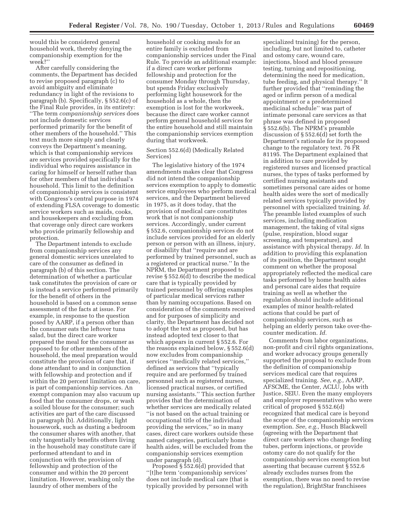would this be considered general household work, thereby denying the companionship exemption for the week?''

After carefully considering the comments, the Department has decided to revise proposed paragraph (c) to avoid ambiguity and eliminate redundancy in light of the revisions to paragraph (b). Specifically, § 552.6(c) of the Final Rule provides, in its entirety: ''The term *companionship services* does not include domestic services performed primarily for the benefit of other members of the household.'' This text much more simply and clearly conveys the Department's meaning, which is that companionship services are services provided specifically for the individual who requires assistance in caring for himself or herself rather than for other members of that individual's household. This limit to the definition of companionship services is consistent with Congress's central purpose in 1974 of extending FLSA coverage to domestic service workers such as maids, cooks, and housekeepers and excluding from that coverage only direct care workers who provide primarily fellowship and protection.

The Department intends to exclude from companionship services any general domestic services unrelated to care of the consumer as defined in paragraph (b) of this section. The determination of whether a particular task constitutes the provision of care or is instead a service performed primarily for the benefit of others in the household is based on a common sense assessment of the facts at issue. For example, in response to the question posed by AARP, if a person other than the consumer eats the leftover tuna salad, but the direct care worker prepared the meal for the consumer as opposed to for other members of the household, the meal preparation would constitute the provision of care that, if done attendant to and in conjunction with fellowship and protection and if within the 20 percent limitation on care, is part of companionship services. An exempt companion may also vacuum up food that the consumer drops, or wash a soiled blouse for the consumer; such activities are part of the care discussed in paragraph (b). Additionally, light housework, such as dusting a bedroom the consumer shares with another, that only tangentially benefits others living in the household may constitute care if performed attendant to and in conjunction with the provision of fellowship and protection of the consumer and within the 20 percent limitation. However, washing only the laundry of other members of the

household or cooking meals for an entire family is excluded from companionship services under the Final Rule. To provide an additional example: if a direct care worker performs fellowship and protection for the consumer Monday through Thursday, but spends Friday exclusively performing light housework for the household as a whole, then the exemption is lost for the workweek, because the direct care worker cannot perform general household services for the entire household and still maintain the companionship services exemption during that workweek.

Section 552.6(d) (Medically Related Services)

The legislative history of the 1974 amendments makes clear that Congress did not intend the companionship services exemption to apply to domestic service employees who perform medical services, and the Department believed in 1975, as it does today, that the provision of medical care constitutes work that is not companionship services. Accordingly, under current § 552.6, companionship services do not include services provided for an elderly person or person with an illness, injury, or disability that ''require and are performed by trained personnel, such as a registered or practical nurse.'' In the NPRM, the Department proposed to revise § 552.6(d) to describe the medical care that is typically provided by trained personnel by offering examples of particular medical services rather than by naming occupations. Based on consideration of the comments received and for purposes of simplicity and clarity, the Department has decided not to adopt the text as proposed, but has instead adopted text closer to that which appears in current § 552.6. For the reasons explained below, § 552.6(d) now excludes from companionship services ''medically related services,'' defined as services that ''typically require and are performed by trained personnel such as registered nurses, licensed practical nurses, or certified nursing assistants.'' This section further provides that the determination of whether services are medically related ''is not based on the actual training or occupational title of the individual providing the services,'' so in many cases, direct care workers outside these named categories, particularly home health aides, will be excluded from the companionship services exemption under paragraph (d).

Proposed § 552.6(d) provided that ''[t]he term 'companionship services' does not include medical care (that is typically provided by personnel with

specialized training) for the person, including, but not limited to, catheter and ostomy care, wound care, injections, blood and blood pressure testing, turning and repositioning, determining the need for medication, tube feeding, and physical therapy.'' It further provided that ''reminding the aged or infirm person of a medical appointment or a predetermined medicinal schedule'' was part of intimate personal care services as that phrase was defined in proposed § 552.6(b). The NPRM's preamble discussion of § 552.6(d) set forth the Department's rationale for its proposed change to the regulatory text. 76 FR 81195. The Department explained that in addition to care provided by registered nurses and licensed practical nurses, the types of tasks performed by certified nursing assistants and sometimes personal care aides or home health aides were the sort of medically related services typically provided by personnel with specialized training. *Id.*  The preamble listed examples of such services, including medication management, the taking of vital signs (pulse, respiration, blood sugar screening, and temperature), and assistance with physical therapy. *Id.* In addition to providing this explanation of its position, the Department sought comment on whether the proposal appropriately reflected the medical care tasks performed by home health aides and personal care aides that require training as well as whether the regulation should include additional examples of minor health-related actions that could be part of companionship services, such as helping an elderly person take over-thecounter medication. *Id.* 

Comments from labor organizations, non-profit and civil rights organizations, and worker advocacy groups generally supported the proposal to exclude from the definition of companionship services medical care that requires specialized training. *See, e.g.,* AARP, AFSCME, the Center, ACLU, Jobs with Justice, SEIU. Even the many employers and employer representatives who were critical of proposed § 552.6(d) recognized that medical care is beyond the scope of the companionship services exemption. *See, e.g.,* Husch Blackwell (agreeing with the Department that direct care workers who change feeding tubes, perform injections, or provide ostomy care do not qualify for the companionship services exemption but asserting that because current § 552.6 already excludes nurses from the exemption, there was no need to revise the regulation), BrightStar franchisees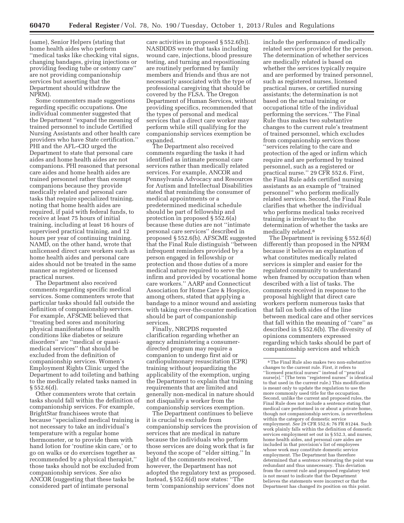(same), Senior Helpers (stating that home health aides who perform ''medical tasks like checking vital signs, changing bandages, giving injections or providing feeding tube or ostomy care'' are not providing companionship services but asserting that the Department should withdraw the NPRM).

Some commenters made suggestions regarding specific occupations. One individual commenter suggested that the Department ''expand the meaning of trained personnel to include Certified Nursing Assistants and other health care providers who have State certification.'' PHI and the AFL–CIO urged the Department to state that personal care aides and home health aides are not companions. PHI reasoned that personal care aides and home health aides are trained personnel rather than exempt companions because they provide medically related and personal care tasks that require specialized training, noting that home health aides are required, if paid with federal funds, to receive at least 75 hours of initial training, including at least 16 hours of supervised practical training, and 12 hours per year of continuing training. NAMD, on the other hand, wrote that unlicensed direct care workers such as home health aides and personal care aides should not be treated in the same manner as registered or licensed practical nurses.

The Department also received comments regarding specific medical services. Some commenters wrote that particular tasks should fall outside the definition of companionship services. For example, AFSCME believed that ''treating bed sores and monitoring physical manifestations of health conditions like diabetes or seizure disorders'' are ''medical or quasimedical services'' that should be excluded from the definition of companionship services. Women's Employment Rights Clinic urged the Department to add toileting and bathing to the medically related tasks named in § 552.6(d).

Other commenters wrote that certain tasks should fall within the definition of companionship services. For example, BrightStar franchisees wrote that because ''specialized medical training is not necessary to take an individual's temperature with a regular home thermometer, or to provide them with hand lotion for 'routine skin care,' or to go on walks or do exercises together as recommended by a physical therapist,'' those tasks should not be excluded from companionship services. *See also*  ANCOR (suggesting that these tasks be considered part of intimate personal

care activities in proposed § 552.6(b)). NASDDDS wrote that tasks including wound care, injections, blood pressure testing, and turning and repositioning are routinely performed by family members and friends and thus are not necessarily associated with the type of professional caregiving that should be covered by the FLSA. The Oregon Department of Human Services, without providing specifics, recommended that the types of personal and medical services that a direct care worker may perform while still qualifying for the companionship services exemption be expanded.

The Department also received comments regarding the tasks it had identified as intimate personal care services rather than medically related services. For example, ANCOR and Pennsylvania Advocacy and Resources for Autism and Intellectual Disabilities stated that reminding the consumer of medical appointments or a predetermined medicinal schedule should be part of fellowship and protection in proposed § 552.6(a) because these duties are not ''intimate personal care services'' described in proposed § 552.6(b). AFSCME suggested that the Final Rule distinguish ''between infrequent reminders provided by a person engaged in fellowship or protection and those duties of a more medical nature required to serve the infirm and provided by vocational home care workers.'' AARP and Connecticut Association for Home Care & Hospice, among others, stated that applying a bandage to a minor wound and assisting with taking over-the-counter medication should be part of companionship services.

Finally, NRCPDS requested clarification regarding whether an agency administering a consumerdirected program may require a companion to undergo first aid or cardiopulmonary resuscitation (CPR) training without jeopardizing the applicability of the exemption, urging the Department to explain that training requirements that are limited and generally non-medical in nature should not disqualify a worker from the companionship services exemption.

The Department continues to believe it is crucial to exclude from companionship services the provision of services that are medical in nature because the individuals who perform those services are doing work that is far beyond the scope of ''elder sitting.'' In light of the comments received, however, the Department has not adopted the regulatory text as proposed. Instead, § 552.6(d) now states: ''The term 'companionship services' does not

include the performance of medically related services provided for the person. The determination of whether services are medically related is based on whether the services typically require and are performed by trained personnel, such as registered nurses, licensed practical nurses, or certified nursing assistants; the determination is not based on the actual training or occupational title of the individual performing the services.'' The Final Rule thus makes two substantive changes to the current rule's treatment of trained personnel, which excludes from companionship services those ''services relating to the care and protection of the aged or infirm which require and are performed by trained personnel, such as a registered or practical nurse.'' 29 CFR 552.6. First, the Final Rule adds certified nursing assistants as an example of ''trained personnel'' who perform medically related services. Second, the Final Rule clarifies that whether the individual who performs medical tasks received training is irrelevant to the determination of whether the tasks are medically related.8

The Department is revising § 552.6(d) differently than proposed in the NPRM because it believes an explanation of what constitutes medically related services is simpler and easier for the regulated community to understand when framed by occupation than when described with a list of tasks. The comments received in response to the proposal highlight that direct care workers perform numerous tasks that that fall on both sides of the line between medical care and other services that fall within the meaning of ''care'' as described in § 552.6(b). The diversity of opinions commenters expressed regarding which tasks should be part of companionship services and which

<sup>8</sup>The Final Rule also makes two non-substantive changes to the current rule. First, it refers to ''licensed practical nurses'' instead of ''practical nurse[s]." (The term "registered nurses" is identical to that used in the current rule.) This modification is meant only to update the regulation to use the more commonly used title for the occupation. Second, unlike the current and proposed rules, the Final Rule does not include a sentence stating that medical care performed in or about a private home, though not companionship services, is nevertheless within the category of domestic service employment. *See* 29 CFR 552.6; 76 FR 81244. Such work plainly falls within the definition of domestic services employment set out in § 552.3, and nurses, home health aides, and personal care aides are included in that provision's list of employees whose work may constitute domestic service employment. The Department has therefore determined that a sentence reiterating the point was redundant and thus unnecessary. This deviation from the current rule and proposed regulatory text is not meant to indicate that the Department believes the statements were incorrect or that the Department has changed its position on this point.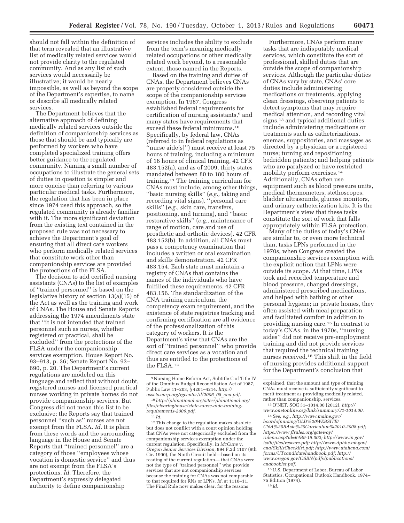should not fall within the definition of that term revealed that an illustrative list of medically related services would not provide clarity to the regulated community. And as any list of such services would necessarily be illustrative; it would be nearly impossible, as well as beyond the scope of the Department's expertise, to name or describe all medically related services.

The Department believes that the alternative approach of defining medically related services outside the definition of companionship services as those that should be and typically are performed by workers who have completed specialized training offers better guidance to the regulated community. Naming a small number of occupations to illustrate the general sets of duties in question is simpler and more concise than referring to various particular medical tasks. Furthermore, the regulation that has been in place since 1974 used this approach, so the regulated community is already familiar with it. The more significant deviation from the existing text contained in the proposed rule was not necessary to achieve the Department's goal of ensuring that all direct care workers who perform medically related services that constitute work other than companionship services are provided the protections of the FLSA.

The decision to add certified nursing assistants (CNAs) to the list of examples of ''trained personnel'' is based on the legislative history of section 13(a)(15) of the Act as well as the training and work of CNAs. The House and Senate Reports addressing the 1974 amendments state that ''it is not intended that trained personnel such as nurses, whether registered or practical, shall be excluded'' from the protections of the FLSA under the companionship services exemption. House Report No. 93–913, p. 36; Senate Report No. 93– 690, p. 20. The Department's current regulations are modeled on this language and reflect that without doubt, registered nurses and licensed practical nurses working in private homes do not provide companionship services. But Congress did not mean this list to be exclusive; the Reports say that trained personnel ''such as'' nurses are not exempt from the FLSA. *Id.* It is plain from these words and the surrounding language in the House and Senate Reports that ''trained personnel'' are a category of those ''employees whose vocation is domestic service'' and thus are not exempt from the FLSA's protections. *Id.* Therefore, the Department's expressly delegated authority to define companionship

services includes the ability to exclude from the term's meaning medically related occupations or other medically related work beyond, to a reasonable extent, those named in the Reports.

Based on the training and duties of CNAs, the Department believes CNAs are properly considered outside the scope of the companionship services exemption. In 1987, Congress established federal requirements for certification of nursing assistants,9 and many states have requirements that exceed these federal minimums.10 Specifically, by federal law, CNAs (referred to in federal regulations as ''nurse aide[s]'') must receive at least 75 hours of training, including a minimum of 16 hours of clinical training, 42 CFR 483.152(a), and as of 2009, thirty states mandated between 80 to 180 hours of training.11 The training curriculum for CNAs must include, among other things, ''basic nursing skills'' (*e.g.,* taking and recording vital signs), ''personal care skills'' (*e.g.,* skin care, transfers, positioning, and turning), and ''basic restorative skills'' (*e.g.,* maintenance of range of motion, care and use of prosthetic and orthotic devices). 42 CFR 483.152(b). In addition, all CNAs must pass a competency examination that includes a written or oral examination and skills demonstration. 42 CFR 483.154. Each state must maintain a registry of CNAs that contains the names of the individuals who have fulfilled these requirements. 42 CFR 483.156. The standardization of the CNA training curriculum, the competency exam requirement, and the existence of state registries tracking and confirming certification are all evidence of the professionalization of this category of workers. It is the Department's view that CNAs are the sort of ''trained personnel'' who provide direct care services as a vocation and thus are entitled to the protections of the FLSA.12

12This change to the regulation makes obsolete but does not conflict with a court opinion holding that CNAs were not categorically excluded from the companionship services exemption under the current regulation. Specifically, in *McCune* v. *Oregon Senior Services Division,* 894 F.2d 1107 (9th Cir. 1990), the Ninth Circuit held—based on its reading of the current regulation— that CNAs were not the type of ''trained personnel'' who provide services that are not companionship services because the training for CNAs was not comparable to that required for RNs or LPNs. *Id.* at 1110–11. The Final Rule now makes clear, for the reasons

Furthermore, CNAs perform many tasks that are indisputably medical services, which constitute the sort of professional, skilled duties that are outside the scope of companionship services. Although the particular duties of CNAs vary by state, CNAs' core duties include administering medications or treatments, applying clean dressings, observing patients to detect symptoms that may require medical attention, and recording vital signs,13 and typical additional duties include administering medications or treatments such as catheterizations, enemas, suppositories, and massages as directed by a physician or a registered nurse; turning and repositioning bedridden patients; and helping patients who are paralyzed or have restricted mobility perform exercises.14 Additionally, CNAs often use equipment such as blood pressure units, medical thermometers, stethoscopes, bladder ultrasounds, glucose monitors, and urinary catheterization kits. It is the Department's view that these tasks constitute the sort of work that falls appropriately within FLSA protection.

Many of the duties of today's CNAs are similar to, or even more technical than, tasks LPNs performed in the 1970s, when Congress created the companionship services exemption with the explicit notion that LPNs were outside its scope. At that time, LPNs took and recorded temperature and blood pressure, changed dressings, administered prescribed medications, and helped with bathing or other personal hygiene; in private homes, they often assisted with meal preparation and facilitated comfort in addition to providing nursing care.15 In contrast to today's CNAs, in the 1970s, ''nursing aides'' did not receive pre-employment training and did not provide services that required the technical training nurses received.16 This shift in the field of nursing provides additional support for the Department's conclusion that

13O'NET, SOC 31–1014.00 (2012), *http:// www.onetonline.org/link/summary/31-1014.00.* 

14*See, e.g., http://www.maine.gov/ boardofnursing/OLD%20WEBSITE/ CNA%20BAsic%20Curriculum%2010-2008.pdf; https://www.flrules.org/gateway/ ruleno.asp?id=64B9-15.002; http://www.in.gov/ isdh/files/rescare.pdf; http://www.dphhs.mt.gov/ cna/SkillsChecklist.pdf; http://www.utahcna.com/ forms/UTcandidatehandbook.pdf; http:// www.oregon.gov/OSBN/pdfs/publications/ cnabooklet.pdf.* 

15U.S. Department of Labor, Bureau of Labor Statistics, Occupational Outlook Handbook, 1974– 75 Edition (1974). 16 *Id.* 

<sup>9</sup>Nursing Home Reform Act, Subtitle C of Title IV of the Omnibus Budget Reconciliation Act of 1987, Public Law 11–203, § 4201–4214. *http:// assets.aarp.org/rgcenter/il/2006*\_*08*\_*cna.pdf.* 

<sup>10</sup>*http://phinational.org/sites/phinational.org/ files/clearinghouse/state-nurse-aide-trainingrequirements-2009.pdf.*   $11$  *Id.* 

explained, that the amount and type of training CNAs must receive is sufficiently significant to merit treatment as providing medically related, rather than companionship, services.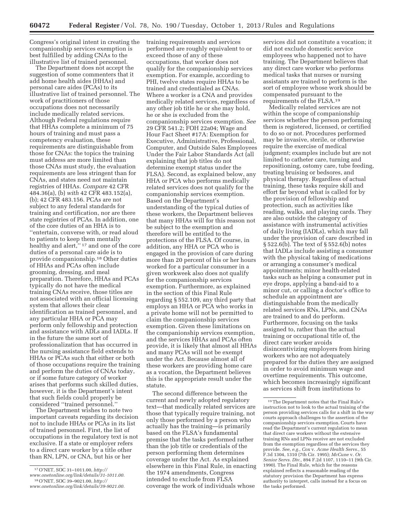Congress's original intent in creating the companionship services exemption is best fulfilled by adding CNAs to the illustrative list of trained personnel.

The Department does not accept the suggestion of some commenters that it add home health aides (HHAs) and personal care aides (PCAs) to its illustrative list of trained personnel. The work of practitioners of those occupations does not necessarily include medically related services. Although Federal regulations require that HHAs complete a minimum of 75 hours of training and must pass a competency evaluation, these requirements are distinguishable from those for CNAs: the topics the training must address are more limited than those CNAs must study, the evaluation requirements are less stringent than for CNAs, and states need not maintain registries of HHAs. *Compare* 42 CFR 484.36(a), (b) *with* 42 CFR 483.152(a), (b); 42 CFR 483.156. PCAs are not subject to any federal standards for training and certification, nor are there state registries of PCAs. In addition, one of the core duties of an HHA is to ''entertain, converse with, or read aloud to patients to keep them mentally healthy and alert,"<sup>17</sup> and one of the core duties of a personal care aide is to provide companionship.18 Other duties of HHAs and PCAs often include grooming, dressing, and meal preparation. Therefore, HHAs and PCAs typically do not have the medical training CNAs receive, those titles are not associated with an official licensing system that allows their clear identification as trained personnel, and any particular HHA or PCA may perform only fellowship and protection and assistance with ADLs and IADLs. If in the future the same sort of professionalization that has occurred in the nursing assistance field extends to HHAs or PCAs such that either or both of those occupations require the training and perform the duties of CNAs today, or if some future category of worker arises that performs such skilled duties, however, it is the Department's intent that such fields could properly be considered "trained personnel.

The Department wishes to note two important caveats regarding its decision not to include HHAs or PCAs in its list of trained personnel. First, the list of occupations in the regulatory text is not exclusive. If a state or employer refers to a direct care worker by a title other than RN, LPN, or CNA, but his or her

training requirements and services performed are roughly equivalent to or exceed those of any of these occupations, that worker does not qualify for the companionship services exemption. For example, according to PHI, twelve states require HHAs to be trained and credentialed as CNAs. Where a worker is a CNA and provides medically related services, regardless of any other job title he or she may hold, he or she is excluded from the companionship services exemption. *See*  29 CFR 541.2; FOH 22a04; Wage and Hour Fact Sheet #17A: Exemption for Executive, Administrative, Professional, Computer, and Outside Sales Employees Under the Fair Labor Standards Act (all explaining that job titles do not determine exempt status under the FLSA). Second, as explained below, any HHA or PCA who performs medically related services does not qualify for the companionship services exemption. Based on the Department's understanding of the typical duties of these workers, the Department believes that many HHAs will for this reason not be subject to the exemption and therefore will be entitled to the protections of the FLSA. Of course, in addition, any HHA or PCA who is engaged in the provision of care during more than 20 percent of his or her hours worked for a particular consumer in a given workweek also does not qualify for the companionship services exemption. Furthermore, as explained in the section of this Final Rule regarding § 552.109, any third party that employs an HHA or PCA who works in a private home will not be permitted to claim the companionship services exemption. Given these limitations on the companionship services exemption, and the services HHAs and PCAs often provide, it is likely that almost all HHAs and many PCAs will not be exempt under the Act. Because almost all of these workers are providing home care as a vocation, the Department believes this is the appropriate result under the statute.

The second difference between the current and newly adopted regulatory text—that medically related services are those that typically require training, not only those performed by a person who actually has the training—is primarily based on the FLSA's fundamental premise that the tasks performed rather than the job title or credentials of the person performing them determines coverage under the Act. As explained elsewhere in this Final Rule, in enacting the 1974 amendments, Congress intended to exclude from FLSA coverage the work of individuals whose

services did not constitute a vocation; it did not exclude domestic service employees who happened not to have training. The Department believes that any direct care worker who performs medical tasks that nurses or nursing assistants are trained to perform is the sort of employee whose work should be compensated pursuant to the requirements of the FLSA.19

Medically related services are not within the scope of companionship services whether the person performing them is registered, licensed, or certified to do so or not. Procedures performed may be invasive, sterile, or otherwise require the exercise of medical judgment; examples include but are not limited to catheter care, turning and repositioning, ostomy care, tube feeding, treating bruising or bedsores, and physical therapy. Regardless of actual training, these tasks require skill and effort far beyond what is called for by the provision of fellowship and protection, such as activities like reading, walks, and playing cards. They are also outside the category of assistance with instrumental activities of daily living (IADLs), which may fall under the provision of care described in § 522.6(b). The text of § 552.6(b) notes that IADLs include assisting a consumer with the physical taking of medications or arranging a consumer's medical appointments; minor health-related tasks such as helping a consumer put in eye drops, applying a band-aid to a minor cut, or calling a doctor's office to schedule an appointment are distinguishable from the medically related services RNs, LPNs, and CNAs are trained to and do perform. Furthermore, focusing on the tasks assigned to, rather than the actual training or occupational title of, the direct care worker avoids disincentivizing employers from hiring workers who are not adequately prepared for the duties they are assigned in order to avoid minimum wage and overtime requirements. This outcome, which becomes increasingly significant as services shift from institutions to

<sup>17</sup>O'NET, SOC 31–1011.00, *http:// www.onetonline.org/link/details/31-1011.00.*  18O'NET, SOC 39–9021.00, *http://*

*www.onetonline.org/link/details/39-9021.00.* 

 $^{\rm 19}\rm{The}$  Department notes that the Final Rule's instruction not to look to the actual training of the person providing services calls for a shift in the way courts approach challenges to the assertion of the companionship services exemption. Courts have read the Department's current regulation to mean that direct care workers without the extensive training RNs and LPNs receive are not excluded from the exemption regardless of the services they provide. *See, e.g., Cox* v. *Acme Health Servs.,* 55 F.3d 1304, 1310 (7th Cir. 1995); *McCune* v. *Or. Senior Servs. Div.,* 894 F.2d 1107, 1110–11 (9th Cir. 1990). The Final Rule, which for the reasons explained reflects a reasonable reading of the statutory provision the Department has express authority to interpret, calls instead for a focus on the tasks performed.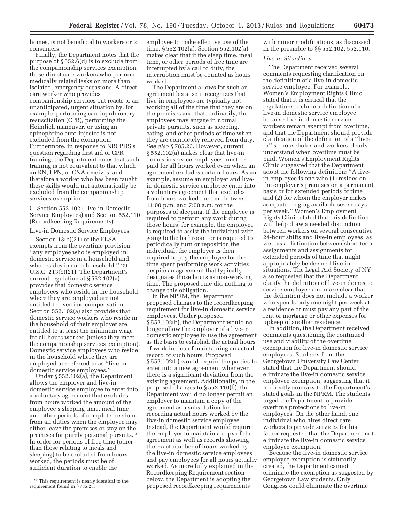homes, is not beneficial to workers or to consumers.

Finally, the Department notes that the purpose of § 552.6(d) is to exclude from the companionship services exemption those direct care workers who perform medically related tasks on more than isolated, emergency occasions. A direct care worker who provides companionship services but reacts to an unanticipated, urgent situation by, for example, performing cardiopulmonary resuscitation (CPR), performing the Heimlich maneuver, or using an epinephrine auto-injector is not excluded from the exemption. Furthermore, in response to NRCPDS's question regarding first aid or CPR training, the Department notes that such training is not equivalent to that which an RN, LPN, or CNA receives, and therefore a worker who has been taught these skills would not automatically be excluded from the companionship services exemption.

C. Section 552.102 (Live-in Domestic Service Employees) and Section 552.110 (Recordkeeping Requirements)

#### Live-in Domestic Service Employees

Section 13(b)(21) of the FLSA exempts from the overtime provision ''any employee who is employed in domestic service in a household and who resides in such household.'' 29 U.S.C. 213(b)(21). The Department's current regulation at § 552.102(a) provides that domestic service employees who reside in the household where they are employed are not entitled to overtime compensation. Section 552.102(a) also provides that domestic service workers who reside in the household of their employer are entitled to at least the minimum wage for all hours worked (unless they meet the companionship services exemption). Domestic service employees who reside in the household where they are employed are referred to as ''live-in domestic service employees.''

Under § 552.102(a), the Department allows the employer and live-in domestic service employee to enter into a voluntary agreement that excludes from hours worked the amount of the employee's sleeping time, meal time and other periods of complete freedom from all duties when the employee may either leave the premises or stay on the premises for purely personal pursuits.20 In order for periods of free time (other than those relating to meals and sleeping) to be excluded from hours worked, the periods must be of sufficient duration to enable the

employee to make effective use of the time. § 552.102(a). Section 552.102(a) makes clear that if the sleep time, meal time, or other periods of free time are interrupted by a call to duty, the interruption must be counted as hours worked.

The Department allows for such an agreement because it recognizes that live-in employees are typically not working all of the time that they are on the premises and that, ordinarily, the employees may engage in normal private pursuits, such as sleeping, eating, and other periods of time when they are completely relieved from duty. *See also* § 785.23. However, current § 552.102(a) makes clear that live-in domestic service employees must be paid for all hours worked even when an agreement excludes certain hours. As an example, assume an employer and livein domestic service employee enter into a voluntary agreement that excludes from hours worked the time between 11:00 p.m. and 7:00 a.m. for the purposes of sleeping. If the employee is required to perform any work during those hours, for example, the employee is required to assist the individual with going to the bathroom, or is required to periodically turn or reposition the individual, the employer is then required to pay the employee for the time spent performing work activities despite an agreement that typically designates those hours as non-working time. The proposed rule did nothing to change this obligation.

In the NPRM, the Department proposed changes to the recordkeeping requirement for live-in domestic service employees. Under proposed § 552.102(b), the Department would no longer allow the employer of a live-in domestic employee to use the agreement as the basis to establish the actual hours of work in lieu of maintaining an actual record of such hours. Proposed § 552.102(b) would require the parties to enter into a new agreement whenever there is a significant deviation from the existing agreement. Additionally, in the proposed changes to § 552.110(b), the Department would no longer permit an employer to maintain a copy of the agreement as a substitution for recording actual hours worked by the live-in domestic service employee. Instead, the Department would require the employer to maintain a copy of the agreement as well as records showing the exact number of hours worked by the live-in domestic service employees and pay employees for all hours actually worked. As more fully explained in the Recordkeeping Requirement section below, the Department is adopting the proposed recordkeeping requirements

with minor modifications, as discussed in the preamble to §§ 552.102, 552.110.

#### *Live-in Situations*

The Department received several comments requesting clarification on the definition of a live-in domestic service employee. For example, Women's Employment Rights Clinic stated that it is critical that the regulations include a definition of a live-in domestic service employee because live-in domestic service workers remain exempt from overtime, and that the Department should provide clarification of the definition of a ''livein'' so households and workers clearly understand when overtime must be paid. Women's Employment Rights Clinic suggested that the Department adopt the following definition: ''A livein employee is one who (1) resides on the employer's premises on a permanent basis or for extended periods of time and (2) for whom the employer makes adequate lodging available seven days per week.'' Women's Employment Rights Clinic stated that this definition will help draw a needed distinction between workers on several consecutive 24-hour shifts and live-in employees, as well as a distinction between short-term assignments and assignments for extended periods of time that might appropriately be deemed live-in situations. The Legal Aid Society of NY also requested that the Department clarify the definition of live-in domestic service employee and make clear that the definition does not include a worker who spends only one night per week at a residence or must pay any part of the rent or mortgage or other expenses for upkeep of another residence.

In addition, the Department received comments questioning the continued use and viability of the overtime exemption for live-in domestic service employees. Students from the Georgetown University Law Center stated that the Department should eliminate the live-in domestic service employee exemption, suggesting that it is directly contrary to the Department's stated goals in the NPRM. The students urged the Department to provide overtime protections to live-in employees. On the other hand, one individual who hires direct care workers to provide services for his father requested that the Department not eliminate the live-in domestic service employee exemption.

Because the live-in domestic service employee exemption is statutorily created, the Department cannot eliminate the exemption as suggested by Georgetown Law students. Only Congress could eliminate the overtime

<sup>20</sup>This requirement is nearly identical to the requirement found in § 785.23.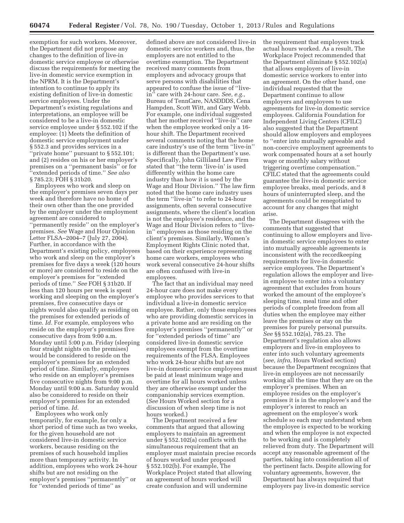exemption for such workers. Moreover, the Department did not propose any changes to the definition of live-in domestic service employee or otherwise discuss the requirements for meeting the live-in domestic service exemption in the NPRM. It is the Department's intention to continue to apply its existing definition of live-in domestic service employees. Under the Department's existing regulations and interpretations, an employee will be considered to be a live-in domestic service employee under § 552.102 if the employee: (1) Meets the definition of domestic service employment under § 552.3 and provides services in a ''private home'' pursuant to § 552.101; and (2) resides on his or her employer's premises on a ''permanent basis'' or for ''extended periods of time.'' *See also*  § 785.23; FOH § 31b20.

Employees who work and sleep on the employer's premises seven days per week and therefore have no home of their own other than the one provided by the employer under the employment agreement are considered to ''permanently reside'' on the employer's premises. *See* Wage and Hour Opinion Letter FLSA–2004–7 (July 27, 2004). Further, in accordance with the Department's existing policy, employees who work and sleep on the employer's premises for five days a week (120 hours or more) are considered to reside on the employer's premises for ''extended periods of time.'' *See* FOH § 31b20. If less than 120 hours per week is spent working and sleeping on the employer's premises, five consecutive days or nights would also qualify as residing on the premises for extended periods of time. *Id.* For example, employees who reside on the employer's premises five consecutive days from 9:00 a.m. Monday until 5:00 p.m. Friday (sleeping four straight nights on the premises) would be considered to reside on the employer's premises for an extended period of time. Similarly, employees who reside on an employer's premises five consecutive nights from 9:00 p.m. Monday until 9:00 a.m. Saturday would also be considered to reside on their employer's premises for an extended period of time. *Id.* 

Employees who work only temporarily, for example, for only a short period of time such as two weeks, for the given household are not considered live-in domestic service workers, because residing on the premises of such household implies more than temporary activity. In addition, employees who work 24-hour shifts but are not residing on the employer's premises ''permanently'' or for ''extended periods of time'' as

defined above are not considered live-in domestic service workers and, thus, the employers are not entitled to the overtime exemption. The Department received many comments from employers and advocacy groups that serve persons with disabilities that appeared to confuse the issue of ''livein'' care with 24-hour care. *See, e.g.,*  Bureau of TennCare, NASDDDS, Cena Hampden, Scott Witt, and Gary Webb. For example, one individual suggested that her mother received ''live-in'' care when the employee worked only a 16 hour shift. The Department received several comments noting that the home care industry's use of the term ''live-in'' is different than the Department's use. Specifically, John Gilliland Law Firm stated that ''the term 'live-in' is used differently within the home care industry than how it is used by the Wage and Hour Division.'' The law firm noted that the home care industry uses the term ''live-in'' to refer to 24-hour assignments, often several consecutive assignments, where the client's location is not the employee's residence, and the Wage and Hour Division refers to ''livein'' employees as those residing on the client's premises. Similarly, Women's Employment Rights Clinic noted that, based on their experience representing home care workers, employees who work several consecutive 24-hour shifts are often confused with live-in employees.

The fact that an individual may need 24-hour care does not make every employee who provides services to that individual a live-in domestic service employee. Rather, only those employees who are providing domestic services in a private home and are residing on the employer's premises ''permanently'' or for ''extended periods of time'' are considered live-in domestic service employees exempt from the overtime requirements of the FLSA. Employees who work 24-hour shifts but are not live-in domestic service employees must be paid at least minimum wage and overtime for all hours worked unless they are otherwise exempt under the companionship services exemption. (*See* Hours Worked section for a discussion of when sleep time is not hours worked.)

The Department received a few comments that argued that allowing employers to maintain an agreement under § 552.102(a) conflicts with the simultaneous requirement that an employer must maintain precise records of hours worked under proposed § 552.102(b). For example, The Workplace Project stated that allowing an agreement of hours worked will create confusion and will undermine

the requirement that employers track actual hours worked. As a result, The Workplace Project recommended that the Department eliminate § 552.102(a) that allows employers of live-in domestic service workers to enter into an agreement. On the other hand, one individual requested that the Department continue to allow employers and employees to use agreements for live-in domestic service employees. California Foundation for Independent Living Centers (CFILC) also suggested that the Department should allow employers and employees to ''enter into mutually agreeable and non-coercive employment agreements to work compensated hours at a set hourly wage or monthly salary without triggering overtime compensation.'' CFILC stated that the agreements could guarantee the live-in domestic service employee breaks, meal periods, and 8 hours of uninterrupted sleep, and the agreements could be renegotiated to account for any changes that might arise.

The Department disagrees with the comments that suggested that continuing to allow employers and livein domestic service employees to enter into mutually agreeable agreements is inconsistent with the recordkeeping requirements for live-in domestic service employees. The Department's regulation allows the employer and livein employee to enter into a voluntary agreement that excludes from hours worked the amount of the employee's sleeping time, meal time and other periods of complete freedom from all duties when the employee may either leave the premises or stay on the premises for purely personal pursuits. *See* §§ 552.102(a), 785.23. The Department's regulation also allows employers and live-in employees to enter into such voluntary agreements (*see, infra,* Hours Worked section) because the Department recognizes that live-in employees are not necessarily working all the time that they are on the employer's premises. When an employee resides on the employer's premises it is in the employee's and the employer's interest to reach an agreement on the employee's work schedule so each may understand when the employee is expected to be working and when the employee is not expected to be working and is completely relieved from duty. The Department will accept any reasonable agreement of the parties, taking into consideration all of the pertinent facts. Despite allowing for voluntary agreements, however, the Department has always required that employers pay live-in domestic service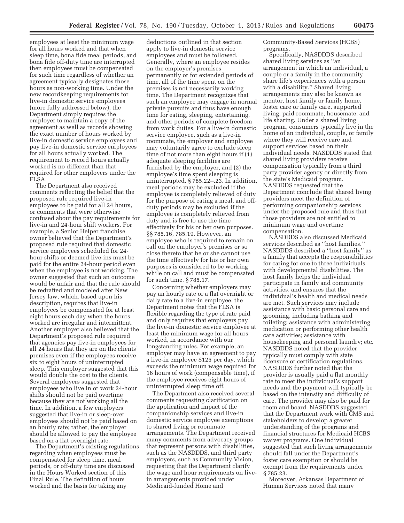employees at least the minimum wage for all hours worked and that when sleep time, bona fide meal periods, and bona fide off-duty time are interrupted then employees must be compensated for such time regardless of whether an agreement typically designates those hours as non-working time. Under the new recordkeeping requirements for live-in domestic service employees (more fully addressed below), the Department simply requires the employer to maintain a copy of the agreement as well as records showing the exact number of hours worked by live-in domestic service employees and pay live-in domestic service employees for all hours actually worked. The requirement to record hours actually worked is no different than that required for other employers under the FLSA.

The Department also received comments reflecting the belief that the proposed rule required live-in employees to be paid for all 24 hours, or comments that were otherwise confused about the pay requirements for live-in and 24-hour shift workers. For example, a Senior Helper franchise owner believed that the Department's proposed rule required that domestic service employees scheduled for 24 hour shifts or deemed live-ins must be paid for the entire 24-hour period even when the employee is not working. The owner suggested that such an outcome would be unfair and that the rule should be redrafted and modeled after New Jersey law, which, based upon his description, requires that live-in employees be compensated for at least eight hours each day when the hours worked are irregular and intermittent. Another employer also believed that the Department's proposed rule required that agencies pay live-in employees for all 24 hours that they are on the clients' premises even if the employees receive six to eight hours of uninterrupted sleep. This employer suggested that this would double the cost to the clients. Several employers suggested that employees who live in or work 24-hour shifts should not be paid overtime because they are not working all the time. In addition, a few employers suggested that live-in or sleep-over employees should not be paid based on an hourly rate; rather, the employer should be allowed to pay the employee based on a flat overnight rate.

The Department's existing regulations regarding when employees must be compensated for sleep time, meal periods, or off-duty time are discussed in the Hours Worked section of this Final Rule. The definition of hours worked and the basis for taking any

deductions outlined in that section apply to live-in domestic service employees and must be followed. Generally, where an employee resides on the employer's premises permanently or for extended periods of time, all of the time spent on the premises is not necessarily working time. The Department recognizes that such an employee may engage in normal private pursuits and thus have enough time for eating, sleeping, entertaining, and other periods of complete freedom from work duties. For a live-in domestic service employee, such as a live-in roommate, the employer and employee may voluntarily agree to exclude sleep time of not more than eight hours if (1) adequate sleeping facilities are furnished by the employer, and (2) the employee's time spent sleeping is uninterrupted. § 785.22–.23. In addition, meal periods may be excluded if the employee is completely relieved of duty for the purpose of eating a meal, and offduty periods may be excluded if the employee is completely relieved from duty and is free to use the time effectively for his or her own purposes. §§ 785.16, 785.19. However, an employee who is required to remain on call on the employer's premises or so close thereto that he or she cannot use the time effectively for his or her own purposes is considered to be working while on call and must be compensated for such time. § 785.17.

Concerning whether employers may pay an hourly rate or a flat overnight or daily rate to a live-in employee, the Department notes that the FLSA is flexible regarding the type of rate paid and only requires that employers pay the live-in domestic service employee at least the minimum wage for all hours worked, in accordance with our longstanding rules. For example, an employer may have an agreement to pay a live-in employee \$125 per day, which exceeds the minimum wage required for 16 hours of work (compensable time), if the employee receives eight hours of uninterrupted sleep time off.

The Department also received several comments requesting clarification on the application and impact of the companionship services and live-in domestic service employee exemptions to shared living or roommate arrangements. The Department received many comments from advocacy groups that represent persons with disabilities, such as the NASDDDS, and third party employers, such as Community Vision, requesting that the Department clarify the wage and hour requirements on livein arrangements provided under Medicaid-funded Home and

Community-Based Services (HCBS) programs.

Specifically, NASDDDS described shared living services as ''an arrangement in which an individual, a couple or a family in the community share life's experiences with a person with a disability.'' Shared living arrangements may also be known as mentor, host family or family home, foster care or family care, supported living, paid roommate, housemate, and life sharing. Under a shared living program, consumers typically live in the home of an individual, couple, or family where they will receive care and support services based on their individual needs. NASDDDS stated that shared living providers receive compensation typically from a third party provider agency or directly from the state's Medicaid program. NASDDDS requested that the Department conclude that shared living providers meet the definition of performing companionship services under the proposed rule and thus that those providers are not entitled to minimum wage and overtime compensation.

NASDDDS also discussed Medicaid services described as ''host families.'' NASDDDS described a ''host family'' as a family that accepts the responsibilities for caring for one to three individuals with developmental disabilities. The host family helps the individual participate in family and community activities, and ensures that the individual's health and medical needs are met. Such services may include assistance with basic personal care and grooming, including bathing and toileting; assistance with administering medication or performing other health care activities; assistance with housekeeping and personal laundry; etc. NASDDDS noted that the provider typically must comply with state licensure or certification regulations. NASDDDS further noted that the provider is usually paid a flat monthly rate to meet the individual's support needs and the payment will typically be based on the intensity and difficulty of care. The provider may also be paid for room and board. NASDDDS suggested that the Department work with CMS and stakeholders to develop a greater understanding of the programs and financial structures for Medicaid HCBS waiver programs. One individual suggested that such living arrangements should fall under the Department's foster care exemption or should be exempt from the requirements under § 785.23.

Moreover, Arkansas Department of Human Services noted that many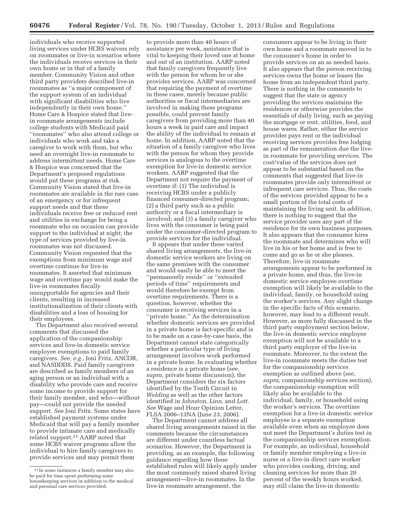individuals who receive supported living services under HCBS waivers rely on roommates or live-in scenarios where the individuals receive services in their own home or in that of a family member. Community Vision and other third party providers described live-in roommates as ''a major component of the support system of an individual with significant disabilities who live independently in their own home.'' Home Care & Hospice stated that livein roommate arrangements include college students with Medicaid paid ''roommates'' who also attend college or individuals who work and take a caregiver to work with them, but who need an overnight live-in roommate to address intermittent needs. Home Care & Hospice was concerned that the Department's proposed regulations would put these programs at risk. Community Vision stated that live-in roommates are available in the rare case of an emergency or for infrequent support needs and that these individuals receive free or reduced rent and utilities in exchange for being a roommate who on occasion can provide support to the individual at night; the type of services provided by live-in roommates was not discussed. Community Vision requested that the exemptions from minimum wage and overtime continue for live-in roommates. It asserted that minimum wage and overtime pay would make the live-in roommates fiscally unsupportable for agencies and their clients, resulting in increased institutionalization of their clients with disabilities and a loss of housing for their employees.

The Department also received several comments that discussed the application of the companionship services and live-in domestic service employee exemptions to paid family caregivers. *See, e.g.,* Joni Fritz, ANCOR, and NASDDDS. Paid family caregivers are described as family members of an aging person or an individual with a disability who provide care and receive some income to provide support for their family member, and who—without pay—could not provide the needed support. *See* Joni Fritz. Some states have established payment systems under Medicaid that will pay a family member to provide intimate care and medically related support.21 AARP noted that some HCBS waiver programs allow the individual to hire family caregivers to provide services and may permit them

to provide more than 40 hours of assistance per week, assistance that is vital to keeping their loved one at home and out of an institution. AARP noted that family caregivers frequently live with the person for whom he or she provides services. AARP was concerned that requiring the payment of overtime in these cases, merely because public authorities or fiscal intermediaries are involved in making these programs possible, could prevent family caregivers from providing more than 40 hours a week in paid care and impact the ability of the individual to remain at home. In addition, AARP noted that the situation of a family caregiver who lives with the person for whom they provide services is analogous to the overtime exemption for live-in domestic service workers. AARP suggested that the Department not require the payment of overtime if: (1) The individual is receiving HCBS under a publicly financed consumer-directed program; (2) a third party such as a public authority or a fiscal intermediary is involved; and (3) a family caregiver who lives with the consumer is being paid under the consumer-directed program to provide services for the individual.

It appears that under these varied shared living arrangements, the live-in domestic service workers are living on the same premises with the consumer and would easily be able to meet the ''permanently reside'' or ''extended periods of time'' requirements and would therefore be exempt from overtime requirements. There is a question, however, whether the consumer is receiving services in a ''private home.'' As the determination whether domestic services are provided in a private home is fact-specific and is to be made on a case-by-case basis, the Department cannot state categorically whether a particular type of living arrangement involves work performed in a private home. In evaluating whether a residence is a private home (*see, supra,* private home discussion), the Department considers the six factors identified by the Tenth Circuit in *Welding* as well as the other factors identified in *Johnston, Linn,* and *Lott. See* Wage and Hour Opinion Letter, FLSA 2006–13NA (June 23, 2006).

The Department cannot address all shared living arrangements raised in the comments because the circumstances are different under countless factual scenarios. However, the Department is providing, as an example, the following guidance regarding how these established rules will likely apply under the most commonly raised shared living arrangement—live-in roommates. In the live-in roommate arrangement, the

consumers appear to be living in their own home and a roommate moved in to the consumer's home in order to provide services on an as needed basis. It also appears that the person receiving services owns the home or leases the home from an independent third party. There is nothing in the comments to suggest that the state or agency providing the services maintains the residences or otherwise provides the essentials of daily living, such as paying the mortgage or rent, utilities, food, and house wares. Rather, either the service provider pays rent or the individual receiving services provides free lodging as part of the remuneration due the livein roommate for providing services. The cost/value of the services does not appear to be substantial based on the comments that suggested that live-in roommates provide only intermittent or infrequent care services. Thus, the costs of the services provided appear to be a small portion of the total costs of maintaining the living unit. In addition, there is nothing to suggest that the service provider uses any part of the residence for its own business purposes. It also appears that the consumer hires the roommate and determines who will live in his or her home and is free to come and go as he or she pleases. Therefore, live-in roommate arrangements appear to be performed in a private home, and thus, the live-in domestic service employee overtime exemption will likely be available to the individual, family, or household using the worker's services. Any slight change in the specific facts of this scenario, however, may lead to a different result. However, as more fully discussed in the third party employment section below, the live-in domestic service employee exemption will not be available to a third party employer of the live-in roommate. Moreover, to the extent the live-in roommate meets the duties test for the companionship services exemption as outlined above (*see, supra,* companionship services section), the companionship exemption will likely also be available to the individual, family, or household using the worker's services. The overtime exemption for a live-in domestic service employee is a separate exemption available even when an employee does not meet the Department's duties test in the companionship services exemption. For example, an individual, household or family member employing a live-in nurse or a live-in direct care worker who provides cooking, driving, and cleaning services for more than 20 percent of the weekly hours worked, may still claim the live-in domestic

<sup>21</sup> In some instances a family member may also be paid for time spent performing some housekeeping services in addition to the medical and personal care services provided.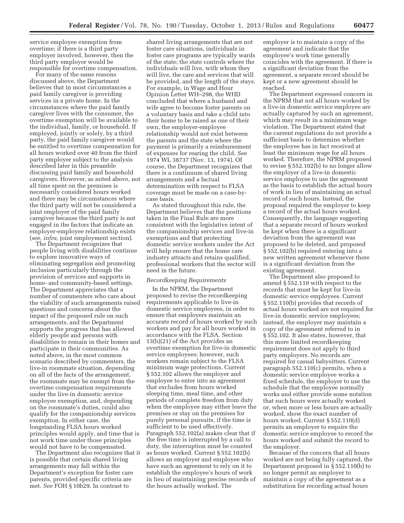service employee exemption from overtime; if there is a third party employer involved, however, then the third party employer would be responsible for overtime compensation.

For many of the same reasons discussed above, the Department believes that in most circumstances a paid family caregiver is providing services in a private home. In the circumstances where the paid family caregiver lives with the consumer, the overtime exemption will be available to the individual, family, or household. If employed, jointly or solely, by a third party, the paid family caregiver would be entitled to overtime compensation for all hours worked over 40 from the third party employer subject to the analysis described later in this preamble discussing paid family and household caregivers. However, as noted above, not all time spent on the premises is necessarily considered hours worked and there may be circumstances where the third party will not be considered a joint employer of the paid family caregiver because the third party is not engaged in the factors that indicate an employer-employee relationship exists (*see, infra,* joint employment section).

The Department recognizes that people living with disabilities continue to explore innovative ways of eliminating segregation and promoting inclusion particularly through the provision of services and supports in home- and community-based settings. The Department appreciates that a number of commenters who care about the viability of such arrangements raised questions and concerns about the impact of the proposed rule on such arrangements, and the Department supports the progress that has allowed elderly people and persons with disabilities to remain in their homes and participate in their communities. As noted above, in the most common scenario described by commenters, the live-in roommate situation, depending on all of the facts of the arrangement, the roommate may be exempt from the overtime compensation requirements under the live-in domestic service employee exemption, and, depending on the roommate's duties, could also qualify for the companionship services exemption. In either case, the longstanding FLSA hours worked principles would apply, and time that is not work time under those principles would not have to be compensated.

The Department also recognizes that it is possible that certain shared living arrangements may fall within the Department's exception for foster care parents, provided specific criteria are met. *See* FOH § 10b29. In contrast to

shared living arrangements that are not foster care situations, individuals in foster care programs are typically wards of the state; the state controls where the individuals will live, with whom they will live, the care and services that will be provided, and the length of the stays. For example, in Wage and Hour Opinion Letter WH–298, the WHD concluded that where a husband and wife agree to become foster parents on a voluntary basis and take a child into their home to be raised as one of their own, the employer-employee relationship would not exist between the parents and the state where the payment is primarily a reimbursement of expenses for rearing the child. *See*  1974 WL 38737 (Nov. 13, 1974). Of course, the Department recognizes that there is a continuum of shared living arrangements and a factual determination with respect to FLSA coverage must be made on a case-bycase basis.

As stated throughout this rule, the Department believes that the positions taken in the Final Rule are more consistent with the legislative intent of the companionship services and live-in exemptions and that protecting domestic service workers under the Act will help ensure that the home care industry attracts and retains qualified, professional workers that the sector will need in the future.

#### *Recordkeeping Requirements*

In the NPRM, the Department proposed to revise the recordkeeping requirements applicable to live-in domestic service employees, in order to ensure that employers maintain an accurate record of hours worked by such workers and pay for all hours worked in accordance with the FLSA. Section 13(b)(21) of the Act provides an overtime exemption for live-in domestic service employees; however, such workers remain subject to the FLSA minimum wage protections. Current § 552.102 allows the employer and employee to enter into an agreement that excludes from hours worked sleeping time, meal time, and other periods of complete freedom from duty when the employee may either leave the premises or stay on the premises for purely personal pursuits, if the time is sufficient to be used effectively. Paragraph 552.102(a) makes clear that if the free time is interrupted by a call to duty, the interruption must be counted as hours worked. Current § 552.102(b) allows an employer and employee who have such an agreement to rely on it to establish the employee's hours of work in lieu of maintaining precise records of the hours actually worked. The

employer is to maintain a copy of the agreement and indicate that the employee's work time generally coincides with the agreement. If there is a significant deviation from the agreement, a separate record should be kept or a new agreement should be reached.

The Department expressed concern in the NPRM that not all hours worked by a live-in domestic service employee are actually captured by such an agreement, which may result in a minimum wage violation. The Department stated that the current regulations do not provide a sufficient basis to determine whether the employee has in fact received at least the minimum wage for all hours worked. Therefore, the NPRM proposed to revise § 552.102(b) to no longer allow the employer of a live-in domestic service employee to use the agreement as the basis to establish the actual hours of work in lieu of maintaining an actual record of such hours. Instead, the proposal required the employer to keep a record of the actual hours worked. Consequently, the language suggesting that a separate record of hours worked be kept when there is a significant deviation from the agreement was proposed to be deleted, and proposed § 552.102(b) required entering into a new written agreement whenever there is a significant deviation from the existing agreement.

The Department also proposed to amend § 552.110 with respect to the records that must be kept for live-in domestic service employees. Current § 552.110(b) provides that records of actual hours worked are not required for live-in domestic service employees; instead, the employer may maintain a copy of the agreement referred to in § 552.102. It also states, however, that this more limited recordkeeping requirement does not apply to third party employers. No records are required for casual babysitters. Current paragraph 552.110(c) permits, when a domestic service employee works a fixed schedule, the employer to use the schedule that the employee normally works and either provide some notation that such hours were actually worked or, when more or less hours are actually worked, show the exact number of hours worked. Current § 552.110(d) permits an employer to require the domestic service employee to record the hours worked and submit the record to the employer.

Because of the concern that all hours worked are not being fully captured, the Department proposed in § 552.110(b) to no longer permit an employer to maintain a copy of the agreement as a substitution for recording actual hours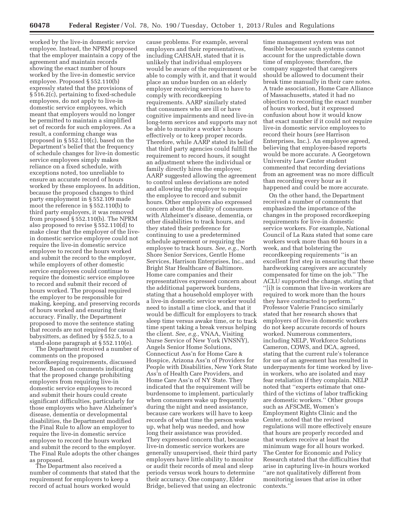worked by the live-in domestic service employee. Instead, the NPRM proposed that the employer maintain a copy of the agreement and maintain records showing the exact number of hours worked by the live-in domestic service employee. Proposed § 552.110(b) expressly stated that the provisions of § 516.2(c), pertaining to fixed-schedule employees, do not apply to live-in domestic service employees, which meant that employers would no longer be permitted to maintain a simplified set of records for such employees. As a result, a conforming change was proposed in § 552.110(c), based on the Department's belief that the frequency of schedule changes for live-in domestic service employees simply makes reliance on a fixed schedule, with exceptions noted, too unreliable to ensure an accurate record of hours worked by these employees. In addition, because the proposed changes to third party employment in § 552.109 made moot the reference in § 552.110(b) to third party employers, it was removed from proposed § 552.110(b). The NPRM also proposed to revise § 552.110(d) to make clear that the employer of the livein domestic service employee could not require the live-in domestic service employee to record the hours worked and submit the record to the employer, while employers of other domestic service employees could continue to require the domestic service employee to record and submit their record of hours worked. The proposal required the employer to be responsible for making, keeping, and preserving records of hours worked and ensuring their accuracy. Finally, the Department proposed to move the sentence stating that records are not required for casual babysitters, as defined by § 552.5, to a stand-alone paragraph at § 552.110(e).

The Department received a number of comments on the proposed recordkeeping requirements, discussed below. Based on comments indicating that the proposed change prohibiting employers from requiring live-in domestic service employees to record and submit their hours could create significant difficulties, particularly for those employers who have Alzheimer's disease, dementia or developmental disabilities, the Department modified the Final Rule to allow an employer to require the live-in domestic service employee to record the hours worked and submit the record to the employer. The Final Rule adopts the other changes as proposed.

The Department also received a number of comments that stated that the requirement for employers to keep a record of actual hours worked would

cause problems. For example, several employers and their representatives, including CAHSAH, stated that it is unlikely that individual employers would be aware of the requirement or be able to comply with it, and that it would place an undue burden on an elderly employer receiving services to have to comply with recordkeeping requirements. AARP similarly stated that consumers who are ill or have cognitive impairments and need live-in long-term services and supports may not be able to monitor a worker's hours effectively or to keep proper records. Therefore, while AARP stated its belief that third party agencies could fulfill the requirement to record hours, it sought an adjustment where the individual or family directly hires the employee; AARP suggested allowing the agreement to control unless deviations are noted and allowing the employer to require the employee to record and submit hours. Other employers also expressed concern about the ability of consumers with Alzheimer's disease, dementia, or other disabilities to track hours, and they stated their preference for continuing to use a predetermined schedule agreement or requiring the employee to track hours. *See, e.g.,* North Shore Senior Services, Gentle Home Services, Harrison Enterprises, Inc., and Bright Star Healthcare of Baltimore. Home care companies and their representatives expressed concern about the additional paperwork burdens, stating that a household employer with a live-in domestic service worker would need to install a time clock, and that it would be difficult for employers to track sleep time versus awake time, or to track time spent taking a break versus helping the client. *See, e.g.,* VNAA, Visiting Nurse Service of New York (VNSNY), Angels Senior Home Solutions, Connecticut Ass'n for Home Care & Hospice, Arizona Ass'n of Providers for People with Disabilities, New York State Ass'n of Health Care Providers, and Home Care Ass'n of NY State. They indicated that the requirement will be burdensome to implement, particularly when consumers wake up frequently during the night and need assistance, because care workers will have to keep records of what time the person woke up, what help was needed, and how long their assistance was provided. They expressed concern that, because live-in domestic service workers are generally unsupervised, their third party employers have little ability to monitor or audit their records of meal and sleep periods versus work hours to determine their accuracy. One company, Elder Bridge, believed that using an electronic

time management system was not feasible because such systems cannot account for the unpredictable down time of employees; therefore, the company suggested that caregivers should be allowed to document their break time manually in their care notes. A trade association, Home Care Alliance of Massachusetts, stated it had no objection to recording the exact number of hours worked, but it expressed confusion about how it would know that exact number if it could not require live-in domestic service employees to record their hours (*see* Harrison Enterprises, Inc.). An employee agreed, believing that employee-based reports would be more accurate. A Georgetown University Law Center student commented that recording deviations from an agreement was no more difficult than recording every hour as it happened and could be more accurate.

On the other hand, the Department received a number of comments that emphasized the importance of the changes in the proposed recordkeeping requirements for live-in domestic service workers. For example, National Council of La Raza stated that some care workers work more than 60 hours in a week, and that bolstering the recordkeeping requirements ''is an excellent first step in ensuring that these hardworking caregivers are accurately compensated for time on the job.'' The ACLU supported the change, stating that ''[i]t is common that live-in workers are required to work more than the hours they have contracted to perform.'' Professor Valerie Francisco similarly stated that her research shows that employers of live-in domestic workers do not keep accurate records of hours worked. Numerous commenters, including NELP, Workforce Solutions Cameron, COWS, and DCA, agreed, stating that the current rule's tolerance for use of an agreement has resulted in underpayments for time worked by livein workers, who are isolated and may fear retaliation if they complain. NELP noted that ''experts estimate that onethird of the victims of labor trafficking are domestic workers.'' Other groups such as AFSCME, Women's Employment Rights Clinic and the Center, noted that the revised regulations will more effectively ensure that hours are properly recorded and that workers receive at least the minimum wage for all hours worked. The Center for Economic and Policy Research stated that the difficulties that arise in capturing live-in hours worked ''are not qualitatively different from monitoring issues that arise in other contexts.''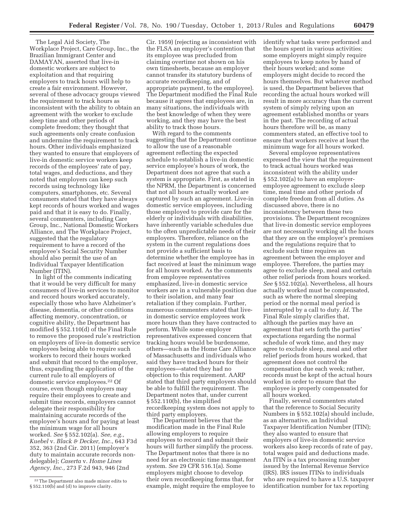The Legal Aid Society, The Workplace Project, Care Group, Inc., the Brazilian Immigrant Center and DAMAYAN, asserted that live-in domestic workers are subject to exploitation and that requiring employers to track hours will help to create a fair environment. However, several of these advocacy groups viewed the requirement to track hours as inconsistent with the ability to obtain an agreement with the worker to exclude sleep time and other periods of complete freedom; they thought that such agreements only create confusion and undermine the requirement to track hours. Other individuals emphasized they wanted to ensure that employers of live-in domestic service workers keep records of the employees' rate of pay, total wages, and deductions, and they noted that employers can keep such records using technology like computers, smartphones, etc. Several consumers stated that they have always kept records of hours worked and wages paid and that it is easy to do. Finally, several commenters, including Care Group, Inc., National Domestic Workers Alliance, and The Workplace Project, suggested that the regulatory requirement to have a record of the employee's Social Security Number should also permit the use of an Individual Taxpayer Identification Number (ITIN).

In light of the comments indicating that it would be very difficult for many consumers of live-in services to monitor and record hours worked accurately, especially those who have Alzheimer's disease, dementia, or other conditions affecting memory, concentration, or cognitive ability, the Department has modified § 552.110(d) of the Final Rule to remove the proposed rule's restriction on employers of live-in domestic service employees being able to require such workers to record their hours worked and submit that record to the employer, thus, expanding the application of the current rule to all employers of domestic service employees.<sup>22</sup> Of course, even though employers may require their employees to create and submit time records, employers cannot delegate their responsibility for maintaining accurate records of the employee's hours and for paying at least the minimum wage for all hours worked. *See* § 552.102(a). *See, e.g., Kuebel* v. *Black & Decker, Inc.,* 643 F3d 352, 363 (2nd Cir. 2011) (employer's duty to maintain accurate records nondelegable); *Caserta* v. *Home Lines Agency, Inc.,* 273 F.2d 943, 946 (2nd

Cir. 1959) (rejecting as inconsistent with the FLSA an employer's contention that its employee was precluded from claiming overtime not shown on his own timesheets, because an employer cannot transfer its statutory burdens of accurate recordkeeping, and of appropriate payment, to the employee). The Department modified the Final Rule because it agrees that employees are, in many situations, the individuals with the best knowledge of when they were working, and they may have the best ability to track those hours.

With regard to the comments suggesting that the Department continue to allow the use of a reasonable agreement reflecting the expected schedule to establish a live-in domestic service employee's hours of work, the Department does not agree that such a system is appropriate. First, as stated in the NPRM, the Department is concerned that not all hours actually worked are captured by such an agreement. Live-in domestic service employees, including those employed to provide care for the elderly or individuals with disabilities, have inherently variable schedules due to the often unpredictable needs of their employers. Therefore, reliance on the system in the current regulations does not provide a sufficient basis to determine whether the employee has in fact received at least the minimum wage for all hours worked. As the comments from employee representatives emphasized, live-in domestic service workers are in a vulnerable position due to their isolation, and many fear retaliation if they complain. Further, numerous commenters stated that livein domestic service employees work more hours than they have contracted to perform. While some employer representatives expressed concern that tracking hours would be burdensome, others—such as the Home Care Alliance of Massachusetts and individuals who said they have tracked hours for their employees—stated they had no objection to this requirement. AARP stated that third party employers should be able to fulfill the requirement. The Department notes that, under current § 552.110(b), the simplified recordkeeping system does not apply to third party employers.

The Department believes that the modification made in the Final Rule allowing employers to require employees to record and submit their hours will further simplify the process. The Department notes that there is no need for an electronic time management system. *See* 29 CFR 516.1(a). Some employers might choose to develop their own recordkeeping forms that, for example, might require the employee to

identify what tasks were performed and the hours spent in various activities; some employers might simply require employees to keep notes by hand of their hours worked; and some employers might decide to record the hours themselves. But whatever method is used, the Department believes that recording the actual hours worked will result in more accuracy than the current system of simply relying upon an agreement established months or years in the past. The recording of actual hours therefore will be, as many commenters stated, an effective tool to ensure that workers receive at least the minimum wage for all hours worked.

Several employee representatives expressed the view that the requirement to track actual hours worked was inconsistent with the ability under § 552.102(a) to have an employeremployee agreement to exclude sleep time, meal time and other periods of complete freedom from all duties. As discussed above, there is no inconsistency between these two provisions. The Department recognizes that live-in domestic service employees are not necessarily working all the hours that they are on the employer's premises and the regulations require that to exclude such time requires an agreement between the employer and employee. Therefore, the parties may agree to exclude sleep, meal and certain other relief periods from hours worked. *See* § 552.102(a). Nevertheless, all hours actually worked must be compensated, such as where the normal sleeping period or the normal meal period is interrupted by a call to duty. *Id.* The Final Rule simply clarifies that, although the parties may have an agreement that sets forth the parties' expectations regarding the normal schedule of work time, and they may agree to exclude sleep, meal and other relief periods from hours worked, that agreement does not control the compensation due each week; rather, records must be kept of the actual hours worked in order to ensure that the employee is properly compensated for all hours worked.

Finally, several commenters stated that the reference to Social Security Numbers in § 552.102(a) should include, as an alternative, an Individual Taxpayer Identification Number (ITIN); they also wanted to ensure that employers of live-in domestic service workers also keep records of rate of pay, total wages paid and deductions made. An ITIN is a tax processing number issued by the Internal Revenue Service (IRS). IRS issues ITINs to individuals who are required to have a U.S. taxpayer identification number for tax reporting

<sup>22</sup>The Department also made minor edits to § 552.110(b) and (d) to improve clarity.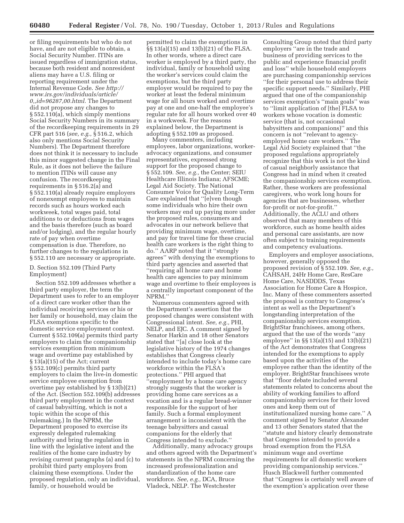or filing requirements but who do not have, and are not eligible to obtain, a Social Security Number. ITINs are issued regardless of immigration status, because both resident and nonresident aliens may have a U.S. filing or reporting requirement under the Internal Revenue Code. *See http:// www.irs.gov/individuals/article/ 0,,id=96287,00.html.* The Department did not propose any changes to § 552.110(a), which simply mentions Social Security Numbers in its summary of the recordkeeping requirements in 29 CFR part 516 (*see, e.g.,* § 516.2, which also only mentions Social Security Numbers). The Department therefore does not think it is necessary to include this minor suggested change in the Final Rule, as it does not believe the failure to mention ITINs will cause any confusion. The recordkeeping requirements in § 516.2(a) and § 552.110(a) already require employers of nonexempt employees to maintain records such as hours worked each workweek, total wages paid, total additions to or deductions from wages and the basis therefore (such as board and/or lodging), and the regular hourly rate of pay when overtime compensation is due. Therefore, no further changes to the regulations in § 552.110 are necessary or appropriate.

# D. Section 552.109 (Third Party Employment)

Section 552.109 addresses whether a third party employer, the term the Department uses to refer to an employer of a direct care worker other than the individual receiving services or his or her family or household, may claim the FLSA exemptions specific to the domestic service employment context. Current § 552.109(a) permits third party employers to claim the companionship services exemption from minimum wage and overtime pay established by § 13(a)(15) of the Act; current § 552.109(c) permits third party employers to claim the live-in domestic service employee exemption from overtime pay established by § 13(b)(21) of the Act. (Section 552.109(b) addresses third party employment in the context of casual babysitting, which is not a topic within the scope of this rulemaking.) In the NPRM, the Department proposed to exercise its expressly delegated rulemaking authority and bring the regulation in line with the legislative intent and the realities of the home care industry by revising current paragraphs (a) and (c) to prohibit third party employers from claiming these exemptions. Under the proposed regulation, only an individual, family, or household would be

permitted to claim the exemptions in §§ 13(a)(15) and 13(b)(21) of the FLSA. In other words, where a direct care worker is employed by a third party, the individual, family or household using the worker's services could claim the exemptions, but the third party employer would be required to pay the worker at least the federal minimum wage for all hours worked and overtime pay at one and one-half the employee's regular rate for all hours worked over 40 in a workweek. For the reasons explained below, the Department is adopting § 552.109 as proposed.

Many commenters, including employees, labor organizations, workeradvocacy organizations, and consumer representatives, expressed strong support for the proposed change to § 552.109. *See, e.g.,* the Center; SEIU Healthcare Illinois Indiana; AFSCME; Legal Aid Society. The National Consumer Voice for Quality Long-Term Care explained that ''[e]ven though some individuals who hire their own workers may end up paying more under the proposed rules, consumers and advocates in our network believe that providing minimum wage, overtime, and pay for travel time for these crucial health care workers is the right thing to do.'' AARP noted that it ''strongly agrees'' with denying the exemptions to third party agencies and asserted that ''requiring all home care and home health care agencies to pay minimum wage and overtime to their employees is a centrally important component of the NPRM.''

Numerous commenters agreed with the Department's assertion that the proposed changes were consistent with Congressional intent. *See, e.g.,* PHI, NELP, and EJC. A comment signed by Senator Harkin and 18 other Senators stated that ''[a] close look at the legislative history of the 1974 changes establishes that Congress clearly intended to include today's home care workforce within the FLSA's protections.'' PHI argued that ''employment by a home care agency strongly suggests that the worker is providing home care services as a vocation and is a regular bread-winner responsible for the support of her family. Such a formal employment arrangement is inconsistent with the teenage babysitters and casual companions for the elderly that Congress intended to exclude.''

Additionally, many advocacy groups and others agreed with the Department's statements in the NPRM concerning the increased professionalization and standardization of the home care workforce. *See, e.g.,* DCA, Bruce Vladeck, NELP. The Westchester

Consulting Group noted that third party employers ''are in the trade and business of providing services to the public and experience financial profit and loss'' while household employers are purchasing companionship services ''for their personal use to address their specific support needs.'' Similarly, PHI argued that one of the companionship services exemption's ''main goals'' was to ''limit application of [the] FLSA to workers whose vocation is domestic service (that is, not occasional babysitters and companions)'' and this concern is not ''relevant to agencyemployed home care workers.'' The Legal Aid Society explained that ''the proposed regulations appropriately recognize that this work is not the kind of casual neighborly assistance that Congress had in mind when it created the companionship services exemption. Rather, these workers are professional caregivers, who work long hours for agencies that are businesses, whether for-profit or not-for-profit.'' Additionally, the ACLU and others observed that many members of this workforce, such as home health aides and personal care assistants, are now often subject to training requirements and competency evaluations.

Employers and employer associations, however, generally opposed the proposed revision of § 552.109. *See, e.g.,*  CAHSAH, 24Hr Home Care, ResCare Home Care, NASDDDS, Texas Association for Home Care & Hospice, Inc. Many of these commenters asserted the proposal is contrary to Congress's intent as well as the Department's longstanding interpretation of the companionship services exemption. BrightStar franchisees, among others, argued that the use of the words ''any employee'' in §§ 13(a)(15) and 13(b)(21) of the Act demonstrates that Congress intended for the exemptions to apply based upon the activities of the employee rather than the identity of the employer. BrightStar franchisees wrote that ''floor debate included several statements related to concerns about the ability of working families to afford companionship services for their loved ones and keep them out of institutionalized nursing home care.'' A comment signed by Senator Alexander and 13 other Senators stated that the ''statute and history clearly demonstrate that Congress intended to provide a broad exemption from the FLSA minimum wage and overtime requirements for all domestic workers providing companionship services.'' Husch Blackwell further commented that ''Congress is certainly well aware of the exemption's application over these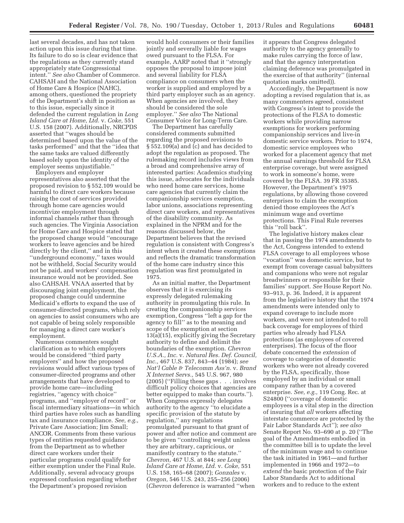last several decades, and has not taken action upon this issue during that time. Its failure to do so is clear evidence that the regulations as they currently stand appropriately state Congressional intent.'' *See also* Chamber of Commerce. CAHSAH and the National Association of Home Care & Hospice (NAHC), among others, questioned the propriety of the Department's shift in position as to this issue, especially since it defended the current regulation in *Long Island Care at Home, Ltd.* v. *Coke,* 551 U.S. 158 (2007). Additionally, NRCPDS asserted that ''wages should be determined based upon the value of the tasks performed'' and that the ''idea that the same tasks are valued differently based solely upon the identity of the employer seems unjustifiable.''

Employers and employer representatives also asserted that the proposed revision to § 552.109 would be harmful to direct care workers because raising the cost of services provided through home care agencies would incentivize employment through informal channels rather than through such agencies. The Virginia Association for Home Care and Hospice stated that the proposed change would ''encourage workers to leave agencies and be hired directly by the client,'' and in this ''underground economy,'' taxes would not be withheld, Social Security would not be paid, and workers' compensation insurance would not be provided. See also CAHSAH. VNAA asserted that by discouraging joint employment, the proposed change could undermine Medicaid's efforts to expand the use of consumer-directed programs, which rely on agencies to assist consumers who are not capable of being solely responsible for managing a direct care worker's employment.

Numerous commenters sought clarification as to which employers would be considered ''third party employers'' and how the proposed revisions would affect various types of consumer-directed programs and other arrangements that have developed to provide home care—including registries, ''agency with choice'' programs, and ''employer of record'' or fiscal intermediary situations—in which third parties have roles such as handling tax and insurance compliance. *See, e.g.,*  Private Care Association; Jim Small; ANCOR. Comments from these various types of entities requested guidance from the Department as to whether direct care workers under their particular programs could qualify for either exemption under the Final Rule. Additionally, several advocacy groups expressed confusion regarding whether the Department's proposed revision

would hold consumers or their families jointly and severally liable for wages owed pursuant to the FLSA. For example, AARP noted that it ''strongly opposes the proposal to impose joint and several liability for FLSA compliance on consumers when the worker is supplied and employed by a third party employer such as an agency. When agencies are involved, they should be considered the sole employer.'' *See also* The National Consumer Voice for Long-Term Care.

The Department has carefully considered comments submitted regarding the proposed revisions to § 552.109(a) and (c) and has decided to adopt the regulation as proposed. The rulemaking record includes views from a broad and comprehensive array of interested parties: Academics studying this issue, advocates for the individuals who need home care services, home care agencies that currently claim the companionship services exemption, labor unions, associations representing direct care workers, and representatives of the disability community. As explained in the NPRM and for the reasons discussed below, the Department believes that the revised regulation is consistent with Congress's intent when it created these exemptions and reflects the dramatic transformation of the home care industry since this regulation was first promulgated in 1975.

As an initial matter, the Department observes that it is exercising its expressly delegated rulemaking authority in promulgating this rule. In creating the companionship services exemption, Congress ''left a gap for the agency to fill'' as to the meaning and scope of the exemption at section 13(a)(15), explicitly giving the Secretary authority to define and delimit the boundaries of the exemption. *Chevron U.S.A., Inc.* v. *Natural Res. Def. Council, Inc.,* 467 U.S. 837, 843–44 (1984); *see Nat'l Cable & Telecomm Ass'n.* v. *Brand X Internet Servs.,* 545 U.S. 967, 980 (2005) (''Filling these gaps . . . involves difficult policy choices that agencies are better equipped to make than courts.''). When Congress expressly delegates authority to the agency ''to elucidate a specific provision of the statute by regulation,'' any regulations promulgated pursuant to that grant of power and after notice and comment are to be given ''controlling weight unless they are arbitrary, capricious, or manifestly contrary to the statute.'' *Chevron,* 467 U.S. at 844; *see Long Island Care at Home, Ltd.* v. *Coke,* 551 U.S. 158, 165–68 (2007); *Gonzales* v. *Oregon,* 546 U.S. 243, 255–256 (2006) (*Chevron* deference is warranted ''when

it appears that Congress delegated authority to the agency generally to make rules carrying the force of law, and that the agency interpretation claiming deference was promulgated in the exercise of that authority'' (internal quotation marks omitted)).

Accordingly, the Department is now adopting a revised regulation that is, as many commenters agreed, consistent with Congress's intent to provide the protections of the FLSA to domestic workers while providing narrow exemptions for workers performing companionship services and live-in domestic service workers. Prior to 1974, domestic service employees who worked for a placement agency that met the annual earnings threshold for FLSA enterprise coverage, but were assigned to work in someone's home, were covered by the FLSA. 39 FR 35385. However, the Department's 1975 regulations, by allowing those covered enterprises to claim the exemption denied those employees the Act's minimum wage and overtime protections. This Final Rule reverses this ''roll back''.

The legislative history makes clear that in passing the 1974 amendments to the Act, Congress intended to extend FLSA coverage to all employees whose ''vocation'' was domestic service, but to exempt from coverage casual babysitters and companions who were not regular breadwinners or responsible for their families' support. *See* House Report No. 93–913, p. 36. Indeed, it is apparent from the legislative history that the 1974 amendments were intended only to expand coverage to include more workers, and were not intended to roll back coverage for employees of third parties who already had FLSA protections (as employees of covered enterprises). The focus of the floor debate concerned the *extension* of coverage to categories of domestic workers who were not already covered by the FLSA, specifically, those employed by an individual or small company rather than by a covered enterprise. *See, e.g.,* 119 Cong. Rec. at S24800 (''coverage of domestic employees is a vital step in the direction of insuring that *all* workers affecting interstate commerce are protected by the Fair Labor Standards Act''); *see also*  Senate Report No. 93–690 at p. 20 (''The goal of the Amendments embodied in the committee bill is to update the level of the minimum wage and to continue the task initiated in 1961—and further implemented in 1966 and 1972—to *extend* the basic protection of the Fair Labor Standards Act to additional workers and to reduce to the extent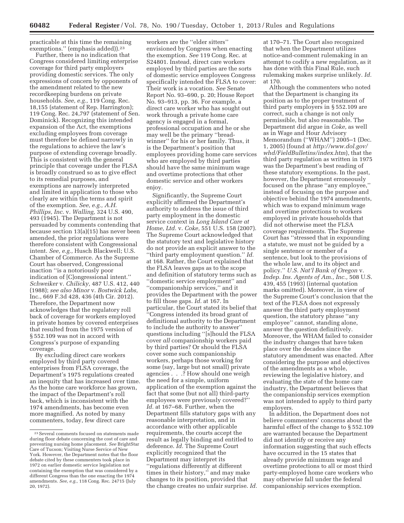practicable at this time the remaining exemptions." (emphasis added)).<sup>23</sup>

Further, there is no indication that Congress considered limiting enterprise coverage for third party employers providing domestic services. The only expressions of concern by opponents of the amendment related to the new recordkeeping burdens on private households. *See, e.g.,* 119 Cong. Rec. 18,155 (statement of Rep. Harrington); 119 Cong. Rec. 24,797 (statement of Sen. Dominick). Recognizing this intended expansion of the Act, the exemptions excluding employees from coverage must therefore be defined narrowly in the regulations to achieve the law's purpose of extending coverage broadly. This is consistent with the general principle that coverage under the FLSA is broadly construed so as to give effect to its remedial purposes, and exemptions are narrowly interpreted and limited in application to those who clearly are within the terms and spirit of the exemption. *See, e.g., A.H. Phillips, Inc.* v. *Walling,* 324 U.S. 490, 493 (1945). The Department is not persuaded by comments contending that because section 13(a)(15) has never been amended, the prior regulations were therefore consistent with Congressional intent. *See, e.g.,* Husch Blackwell; U.S. Chamber of Commerce. As the Supreme Court has observed, Congressional inaction ''is a notoriously poor indication of [C]ongressional intent.'' *Schweiker* v. *Chilicky,* 487 U.S. 412, 440 (1988); *see also Minor* v. *Bostwick Labs,*  Inc., 669 F.3d 428, 436 (4th Cir. 2012). Therefore, the Department now acknowledges that the regulatory roll back of coverage for workers employed in private homes by covered enterprises that resulted from the 1975 version of § 552.109 was not in accord with Congress's purpose of expanding coverage.

By excluding direct care workers employed by third party covered enterprises from FLSA coverage, the Department's 1975 regulations created an inequity that has increased over time. As the home care workforce has grown, the impact of the Department's roll back, which is inconsistent with the 1974 amendments, has become even more magnified. As noted by many commenters, today, few direct care

workers are the ''elder sitters'' envisioned by Congress when enacting the exemption. *See* 119 Cong. Rec. at S24801. Instead, direct care workers employed by third parties are the sorts of domestic service employees Congress specifically intended the FLSA to cover: Their work is a vocation. *See* Senate Report No. 93–690, p. 20; House Report No. 93–913, pp. 36. For example, a direct care worker who has sought out work through a private home care agency is engaged in a formal, professional occupation and he or she may well be the primary ''breadwinner'' for his or her family. Thus, it is the Department's position that employees providing home care services who are employed by third parties should have the same minimum wage and overtime protections that other domestic service and other workers enjoy.

Significantly, the Supreme Court explicitly affirmed the Department's authority to address the issue of third party employment in the domestic service context in *Long Island Care at Home, Ltd.* v. *Coke,* 551 U.S. 158 (2007). The Supreme Court acknowledged that the statutory text and legislative history do not provide an explicit answer to the ''third party employment question.'' *Id.*  at 168. Rather, the Court explained that the FLSA leaves gaps as to the scope and definition of statutory terms such as ''domestic service employment'' and ''companionship services,'' and it provides the Department with the power to fill those gaps. *Id.* at 167. In particular, the Court stated its belief that ''Congress intended its broad grant of definitional authority to the Department to include the authority to answer'' questions including ''[s]hould the FLSA cover *all* companionship workers paid by third parties? Or should the FLSA cover some such companionship workers, perhaps those working for some (say, large but not small) private agencies . . .? How should one weigh the need for a simple, uniform application of the exemption against the fact that some (but not all) third-party employees were previously covered?'' *Id.* at 167–68. Further, when the Department fills statutory gaps with any reasonable interpretation, and in accordance with other applicable requirements, the courts accept the result as legally binding and entitled to deference. *Id.* The Supreme Court explicitly recognized that the Department may interpret its ''regulations differently at different times in their history,'' and may make changes to its position, provided that the change creates no unfair surprise. *Id.*  at 170–71. The Court also recognized that when the Department utilizes notice-and-comment rulemaking in an attempt to codify a new regulation, as it has done with this Final Rule, such rulemaking makes surprise unlikely. *Id.*  at 170.

Although the commenters who noted that the Department is changing its position as to the proper treatment of third party employers in § 552.109 are correct, such a change is not only permissible, but also reasonable. The Department did argue in *Coke,* as well as in Wage and Hour Advisory Memorandum (''WHAM'') 2005–1 (Dec. 1, 2005) (found at *http://www.dol.gov/ whd/FieldBulletins/index.htm*), that the third party regulation as written in 1975 was the Department's best reading of these statutory exemptions. In the past, however, the Department erroneously focused on the phrase ''any employee,'' instead of focusing on the purpose and objective behind the 1974 amendments, which was to expand minimum wage and overtime protections to workers employed in private households that did not otherwise meet the FLSA coverage requirements. The Supreme Court has ''stressed that in expounding a statute, we must not be guided by a single sentence or member of a sentence, but look to the provisions of the whole law, and to its object and policy.'' *U.S. Nat'l Bank of Oregon* v. *Indep. Ins. Agents of Am., Inc.,* 508 U.S. 439, 455 (1993) (internal quotation marks omitted). Moreover, in view of the Supreme Court's conclusion that the text of the FLSA does not expressly answer the third party employment question, the statutory phrase ''any employee'' cannot, standing alone, answer the question definitively. Moreover, the WHAM failed to consider the industry changes that have taken place over the decades since the statutory amendment was enacted. After considering the purpose and objectives of the amendments as a whole, reviewing the legislative history, and evaluating the state of the home care industry, the Department believes that the companionship services exemption was not intended to apply to third party employers.

In addition, the Department does not believe commenters' concerns about the harmful effect of the change to § 552.109 are warranted because the Department did not identify or receive any information suggesting that such effects have occurred in the 15 states that already provide minimum wage and overtime protections to all or most third party-employed home care workers who may otherwise fall under the federal companionship services exemption.

<sup>23</sup>Several comments focused on statements made during floor debate concerning the cost of care and preventing nursing home placement. *See* BrightStar Care of Tucson; Visiting Nurse Service of New York. However, the Department notes that the floor debate cited by these commenters took place in 1972 on earlier domestic service legislation not containing the exemption that was considered by a different Congress than the one enacting the 1974 amendments. *See, e.g.,* 118 Cong. Rec. 24715 (July 20, 1972).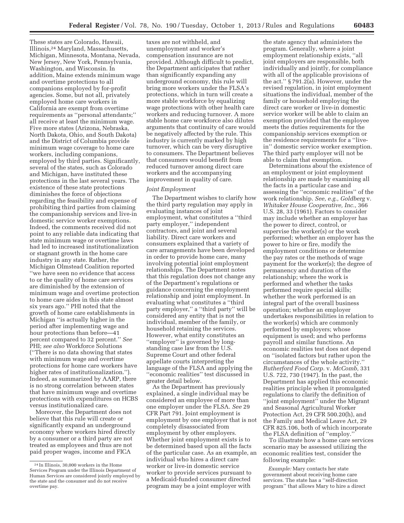These states are Colorado, Hawaii, Illinois,24 Maryland, Massachusetts, Michigan, Minnesota, Montana, Nevada, New Jersey, New York, Pennsylvania, Washington, and Wisconsin. In addition, Maine extends minimum wage and overtime protections to all companions employed by for-profit agencies. Some, but not all, privately employed home care workers in California are exempt from overtime requirements as ''personal attendants;'' all receive at least the minimum wage. Five more states (Arizona, Nebraska, North Dakota, Ohio, and South Dakota) and the District of Columbia provide minimum wage coverage to home care workers, including companions, employed by third parties. Significantly, several of the states, such as Colorado and Michigan, have instituted these protections in the last several years. The existence of these state protections diminishes the force of objections regarding the feasibility and expense of prohibiting third parties from claiming the companionship services and live-in domestic service worker exemptions. Indeed, the comments received did not point to any reliable data indicating that state minimum wage or overtime laws had led to increased institutionalization or stagnant growth in the home care industry in any state. Rather, the Michigan Olmstead Coalition reported ''we have seen no evidence that access to or the quality of home care services are diminished by the extension of minimum wage and overtime protection to home care aides in this state almost six years ago.'' PHI noted that the growth of home care establishments in Michigan ''is actually higher in the period after implementing wage and hour protections than before—41 percent compared to 32 percent.'' *See*  PHI; *see also* Workforce Solutions (''There is no data showing that states with minimum wage and overtime protections for home care workers have higher rates of institutionalization.''). Indeed, as summarized by AARP, there is no strong correlation between states that have minimum wage and overtime protections with expenditures on HCBS versus institutionalized care.

Moreover, the Department does not believe that this rule will create or significantly expand an underground economy where workers hired directly by a consumer or a third party are not treated as employees and thus are not paid proper wages, income and FICA

taxes are not withheld, and unemployment and worker's compensation insurance are not provided. Although difficult to predict, the Department anticipates that rather than significantly expanding any underground economy, this rule will bring more workers under the FLSA's protections, which in turn will create a more stable workforce by equalizing wage protections with other health care workers and reducing turnover. A more stable home care workforce also dilutes arguments that continuity of care would be negatively affected by the rule. This industry is currently marked by high turnover, which can be very disruptive to consumers. The Department believes that consumers would benefit from reduced turnover among direct care workers and the accompanying improvement in quality of care.

#### *Joint Employment*

The Department wishes to clarify how the third party regulation may apply in evaluating instances of joint employment, what constitutes a ''third party employer,'' independent contractors, and joint and several liability. Direct care workers and consumers explained that a variety of care arrangements have been developed in order to provide home care, many involving potential joint employment relationships. The Department notes that this regulation does not change any of the Department's regulations or guidance concerning the employment relationship and joint employment. In evaluating what constitutes a ''third party employer,'' a ''third party'' will be considered any entity that is not the individual, member of the family, or household retaining the services. However, what entity constitutes an ''employer'' is governed by longstanding case law from the U.S. Supreme Court and other federal appellate courts interpreting the language of the FLSA and applying the ''economic realities'' test discussed in greater detail below.

As the Department has previously explained, a single individual may be considered an employee of more than one employer under the FLSA. *See* 29 CFR Part 791. Joint employment is employment by one employer that is not completely disassociated from employment by other employers. Whether joint employment exists is to be determined based upon all the facts of the particular case. As an example, an individual who hires a direct care worker or live-in domestic service worker to provide services pursuant to a Medicaid-funded consumer directed program may be a joint employer with

the state agency that administers the program. Generally, where a joint employment relationship exists, ''all joint employers are responsible, both individually and jointly, for compliance with all of the applicable provisions of the act.'' § 791.2(a). However, under the revised regulation, in joint employment situations the individual, member of the family or household employing the direct care worker or live-in domestic service worker will be able to claim an exemption provided that the employee meets the duties requirements for the companionship services exemption or the residence requirements for a ''livein'' domestic service worker exemption. The third party employer will not be able to claim that exemption.

Determinations about the existence of an employment or joint employment relationship are made by examining all the facts in a particular case and assessing the ''economic realities'' of the work relationship. *See, e.g., Goldberg* v. *Whitaker House Cooperative, Inc.,* 366 U.S. 28, 33 (1961). Factors to consider may include whether an employer has the power to direct, control, or supervise the worker(s) or the work performed; whether an employer has the power to hire or fire, modify the employment conditions or determine the pay rates or the methods of wage payment for the worker(s); the degree of permanency and duration of the relationship; where the work is performed and whether the tasks performed require special skills; whether the work performed is an integral part of the overall business operation; whether an employer undertakes responsibilities in relation to the worker(s) which are commonly performed by employers; whose equipment is used; and who performs payroll and similar functions. An economic realities test does not depend on ''isolated factors but rather upon the circumstances of the whole activity.'' *Rutherford Food Corp.* v. *McComb,* 331 U.S. 722, 730 (1947). In the past, the Department has applied this economic realities principle when it promulgated regulations to clarify the definition of ''joint employment'' under the Migrant and Seasonal Agricultural Worker Protection Act, 29 CFR 500.20(h), and the Family and Medical Leave Act, 29 CFR 825.106, both of which incorporate the FLSA definition of ''employ.''

To illustrate how a home care services scenario may be assessed utilizing the economic realities test, consider the following example:

*Example:* Mary contacts her state government about receiving home care services. The state has a ''self-direction program'' that allows Mary to hire a direct

<sup>24</sup> In Illinois, 30,000 workers in the Home Services Program under the Illinois Department of Human Services are considered jointly employed by the state and the consumer and do not receive overtime pay.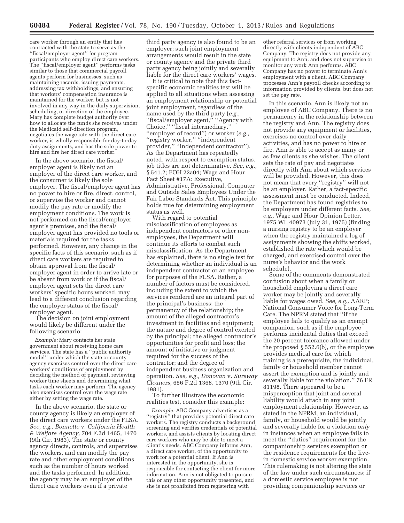care worker through an entity that has contracted with the state to serve as the ''fiscal/employer agent'' for program participants who employ direct care workers. The ''fiscal/employer agent'' performs tasks similar to those that commercial payroll agents perform for businesses, such as maintaining records, issuing payments, addressing tax withholdings, and ensuring that workers' compensation insurance is maintained for the worker, but is not involved in any way in the daily supervision, scheduling, or direction of the employee. Mary has complete budget authority over how to allocate the funds she receives under the Medicaid self-direction program, negotiates the wage rate with the direct care worker, is wholly responsible for day-to-day duty assignments, and has the sole power to hire and fire her direct care worker.

In the above scenario, the fiscal/ employer agent is likely not an employer of the direct care worker, and the consumer is likely the sole employer. The fiscal/employer agent has no power to hire or fire, direct, control, or supervise the worker and cannot modify the pay rate or modify the employment conditions. The work is not performed on the fiscal/employer agent's premises, and the fiscal/ employer agent has provided no tools or materials required for the tasks performed. However, any change in the specific facts of this scenario, such as if direct care workers are required to obtain approval from the fiscal/ employer agent in order to arrive late or be absent from work or if the fiscal/ employer agent sets the direct care workers' specific hours worked, may lead to a different conclusion regarding the employer status of the fiscal/ employer agent.

The decision on joint employment would likely be different under the following scenario:

*Example:* Mary contacts her state government about receiving home care services. The state has a ''public authority model'' under which the state or county agency exercises control over the direct care workers' conditions of employment by deciding the method of payment, reviewing worker time sheets and determining what tasks each worker may perform. The agency also exercises control over the wage rate either by setting the wage rate.

In the above scenario, the state or county agency is likely an employer of the direct care workers under the FLSA. *See, e.g., Bonnette* v. *California Health & Welfare Agency,* 704 F.2d 1465, 1470 (9th Cir. 1983). The state or county agency directs, controls, and supervises the workers, and can modify the pay rate and other employment conditions such as the number of hours worked and the tasks performed. In addition, the agency may be an employer of the direct care workers even if a private

third party agency is also found to be an employer; such joint employment arrangements would result in the state or county agency and the private third party agency being jointly and severally liable for the direct care workers' wages.

It is critical to note that this factspecific economic realities test will be applied to all situations when assessing an employment relationship or potential joint employment, regardless of the name used by the third party (*e.g.,*  ''fiscal/employer agent,'' ''Agency with Choice,'' ''fiscal intermediary,'' ''employer of record'') or worker (*e.g.,*  ''registry worker,'' ''independent provider,'' ''independent contractor''). As the Department has repeatedly noted, with respect to exemption status, job titles are not determinative. *See, e.g.,*  § 541.2; FOH 22a04; Wage and Hour Fact Sheet #17A: Executive, Administrative, Professional, Computer and Outside Sales Employees Under the Fair Labor Standards Act. This principle holds true for determining employment status as well.

With regard to potential misclassification of employees as independent contractors or other nonemployees, the Department will continue its efforts to combat such misclassification. As the Department has explained, there is no single test for determining whether an individual is an independent contractor or an employee for purposes of the FLSA. Rather, a number of factors must be considered, including the extent to which the services rendered are an integral part of the principal's business; the permanency of the relationship; the amount of the alleged contractor's investment in facilities and equipment; the nature and degree of control exerted by the principal; the alleged contractor's opportunities for profit and loss; the amount of initiative or judgment required for the success of the contractor; and the degree of independent business organization and operation. *See, e.g., Donovan* v. *Sureway Cleaners,* 656 F.2d 1368, 1370 (9th Cir. 1981).

To further illustrate the economic realities test, consider this example:

*Example:* ABC Company advertises as a ''registry'' that provides potential direct care workers. The registry conducts a background screening and verifies credentials of potential workers, and assists clients by locating direct care workers who may be able to meet a client's needs. ABC Company informs Ann, a direct care worker, of the opportunity to work for a potential client. If Ann is interested in the opportunity, she is responsible for contacting the client for more information. Ann is not obligated to pursue this or any other opportunity presented, and she is not prohibited from registering with

other referral services or from working directly with clients independent of ABC Company. The registry does not provide any equipment to Ann, and does not supervise or monitor any work Ann performs. ABC Company has no power to terminate Ann's employment with a client. ABC Company processes Ann's payroll checks according to information provided by clients, but does not set the pay rate.

In this scenario, Ann is likely not an employee of ABC Company. There is no permanency in the relationship between the registry and Ann. The registry does not provide any equipment or facilities, exercises no control over daily activities, and has no power to hire or fire. Ann is able to accept as many or as few clients as she wishes. The client sets the rate of pay and negotiates directly with Ann about which services will be provided. However, this does not mean that every ''registry'' will not be an employer. Rather, a fact-specific assessment must be conducted. Indeed, the Department has found registries to be employers under different facts. *See, e.g.,* Wage and Hour Opinion Letter, 1975 WL 40973 (July 31, 1975) (finding a nursing registry to be an employer when the registry maintained a log of assignments showing the shifts worked, established the rate which would be charged, and exercised control over the nurse's behavior and the work schedule).

Some of the comments demonstrated confusion about when a family or household employing a direct care worker may be jointly and severally liable for wages owed. *See, e.g.,* AARP; National Consumer Voice for Long-Term Care. The NPRM stated that ''if the employee fails to qualify as an exempt companion, such as if the employee performs incidental duties that exceed the 20 percent tolerance allowed under the proposed § 552.6(b), or the employee provides medical care for which training is a prerequisite, the individual, family or household member cannot assert the exemption and is jointly and severally liable for the violation.'' 76 FR 81198. There appeared to be a misperception that joint and several liability would attach in any joint employment relationship. However, as stated in the NPRM, an individual, family, or household would be jointly and severally liable for a violation *only*  in instances when an employee fails to meet the ''duties'' requirement for the companionship services exemption or the residence requirements for the livein domestic service worker exemption. This rulemaking is not altering the state of the law under such circumstances; if a domestic service employee is not providing companionship services or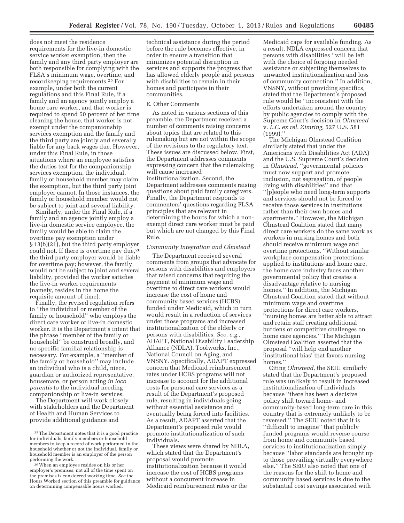does not meet the residence requirements for the live-in domestic service worker exemption, then the family and any third party employer are both responsible for complying with the FLSA's minimum wage, overtime, and recordkeeping requirements.25 For example, under both the current regulations and this Final Rule, if a family and an agency jointly employ a home care worker, and that worker is required to spend 50 percent of her time cleaning the house, that worker is not exempt under the companionship services exemption and the family and the third party are jointly and severally liable for any back wages due. However, under this Final Rule, in those situations where an employee satisfies the duties test for the companionship services exemption, the individual, family or household member may claim the exemption, but the third party joint employer cannot. In those instances, the family or household member would not be subject to joint and several liability.

Similarly, under the Final Rule, if a family and an agency jointly employ a live-in domestic service employee, the family would be able to claim the overtime pay exemption under § 13(b)(21), but the third party employer could not. If there is overtime pay due,<sup>26</sup> the third party employer would be liable for overtime pay; however, the family would not be subject to joint and several liability, provided the worker satisfies the live-in worker requirements (namely, resides in the home the requisite amount of time).

Finally, the revised regulation refers to ''the individual or member of the family or household'' who employs the direct care worker or live-in domestic worker. It is the Department's intent that the phrase ''member of the family or household'' be construed broadly, and no specific familial relationship is necessary. For example, a ''member of the family or household'' may include an individual who is a child, niece, guardian or authorized representative, housemate, or person acting *in loco parentis* to the individual needing companionship or live-in services.

The Department will work closely with stakeholders and the Department of Health and Human Services to provide additional guidance and

technical assistance during the period before the rule becomes effective, in order to ensure a transition that minimizes potential disruption in services and supports the progress that has allowed elderly people and persons with disabilities to remain in their homes and participate in their communities.

# E. Other Comments

As noted in various sections of this preamble, the Department received a number of comments raising concerns about topics that are related to this rulemaking but are not within the scope of the revisions to the regulatory text. These issues are discussed below. First, the Department addresses comments expressing concern that the rulemaking will cause increased institutionalization. Second, the Department addresses comments raising questions about paid family caregivers. Finally, the Department responds to commenters' questions regarding FLSA principles that are relevant in determining the hours for which a nonexempt direct care worker must be paid but which are not changed by this Final Rule.

#### *Community Integration and Olmstead*

The Department received several comments from groups that advocate for persons with disabilities and employers that raised concerns that requiring the payment of minimum wage and overtime to direct care workers would increase the cost of home and community based services (HCBS) funded under Medicaid, which in turn would result in a reduction of services under those programs and increased institutionalization of the elderly or persons with disabilities. *See, e.g.,*  ADAPT, National Disability Leadership Alliance (NDLA), Toolworks, Inc., National Council on Aging, and VNSNY. Specifically, ADAPT expressed concern that Medicaid reimbursement rates under HCBS programs will not increase to account for the additional costs for personal care services as a result of the Department's proposed rule, resulting in individuals going without essential assistance and eventually being forced into facilities. As a result, ADAPT asserted that the Department's proposed rule would promote institutionalization of such individuals.

These views were shared by NDLA, which stated that the Department's proposal would promote institutionalization because it would increase the cost of HCBS programs without a concurrent increase in Medicaid reimbursement rates or the

Medicaid caps for available funding. As a result, NDLA expressed concern that persons with disabilities ''will be left with the choice of forgoing needed assistance or subjecting themselves to unwanted institutionalization and loss of community connection.'' In addition, VNSNY, without providing specifics, stated that the Department's proposed rule would be ''inconsistent with the efforts undertaken around the country by public agencies to comply with the Supreme Court's decision in *Olmstead*  v. *L.C. ex rel. Zimring,* 527 U.S. 581  $(1999)$ ."

The Michigan Olmstead Coalition similarly stated that under the Americans with Disabilities Act (ADA) and the U.S. Supreme Court's decision in *Olmstead,* ''governmental policies must now support and promote inclusion, not segregation, of people living with disabilities'' and that ''[p]eople who need long-term supports and services should not be forced to receive those services in institutions rather than their own homes and apartments.'' However, the Michigan Olmstead Coalition stated that many direct care workers do the same work as workers in nursing homes and both should receive minimum wage and overtime protections. ''Without similar workplace compensation protections applied to institutions and home care, the home care industry faces another governmental policy that creates a disadvantage relative to nursing homes.'' In addition, the Michigan Olmstead Coalition stated that without minimum wage and overtime protections for direct care workers, ''nursing homes are better able to attract and retain staff creating additional burdens or competitive challenges on home care agencies.'' The Michigan Olmstead Coalition asserted that the proposal ''will help end another 'institutional bias' that favors nursing homes.''

Citing *Olmstead,* the SEIU similarly stated that the Department's proposed rule was unlikely to result in increased institutionalization of individuals because ''there has been a decisive policy shift toward home- and community-based long-term care in this country that is extremely unlikely to be reversed.'' The SEIU noted that it is ''difficult to imagine'' that publicly funded programs would reverse course from home and community based services to institutionalization simply because ''labor standards are brought up to those prevailing virtually everywhere else.'' The SEIU also noted that one of the reasons for the shift to home and community based services is due to the substantial cost savings associated with

<sup>25</sup>The Department notes that it is a good practice for individuals, family members or household members to keep a record of work performed in the household whether or not the individual, family or household member is an employer of the person performing the work.

<sup>26</sup>When an employee resides on his or her employer's premises, not all of the time spent on the premises is considered working time. *See* the Hours Worked section of this preamble for guidance on determining compensable hours worked.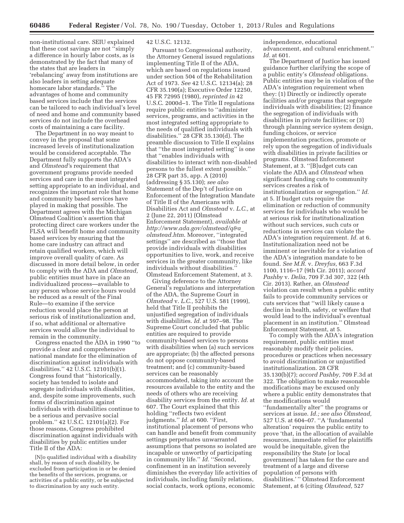non-institutional care. SEIU explained that these cost savings are not ''simply a difference in hourly labor costs, as is demonstrated by the fact that many of the states that are leaders in 'rebalancing' away from institutions are also leaders in setting adequate homecare labor standards.'' The advantages of home and community based services include that the services can be tailored to each individual's level of need and home and community based services do not include the overhead costs of maintaining a care facility.

The Department in no way meant to convey in the proposal that some increased levels of institutionalization would be considered acceptable. The Department fully supports the ADA's and *Olmstead'*s requirement that government programs provide needed services and care in the most integrated setting appropriate to an individual, and recognizes the important role that home and community based services have played in making that possible. The Department agrees with the Michigan Olmstead Coalition's assertion that protecting direct care workers under the FLSA will benefit home and community based services by ensuring that the home care industry can attract and retain qualified workers, which will improve overall quality of care. As discussed in more detail below, in order to comply with the ADA and *Olmstead,*  public entities must have in place an individualized process—available to any person whose service hours would be reduced as a result of the Final Rule—to examine if the service reduction would place the person at serious risk of institutionalization and, if so, what additional or alternative services would allow the individual to remain in the community.

Congress enacted the ADA in 1990 ''to provide a clear and comprehensive national mandate for the elimination of discrimination against individuals with disabilities.'' 42 U.S.C. 12101(b)(1). Congress found that ''historically, society has tended to isolate and segregate individuals with disabilities, and, despite some improvements, such forms of discrimination against individuals with disabilities continue to be a serious and pervasive social problem.'' 42 U.S.C. 12101(a)(2). For those reasons, Congress prohibited discrimination against individuals with disabilities by public entities under Title II of the ADA:

[N]o qualified individual with a disability shall, by reason of such disability, be excluded from participation in or be denied the benefits of the services, programs, or activities of a public entity, or be subjected to discrimination by any such entity.

## 42 U.S.C. 12132.

Pursuant to Congressional authority, the Attorney General issued regulations implementing Title II of the ADA, which are based on regulations issued under section 504 of the Rehabilitation Act of 1973. *See* 42 U.S.C. 12134(a); 28 CFR 35.190(a); Executive Order 12250, 45 FR 72995 (1980), *reprinted in* 42 U.S.C. 2000d–1. The Title II regulations require public entities to ''administer services, programs, and activities in the most integrated setting appropriate to the needs of qualified individuals with disabilities.'' 28 CFR 35.130(d). The preamble discussion to Title II explains that ''the most integrated setting'' is one that ''enables individuals with disabilities to interact with non-disabled persons to the fullest extent possible.'' 28 CFR part 35, app. A (2010) (addressing § 35.130); *see also*  Statement of the Dep't of Justice on Enforcement of the Integration Mandate of Title II of the Americans with Disabilities Act and *Olmstead* v. *L.C.,* at 2 (June 22, 2011) (Olmstead Enforcement Statement), *available at http://www.ada.gov/olmstead/q&a*\_ *olmstead.htm*. Moreover, ''integrated settings'' are described as ''those that provide individuals with disabilities opportunities to live, work, and receive services in the greater community, like individuals without disabilities. Olmstead Enforcement Statement, at 3.

Giving deference to the Attorney General's regulations and interpretation of the ADA, the Supreme Court in *Olmstead* v. *L.C.,* 527 U.S. 581 (1999), held that Title II prohibits the unjustified segregation of individuals with disabilities. *Id.* at 597–98. The Supreme Court concluded that public entities are required to provide community-based services to persons with disabilities when (a) such services are appropriate; (b) the affected persons do not oppose community-based treatment; and (c) community-based services can be reasonably accommodated, taking into account the resources available to the entity and the needs of others who are receiving disability services from the entity. *Id.* at 607. The Court explained that this holding ''reflects two evident judgments." *Id.* at 600. "First, institutional placement of persons who can handle and benefit from community settings perpetuates unwarranted assumptions that persons so isolated are incapable or unworthy of participating in community life." *Id.* "Second, confinement in an institution severely diminishes the everyday life activities of individuals, including family relations, social contacts, work options, economic

independence, educational advancement, and cultural enrichment.'' *Id.* at 601.

The Department of Justice has issued guidance further clarifying the scope of a public entity's *Olmstead* obligations. Public entities may be in violation of the ADA's integration requirement when they: (1) Directly or indirectly operate facilities and/or programs that segregate individuals with disabilities; (2) finance the segregation of individuals with disabilities in private facilities; or (3) through planning service system design, funding choices, or service implementation practices, promote or rely upon the segregation of individuals with disabilities in private facilities or programs. Olmstead Enforcement Statement, at 3. "[B]udget cuts can violate the ADA and *Olmstead* when significant funding cuts to community services creates a risk of institutionalization or segregation.'' *Id.*  at 5. If budget cuts require the elimination or reduction of community services for individuals who would be at serious risk for institutionalization without such services, such cuts or reductions in services can violate the ADA's integration requirement. *Id.* at 6. Institutionalization need not be imminent or inevitable for a violation of the ADA's integration mandate to be found. *See M.R.* v. *Dreyfus,* 663 F.3d 1100, 1116–17 (9th Cir. 2011); *accord Pashby* v. *Delia,* 709 F.3d 307, 322 (4th Cir. 2013). Rather, an *Olmstead*  violation can result when a public entity fails to provide community services or cuts services that ''will likely cause a decline in health, safety, or welfare that would lead to the individual's eventual placement in an institution.'' Olmstead Enforcement Statement, at 5.

To comply with the ADA's integration requirement, public entities must reasonably modify their policies, procedures or practices when necessary to avoid discrimination or unjustified institutionalization. 28 CFR 35.130(b)(7); *accord Pashby,* 709 F.3d at 322. The obligation to make reasonable modifications may be excused only where a public entity demonstrates that the modifications would ''fundamentally alter'' the programs or services at issue. *Id.; see also Olmstead,*  527 U.S. at 604–07. ''A 'fundamental alteration' requires the public entity to prove 'that, in the allocation of available resources, immediate relief for plaintiffs would be inequitable, given the responsibility the State [or local government] has taken for the care and treatment of a large and diverse population of persons with disabilities.' '' Olmstead Enforcement Statement, at 6 (citing *Olmstead,* 527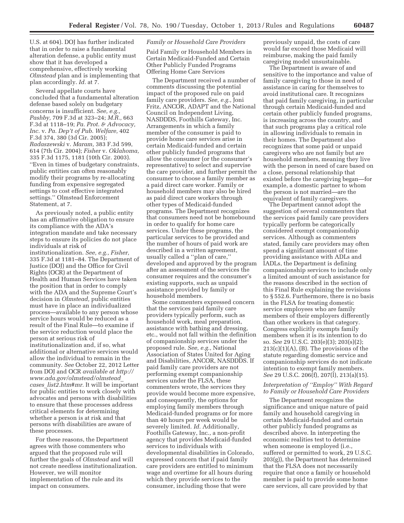U.S. at 604). DOJ has further indicated that in order to raise a fundamental alteration defense, a public entity must show that it has developed a comprehensive, effectively working *Olmstead* plan and is implementing that plan accordingly. *Id.* at 7.

Several appellate courts have concluded that a fundamental alteration defense based solely on budgetary concerns is insufficient. *See, e.g., Pashby,* 709 F.3d at 323–24; *M.R.,* 663 F.3d at 1118–19; *Pa. Prot. & Advocacy, Inc.* v. *Pa. Dep't of Pub. Welfare,* 402 F.3d 374, 380 (3d Cir. 2005); *Radaszewski* v. *Maram,* 383 F.3d 599, 614 (7th Cir. 2004); *Fisher* v. *Oklahoma,*  335 F.3d 1175, 1181 (10th Cir. 2003). ''Even in times of budgetary constraints, public entities can often reasonably modify their programs by re-allocating funding from expensive segregated settings to cost effective integrated settings.'' Olmstead Enforcement Statement, at 7.

As previously noted, a public entity has an affirmative obligation to ensure its compliance with the ADA's integration mandate and take necessary steps to ensure its policies do not place individuals at risk of institutionalization. *See, e.g., Fisher,*  335 F.3d at 1181–84. The Department of Justice (DOJ) and the Office for Civil Rights (OCR) at the Department of Health and Human Services have taken the position that in order to comply with the ADA and the Supreme Court's decision in *Olmstead,* public entities must have in place an individualized process—available to any person whose service hours would be reduced as a result of the Final Rule—to examine if the service reduction would place the person at serious risk of institutionalization and, if so, what additional or alternative services would allow the individual to remain in the community. *See* October 22, 2012 Letter from DOJ and OCR *available at http:// www.ada.gov/olmstead/olmstead*\_ *cases*\_*list2.htm#mr.* It will be important for public entities to work closely with advocates and persons with disabilities to ensure that these processes address critical elements for determining whether a person is at risk and that persons with disabilities are aware of these processes.

For these reasons, the Department agrees with those commenters who argued that the proposed rule will further the goals of *Olmstead* and will not create needless institutionalization. However, we will monitor implementation of the rule and its impact on consumers.

### *Family or Household Care Providers*

Paid Family or Household Members in Certain Medicaid-Funded and Certain Other Publicly Funded Programs Offering Home Care Services

The Department received a number of comments discussing the potential impact of the proposed rule on paid family care providers. *See, e.g.,* Joni Fritz, ANCOR, ADAPT and the National Council on Independent Living, NASDDDS, Foothills Gateway, Inc. Arrangements in which a family member of the consumer is paid to provide home care services arise in certain Medicaid-funded and certain other publicly funded programs that allow the consumer (or the consumer's representative) to select and supervise the care provider, and further permit the consumer to choose a family member as a paid direct care worker. Family or household members may also be hired as paid direct care workers through other types of Medicaid-funded programs. The Department recognizes that consumers need not be homebound in order to qualify for home care services. Under these programs, the particular services to be provided and the number of hours of paid work are described in a written agreement, usually called a ''plan of care,'' developed and approved by the program after an assessment of the services the consumer requires and the consumer's existing supports, such as unpaid assistance provided by family or household members.

Some commenters expressed concern that the services paid family care providers typically perform, such as household work, meal preparation, assistance with bathing and dressing, etc., would not fall within the definition of companionship services under the proposed rule. *See, e.g.,* National Association of States United for Aging and Disabilities, ANCOR, NASDDDS. If paid family care providers are not performing exempt companionship services under the FLSA, these commenters wrote, the services they provide would become more expensive, and consequently, the options for employing family members through Medicaid-funded programs or for more than 40 hours per week would be severely limited. *Id.* Additionally, Foothills Gateway, Inc., a non-profit agency that provides Medicaid-funded services to individuals with developmental disabilities in Colorado, expressed concern that if paid family care providers are entitled to minimum wage and overtime for all hours during which they provide services to the consumer, including those that were

previously unpaid, the costs of care would far exceed those Medicaid will reimburse, making the paid family caregiving model unsustainable.

The Department is aware of and sensitive to the importance and value of family caregiving to those in need of assistance in caring for themselves to avoid institutional care. It recognizes that paid family caregiving, in particular through certain Medicaid-funded and certain other publicly funded programs, is increasing across the country, and that such programs play a critical role in allowing individuals to remain in their homes. The Department also recognizes that some paid or unpaid caregivers who are not family but are household members, meaning they live with the person in need of care based on a close, personal relationship that existed before the caregiving began—for example, a domestic partner to whom the person is not married—are the equivalent of family caregivers.

The Department cannot adopt the suggestion of several commenters that the services paid family care providers typically perform be categorically considered exempt companionship services. Although as commenters stated, family care providers may often spend a significant amount of time providing assistance with ADLs and IADLs, the Department is defining companionship services to include only a limited amount of such assistance for the reasons described in the section of this Final Rule explaining the revisions to § 552.6. Furthermore, there is no basis in the FLSA for treating domestic service employees who are family members of their employers differently than other workers in that category. Congress explicitly exempts family members when it is its intention to do so. *See* 29 U.S.C. 203(e)(3); 203(s)(2);  $213(c)(1)(A)$ , (B). The provisions of the statute regarding domestic service and companionship services do not indicate intention to exempt family members. *See* 29 U.S.C. 206(f), 207(l), 213(a)(15).

# *Interpretation of ''Employ'' With Regard to Family or Household Care Providers*

The Department recognizes the significance and unique nature of paid family and household caregiving in certain Medicaid-funded and certain other publicly funded programs as described above. In interpreting the economic realities test to determine when someone is employed (i.e., suffered or permitted to work, 29 U.S.C. 203(g)), the Department has determined that the FLSA does not necessarily require that once a family or household member is paid to provide some home care services, all care provided by that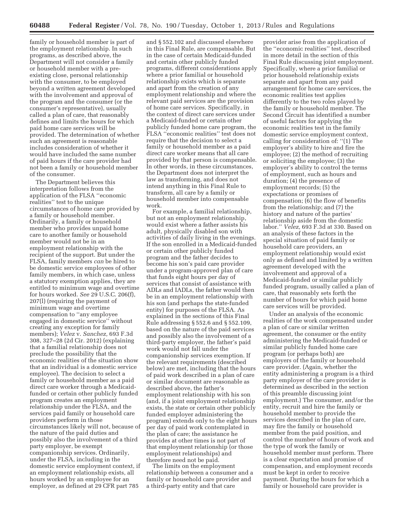family or household member is part of the employment relationship. In such programs, as described above, the Department will not consider a family or household member with a preexisting close, personal relationship with the consumer, to be employed beyond a written agreement developed with the involvement and approval of the program and the consumer (or the consumer's representative), usually called a plan of care, that reasonably defines and limits the hours for which paid home care services will be provided. The determination of whether such an agreement is reasonable includes consideration of whether it would have included the same number of paid hours if the care provider had not been a family or household member of the consumer.

The Department believes this interpretation follows from the application of the FLSA ''economic realities'' test to the unique circumstances of home care provided by a family or household member. Ordinarily, a family or household member who provides unpaid home care to another family or household member would not be in an employment relationship with the recipient of the support. But under the FLSA, family members *can* be hired to be domestic service employees of other family members, in which case, unless a statutory exemption applies, they are entitled to minimum wage and overtime for hours worked. *See* 29 U.S.C. 206(f), 207(l) (requiring the payment of minimum wage and overtime compensation to ''any employee engaged in domestic service'' without creating any exception for family members); *Velez* v. *Sanchez,* 693 F.3d 308, 327–28 (2d Cir. 2012) (explaining that a familial relationship does not preclude the possibility that the economic realities of the situation show that an individual is a domestic service employee). The decision to select a family or household member as a paid direct care worker through a Medicaidfunded or certain other publicly funded program creates an employment relationship under the FLSA, and the services paid family or household care providers perform in those circumstances likely will not, because of the nature of the paid duties and possibly also the involvement of a third party employer, be exempt companionship services. Ordinarily, under the FLSA, including in the domestic service employment context, if an employment relationship exists, all hours worked by an employee for an employer, as defined at 29 CFR part 785

and § 552.102 and discussed elsewhere in this Final Rule, are compensable. But in the case of certain Medicaid-funded and certain other publicly funded programs, different considerations apply where a prior familial or household relationship exists which is separate and apart from the creation of any employment relationship and where the relevant paid services are the provision of home care services. Specifically, in the context of direct care services under a Medicaid-funded or certain other publicly funded home care program, the FLSA ''economic realities'' test does not require that the decision to select a family or household member as a paid direct care worker means that all care provided by that person is compensable. In other words, in these circumstances, the Department does not interpret the law as transforming, and does not intend anything in this Final Rule to transform, all care by a family or household member into compensable work.

For example, a familial relationship, but not an employment relationship, would exist where a father assists his adult, physically disabled son with activities of daily living in the evenings. If the son enrolled in a Medicaid-funded or certain other publicly funded program and the father decides to become his son's paid care provider under a program-approved plan of care that funds eight hours per day of services that consist of assistance with ADLs and IADLs, the father would then be in an employment relationship with his son (and perhaps the state-funded entity) for purposes of the FLSA. As explained in the sections of this Final Rule addressing § 552.6 and § 552.109, based on the nature of the paid services and possibly also the involvement of a third-party employer, the father's paid work would not fall under the companionship services exemption. If the relevant requirements (described below) are met, including that the hours of paid work described in a plan of care or similar document are reasonable as described above, the father's employment relationship with his son (and, if a joint employment relationship exists, the state or certain other publicly funded employer administering the program) extends only to the eight hours per day of paid work contemplated in the plan of care; the assistance he provides at other times is not part of that employment relationship (or those employment relationships) and therefore need not be paid.

The limits on the employment relationship between a consumer and a family or household care provider and a third-party entity and that care

provider arise from the application of the ''economic realities'' test, described in more detail in the section of this Final Rule discussing joint employment. Specifically, where a prior familial or prior household relationship exists separate and apart from any paid arrangement for home care services, the economic realities test applies differently to the two roles played by the family or household member. The Second Circuit has identified a number of useful factors for applying the economic realities test in the family domestic service employment context, calling for consideration of: ''(1) The employer's ability to hire and fire the employee; (2) the method of recruiting or soliciting the employee; (3) the employer's ability to control the terms of employment, such as hours and duration; (4) the presence of employment records; (5) the expectations or promises of compensation; (6) the flow of benefits from the relationship; and (7) the history and nature of the parties' relationship aside from the domestic labor.'' *Velez,* 693 F.3d at 330. Based on an analysis of these factors in the special situation of paid family or household care providers, an employment relationship would exist only as defined and limited by a written agreement developed with the involvement and approval of a Medicaid-funded or similar publicly funded program, usually called a plan of care, that reasonably sets forth the number of hours for which paid home care services will be provided.

Under an analysis of the economic realities of the work compensated under a plan of care or similar written agreement, the consumer or the entity administering the Medicaid-funded or similar publicly funded home care program (or perhaps both) are employers of the family or household care provider. (Again, whether the entity administering a program is a third party employer of the care provider is determined as described in the section of this preamble discussing joint employment.) The consumer, and/or the entity, recruit and hire the family or household member to provide the services described in the plan of care, may fire the family or household member from the paid position, and control the number of hours of work and the type of work the family or household member must perform. There is a clear expectation and promise of compensation, and employment records must be kept in order to receive payment. During the hours for which a family or household care provider is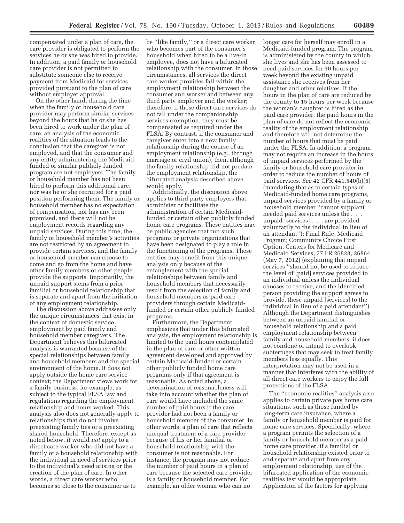compensated under a plan of care, the care provider is obligated to perform the services he or she was hired to provide. In addition, a paid family or household care provider is not permitted to substitute someone else to receive payment from Medicaid for services provided pursuant to the plan of care without employer approval.

On the other hand, during the time when the family or household care provider may perform similar services beyond the hours that he or she has been hired to work under the plan of care, an analysis of the economic realities of the situation leads to the conclusion that the caregiver is not employed, and that the consumer and any entity administering the Medicaidfunded or similar publicly funded program are not employers. The family or household member has not been hired to perform this additional care, nor was he or she recruited for a paid position performing them. The family or household member has no expectation of compensation, nor has any been promised, and there will not be employment records regarding any unpaid services. During this time, the family or household member's activities are not restricted by an agreement to provide certain services, and the family or household member can choose to come and go from the home and have other family members or other people provide the supports. Importantly, the unpaid support stems from a prior familial or household relationship that is separate and apart from the initiation of any employment relationship.

The discussion above addresses only the unique circumstances that exist in the context of domestic service employment by paid family and household member caregivers. The Department believes this bifurcated analysis is warranted because of the special relationships between family and household members and the special environment of the home. It does not apply outside the home care service context; the Department views work for a family business, for example, as subject to the typical FLSA law and regulations regarding the employment relationship and hours worked. This analysis also does not generally apply to relationships that do not involve preexisting family ties or a preexisting shared household. Therefore, except as noted below, it would *not* apply to a direct care worker who did not have a family or a household relationship with the individual in need of services prior to the individual's need arising or the creation of the plan of care. In other words, a direct care worker who becomes so close to the consumer as to

be ''like family,'' or a direct care worker who becomes part of the consumer's household when hired to be a live-in employee, does not have a bifurcated relationship with the consumer. In those circumstances, all services the direct care worker provides fall within the employment relationship between the consumer and worker and between any third party employer and the worker; therefore, if those direct care services do not fall under the companionship services exemption, they must be compensated as required under the FLSA. By contrast, if the consumer and caregiver enter into a new family relationship during the course of an employment relationship (e.g., through marriage or civil union), then, although the family relationship did not predate the employment relationship, the bifurcated analysis described above would apply.

Additionally, the discussion above applies to third party employers that administer or facilitate the administration of certain Medicaidfunded or certain other publicly funded home care programs. These entities may be public agencies that run such programs or private organizations that have been designated to play a role in the functioning of the programs. These entities may benefit from this unique analysis only because of the entanglement with the special relationships between family and household members that necessarily result from the selection of family and household members as paid care providers through certain Medicaidfunded or certain other publicly funded programs.

Furthermore, the Department emphasizes that under this bifurcated analysis, the employment relationship is limited to the paid hours contemplated in the plan of care or other written agreement developed and approved by certain Medicaid-funded or certain other publicly funded home care programs only if that agreement is reasonable. As noted above, a determination of reasonableness will take into account whether the plan of care would have included the same number of paid hours if the care provider had not been a family or household member of the consumer. In other words, a plan of care that reflects unequal treatment of a care provider because of his or her familial or household relationship with the consumer is not reasonable. For instance, the program may not reduce the number of paid hours in a plan of care because the selected care provider is a family or household member. For example, an older woman who can no

longer care for herself may enroll in a Medicaid-funded program. The program is administered by the county in which she lives and she has been assessed to need paid services for 30 hours per week beyond the existing unpaid assistance she receives from her daughter and other relatives. If the hours in the plan of care are reduced by the county to 15 hours per week because the woman's daughter is hired as the paid care provider, the paid hours in the plan of care do not reflect the economic reality of the employment relationship and therefore will not determine the number of hours that must be paid under the FLSA. In addition, a program may not require an increase in the hours of unpaid services performed by the family or household care provider in order to reduce the number of hours of paid services. *See* 42 CFR 441.540(b)(5) (mandating that as to certain types of Medicaid-funded home care programs, unpaid services provided by a family or household member ''cannot supplant needed paid services unless the . . . unpaid [services] . . . are provided voluntarily to the individual in lieu of an attendant''); Final Rule, Medicaid Program; Community Choice First Option, Centers for Medicare and Medicaid Services, 77 FR 26828, 26864 (May 7, 2012) (explaining that unpaid services ''should not be used to reduce the level of [paid] services provided to an individual unless the individual chooses to receive, and the identified person providing the support agrees to provide, these unpaid [services] to the individual in lieu of a paid attendant''). Although the Department distinguishes between an unpaid familial or household relationship and a paid employment relationship between family and household members, it does not condone or intend to overlook subterfuges that may seek to treat family members less equally. This interpretation may not be used in a manner that interferes with the ability of all direct care workers to enjoy the full protections of the FLSA.

The ''economic realities'' analysis also applies to certain private pay home care situations, such as those funded by long-term care insurance, where a family or household member is paid for home care services. Specifically, where a program permits the selection of a family or household member as a paid home care provider, if a familial or household relationship existed prior to and separate and apart from any employment relationship, use of the bifurcated application of the economic realities test would be appropriate. Application of the factors for applying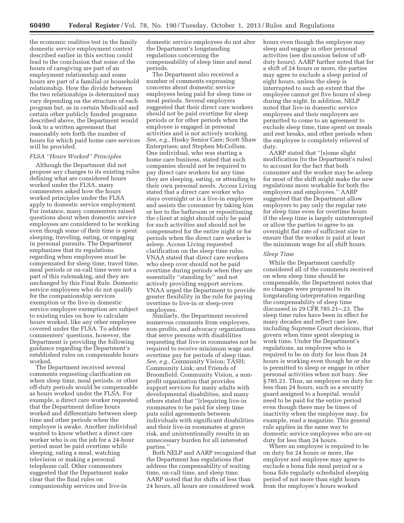the economic realities test in the family domestic service employment context described earlier in this section could lead to the conclusion that some of the hours of caregiving are part of an employment relationship and some hours are part of a familial or household relationship. How the divide between the two relationships is determined may vary depending on the structure of each program but, as in certain Medicaid and certain other publicly funded programs described above, the Department would look to a written agreement that reasonably sets forth the number of hours for which paid home care services will be provided.

## *FLSA ''Hours Worked'' Principles*

Although the Department did not propose any changes to its existing rules defining what are considered hours worked under the FLSA, many commenters asked how the hours worked principles under the FLSA apply to domestic service employment. For instance, many commenters raised questions about when domestic service employees are considered to be working even though some of their time is spent sleeping, traveling, eating, or engaging in personal pursuits. The Department emphasizes that its regulations regarding when employees must be compensated for sleep time, travel time, meal periods or on-call time were not a part of this rulemaking, and they are unchanged by this Final Rule. Domestic service employees who do not qualify for the companionship services exemption or the live-in domestic service employee exemption are subject to existing rules on how to calculate hours worked, like any other employee covered under the FLSA. To address commenters' questions, however, the Department is providing the following guidance regarding the Department's established rules on compensable hours worked.

The Department received several comments requesting clarification on when sleep time, meal periods, or other off-duty periods would be compensable as hours worked under the FLSA. For example, a direct care worker requested that the Department define hours worked and differentiate between sleep time and other periods when the employee is awake. Another individual wanted to know whether a direct care worker who is on the job for a 24-hour period must be paid overtime while sleeping, eating a meal, watching television or making a personal telephone call. Other commenters suggested that the Department make clear that the final rules on companionship services and live-in

domestic service employees do not alter the Department's longstanding regulations concerning the compensability of sleep time and meal periods.

The Department also received a number of comments expressing concerns about domestic service employees being paid for sleep time or meal periods. Several employers suggested that their direct care workers should not be paid overtime for sleep periods or for other periods when the employee is engaged in personal activities and is not actively working. *See, e.g.,* Husky Senior Care; Scott Shaw Enterprises; and Stephen McCollum. One individual, who was starting a home care business, stated that such companies should not be required to pay direct care workers for any time they are sleeping, eating, or attending to their own personal needs. Access Living stated that a direct care worker who stays overnight or is a live-in employee and assists the consumer by taking him or her to the bathroom or repositioning the client at night should only be paid for such activities and should not be compensated for the entire night or for periods when the direct care worker is asleep. Access Living requested clarification on the sleep time rules. VNAA stated that direct care workers who sleep over should not be paid overtime during periods when they are essentially ''standing by'' and not actively providing support services. VNAA urged the Department to provide greater flexibility in the rule for paying overtime to live-in or sleep-over employees.

Similarly, the Department received numerous comments from employers, non-profits, and advocacy organizations that serve persons with disabilities requesting that live-in roommates not be required to receive minimum wage and overtime pay for periods of sleep time. *See, e.g.,* Community Vision; TASH; Community Link; and Friends of Broomfield. Community Vision, a nonprofit organization that provides support services for many adults with developmental disabilities, and many others stated that ''[r]equiring live-in roommates to be paid for sleep time puts solid agreements between individuals with significant disabilities and their live-in roommates at grave risk, and unintentionally results in an unnecessary burden for all interested parties.''

Both NELP and AARP recognized that the Department has regulations that address the compensability of waiting time, on-call time, and sleep time. AARP noted that for shifts of less than 24 hours, all hours are considered work

hours even though the employee may sleep and engage in other personal activities (see discussion below of offduty hours). AARP further noted that for a shift of 24 hours or more, the parties may agree to exclude a sleep period of eight hours, unless the sleep is interrupted to such an extent that the employee cannot get five hours of sleep during the night. In addition, NELP noted that live-in domestic service employees and their employers are permitted to come to an agreement to exclude sleep time, time spent on meals and rest breaks, and other periods when the employee is completely relieved of duty.

AARP stated that ''[s]ome slight modification [to the Department's rules] to account for the fact that both consumer and the worker may be asleep for most of the shift might make the new regulations more workable for both the employers and employees.'' AARP suggested that the Department allow employers to pay only the regular rate for sleep time even for overtime hours if the sleep time is largely uninterrupted or allow the parties to agree to an overnight flat rate of sufficient size to ensure that the worker is paid at least the minimum wage for all shift hours.

## *Sleep Time*

While the Department carefully considered all of the comments received on when sleep time should be compensable, the Department notes that no changes were proposed to its longstanding interpretation regarding the compensability of sleep time discussed in 29 CFR 785.21–.23. The sleep time rules have been in effect for many decades and reflect case law, including Supreme Court decisions, that govern when time spent sleeping is work time. Under the Department's regulations, an employee who is required to be on duty for less than 24 hours is working even though he or she is permitted to sleep or engage in other personal activities when not busy. *See*  § 785.21. Thus, an employee on duty for less than 24 hours, such as a security guard assigned to a hospital, would need to be paid for the entire period even though there may be times of inactivity when the employee may, for example, read a magazine. This general rule applies in the same way to domestic service employees who are on duty for less than 24 hours.

Where an employee is required to be on duty for 24 hours or more, the employer and employee may agree to exclude a bona fide meal period or a bona fide regularly scheduled sleeping period of not more than eight hours from the employee's hours worked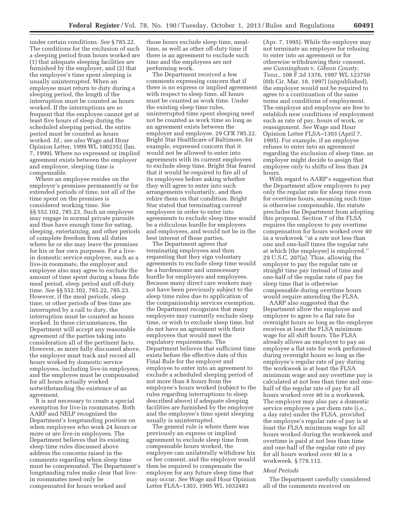under certain conditions. *See* § 785.22. The conditions for the exclusion of such a sleeping period from hours worked are (1) that adequate sleeping facilities are furnished by the employer, and (2) that the employee's time spent sleeping is usually uninterrupted. When an employee must return to duty during a sleeping period, the length of the interruption must be counted as hours worked. If the interruptions are so frequent that the employee cannot get at least five hours of sleep during the scheduled sleeping period, the entire period must be counted as hours worked. *Id.; see also* Wage and Hour Opinion Letter, 1999 WL 1002352 (Jan. 7, 1999). Where no expressed or implied agreement exists between the employer and employee, sleeping time is compensable.

Where an employee resides on the employer's premises permanently or for extended periods of time, not all of the time spent on the premises is considered working time. *See*  §§ 552.102, 785.23. Such an employee may engage in normal private pursuits and thus have enough time for eating, sleeping, entertaining, and other periods of complete freedom from all duties where he or she may leave the premises for his or her own purposes. For a livein domestic service employee, such as a live-in roommate, the employer and employee also may agree to exclude the amount of time spent during a bona fide meal period, sleep period and off-duty time. *See* §§ 552.102, 785.22, 785.23. However, if the meal periods, sleep time, or other periods of free time are interrupted by a call to duty, the interruption must be counted as hours worked. In these circumstances, the Department will accept any reasonable agreement of the parties taking into consideration all of the pertinent facts. However, as more fully discussed above, the employer must track and record all hours worked by domestic service employees, including live-in employees, and the employee must be compensated for all hours actually worked notwithstanding the existence of an agreement.

It is not necessary to create a special exemption for live-in roommates. Both AARP and NELP recognized the Department's longstanding position on when employees who work 24 hours or more or are live-in employees. The Department believes that its existing sleep time rules discussed above address the concerns raised in the comments regarding when sleep time must be compensated. The Department's longstanding rules make clear that livein roommates need only be compensated for hours worked and

those hours exclude sleep time, mealtime, as well as other off-duty time if there is an agreement to exclude such time and the employees are not performing work.

The Department received a few comments expressing concern that if there is no express or implied agreement with respect to sleep time, all hours must be counted as work time. Under the existing sleep time rules, uninterrupted time spent sleeping need not be counted as work time so long as an agreement exists between the employer and employee. 29 CFR 785.22. Bright Star Healthcare of Baltimore, for example, expressed concern that it would not be allowed to enter into agreements with its current employees to exclude sleep time. Bright Star feared that it would be required to fire all of its employees before asking whether they will agree to enter into such arrangements voluntarily, and then rehire them on that condition. Bright Star stated that terminating current employees in order to enter into agreements to exclude sleep time would be a ridiculous hurdle for employers and employees, and would not be in the best interest of those parties.

The Department agrees that terminating employees and then requesting that they sign voluntary agreements to exclude sleep time would be a burdensome and unnecessary hurdle for employers and employees. Because many direct care workers may not have been previously subject to the sleep time rules due to application of the companionship services exemption, the Department recognizes that many employers may currently exclude sleep time, or wish to exclude sleep time, but do not have an agreement with their employees that would meet the regulatory requirements. The Department believes that sufficient time exists before the effective date of this Final Rule for the employer and employee to enter into an agreement to exclude a scheduled sleeping period of not more than 8 hours from the employee's hours worked (subject to the rules regarding interruptions to sleep described above) if adequate sleeping facilities are furnished by the employer and the employee's time spent sleeping usually is uninterrupted.

The general rule is where there was previously an express or implied agreement to exclude sleep time from compensable hours worked, the employee can unilaterally withdraw his or her consent, and the employer would then be required to compensate the employee for any future sleep time that may occur. *See* Wage and Hour Opinion Letter FLSA–1303, 1995 WL 1032483

(Apr. 7, 1995). While the employer may not terminate an employee for refusing to enter into an agreement or for otherwise withdrawing their consent, *see Cunningham* v. *Gibson County, Tenn.,* 108 F.3d 1376, 1997 WL 123750 (6th Cir. Mar. 18, 1997) (unpublished), the employer would not be required to agree to a continuation of the same terms and conditions of employment. The employer and employee are free to establish new conditions of employment such as rate of pay, hours of work, or reassignment. *See* Wage and Hour Opinion Letter FLSA–1303 (April 7, 1995). For example, if an employee refuses to enter into an agreement regarding the exclusion of sleep time, an employer might decide to assign that employee only to shifts of less than 24 hours.

With regard to AARP's suggestion that the Department allow employers to pay only the regular rate for sleep time even for overtime hours, assuming such time is otherwise compensable, the statute precludes the Department from adopting this proposal. Section 7 of the FLSA requires the employer to pay overtime compensation for hours worked over 40 in a workweek ''at a rate not less than one and one-half times the regular rate at which [the employee] is employed.'' 29 U.S.C. 207(a). Thus, allowing the employer to pay the regular rate or straight time pay instead of time and one-half of the regular rate of pay for sleep time that is otherwise compensable during overtime hours would require amending the FLSA.

AARP also suggested that the Department allow the employee and employer to agree to a flat rate for overnight hours so long as the employee receives at least the FLSA minimum wage for all shift hours. The FLSA already allows an employer to pay an employee a flat rate for work performed during overnight hours so long as the employee's regular rate of pay during the workweek is at least the FLSA minimum wage and any overtime pay is calculated at not less than time and onehalf of the regular rate of pay for all hours worked over 40 in a workweek. The employer may also pay a domestic service employee a per diem rate (i.e., a day rate) under the FLSA, provided the employee's regular rate of pay is at least the FLSA minimum wage for all hours worked during the workweek and overtime is paid at not less than time and one-half of the regular rate of pay for all hours worked over 40 in a workweek. § 778.112.

#### *Meal Periods*

The Department carefully considered all of the comments received on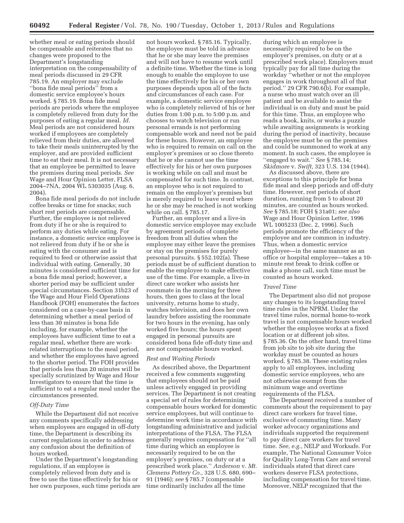whether meal or eating periods should be compensable and reiterates that no changes were proposed to the Department's longstanding interpretation on the compensability of meal periods discussed in 29 CFR 785.19. An employer may exclude ''bona fide meal periods'' from a domestic service employee's hours worked. § 785.19. Bona fide meal periods are periods where the employee is completely relieved from duty for the purposes of eating a regular meal. *Id.*  Meal periods are not considered hours worked if employees are completely relieved from their duties, are allowed to take their meals uninterrupted by the employer, and are provided sufficient time to eat their meal. It is not necessary that an employee be permitted to leave the premises during meal periods. *See*  Wage and Hour Opinion Letter, FLSA 2004–7NA, 2004 WL 5303035 (Aug. 6, 2004).

Bona fide meal periods do not include coffee breaks or time for snacks; such short rest periods are compensable. Further, the employee is not relieved from duty if he or she is required to perform any duties while eating. For instance, a domestic service employee is not relieved from duty if he or she is eating with the consumer and is required to feed or otherwise assist that individual with eating. Generally, 30 minutes is considered sufficient time for a bona fide meal period; however, a shorter period may be sufficient under special circumstances. Section 31b23 of the Wage and Hour Field Operations Handbook (FOH) enumerates the factors considered on a case-by-case basis in determining whether a meal period of less than 30 minutes is bona fide including, for example, whether the employees have sufficient time to eat a regular meal, whether there are workrelated interruptions to the meal period, and whether the employees have agreed to the shorter period. The FOH provides that periods less than 20 minutes will be specially scrutinized by Wage and Hour Investigators to ensure that the time is sufficient to eat a regular meal under the circumstances presented.

## *Off-Duty Time*

While the Department did not receive any comments specifically addressing when employees are engaged in off-duty time, the Department is describing its current regulations in order to address any confusion about the definition of hours worked.

Under the Department's longstanding regulations, if an employee is completely relieved from duty and is free to use the time effectively for his or her own purposes, such time periods are

not hours worked. § 785.16. Typically, the employee must be told in advance that he or she may leave the premises and will not have to resume work until a definite time. Whether the time is long enough to enable the employee to use the time effectively for his or her own purposes depends upon all of the facts and circumstances of each case. For example, a domestic service employee who is completely relieved of his or her duties from 1:00 p.m. to 5:00 p.m. and chooses to watch television or run personal errands is not performing compensable work and need not be paid for these hours. However, an employee who is required to remain on call on the employer's premises or so close thereto that he or she cannot use the time effectively for his or her own purposes is working while on call and must be compensated for such time. In contrast, an employee who is not required to remain on the employer's premises but is merely required to leave word where he or she may be reached is not working while on call. § 785.17.

Further, an employer and a live-in domestic service employee may exclude by agreement periods of complete freedom from all duties when the employee may either leave the premises or stay on the premises for purely personal pursuits. § 552.102(a). These periods must be of sufficient duration to enable the employee to make effective use of the time. For example, a live-in direct care worker who assists her roommate in the morning for three hours, then goes to class at the local university, returns home to study, watches television, and does her own laundry before assisting the roommate for two hours in the evening, has only worked five hours; the hours spent engaged in personal pursuits are considered bona fide off-duty time and are not compensable hours worked.

#### *Rest and Waiting Periods*

As described above, the Department received a few comments suggesting that employees should not be paid unless actively engaged in providing services. The Department is not creating a special set of rules for determining compensable hours worked for domestic service employees, but will continue to determine work time in accordance with longstanding administrative and judicial interpretations of the FLSA. The FLSA generally requires compensation for ''all time during which an employee is necessarily required to be on the employer's premises, on duty or at a prescribed work place.'' *Anderson* v. *Mt. Clemens Pottery Co.,* 328 U.S. 680, 690– 91 (1946); *see* § 785.7 (compensable time ordinarily includes all the time

during which an employee is necessarily required to be on the employer's premises, on duty or at a prescribed work place). Employers must typically pay for all time during the workday ''whether or not the employee engages in work throughout all of that period.'' 29 CFR 790.6(b). For example, a nurse who must watch over an ill patient and be available to assist the individual is on duty and must be paid for this time. Thus, an employee who reads a book, knits, or works a puzzle while awaiting assignments is working during the period of inactivity, because the employee must be on the premises and could be summoned to work at any moment. In such cases, the employee is ''engaged to wait.'' *See* § 785.14; *Skidmore* v. *Swift,* 323 U.S. 134 (1944).

As discussed above, there are exceptions to this principle for bona fide meal and sleep periods and off-duty time. However, rest periods of short duration, running from 5 to about 20 minutes, are counted as hours worked. *See* § 785.18; FOH § 31a01; *see also*  Wage and Hour Opinion Letter, 1996 WL 1005233 (Dec. 2, 1996). Such periods promote the efficiency of the employee and are common in industry. Thus, when a domestic service employee—in the same manner as an office or hospital employee—takes a 10 minute rest break to drink coffee or make a phone call, such time must be counted as hours worked.

#### *Travel Time*

The Department also did not propose any changes to its longstanding travel time rules in the NPRM. Under the travel time rules, normal home-to-work travel is not compensable hours worked whether the employee works at a fixed location or at different job sites. § 785.36. On the other hand, travel time from job site to job site during the workday must be counted as hours worked. § 785.38. These existing rules apply to all employees, including domestic service employees, who are not otherwise exempt from the minimum wage and overtime requirements of the FLSA.

The Department received a number of comments about the requirement to pay direct care workers for travel time, exclusive of commuting time. Many worker advocacy organizations and individuals supported the requirement to pay direct care workers for travel time. *See, e.g.,* NELP and Worksafe. For example, The National Consumer Voice for Quality Long-Term Care and several individuals stated that direct care workers deserve FLSA protections, including compensation for travel time. Moreover, NELP recognized that the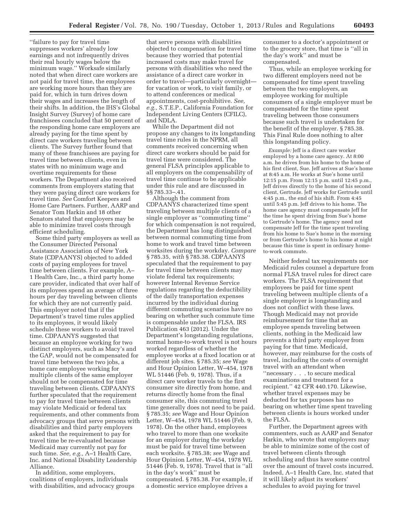''failure to pay for travel time suppresses workers' already low earnings and not infrequently drives their real hourly wages below the minimum wage.'' Worksafe similarly noted that when direct care workers are not paid for travel time, the employees are working more hours than they are paid for, which in turn drives down their wages and increases the length of their shifts. In addition, the IHS's Global Insight Survey (Survey) of home care franchisees concluded that 50 percent of the responding home care employers are already paying for the time spent by direct care workers traveling between clients. The Survey further found that many of these franchisees are paying for travel time between clients, even in states with no minimum wage and overtime requirements for these workers. The Department also received comments from employers stating that they were paying direct care workers for travel time. *See* Comfort Keepers and Home Care Partners. Further, AARP and Senator Tom Harkin and 18 other Senators stated that employers may be able to minimize travel costs through efficient scheduling.

Some third party employers as well as the Consumer Directed Personal Assistance Association of New York State (CDPAANYS) objected to added costs of paying employees for travel time between clients. For example, A– 1 Health Care, Inc., a third party home care provider, indicated that over half of its employees spend an average of three hours per day traveling between clients for which they are not currently paid. This employer noted that if the Department's travel time rules applied to its employees, it would likely schedule these workers to avoid travel time. CDPAANYS suggested that because an employee working for two distinct employers, such as Macy's and the GAP, would not be compensated for travel time between the two jobs, a home care employee working for multiple clients of the same employer should not be compensated for time traveling between clients. CDPAANYS further speculated that the requirement to pay for travel time between clients may violate Medicaid or federal tax requirements, and other comments from advocacy groups that serve persons with disabilities and third party employers asked that the requirement to pay for travel time be re-evaluated because Medicaid may currently not pay for such time. *See, e.g.,* A–1 Health Care, Inc. and National Disability Leadership Alliance.

In addition, some employers, coalitions of employers, individuals with disabilities, and advocacy groups

that serve persons with disabilities objected to compensation for travel time because they worried that potential increased costs may make travel for persons with disabilities who need the assistance of a direct care worker in order to travel—particularly overnight for vacation or work, to visit family, or to attend conferences or medical appointments, cost-prohibitive. *See, e.g.,* S.T.E.P., California Foundation for Independent Living Centers (CFILC), and NDLA.

While the Department did not propose any changes to its longstanding travel time rules in the NPRM, all comments received concerning when direct care workers should be paid for travel time were considered. The general FLSA principles applicable to all employers on the compensability of travel time continue to be applicable under this rule and are discussed in §§ 785.33–.41.

Although the comment from CDPAANYS characterized time spent traveling between multiple clients of a single employer as ''commuting time'' for which compensation is not required, the Department has long distinguished between normal commuting time from home to work and travel time between worksites during the workday. *Compare*  § 785.35, *with* § 785.38. CDPAANYS speculated that the requirement to pay for travel time between clients may violate federal tax requirements; however Internal Revenue Service regulations regarding the deductibility of the daily transportation expenses incurred by the individual during different commuting scenarios have no bearing on whether such commute time is compensable under the FLSA. IRS Publication 463 (2012). Under the Department's longstanding regulations, normal home-to-work travel is not hours worked regardless of whether the employee works at a fixed location or at different job sites. § 785.35; *see* Wage and Hour Opinion Letter, W–454, 1978 WL 51446 (Feb. 9, 1978). Thus, if a direct care worker travels to the first consumer site directly from home, and returns directly home from the final consumer site, this commuting travel time generally does not need to be paid. § 785.35; *see* Wage and Hour Opinion Letter, W–454, 1978 WL 51446 (Feb. 9, 1978). On the other hand, employees who travel to more than one worksite for an employer during the workday must be paid for travel time between each worksite. § 785.38; *see* Wage and Hour Opinion Letter, W–454, 1978 WL 51446 (Feb. 9, 1978). Travel that is ''all in the day's work'' must be compensated. § 785.38. For example, if a domestic service employee drives a

consumer to a doctor's appointment or to the grocery store, that time is ''all in the day's work'' and must be compensated.

Thus, while an employee working for two different employers need not be compensated for time spent traveling between the two employers, an employee working for multiple consumers of a single employer must be compensated for the time spent traveling between those consumers because such travel is undertaken for the benefit of the employer. § 785.38. This Final Rule does nothing to alter this longstanding policy.

*Example:* Jeff is a direct care worker employed by a home care agency. At 8:00 a.m. he drives from his home to the home of his first client, Sue. Jeff arrives at Sue's home at 8:45 a.m. He works at Sue's home until 12:15 p.m. From 12:15 p.m. until 12:45 p.m., Jeff drives directly to the home of his second client, Gertrude. Jeff works for Gertrude until 4:45 p.m., the end of his shift. From 4:45 until 5:45 p.m. Jeff drives to his home. The home care agency must compensate Jeff for the time he spent driving from Sue's home to Gertrude's home. The agency need not compensate Jeff for the time spent traveling from his home to Sue's home in the morning or from Gertrude's home to his home at night because this time is spent in ordinary hometo-work commute.

Neither federal tax requirements nor Medicaid rules counsel a departure from normal FLSA travel rules for direct care workers. The FLSA requirement that employees be paid for time spent traveling between multiple clients of a single employer is longstanding and does not conflict with these laws. Though Medicaid may not provide reimbursement for time that an employee spends traveling between clients, nothing in the Medicaid law prevents a third party employer from paying for that time. Medicaid, however, may reimburse for the costs of travel, including the costs of overnight travel with an attendant when ''necessary . . . to secure medical examinations and treatment for a recipient.'' 42 CFR 440.170. Likewise, whether travel expenses may be deducted for tax purposes has no bearing on whether time spent traveling between clients is hours worked under the FLSA.

Further, the Department agrees with commenters, such as AARP and Senator Harkin, who wrote that employers may be able to minimize some of the cost of travel between clients through scheduling and thus have some control over the amount of travel costs incurred. Indeed, A–1 Health Care, Inc. stated that it will likely adjust its workers' schedules to avoid paying for travel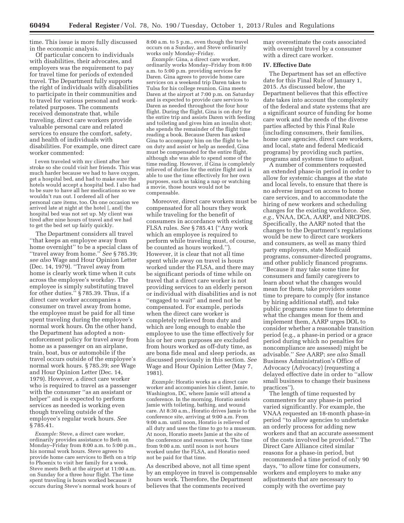time. This issue is more fully discussed in the economic analysis.

Of particular concern to individuals with disabilities, their advocates, and employers was the requirement to pay for travel time for periods of extended travel. The Department fully supports the right of individuals with disabilities to participate in their communities and to travel for various personal and workrelated purposes. The comments received demonstrate that, while traveling, direct care workers provide valuable personal care and related services to ensure the comfort, safety, and health of individuals with disabilities. For example, one direct care worker commented:

I even traveled with my client after her stroke so she could visit her friends. This was much harder because we had to have oxygen, get a hospital bed, and had to make sure the hotels would accept a hospital bed. I also had to be sure to have all her medications so we wouldn't run out. I ordered all of her personal care items, too. On one occasion we arrived late at night at the hotel [, and] the hospital bed was not set up. My client was tired after nine hours of travel and we had to get the bed set up fairly quickly.

The Department considers all travel ''that keeps an employee away from home overnight'' to be a special class of ''travel away from home.'' *See* § 785.39; *see also* Wage and Hour Opinion Letter (Dec. 14, 1979). ''Travel away from home is clearly work time when it cuts across the employee's workday. The employee is simply substituting travel for other duties.'' § 785.39. Thus, if a direct care worker accompanies a consumer on travel away from home, the employee must be paid for all time spent traveling during the employee's normal work hours. On the other hand, the Department has adopted a nonenforcement policy for travel away from home as a passenger on an airplane, train, boat, bus or automobile if the travel occurs outside of the employee's normal work hours. § 785.39; *see* Wage and Hour Opinion Letter (Dec. 14, 1979). However, a direct care worker who is required to travel as a passenger with the consumer ''as an assistant or helper'' and is expected to perform services as needed is working even though traveling outside of the employee's regular work hours. *See*  § 785.41.

*Example:* Steve, a direct care worker, ordinarily provides assistance to Beth on Monday–Friday from 8:00 a.m. to 5:00 p.m., his normal work hours. Steve agrees to provide home care services to Beth on a trip to Phoenix to visit her family for a week. Steve meets Beth at the airport at 11:00 a.m. on Sunday for a three hour flight. The time spent traveling is hours worked because it occurs during Steve's normal work hours of

8:00 a.m. to 5 p.m., even though the travel occurs on a Sunday, and Steve ordinarily works only Monday–Friday.

*Example:* Gina, a direct care worker, ordinarily works Monday–Friday from 8:00 a.m. to 5:00 p.m. providing services for Daren. Gina agrees to provide home care services on a weekend trip Daren takes to Tulsa for his college reunion. Gina meets Daren at the airport at 7:00 p.m. on Saturday and is expected to provide care services to Daren as needed throughout the four hour flight. During the flight, Gina is on duty for the entire trip and assists Daren with feeding and toileting and gives him an insulin shot; she spends the remainder of the flight time reading a book. Because Daren has asked Gina to accompany him on the flight to be on duty and assist or help as needed, Gina must be compensated for the entire flight, although she was able to spend some of the time reading. However, if Gina is completely relieved of duties for the entire flight and is able to use the time effectively for her own purposes, such as taking a nap or watching a movie, those hours would not be compensable.

Moreover, direct care workers must be compensated for all hours they work while traveling for the benefit of consumers in accordance with existing FLSA rules. *See* § 785.41 (''Any work which an employee is required to perform while traveling must, of course, be counted as hours worked.''). However, it is clear that not all time spent while away on travel is hours worked under the FLSA, and there may be significant periods of time while on travel that a direct care worker is not providing services to an elderly person or individual with disabilities and is not ''engaged to wait'' and need not be compensated. For example, periods when the direct care worker is completely relieved from duty and which are long enough to enable the employee to use the time effectively for his or her own purposes are excluded from hours worked as off-duty time, as are bona fide meal and sleep periods, as discussed previously in this section. *See*  Wage and Hour Opinion Letter (May 7, 1981).

*Example:* Horatio works as a direct care worker and accompanies his client, Jamie, to Washington, DC, where Jamie will attend a conference. In the morning, Horatio assists Jamie with toileting, bathing, and wound care. At 8:30 a.m., Horatio drives Jamie to the conference site, arriving at 9:00 a.m. From 9:00 a.m. until noon, Horatio is relieved of all duty and uses the time to go to a museum. At noon, Horatio meets Jamie at the site of the conference and resumes work. The time from 9:00 a.m. until noon is not hours worked under the FLSA, and Horatio need not be paid for that time.

As described above, not all time spent by an employee in travel is compensable hours work. Therefore, the Department believes that the comments received

may overestimate the costs associated with overnight travel by a consumer with a direct care worker.

# **IV. Effective Date**

The Department has set an effective date for this Final Rule of January 1, 2015. As discussed below, the Department believes that this effective date takes into account the complexity of the federal and state systems that are a significant source of funding for home care work and the needs of the diverse parties affected by this Final Rule (including consumers, their families, home care agencies, direct care workers, and local, state and federal Medicaid programs) by providing such parties, programs and systems time to adjust.

A number of commenters requested an extended phase-in period in order to allow for systemic changes at the state and local levels, to ensure that there is no adverse impact on access to home care services, and to accommodate the hiring of new workers and scheduling changes for the existing workforce. *See, e.g.,* VNAA, DCA, AARP, and NRCPDS. Specifically, the AARP noted that the changes to the Department's regulations would be new to direct care workers and consumers, as well as many third party employers, state Medicaid programs, consumer-directed programs, and other publicly financed programs. ''Because it may take some time for consumers and family caregivers to learn about what the changes would mean for them, take providers some time to prepare to comply (for instance by hiring additional staff), and take public programs some time to determine what the changes mean for them and implement them, AARP urges DOL to consider whether a reasonable transition period (e.g., a phase-in period or a grace period during which no penalties for noncompliance are assessed) might be advisable.'' *See* AARP; *see also* Small Business Administration's Office of Advocacy (Advocacy) (requesting a delayed effective date in order to ''allow small business to change their business practices'').

The length of time requested by commenters for any phase-in period varied significantly. For example, the VNAA requested an 18-month phase-in period ''to allow agencies to undertake an orderly process for adding new workers and that an accurate assessment of the costs involved be provided.'' The Direct Care Alliance cited similar reasons for a phase-in period, but recommended a time period of only 90 days, ''to allow time for consumers, workers and employers to make any adjustments that are necessary to comply with the overtime pay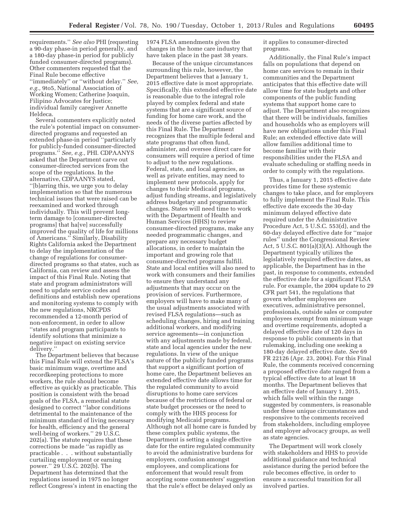requirements.'' *See also* PHI (requesting a 90-day phase-in period generally, and a 180-day phase-in period for publicly funded consumer-directed programs). Other commenters requested that the Final Rule become effective ''immediately'' or ''without delay.'' *See, e.g.,* 9to5, National Association of Working Women; Catherine Joaquin, Filipino Advocates for Justice; individual family caregiver Annette Heldeca.

Several commenters explicitly noted the rule's potential impact on consumerdirected programs and requested an extended phase-in period ''particularly for publicly-funded consumer-directed programs.'' *See, e.g.,* PHI. CDPAANYS asked that the Department carve out consumer-directed services from the scope of the regulations. In the alternative, CDPAANYS stated, ''[b]arring this, we urge you to delay implementation so that the numerous technical issues that were raised can be reexamined and worked through individually. This will prevent longterm damage to [consumer-directed programs] that ha[ve] successfully improved the quality of life for millions of Americans.'' Similarly, Disability Rights California asked the Department to delay the implementation of the change of regulations for consumerdirected programs so that states, such as California, can review and assess the impact of this Final Rule. Noting that state and program administrators will need to update service codes and definitions and establish new operations and monitoring systems to comply with the new regulations, NRCPDS recommended a 12-month period of non-enforcement, in order to allow ''states and program participants to identify solutions that minimize a negative impact on existing service delivery.''

The Department believes that because this Final Rule will extend the FLSA's basic minimum wage, overtime and recordkeeping protections to more workers, the rule should become effective as quickly as practicable. This position is consistent with the broad goals of the FLSA, a remedial statute designed to correct ''labor conditions detrimental to the maintenance of the minimum standard of living necessary for health, efficiency and the general well-being of workers.'' 29 U.S.C. 202(a). The statute requires that these corrections be made ''as rapidly as practicable . . . without substantially curtailing employment or earning power.'' 29 U.S.C. 202(b). The Department has determined that the regulations issued in 1975 no longer reflect Congress's intent in enacting the

1974 FLSA amendments given the changes in the home care industry that have taken place in the past 38 years.

Because of the unique circumstances surrounding this rule, however, the Department believes that a January 1, 2015 effective date is most appropriate. Specifically, this extended effective date is reasonable due to the integral role played by complex federal and state systems that are a significant source of funding for home care work, and the needs of the diverse parties affected by this Final Rule. The Department recognizes that the multiple federal and state programs that often fund, administer, and oversee direct care for consumers will require a period of time to adjust to the new regulations. Federal, state, and local agencies, as well as private entities, may need to implement new protocols, apply for changes to their Medicaid programs, adjust funding streams, and legislatively address budgetary and programmatic changes. States will need time to work with the Department of Health and Human Services (HHS) to review consumer-directed programs, make any needed programmatic changes, and prepare any necessary budget allocations, in order to maintain the important and growing role that consumer-directed programs fulfill. State and local entities will also need to work with consumers and their families to ensure they understand any adjustments that may occur on the provision of services. Furthermore, employers will have to make many of the usual adjustments associated with revised FLSA regulations—such as scheduling changes, hiring and training additional workers, and modifying service agreements—in conjunction with any adjustments made by federal, state and local agencies under the new regulations. In view of the unique nature of the publicly funded programs that support a significant portion of home care, the Department believes an extended effective date allows time for the regulated community to avoid disruptions to home care services because of the restrictions of federal or state budget processes or the need to comply with the HHS process for modifying Medicaid programs. Although not all home care is funded by these complex public systems, the Department is setting a single effective date for the entire regulated community to avoid the administrative burdens for employers, confusion amongst employees, and complications for enforcement that would result from accepting some commenters' suggestion that the rule's effect be delayed only as

it applies to consumer-directed programs.

Additionally, the Final Rule's impact falls on populations that depend on home care services to remain in their communities and the Department anticipates that this effective date will allow time for state budgets and other components of the public funding systems that support home care to adjust. The Department also recognizes that there will be individuals, families and households who as employers will have new obligations under this Final Rule; an extended effective date will allow families additional time to become familiar with their responsibilities under the FLSA and evaluate scheduling or staffing needs in order to comply with the regulations.

Thus, a January 1, 2015 effective date provides time for these systemic changes to take place, and for employers to fully implement the Final Rule. This effective date exceeds the 30-day minimum delayed effective date required under the Administrative Procedure Act, 5 U.S.C. 553(d), and the 60-day delayed effective date for ''major rules'' under the Congressional Review Act, 5 U.S.C.  $801(a)(3)(A)$ . Although the Department typically utilizes the legislatively required effective dates, as applicable, the Department has in the past, in response to comments, extended the effective date for a significant FLSA rule. For example, the 2004 update to 29 CFR part 541, the regulations that govern whether employees are executives, administrative personnel, professionals, outside sales or computer employees exempt from minimum wage and overtime requirements, adopted a delayed effective date of 120 days in response to public comments in that rulemaking, including one seeking a 180-day delayed effective date. *See* 69 FR 22126 (Apr. 23, 2004). For this Final Rule, the comments received concerning a proposed effective date ranged from a typical effective date to at least 18 months. The Department believes that an effective date of January 1, 2015, which falls well within the range suggested by commenters, is reasonable under these unique circumstances and responsive to the comments received from stakeholders, including employee and employer advocacy groups, as well as state agencies.

The Department will work closely with stakeholders and HHS to provide additional guidance and technical assistance during the period before the rule becomes effective, in order to ensure a successful transition for all involved parties.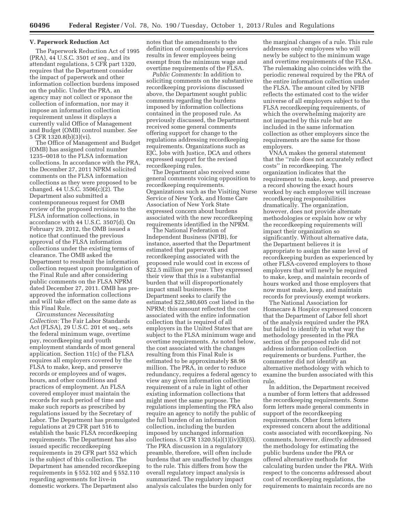### **V. Paperwork Reduction Act**

The Paperwork Reduction Act of 1995 (PRA), 44 U.S.C. 3501 *et seq.,* and its attendant regulations, 5 CFR part 1320, requires that the Department consider the impact of paperwork and other information collection burdens imposed on the public. Under the PRA, an agency may not collect or sponsor the collection of information, nor may it impose an information collection requirement unless it displays a currently valid Office of Management and Budget (OMB) control number. *See*  5 CFR 1320.8(b)(3)(vi).

The Office of Management and Budget (OMB) has assigned control number 1235–0018 to the FLSA information collections. In accordance with the PRA, the December 27, 2011 NPRM solicited comments on the FLSA information collections as they were proposed to be changed. 44 U.S.C. 3506(c)(2). The Department also submitted a contemporaneous request for OMB review of the proposed revisions to the FLSA information collections, in accordance with 44 U.S.C. 3507(d). On February 29, 2012, the OMB issued a notice that continued the previous approval of the FLSA information collections under the existing terms of clearance. The OMB asked the Department to resubmit the information collection request upon promulgation of the Final Rule and after considering public comments on the FLSA NPRM dated December 27, 2011. OMB has preapproved the information collections and will take effect on the same date as this Final Rule.

*Circumstances Necessitating Collection:* The Fair Labor Standards Act (FLSA), 29 U.S.C. 201 et seq., sets the federal minimum wage, overtime pay, recordkeeping and youth employment standards of most general application. Section 11(c) of the FLSA requires all employers covered by the FLSA to make, keep, and preserve records or employees and of wages, hours, and other conditions and practices of employment. An FLSA covered employer must maintain the records for such period of time and make such reports as prescribed by regulations issued by the Secretary of Labor. The Department has promulgated regulations at 29 CFR part 516 to establish the basic FLSA recordkeeping requirements. The Department has also issued specific recordkeeping requirements in 29 CFR part 552 which is the subject of this collection. The Department has amended recordkeeping requirements in § 552.102 and § 552.110 regarding agreements for live-in domestic workers. The Department also

notes that the amendments to the definition of companionship services results in fewer employees being exempt from the minimum wage and overtime requirements of the FLSA.

*Public Comments:* In addition to soliciting comments on the substantive recordkeeping provisions discussed above, the Department sought public comments regarding the burdens imposed by information collections contained in the proposed rule. As previously discussed, the Department received some general comments offering support for change to the regulations addressing recordkeeping requirements. Organizations such as EJC, Jobs with Justice, DCA and others expressed support for the revised recordkeeping rules.

The Department also received some general comments voicing opposition to recordkeeping requirements. Organizations such as the Visiting Nurse Service of New York, and Home Care Association of New York State expressed concern about burdens associated with the new recordkeeping requirements identified in the NPRM.

The National Federation of Independent Business (NFIB), for instance, asserted that the Department estimated that paperwork and recordkeeping associated with the proposed rule would cost in excess of \$22.5 million per year. They expressed their view that this is a substantial burden that will disproportionately impact small businesses. The Department seeks to clarify the estimated \$22,580,605 cost listed in the NPRM; this amount reflected the cost associated with the entire information collection that is required of all employers in the United States that are subject to the FLSA minimum wage and overtime requirements. As noted below, the cost associated with the changes resulting from this Final Rule is estimated to be approximately \$8.96 million. The PRA, in order to reduce redundancy, requires a federal agency to view any given information collection requirement of a rule in light of other existing information collections that might meet the same purpose. The regulations implementing the PRA also require an agency to notify the public of the full burden of an information collection, including the burden imposed by unchanged information collections. 5 CFR  $1320.5(a)(1)(iv)(B)(5)$ . The PRA discussion in a regulatory preamble, therefore, will often include burdens that are unaffected by changes to the rule. This differs from how the overall regulatory impact analysis is summarized. The regulatory impact analysis calculates the burden only for

the marginal changes of a rule. This rule addresses only employees who will newly be subject to the minimum wage and overtime requirements of the FLSA. The rulemaking also coincides with the periodic renewal required by the PRA of the entire information collection under the FLSA. The amount cited by NFIB reflects the estimated cost to the wider universe of all employers subject to the FLSA recordkeeping requirements, of which the overwhelming majority are not impacted by this rule but are included in the same information collection as other employers since the requirements are the same for those employers.

VNAA makes the general statement that the ''rule does not accurately reflect costs'' in recordkeeping. The organization indicates that the requirement to make, keep, and preserve a record showing the exact hours worked by each employee will increase recordkeeping responsibilities dramatically. The organization, however, does not provide alternate methodologies or explain how or why the recordkeeping requirements will impact their organization so significantly. Without alternative data, the Department believes it is appropriate to assign the same level of recordkeeping burden as experienced by other FLSA-covered employers to those employers that will newly be required to make, keep, and maintain records of hours worked and those employers that now must make, keep, and maintain records for previously exempt workers.

The National Association for Homecare & Hospice expressed concern that the Department of Labor fell short of the analysis required under the PRA but failed to identify in what way the methodology presented in the PRA section of the proposed rule did not address information collection requirements or burdens. Further, the commenter did not identify an alternative methodology with which to examine the burden associated with this rule.

In addition, the Department received a number of form letters that addressed the recordkeeping requirements. Some form letters made general comments in support of the recordkeeping requirements. Other form letters expressed concern about the additional costs associated with recordkeeping. No comments, however, directly addressed the methodology for estimating the public burdens under the PRA or offered alternative methods for calculating burden under the PRA. With respect to the concerns addressed about cost of recordkeeping regulations, the requirements to maintain records are no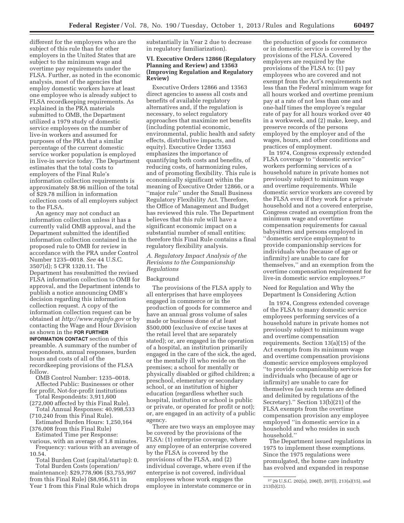different for the employers who are the subject of this rule than for other employers in the United States that are subject to the minimum wage and overtime pay requirements under the FLSA. Further, as noted in the economic analysis, most of the agencies that employ domestic workers have at least one employee who is already subject to FLSA recordkeeping requirements. As explained in the PRA materials submitted to OMB, the Department utilized a 1979 study of domestic service employees on the number of live-in workers and assumed for purposes of the PRA that a similar percentage of the current domestic service worker population is employed in live-in service today. The Department estimates that the total costs to employers of the Final Rule's information collection requirements is approximately \$8.96 million of the total of \$29.78 million in information collection costs of all employers subject to the FLSA.

An agency may not conduct an information collection unless it has a currently valid OMB approval, and the Department submitted the identified information collection contained in the proposed rule to OMB for review in accordance with the PRA under Control Number 1235–0018. *See* 44 U.S.C. 3507(d); 5 CFR 1320.11. The Department has resubmitted the revised FLSA information collection to OMB for approval, and the Department intends to publish a notice announcing OMB's decision regarding this information collection request. A copy of the information collection request can be obtained at *http://www.reginfo.gov* or by contacting the Wage and Hour Division as shown in the **FOR FURTHER INFORMATION CONTACT** section of this preamble. A summary of the number of respondents, annual responses, burden hours and costs of all of the recordkeeping provisions of the FLSA follow.

OMB Control Number: 1235–0018. Affected Public: Businesses or other for profit, Not-for-profit institutions

Total Respondents: 3,911,600

- (272,000 affected by this Final Rule). Total Annual Responses: 40,998,533
- (710,240 from this Final Rule). Estimated Burden Hours: 1,250,164
- (376,008 from this Final Rule) Estimated Time per Response:

various, with an average of 1.8 minutes. Frequency: various with an average of 10.54.

Total Burden Cost (capital/startup): 0. Total Burden Costs (operation/ maintenance): \$29,778,906 (\$3,755,997 from this Final Rule) (\$8,956,511 in Year 1 from this Final Rule which drops substantially in Year 2 due to decrease in regulatory familiarization).

## **VI. Executive Orders 12866 (Regulatory Planning and Review) and 13563 (Improving Regulation and Regulatory Review)**

Executive Orders 12866 and 13563 direct agencies to assess all costs and benefits of available regulatory alternatives and, if the regulation is necessary, to select regulatory approaches that maximize net benefits (including potential economic, environmental, public health and safety effects, distributive impacts, and equity). Executive Order 13563 emphasizes the importance of quantifying both costs and benefits, of reducing costs, of harmonizing rules, and of promoting flexibility. This rule is economically significant within the meaning of Executive Order 12866, or a ''major rule'' under the Small Business Regulatory Flexibility Act. Therefore, the Office of Management and Budget has reviewed this rule. The Department believes that this rule will have a significant economic impact on a substantial number of small entities; therefore this Final Rule contains a final regulatory flexibility analysis.

*A. Regulatory Impact Analysis of the Revisions to the Companionship Regulations* 

## Background

The provisions of the FLSA apply to all enterprises that have employees engaged in commerce or in the production of goods for commerce and have an annual gross volume of sales made or business done of at least \$500,000 (exclusive of excise taxes at the retail level that are separately stated); or, are engaged in the operation of a hospital, an institution primarily engaged in the care of the sick, the aged, or the mentally ill who reside on the premises; a school for mentally or physically disabled or gifted children; a preschool, elementary or secondary school, or an institution of higher education (regardless whether such hospital, institution or school is public or private, or operated for profit or not); or, are engaged in an activity of a public agency.

There are two ways an employee may be covered by the provisions of the FLSA: (1) enterprise coverage, where any employee of an enterprise covered by the FLSA is covered by the provisions of the FLSA, and (2) individual coverage, where even if the enterprise is not covered, individual employees whose work engages the employee in interstate commerce or in

the production of goods for commerce or in domestic service is covered by the provisions of the FLSA. Covered employers are required by the provisions of the FLSA to: (1) pay employees who are covered and not exempt from the Act's requirements not less than the Federal minimum wage for all hours worked and overtime premium pay at a rate of not less than one and one-half times the employee's regular rate of pay for all hours worked over 40 in a workweek, and (2) make, keep, and preserve records of the persons employed by the employer and of the wages, hours, and other conditions and practices of employment.

In 1974, Congress expressly extended FLSA coverage to ''domestic service'' workers performing services of a household nature in private homes not previously subject to minimum wage and overtime requirements. While domestic service workers are covered by the FLSA even if they work for a private household and not a covered enterprise, Congress created an exemption from the minimum wage and overtime compensation requirements for casual babysitters and persons employed in ''domestic service employment to provide companionship services for individuals who (because of age or infirmity) are unable to care for themselves,'' and an exemption from the overtime compensation requirement for live-in domestic service employees.27

Need for Regulation and Why the Department Is Considering Action

In 1974, Congress extended coverage of the FLSA to many domestic service employees performing services of a household nature in private homes not previously subject to minimum wage and overtime compensation requirements. Section 13(a)(15) of the Act exempts from its minimum wage and overtime compensation provisions domestic service employees employed ''to provide companionship services for individuals who (because of age or infirmity) are unable to care for themselves (as such terms are defined and delimited by regulations of the Secretary).'' Section 13(b)(21) of the FLSA exempts from the overtime compensation provision any employee employed ''in domestic service in a household and who resides in such household.''

The Department issued regulations in 1975 to implement these exemptions. Since the 1975 regulations were promulgated, the home care industry has evolved and expanded in response

<sup>27</sup> 29 U.S.C. 202(a), 206(f), 207(l), 213(a)(15), and 213(b)(21).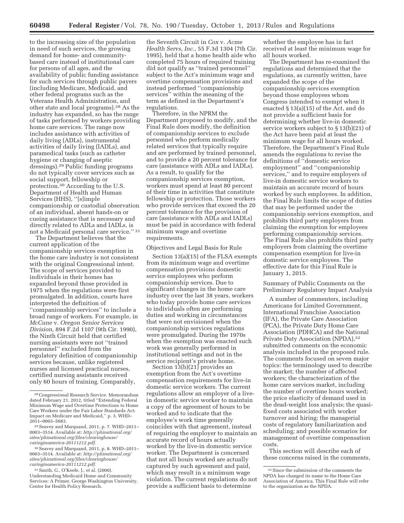to the increasing size of the population in need of such services, the growing demand for home- and communitybased care instead of institutional care for persons of all ages, and the availability of public funding assistance for such services through public payers (including Medicare, Medicaid, and other federal programs such as the Veterans Health Administration, and other state and local programs).28 As the industry has expanded, so has the range of tasks performed by workers providing home care services. The range now includes assistance with activities of daily living (ADLs), instrumental activities of daily living (IADLs), and paramedical tasks (such as catheter hygiene or changing of aseptic dressings).29 Public funding programs do not typically cover services such as social support, fellowship or protection.30 According to the U.S. Department of Health and Human Services (HHS), ''[s]imple companionship or custodial observation of an individual, absent hands-on or cueing assistance that is necessary and directly related to ADLs and IADLs, is not a Medicaid personal care service.'' 31

The Department believes that the current application of the companionship services exemption in the home care industry is not consistent with the original Congressional intent. The scope of services provided to individuals in their homes has expanded beyond those provided in 1975 when the regulations were first promulgated. In addition, courts have interpreted the definition of ''companionship services'' to include a broad range of workers. For example, in *McCune* v. *Oregon Senior Services Division,* 894 F.2d 1107 (9th Cir. 1990), the Ninth Circuit held that certified nursing assistants were not ''trained personnel'' excluded from the regulatory definition of companionship services because, unlike registered nurses and licensed practical nurses, certified nursing assistants received only 60 hours of training. Comparably,

the Seventh Circuit in *Cox* v. *Acme Health Servs, Inc.,* 55 F.3d 1304 (7th Cir. 1995), held that a home health aide who completed 75 hours of required training did not qualify as ''trained personnel'' subject to the Act's minimum wage and overtime compensation provisions and instead performed ''companionship services'' within the meaning of the term as defined in the Department's regulations.

Therefore, in the NPRM the Department proposed to modify, and the Final Rule does modify, the definition of companionship services to exclude personnel who perform medically related services that typically require and are performed by trained personnel, and to provide a 20 percent tolerance for care (assistance with ADLs and IADLs). As a result, to qualify for the companionship services exemption, workers must spend at least 80 percent of their time in activities that constitute fellowship or protection. Those workers who provide services that exceed the 20 percent tolerance for the provision of care (assistance with ADLs and IADLs) must be paid in accordance with federal minimum wage and overtime requirements.

Objectives and Legal Basis for Rule

Section 13(a)(15) of the FLSA exempts from its minimum wage and overtime compensation provisions domestic service employees who perform companionship services. Due to significant changes in the home care industry over the last 38 years, workers who today provide home care services to individuals often are performing duties and working in circumstances that were not envisioned when the companionship services regulations were promulgated. During the 1970s when the exemption was enacted such work was generally performed in institutional settings and not in the service recipient's private home.

Section 13(b)(21) provides an exemption from the Act's overtime compensation requirements for live-in domestic service workers. The current regulations allow an employer of a livein domestic service worker to maintain a copy of the agreement of hours to be worked and to indicate that the employee's work time generally coincides with that agreement, instead of requiring the employer to maintain an accurate record of hours actually worked by the live-in domestic service worker. The Department is concerned that not all hours worked are actually captured by such agreement and paid, which may result in a minimum wage violation. The current regulations do not provide a sufficient basis to determine

whether the employee has in fact received at least the minimum wage for all hours worked.

The Department has re-examined the regulations and determined that the regulations, as currently written, have expanded the scope of the companionship services exemption beyond those employees whom Congress intended to exempt when it enacted § 13(a)(15) of the Act, and do not provide a sufficient basis for determining whether live-in domestic service workers subject to § 13(b)(21) of the Act have been paid at least the minimum wage for all hours worked. Therefore, the Department's Final Rule amends the regulations to revise the definitions of ''domestic service employment'' and ''companionship services,'' and to require employers of live-in domestic service workers to maintain an accurate record of hours worked by such employees. In addition, the Final Rule limits the scope of duties that may be performed under the companionship services exemption, and prohibits third party employers from claiming the exemption for employees performing companionship services. The Final Rule also prohibits third party employers from claiming the overtime compensation exemption for live-in domestic service employees. The effective date for this Final Rule is January 1, 2015.

Summary of Public Comments on the Preliminary Regulatory Impact Analysis

A number of commenters, including Americans for Limited Government, International Franchise Association (IFA), the Private Care Association (PCA), the Private Duty Home Care Association (PDHCA) and the National Private Duty Association (NPDA),32 submitted comments on the economic analysis included in the proposed rule. The comments focused on seven major topics: the terminology used to describe the market; the number of affected workers; the characterization of the home care services market, including the number of overtime hours worked; the price elasticity of demand used in the dead-weight loss analysis; the quasifixed costs associated with worker turnover and hiring; the managerial costs of regulatory familiarization and scheduling; and possible scenarios for management of overtime compensation costs.

This section will describe each of these concerns raised in the comments,

<sup>28</sup>Congressional Research Service. Memorandum dated February 21, 2012, titled ''Extending Federal Minimum Wage and Overtime Protections to Home Care Workers under the Fair Labor Standards Act: Impact on Medicare and Medicaid,'' p. 3, WHD– 2011–0003–5683.

<sup>29</sup>Seavey and Marquand, 2011, p. 7. WHD–2011– 0003–3514. Available at: *http://phinational.org/ sites/phinational.org/files/clearinghouse/ caringinamerica-20111212.pdf.* 

<sup>30</sup>Seavey and Marquand, 2011, p. 8. WHD–2011– 0003–3514. Available at: *http://phinational.org/ sites/phinational.org/files/clearinghouse/ caringinamerica-20111212.pdf.* 

<sup>31</sup>Smith, G., O'Keefe, J., et al. (2000). Understanding Medicaid Home and Community Services: A Primer, George Washington University, Center for Health Policy Research.

<sup>32</sup>Since the submission of the comments the NPDA has changed its name to the Home Care Association of America. This Final Rule will refer to the organization as the NPDA.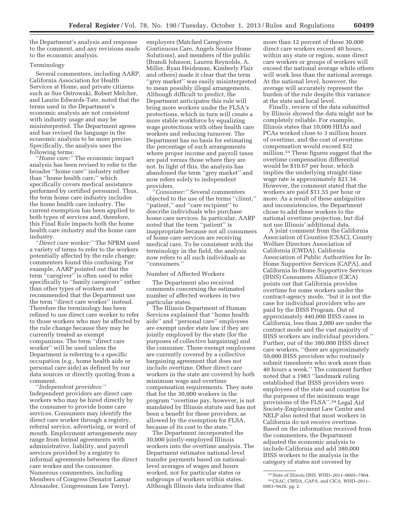the Department's analysis and response to the comment, and any revisions made to the economic analysis.

## Terminology

Several commenters, including AARP, California Association for Health Services at Home, and private citizens such as Sue Ostrowski, Robert Melcher, and Laurie Edwards-Tate, noted that the terms used in the Department's economic analysis are not consistent with industry usage and may be misinterpreted. The Department agrees and has revised the language in the economic analysis to be more precise. Specifically, the analysis uses the following terms:

''*Home care:''* The economic impact analysis has been revised to refer to the broader ''home care'' industry rather than ''home health care,'' which specifically covers medical assistance performed by certified personnel. Thus, the term home care industry includes the home health care industry. The current exemption has been applied to both types of services and, therefore, this Final Rule impacts both the home health care industry and the home care industry.

''*Direct care worker:''* The NPRM used a variety of terms to refer to the workers potentially affected by the rule change; commenters found this confusing. For example, AARP pointed out that the term ''caregiver'' is often used to refer specifically to ''family caregivers'' rather than other types of workers and recommended that the Department use the term ''direct care worker'' instead. Therefore the terminology has been refined to use direct care worker to refer to those workers who may be affected by the rule change because they may be currently treated as exempt companions. The term ''direct care worker'' will be used unless the Department is referring to a specific occupation (e.g., home health aide or personal care aide) as defined by our data sources or directly quoting from a comment.

''*Independent providers:''*  Independent providers are direct care workers who may be hired directly by the consumer to provide home care services. Consumers may identify the direct care worker through a registry, referral service, advertising, or word of mouth. Employment arrangements may range from formal agreements with administrative, liability, and payroll services provided by a registry to informal agreements between the direct care worker and the consumer. Numerous commenters, including Members of Congress (Senator Lamar Alexander, Congressman Lee Terry),

employers (Matched Caregivers Continuous Care, Angels Senior Home Solutions), and members of the public (Brandi Johnson, Lauren Reynolds, A. Miller, Ryan Heideman, Kimberly Flair and others) made it clear that the term ''grey market'' was easily misinterpreted to mean possibly illegal arrangements. Although difficult to predict, the Department anticipates this rule will bring more workers under the FLSA's protections, which in turn will create a more stable workforce by equalizing wage protections with other health care workers and reducing turnover. The Department has no basis for estimating the percentage of such arrangements where proper income and payroll taxes are paid versus those where they are not. In light of this, the analysis has abandoned the term ''grey market'' and now refers solely to independent providers.

'Consumer:" Several commenters objected to the use of the terms ''client,'' "patient," and "care recipient" to describe individuals who purchase home care services. In particular, AARP noted that the term ''patient'' is inappropriate because not all consumers of home care services are receiving medical care. To be consistent with the terminology in the field, the analysis now refers to all such individuals as ''consumers.''

#### Number of Affected Workers

The Department also received comments concerning the estimated number of affected workers in two particular states.

The Illinois Department of Human Services explained that ''home health aide'' and ''personal care'' employees are exempt under state law if they are jointly employed by the state (for the purposes of collective bargaining) and the consumer. These exempt employees are currently covered by a collective bargaining agreement that does not include overtime. Other direct care workers in the state are covered by both minimum wage and overtime compensation requirements. They note that for the 30,000 workers in the program ''overtime pay, however, is not mandated by Illinois statute and has not been a benefit for these providers, as allowed by the exemption for FLSA, because of its cost to the state.''

The Department incorporated the 30,000 jointly-employed Illinois workers into the overtime analysis. The Department estimates national-level transfer payments based on nationallevel averages of wages and hours worked, not for particular states or subgroups of workers within states. Although Illinois data indicates that

more than 12 percent of these 30,000 direct care workers exceed 40 hours, within any state or region, some direct care workers or groups of workers will exceed the national average while others will work less than the national average. At the national level, however, the average will accurately represent the burden of the rule despite this variance at the state and local level.

Finally, review of the data submitted by Illinois showed the data might not be completely reliable. For example, Illinois states that 10,000 HHAs and PCAs worked close to 3 million hours of overtime, and the cost of overtime compensation would exceed \$32 million.33 These figures suggest that the overtime compensation differential would be \$10.67 per hour, which implies the underlying straight-time wage rate is approximately \$21.34. However, the comment stated that the workers are paid \$11.55 per hour or more. As a result of these ambiguities and inconsistencies, the Department chose to add these workers to the national overtime projection, but did not use Illinois' additional data.

A joint comment from the California Association of Counties (CSAC), County Welfare Directors Association of California (CWDA), California Association of Public Authorities for In-Home Supportive Services (CAPA), and California In-Home Supportive Services (IHSS) Consumers Alliance (CICA) points out that California provides overtime for some workers under the contract-agency mode, ''but it is not the case for individual providers who are paid by the IHSS Program. Out of approximately 440,000 IHSS cases in California, less than 2,000 are under the contract mode and the vast majority of IHSS workers are individual providers.'' Further, out of the 380,000 IHSS direct care workers, ''there are approximately 50,000 IHSS providers who routinely submit timesheets who work more than 40 hours a week.'' The comment further noted that a 1983 ''landmark ruling established that IHSS providers were employees of the state and counties for the purposes of the minimum wage provisions of the FLSA''.34 Legal Aid Society-Employment Law Center and NELP also noted that most workers in California do not receive overtime. Based on the information received from the commenters, the Department adjusted the economic analysis to include California and add 380,000 IHSS workers to the analysis in the category of states not covered by

<sup>33</sup>State of Illinois DHS, WHD–2011–0003–7904. 34CSAC, CWDA, CAPA, and CICA. WHD–2011– 0003–9420, pg. 2.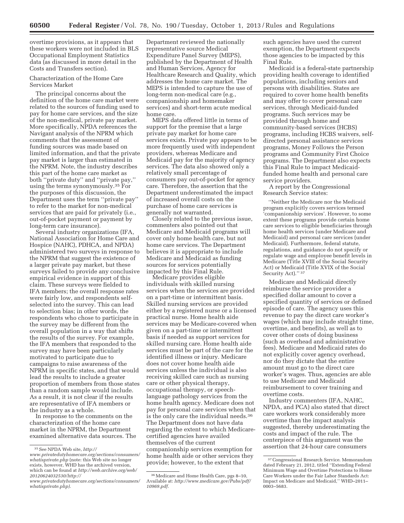overtime provisions, as it appears that these workers were not included in BLS Occupational Employment Statistics data (as discussed in more detail in the Costs and Transfers section).

## Characterization of the Home Care Services Market

The principal concerns about the definition of the home care market were related to the sources of funding used to pay for home care services, and the size of the non-medical, private pay market. More specifically, NPDA references the Navigant analysis of the NPRM which comments that the assessment of funding sources was made based on limited information, and that the private pay market is larger than estimated in the NPRM. Note, the industry describes this part of the home care market as both ''private duty'' and ''private pay,'' using the terms synonymously.35 For the purposes of this discussion, the Department uses the term ''private pay'' to refer to the market for non-medical services that are paid for privately (i.e., out-of-pocket payment or payment by long-term care insurance).

Several industry organizations (IFA, National Association for Home Care and Hospice (NAHC), PDHCA, and NPDA) administered two surveys in response to the NPRM that suggest the existence of a larger private pay market, but these surveys failed to provide any conclusive empirical evidence in support of this claim. These surveys were fielded to IFA members; the overall response rates were fairly low, and respondents selfselected into the survey. This can lead to selection bias; in other words, the respondents who chose to participate in the survey may be different from the overall population in a way that shifts the results of the survey. For example, the IFA members that responded to the survey may have been particularly motivated to participate due to campaigns to raise awareness of the NPRM in specific states, and that would lead the results to include a greater proportion of members from those states than a random sample would include. As a result, it is not clear if the results are representative of IFA members or the industry as a whole.

In response to the comments on the characterization of the home care market in the NPRM, the Department examined alternative data sources. The

*www.privatedutyhomecare.org/sections/consumers/ whatisprivate.php* (note: this Web site no longer exists, however, WHD has the archived version, which can be found at *http://web.archive.org/web/ 20120624032530/http://*

Department reviewed the nationally representative source Medical Expenditure Panel Survey (MEPS), published by the Department of Health and Human Services, Agency for Healthcare Research and Quality, which addresses the home care market. The MEPS is intended to capture the use of long-term non-medical care (e.g., companionship and homemaker services) and short-term acute medical home care.

MEPS data offered little in terms of support for the premise that a large private pay market for home care services exists. Private pay appears to be more frequently used with independent providers, whereas Medicare and Medicaid pay for the majority of agency services. The data also showed only a relatively small percentage of consumers pay out-of-pocket for agency care. Therefore, the assertion that the Department underestimated the impact of increased overall costs on the purchase of home care services is generally not warranted.

Closely related to the previous issue, commenters also pointed out that Medicare and Medicaid programs will cover only home health care, but not home care services. The Department believes it is appropriate to include Medicare and Medicaid as funding sources for services potentially impacted by this Final Rule.

Medicare provides eligible individuals with skilled nursing services when the services are provided on a part-time or intermittent basis. Skilled nursing services are provided either by a registered nurse or a licensed practical nurse. Home health aide services may be Medicare-covered when given on a part-time or intermittent basis if needed as support services for skilled nursing care. Home health aide services must be part of the care for the identified illness or injury. Medicare does not cover home health aide services unless the individual is also receiving skilled care such as nursing care or other physical therapy, occupational therapy, or speechlanguage pathology services from the home health agency. Medicare does not pay for personal care services when that is the only care the individual needs.36 The Department does not have data regarding the extent to which Medicarecertified agencies have availed themselves of the current companionship services exemption for home health aide or other services they provide; however, to the extent that

such agencies have used the current exemption, the Department expects those agencies to be impacted by this Final Rule.

Medicaid is a federal-state partnership providing health coverage to identified populations, including seniors and persons with disabilities. States are required to cover home health benefits and may offer to cover personal care services, through Medicaid-funded programs. Such services may be provided through home and community-based services (HCBS) programs, including HCBS waivers, selfdirected personal assistance services programs, Money Follows the Person programs and Community First Choice programs. The Department also expects this Final Rule to impact Medicaidfunded home health and personal care service providers.

A report by the Congressional Research Service states:

''Neither the Medicare nor the Medicaid program explicitly covers services termed 'companionship services'. However, to some extent these programs provide certain home care services to eligible beneficiaries through home health services (under Medicare and Medicaid) and personal care services (under Medicaid). Furthermore, federal statute, regulations, and guidance do not specify or regulate wage and employee benefit levels in Medicare (Title XVIII of the Social Security Act) or Medicaid (Title XVIX of the Social Security Act)." 37

Medicare and Medicaid directly reimburse the service provider a specified dollar amount to cover a specified quantity of services or defined episode of care. The agency uses this revenue to pay the direct care worker's wages (which may include straight time, overtime, and benefits), as well as to cover other costs of doing business (such as overhead and administrative fees). Medicare and Medicaid rates do not explicitly cover agency overhead, nor do they dictate that the entire amount must go to the direct care worker's wages. Thus, agencies are able to use Medicare and Medicaid reimbursement to cover training and overtime costs.

Industry commenters (IFA, NAHC, NPDA, and PCA) also stated that direct care workers work considerably more overtime than the impact analysis suggested, thereby underestimating the costs and impact of the rule. The centerpiece of this argument was the assertion that 24-hour care consumers

<sup>35</sup>See NPDA Web site, *http://*

*www.privatedutyhomecare.org/sections/consumers/ whatisprivate.php).* 

<sup>36</sup>Medicare and Home Health Care, pgs 8–10, Available at: *http://www.medicare.gov/Pubs/pdf/ 10969.pdf.* 

<sup>37</sup>Congressional Research Service. Memorandum dated February 21, 2012, titled ''Extending Federal Minimum Wage and Overtime Protections to Home Care Workers under the Fair Labor Standards Act: Impact on Medicare and Medicaid,'' WHD–2011– 0003–5683.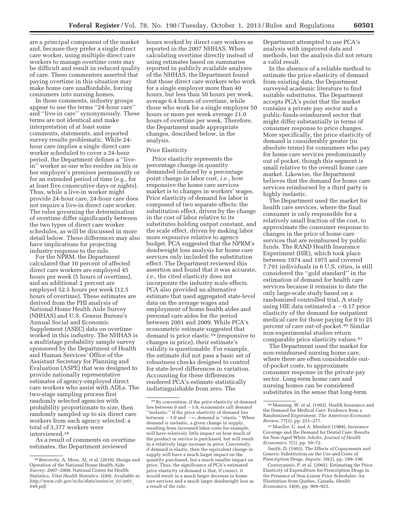are a principal component of the market and, because they prefer a single direct care worker, using multiple direct care workers to manage overtime costs may be difficult and result in reduced quality of care. These commenters asserted that paying overtime in this situation may make home care unaffordable, forcing consumers into nursing homes.

In these comments, industry groups appear to use the terms ''24-hour care'' and ''live-in care'' synonymously. These terms are not identical and make interpretation of at least some comments, statements, and reported survey results problematic. While 24 hour care implies a single direct care worker scheduled to cover a 24-hour period, the Department defines a ''livein'' worker as one who resides on his or her employer's premises permanently or for an extended period of time (e.g., for at least five consecutive days or nights). Thus, while a live-in worker might provide 24-hour care, 24-hour care does not require a live-in direct care worker. The rules governing the determination of overtime differ significantly between the two types of direct care worker schedules, as will be discussed in more detail below. These differences may also have implications for projecting industry response to the rule.

For the NPRM, the Department calculated that 10 percent of affected direct care workers are employed 45 hours per week (5 hours of overtime), and an additional 2 percent are employed 52.5 hours per week (12.5 hours of overtime). These estimates are derived from the PHI analysis of National Home Health Aide Survey (NHHAS) and U.S. Census Bureau's Annual Social and Economic Supplement (ASEC) data on overtime worked in this industry. The NHHAS is a multistage probability sample survey sponsored by the Department of Health and Human Services' Office of the Assistant Secretary for Planning and Evaluation (ASPE) that was designed to provide nationally representative estimates of agency-employed direct care workers who assist with ADLs. The two-stage sampling process first randomly selected agencies with probability proportionate to size, then randomly sampled up to six direct care workers from each agency selected; a total of 3,377 workers were interviewed.38

As a result of comments on overtime estimates, the Department reviewed

hours worked by direct care workers as reported in the 2007 NHHAS. When calculating overtime directly instead of using estimates based on summaries reported in publicly available analyses of the NHHAS, the Department found that those direct care workers who work for a single employer more than 40 hours, but less than 50 hours per week, average 6.4 hours of overtime, while those who work for a single employer 50 hours or more per week average 21.0 hours of overtime per week. Therefore, the Department made appropriate changes, described below, in the analysis.

#### Price Elasticity

rendered PCA's estimate statistically<br>indistinguishable from zero. The<br> $\frac{39 \text{By convention, if the price elasticity of demand}}{100 \text{ and } -1.0, \text{economics call demand}}$ Price elasticity represents the percentage change in quantity demanded induced by a percentage point change in labor cost, *i.e.,* how responsive the home care services market is to changes in workers' wages. Price elasticity of demand for labor is composed of two separate effects: the substitution effect, driven by the change in the cost of labor relative to its substitutes holding output constant, and the scale effect, driven by making labor more expensive relative to agency budget. PCA suggested that the NPRM's deadweight loss analysis for home care services only included the substitution effect. The Department reviewed this assertion and found that it was accurate, *i.e.,* the cited elasticity does not incorporate the industry scale effects. PCA also provided an alternative estimate that used aggregated state-level data on the average wages and employment of home health aides and personal care aides for the period between 2001 and 2009. While PCA's econometric estimate suggested that demand is price elastic 39 (responsive to changes in price), their estimate's validity is questionable. For example, the estimate did not pass a basic set of robustness checks designed to control for state-level differences in variation. Accounting for these differences rendered PCA's estimate statistically indistinguishable from zero. The

Department attempted to use PCA's analysis with improved data and methods, but the analysis did not return a valid result.

In the absence of a reliable method to estimate the price elasticity of demand from existing data, the Department surveyed academic literature to find suitable substitutes. The Department accepts PCA's point that the market contains a private pay sector and a public-funds-reimbursed sector that might differ substantially in terms of consumer response to price changes. More specifically, the price elasticity of demand is considerably greater (in absolute terms) for consumers who pay for home care services predominantly out of pocket, though this segment is small relative to the overall home care market. Likewise, the Department believes that the demand for home care services reimbursed by a third party is highly inelastic.

The Department used the market for health care services, where the final consumer is only responsible for a relatively small fraction of the cost, to approximate the consumer response to changes in the price of home care services that are reimbursed by public funds. The RAND Health Insurance Experiment (HIE), which took place between 1974 and 1975 and covered 7,791 individuals in 6 U.S. cities, is still considered the ''gold standard'' in the estimation of demand for health care services because it remains to date the only large-scale study based on a randomized controlled trial. A study considered the "gold standard" in the<br>estimation of demand for health care<br>services because it remains to date the<br>only large-scale study based on a<br>randomized controlled trial. A study<br>using HIE data estimated a  $-0.17$  elasticity of the demand for outpatient medical care for those paying for 0 to 25 percent of care out-of-pocket.40 Similar non-experimental studies return comparable price elasticity values.41

The Department used the market for non-reimbursed nursing home care, where there are often considerable outof-pocket costs, to approximate consumer response in the private pay sector. Long-term home care and nursing homes can be considered substitutes in the sense that long-term

<sup>38</sup>Bercovitz, A, Moss, AJ, et al. (2010). Design and Operation of the National Home Health Aide Survey: 2007–2008. National Center for Health Statistics. *Vital Health Statistics.* 1(49). Available at: *http://www.cdc.gov/nchs/data/series/sr*\_*01/sr01*\_ *049.pdf.* 

<sup>39</sup>By convention, if the price elasticity of demand "inelastic;" if the price elasticity of demand lies<br>between  $-1.0$  and  $-\infty$ , demand is "elastic." When  $\frac{39 \text{By convention, if the price elasticity of demand} }{39 \text{By convention, if the price elasticity of demand} }$ <br>
"inelastic;" if the price elasticity of demand "inelastic;" if the price elasticity of demand lies<br>
between  $-1.0$  and  $-\infty$ , demand is "elastic." When demand is inelastic, a given change in supply, resulting from increased labor costs for example, will have relatively little impact on how much of the product or service is purchased, but will result in a relatively large increase in price. Conversely, if demand is elastic, then the equivalent change in supply will have a much larger impact on the quantity purchased, but a much smaller impact on price. Thus, the significance of PCA's estimated price elasticity of demand is that, if correct, it would result in a much larger decrease in home care services and a much larger deadweight loss as a result of the rule.

<sup>40</sup>Manning, W. et al. (1992). Health Insurance and the Demand for Medical Care: Evidence from a Randomized Experiment. *The American Economic Review,* 77(3), pp. 251–277.

<sup>41</sup>Mueller, C. and A. Monheit (1988), Insurance Coverage and the Demand for Dental Care: Results for Non-Aged White Adults, *Journal of Health Economics,* 7(1), pp. 59–72.

Smith, D. (1993). The Effects of Copayments and Generic Substitution on the Use and Costs of Prescription Drugs. *Inquiry,* 30(2), pp. 189–198.

Contoyannis, P. et al. (2005). Estimating the Price Elasticity of Expenditure for Prescription Drugs in the Presence of Non-Linear Price Schedules: An Illustration from Quebec, Canada, *Health Economics,* 14(9), pp. 909–923.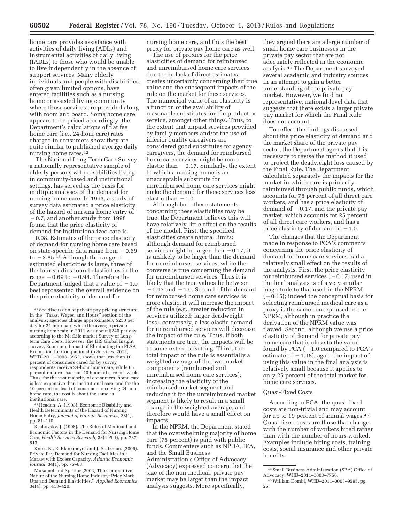home care provides assistance with activities of daily living (ADLs) and instrumental activities of daily living (IADLs) to those who would be unable to live independently in the absence of support services. Many elderly individuals and people with disabilities, often given limited options, have entered facilities such as a nursing home or assisted living community where those services are provided along with room and board. Some home care appears to be priced accordingly; the Department's calculations of flat fee home care (i.e., 24-hour care) rates charged to consumers show they are quite similar to published average daily nursing home rates.42

The National Long Term Care Survey, a nationally representative sample of elderly persons with disabilities living in community-based and institutional settings, has served as the basis for multiple analyses of the demand for nursing home care. In 1993, a study of survey data estimated a price elasticity of the hazard of nursing home entry of  $-0.7$ , and another study from 1998<br>found that the price elasticity of<br>demand for institutionalized care is<br> $-0.98$ . Estimates of the price elasticity<br>of demand for nursing home care based<br>on state-specific data range fro found that the price elasticity of demand for institutionalized care is  $-0.98$ . Estimates of the price elasticity of demand for nursing home care based<br>on state-specific data range from  $-0.69$ <br>to  $-3.85.^{43}$  Although the range of<br>estimated elasticities is large, three of<br>the four studies found elasticities in the<br>range  $-0.69$  to found that the price elasticity of<br>demand for institutionalized care  $-0.98$ . Estimates of the price elast<br>of demand for nursing home care l<br>on state-specific data range from  $-$ <br>to  $-3.85.^{43}$  Although the range of estimated elasticities is large, three of the four studies found elasticities in the on state-specific data range from  $-0.69$ <br>to  $-3.85.^{43}$  Although the range of<br>estimated elasticities is large, three of<br>the four studies found elasticities in the<br>range  $-0.69$  to  $-0.98$ . Therefore the<br>Department judge best represented the overall evidence on the price elasticity of demand for

43Headen, A. (1993). Economic Disability and Health Determinants of the Hazard of Nursing Home Entry, *Journal of Human Resources,* 28(1), pp. 81–110.

Rechovsky, J. (1998). The Roles of Medicaid and Economic Factors in the Demand for Nursing Home Care, *Health Services Research,* 33(4 Pt 1), pp. 787– 813.

Knox, K., E. Blankmeyer and J. Stutzman. (2006). Private Pay Demand for Nursing Facilities in a Market with Excess Capacity. *Atlantic Economic Journal.* 34(1), pp. 75–83.

Mukamel and Spector (2002).The Competitive Nature of the Nursing Home Industry: Price Mark Ups and Demand Elasticities.'' *Applied Economics,*   $34(4)$ , pp. 413-420.

nursing home care, and thus the best proxy for private pay home care as well.

The use of proxies for the price elasticities of demand for reimbursed and unreimbursed home care services due to the lack of direct estimates creates uncertainty concerning their true value and the subsequent impacts of the rule on the market for these services. The numerical value of an elasticity is a function of the availability of reasonable substitutes for the product or service, amongst other things. Thus, to the extent that unpaid services provided by family members and/or the use of inferior quality caregivers are considered good substitutes for agency caregivers, the demand for reimbursed home care services might be more by family members and/or the use of<br>inferior quality caregivers are<br>considered good substitutes for agency<br>caregivers, the demand for reimbursed<br>home care services might be more<br>elastic than  $-0.17$ . Similarly, the extent to which a nursing home is an unacceptable substitute for unreimbursed home care services might make the demand for those services less<br>elastic than  $-1.0$ . elastic than  $-0.17$ <br>to which a nursing<br>unacceptable subs<br>unreimbursed hon<br>make the demand<br>elastic than  $-1.0$ .

Although both these statements concerning these elasticities may be true, the Department believes this will have relatively little effect on the results of the model. First, the specified elasticities create natural limits: although demand for reimbursed true, the Department believes this will<br>have relatively little effect on the result<br>of the model. First, the specified<br>elasticities create natural limits:<br>although demand for reimbursed<br>services might be larger than  $-0.1$ is unlikely to be larger than the demand for unreimbursed services, while the converse is true concerning the demand for unreimbursed services. Thus it is likely that the true values lie between<br> $-0.17$  and  $-1.0$ . Second, if the demand unlikely to be larger than the demand<br>r unreimbursed services, while the<br>nverse is true concerning the demand<br>r unreimbursed services. Thus it is<br>cely that the true values lie between<br>0.17 and  $-1.0$ . Second, if the deman for reimbursed home care services is more elastic, it will increase the impact of the rule (e.g., greater reduction in services utilized; larger deadweight loss); conversely, a less elastic demand for unreimbursed services will decrease the impact of the rule. Thus, if both statements are true, the impacts will be to some extent offsetting. Third, the total impact of the rule is essentially a weighted average of the two market components (reimbursed and unreimbursed home care services); increasing the elasticity of the reimbursed market segment and reducing it for the unreimbursed market segment is likely to result in a small change in the weighted average, and therefore would have a small effect on impacts.

In the NPRM, the Department stated that the overwhelming majority of home care (75 percent) is paid with public funds. Commenters such as NPDA, IFA, and the Small Business Administration's Office of Advocacy (Advocacy) expressed concern that the size of the non-medical, private pay market may be larger than the impact analysis suggests. More specifically,

they argued there are a large number of small home care businesses in the private pay sector that are not adequately reflected in the economic analysis.44 The Department surveyed several academic and industry sources in an attempt to gain a better understanding of the private pay market. However, we find no representative, national-level data that suggests that there exists a larger private pay market for which the Final Rule does not account.

To reflect the findings discussed about the price elasticity of demand and the market share of the private pay sector, the Department agrees that it is necessary to revise the method it used to project the deadweight loss caused by the Final Rule. The Department calculated separately the impacts for the market in which care is primarily reimbursed through public funds, which accounts for 75 percent of all direct care workers, and has a price elasticity of calculated separately the impacts for th<br>market in which care is primarily<br>reimbursed through public funds, whic<br>accounts for 75 percent of all direct car<br>workers, and has a price elasticity of<br>demand of  $-0.17$ , and the market, which accounts for 25 percent of all direct care workers, and has a demand of  $-0.17$ , and the private pay<br>market, which accounts for 25 percent<br>of all direct care workers, and has a<br>price elasticity of demand of  $-1.0$ .

The changes that the Department made in response to PCA's comments<br>concerning the price elasticity of<br>demand for home care services had a<br>relatively small effect on the results of<br>the analysis. First, the price elasticity<br>for reimbursed services  $(-0.17)$ concerning the price elasticity of demand for home care services had a relatively small effect on the results of the analysis. First, the price elasticity the final analysis is of a very similar magnitude to that used in the NPRM relatively small effect on the results of<br>the analysis. First, the price elasticity<br>for reimbursed services (–0.17) used in<br>the final analysis is of a very similar<br>magnitude to that used in the NPRM<br>(–0.15); indeed the con selecting reimbursed medical care as a proxy is the same concept used in the NPRM, although in practice the derivation of the NPRM value was flawed. Second, although we use a price elasticity of demand for private pay home care that is close to the value found by PCA  $(-1.0$  compared to PCA's estimate of  $-1.18$ ), again the impact of using this value in the final analysis is relatively small because it applies to only 25 percent of the total market for home care services.

## Quasi-Fixed Costs

According to PCA, the quasi-fixed costs are non-trivial and may account for up to 19 percent of annual wages.45 Quasi-fixed costs are those that change with the number of workers hired rather than with the number of hours worked. Examples include hiring costs, training costs, social insurance and other private benefits.

<sup>42</sup>See discussion of private pay pricing structure in the ''Tasks, Wages, and Hours'' section of the analysis; agencies charge approximately \$250 per day for 24-hour care while the average private nursing home rate in 2011 was about \$240 per day according to the MetLife market Survey of Longterm Care Costs. However, the IHS Global Insight survey, Economic Impact of Eliminating the FLSA Exemption for Companionship Services, 2012, WHD–2011–0003–8952, shows that less than 10 percent of consumers cared for by survey respondents receive 24-hour home care, while 65 percent require less than 40 hours of care per week. Thus, for the vast majority of consumers, home care is less expensive than institutional care, and for the 10 percent (or less) of consumers receiving 24-hour home care, the cost is about the same as institutional care.

<sup>44</sup>Small Business Administration (SBA) Office of Advocacy, WHD–2011–0003–7756.

<sup>45</sup>William Dombi, WHD–2011–0003–9595, pg. 25.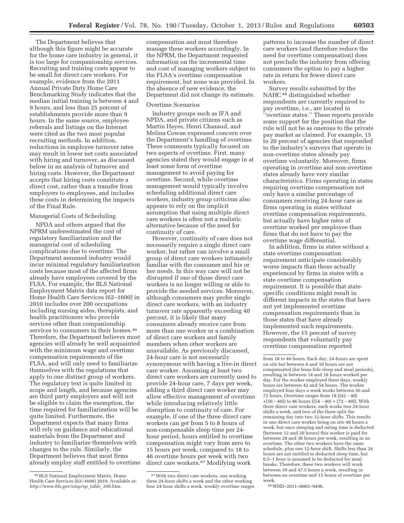The Department believes that although this figure might be accurate for the home care industry in general, it is too large for companionship services. Recruiting and training costs appear to be small for direct care workers. For example, evidence from the 2011 Annual Private Duty Home Care Benchmarking Study indicates that the median initial training is between 4 and 9 hours, and less than 25 percent of establishments provide more than 9 hours. In the same source, employee referrals and listings on the Internet were cited as the two most popular recruiting methods. In addition, reductions in employee turnover rates may result in lower net costs associated with hiring and turnover, as discussed below in an analysis of turnover and hiring costs. However, the Department accepts that hiring costs constitute a direct cost, rather than a transfer from employers to employees, and includes these costs in determining the impacts of the Final Rule.

#### Managerial Costs of Scheduling

NPDA and others argued that the NPRM underestimated the cost of regulatory familiarization and the managerial cost of scheduling complications due to overtime. The Department assumed industry would incur minimal regulatory familiarization costs because most of the affected firms already have employees covered by the FLSA. For example, the BLS National Employment Matrix data report for Home Health Care Services (62–1600) in 2010 includes over 200 occupations including nursing aides, therapists, and health practitioners who provide services other than companionship services to consumers in their homes.46 Therefore, the Department believes most agencies will already be well acquainted with the minimum wage and overtime compensation requirements of the FLSA, and will only need to familiarize themselves with the regulations that apply to one distinct group of workers. The regulatory text is quite limited in scope and length, and because agencies are third party employers and will not be eligible to claim the exemption, the time required for familiarization will be quite limited. Furthermore, the Department expects that many firms will rely on guidance and educational materials from the Department and industry to familiarize themselves with changes to the rule. Similarly, the Department believes that most firms already employ staff entitled to overtime

compensation and must therefore manage these workers accordingly. In the NPRM, the Department requested information on the incremental time and cost of managing workers subject to the FLSA's overtime compensation requirement, but none was provided. In the absence of new evidence, the Department did not change its estimate.

## Overtime Scenarios

Industry groups such as IFA and NPDA, and private citizens such as Martin Hayes, Henri Chazaud, and Melina Cowan expressed concern over the Department's handling of overtime. These comments typically focused on two aspects of overtime. First, many agencies stated they would engage in at least some form of overtime management to avoid paying for overtime. Second, while overtime management would typically involve scheduling additional direct care workers, industry group criticism also appears to rely on the implicit assumption that using multiple direct care workers is often not a realistic alternative because of the need for continuity of care.

However, continuity of care does not necessarily require a single direct care worker, but rather can involve a small group of direct care workers intimately familiar with the consumer and his or her needs. In this way care will not be disrupted if one of those direct care workers is no longer willing or able to provide the needed services. Moreover, although consumers may prefer single direct care workers, with an industry turnover rate apparently exceeding 40 percent, it is likely that many consumers already receive care from more than one worker or a combination of direct care workers and family members when other workers are unavailable. As previously discussed, 24-hour care is not necessarily synonymous with having a live-in direct care worker. Assuming at least two direct care workers are currently used to provide 24-hour care, 7 days per week, adding a third direct care worker may allow effective management of overtime while introducing relatively little disruption to continuity of care. For example, if one of the three direct care workers can get from 5 to 8 hours of non-compensable sleep time per 24 hour period, hours entitled to overtime compensation might vary from zero to 15 hours per week, compared to 18 to 46 overtime hours per week with two direct care workers.47 Modifying work

patterns to increase the number of direct care workers (and therefore reduce the need for overtime compensation) does not preclude the industry from offering consumers the option to pay a higher rate in return for fewer direct care workers.

Survey results submitted by the NAHC<sup>48</sup> distinguished whether respondents are currently required to pay overtime, i.e., are located in ''overtime states.'' These reports provide some support for the position that the rule will not be as onerous to the private pay market as claimed. For example, 15 to 20 percent of agencies that responded to the industry's surveys that operate in non-overtime states already pay overtime voluntarily. Moreover, firms operating in overtime and non-overtime states already have very similar characteristics. Firms operating in states requiring overtime compensation not only have a similar percentage of consumers receiving 24-hour care as firms operating in states without overtime compensation requirements, but actually have higher rates of overtime worked per employee than firms that do not have to pay the overtime wage differential.

In addition, firms in states without a state overtime compensation requirement anticipate considerably worse impacts than those actually experienced by firms in states with a state overtime compensation requirement. It is possible that statespecific conditions might result in different impacts in the states that have not yet implemented overtime compensation requirements than in those states that have already implemented such requirements. However, the 15 percent of survey respondents that voluntarily pay overtime compensation reported

48WHD–2011–0003–9496.

<sup>46</sup>BLS National Employment Matrix, Home Health Care Services (62–1600) 2010. Available at: *http://www.bls.gov/emp/ep*\_*table*\_*109.htm*.

<sup>47</sup>With two direct care workers, one working three 24-hour shifts a week and the other working four 24-hour shifts a week, weekly overtime ranges

from 18 to 46 hours. Each day, 24-hours are spent on site but between 6 and 10 hours are not compensated (for bona fide sleep and meal periods), resulting in between 14 and 18 hours worked per day. For the worker employed three days, weekly hours are between 42 and 54 hours. The worker employed four days a week works between 56 and 72 hours. Overtime ranges from  $18$  ( $(42-40)$ ) compensated (for bona fide sleep and meal p<br>resulting in between 14 and 18 hours worked<br>day. For the worker employed three days, we<br>hours are between 42 and 54 hours. The worl<br>employed four days a week works between 5<br>72 h resulting in between 14 and 18 hours worked per<br>day. For the worker employed three days, weekly<br>hours are between 42 and 54 hours. The worker<br>employed four days a week works between 56 and<br>72 hours. Overtime ranges from 1 three direct care workers, each works two 24-hour shifts a week, and two of the three split the remaining day into two 12-hour shifts. This results in one direct care worker being on site 48 hours a week, but once sleeping and eating time is deducted (between 12 and 20 hours) this worker is paid for between 28 and 36 hours per week, resulting in no overtime. The other two workers have the same schedule, plus one 12-hour shift. Shifts less than 24 hours are not entitled to deducted sleep time, but 0.5–1 hour is assumed to be deducted for meal breaks. Therefore, these two workers will work between 39 and 47.5 hours a week, resulting in between no overtime and 15 hours of overtime per week.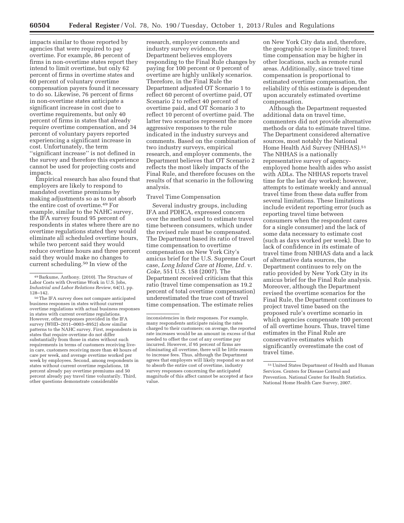impacts similar to those reported by agencies that were required to pay overtime. For example, 86 percent of firms in non-overtime states report they intend to limit overtime, but only 62 percent of firms in overtime states and 60 percent of voluntary overtime compensation payers found it necessary to do so. Likewise, 76 percent of firms in non-overtime states anticipate a significant increase in cost due to overtime requirements, but only 40 percent of firms in states that already require overtime compensation, and 34 percent of voluntary payers reported experiencing a significant increase in cost. Unfortunately, the term ''significant increase'' is not defined in the survey and therefore this experience cannot be used for projecting costs and impacts.

Empirical research has also found that employers are likely to respond to mandated overtime premiums by making adjustments so as to not absorb the entire cost of overtime.49 For example, similar to the NAHC survey, the IFA survey found 95 percent of respondents in states where there are no overtime regulations stated they would eliminate all scheduled overtime hours, while two percent said they would reduce overtime hours and three percent said they would make no changes to current scheduling.50 In view of the

research, employer comments and industry survey evidence, the Department believes employers responding to the Final Rule changes by paying for 100 percent or 0 percent of overtime are highly unlikely scenarios. Therefore, in the Final Rule the Department adjusted OT Scenario 1 to reflect 60 percent of overtime paid, OT Scenario 2 to reflect 40 percent of overtime paid, and OT Scenario 3 to reflect 10 percent of overtime paid. The latter two scenarios represent the more aggressive responses to the rule indicated in the industry surveys and comments. Based on the combination of two industry surveys, empirical research, and employer comments, the Department believes that OT Scenario 2 reflects the most likely impacts of the Final Rule, and therefore focuses on the results of that scenario in the following analysis.

### Travel Time Compensation

Several industry groups, including IFA and PDHCA, expressed concern over the method used to estimate travel time between consumers, which under the revised rule must be compensated. The Department based its ratio of travel time compensation to overtime compensation on New York City's amicus brief for the U.S. Supreme Court case, *Long Island Care at Home, Ltd.* v. *Coke,* 551 U.S. 158 (2007). The Department received criticism that this ratio (travel time compensation as 19.2 percent of total overtime compensation) underestimated the true cost of travel time compensation. The estimate relies

on New York City data and, therefore, the geographic scope is limited; travel time compensation may be higher in other locations, such as remote rural areas. Additionally, since travel time compensation is proportional to estimated overtime compensation, the reliability of this estimate is dependent upon accurately estimated overtime compensation.

Although the Department requested additional data on travel time, commenters did not provide alternative methods or data to estimate travel time. The Department considered alternative sources, most notably the National Home Health Aid Survey (NHHAS).51 The NHHAS is a nationally representative survey of agencyemployed home health aides who assist with ADLs. The NHHAS reports travel time for the last day worked; however, attempts to estimate weekly and annual travel time from these data suffer from several limitations. These limitations include evident reporting error (such as reporting travel time between consumers when the respondent cares for a single consumer) and the lack of some data necessary to estimate cost (such as days worked per week). Due to lack of confidence in its estimate of travel time from NHHAS data and a lack of alternative data sources, the Department continues to rely on the ratio provided by New York City in its amicus brief for the Final Rule analysis. Moreover, although the Department revised the overtime scenarios for the Final Rule, the Department continues to project travel time based on the proposed rule's overtime scenario in which agencies compensate 100 percent of all overtime hours. Thus, travel time estimates in the Final Rule are conservative estimates which significantly overestimate the cost of travel time.

<sup>49</sup>Barkume, Anthony. (2010). The Structure of Labor Costs with Overtime Work in U.S. Jobs, *Industrial and Labor Relations Review,* 64(1), pp.

<sup>&</sup>lt;sup>50</sup>The IFA survey does not compare anticipated business responses in states without current overtime regulations with actual business responses in states with current overtime regulations. However, other responses provided in the IFA survey (WHD–2011–0003–8952) show similar patterns to the NAHC survey. First, respondents in states that require overtime do not differ substantially from those in states without such requirements in terms of customers receiving livein care, customers receiving more than 40 hours of care per week, and average overtime worked per week by employees. Second, among respondents in states without current overtime regulations, 18 percent already pay overtime premiums and 50 percent already pay travel time voluntarily. Third, other questions demonstrate considerable

inconsistencies in their responses. For example, many respondents anticipate raising the rates charged to their customers; on average, the reported rate increases would be an amount in excess of that needed to offset the cost of any overtime pay incurred. However, if 95 percent of firms are eliminating all overtime, there will be little reason to increase fees. Thus, although the Department agrees that employers will likely respond so as not to absorb the entire cost of overtime, industry survey responses concerning the anticipated magnitude of this affect cannot be accepted at face value.

<sup>51</sup>United States Department of Health and Human Services. Centers for Disease Control and Prevention. National Center for Health Statistics. National Home Health Care Survey, 2007.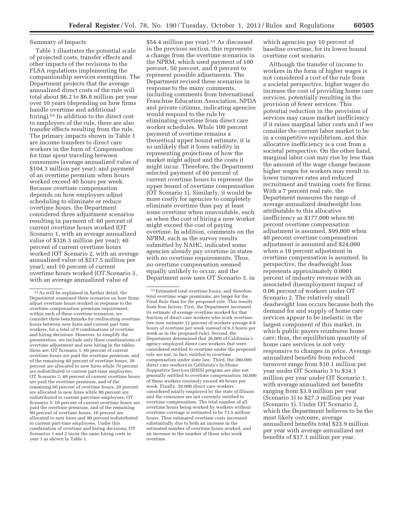## Summary of Impacts

Table 1 illustrates the potential scale of projected costs, transfer effects and other impacts of the revisions to the FLSA regulations implementing the companionship services exemption. The Department projects that the average annualized direct costs of the rule will total about \$6.2 to \$6.8 million per year over 10 years (depending on how firms handle overtime and additional hiring).<sup>52</sup> In addition to the direct cost to employers of the rule, there are also transfer effects resulting from the rule. The primary impacts shown in Table 1 are income transfers to direct care workers in the form of: Compensation for time spent traveling between consumers (average annualized value of \$104.3 million per year); and payment of an overtime premium when hours worked exceed 40 hours per week. Because overtime compensation depends on how employers adjust scheduling to eliminate or reduce overtime hours, the Department considered three adjustment scenarios resulting in payment of: 60 percent of current overtime hours worked (OT Scenario 1, with an average annualized value of \$326.3 million per year); 40 percent of current overtime hours worked (OT Scenario 2, with an average annualized value of \$217.5 million per year); and 10 percent of current overtime hours worked (OT Scenario 3, with an average annualized value of

\$54.4 million per year).53 As discussed in the previous section, this represents a change from the overtime scenarios in the NPRM, which used payment of 100 percent, 50 percent, and 0 percent to represent possible adjustments. The Department revised these scenarios in response to the many comments, including comments from International Franchise Education Association, NPDA and private citizens, indicating agencies would respond to the rule by eliminating overtime from direct care worker schedules. While 100 percent payment of overtime remains a theoretical upper bound estimate, it is so unlikely that it loses validity in representing projections of how the market might adjust and the costs it might incur. Therefore, the Department selected payment of 60 percent of current overtime hours to represent the upper bound of overtime compensation (OT Scenario 1). Similarly, it would be more costly for agencies to completely eliminate overtime than pay at least some overtime when unavoidable, such as when the cost of hiring a new worker might exceed the cost of paying overtime. In addition, comments on the NPRM, such as the survey results submitted by NAHC, indicated some agencies already pay overtime in states with no overtime requirements. Thus, no overtime compensation seemed equally unlikely to occur, and the Department now uses OT Scenario 3, in

53Estimated total overtime hours, and therefore total overtime wage premiums, are larger for the Final Rule than for the proposed rule. This results from four factors. First, the Department increased its estimate of average overtime worked for that fraction of direct care workers who work overtime (we now estimate 12 percent of workers average 8.8 hours of overtime per week instead of 6.3 hours per week as in the proposed rule). Second, the Department determined that 26,000 of California's agency-employed direct care workers that were considered entitled to overtime under the proposed rule are not, in fact, entitled to overtime compensation under state law. Third, the 380,000 direct care workers in California's In-Home Supportive Services (IHSS) program are also not generally entitled to overtime compensation; 50,000 of these workers routinely exceed 40 hours per week. Finally, 30,000 direct care workers considered jointly employed by the state of Illinois and the consumer are not currently entitled to overtime compensation. The total number of all overtime hours being worked by workers without overtime coverage is estimated to be 73.5 million hours. Thus estimated overtime costs increased substantially due to both an increase in the estimated number of overtime hours worked, and an increase in the number of those who work overtime.

which agencies pay 10 percent of baseline overtime, for its lower bound overtime cost scenario.

Although the transfer of income to workers in the form of higher wages is not considered a cost of the rule from a societal perspective, higher wages do increase the cost of providing home care services, potentially resulting in the provision of fewer services. This potential reduction in the provision of services may cause market inefficiency if it raises marginal labor costs and if we consider the current labor market to be in a competitive equilibrium, and this allocative inefficiency is a cost from a societal perspective. On the other hand, marginal labor cost may rise by less than the amount of the wage change because higher wages for workers may result in lower turnover rates and reduced recruitment and training costs for firms. With a 7 percent real rate, the Department measures the range of average annualized deadweight loss attributable to this allocative inefficiency as \$177,000 when 60 percent overtime compensation adjustment is assumed, \$99,000 when 40 percent overtime compensation adjustment is assumed and \$24,000 when a 10 percent adjustment in overtime compensation is assumed. In perspective, the deadweight loss represents approximately 0.0001 percent of industry revenue with an associated disemployment impact of 0.06 percent of workers under OT Scenario 2. The relatively small deadweight loss occurs because both the demand for and supply of home care services appear to be inelastic in the largest component of this market, in which public payers reimburse home care; thus, the equilibrium quantity of home care services is not very responsive to changes in price. Average annualized benefits from reduced turnover range from \$10.1 million per year under OT Scenario 3 to \$34.1 million per year under OT Scenario 1, with average annualized net benefits ranging from \$3.9 million per year (Scenario 3) to \$27.3 million per year (Scenario 1). Under OT Scenario 2, which the Department believes to be the most likely outcome, average annualized benefits total \$23.9 million per year with average annualized net benefits of \$17.1 million per year.

<sup>52</sup>As will be explained in further detail, the Department examined three scenarios on how firms adjust overtime hours worked in response to the overtime compensation premium requirement; within each of these overtime scenarios, we consider three benchmarks for reallocating overtime hours between new hires and current part time workers, for a total of 9 combinations of overtime and hiring decisions. However, to simplify the presentation, we include only three combinations of overtime adjustment and new hiring in the tables; these are: OT Scenario 1: 60 percent of current overtime hours are paid the overtime premium, and of the remaining 40 percent of overtime hours, 30 percent are allocated to new hires while 70 percent are redistributed to current part-time employees; OT Scenario 2: 40 percent of current overtime hours are paid the overtime premium, and of the remaining 60 percent of overtime hours, 20 percent are allocated to new hires while 80 percent are redistributed to current part-time employees; OT Scenario 3: 10 percent of current overtime hours are paid the overtime premium, and of the remaining 90 percent of overtime hours, 10 percent are allocated to new hires and 90 percent redistributed to current part-time employees. Under this combination of overtime and hiring decisions, OT Scenarios 1 and 2 incur the same hiring costs in year 1 as shown in Table 1.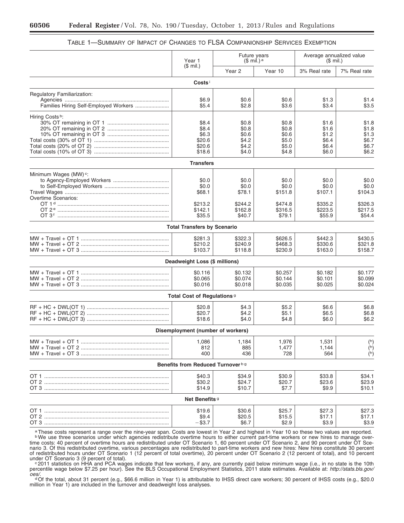|                                                                                                   | Year 1                                                   | Future years<br>$($$ mil.) a                             |                                                           | Average annualized value<br>$($$ mil.)                    |                                                           |  |
|---------------------------------------------------------------------------------------------------|----------------------------------------------------------|----------------------------------------------------------|-----------------------------------------------------------|-----------------------------------------------------------|-----------------------------------------------------------|--|
|                                                                                                   | $$$ mil.)                                                | Year 2                                                   | Year 10                                                   | 3% Real rate                                              | 7% Real rate                                              |  |
|                                                                                                   | Costs <sup>i</sup>                                       |                                                          |                                                           |                                                           |                                                           |  |
| Regulatory Familiarization:                                                                       | \$6.9<br>\$5.4                                           | \$0.6<br>\$2.8                                           | \$0.6<br>\$3.6                                            | \$1.3<br>\$3.4                                            | \$1.4<br>\$3.5                                            |  |
| Hiring Costs <sup>b</sup> :                                                                       | \$8.4<br>\$8.4<br>\$6.3<br>\$20.6<br>\$20.6<br>\$18.6    | \$0.8<br>\$0.8<br>\$0.6<br>\$4.2<br>\$4.2<br>\$4.0       | \$0.8<br>\$0.8<br>\$0.6<br>\$5.0<br>\$5.0<br>\$4.8        | \$1.6<br>\$1.6<br>\$1.2<br>\$6.4<br>\$6.4<br>\$6.0        | \$1.8<br>\$1.8<br>\$1.3<br>\$6.7<br>\$6.7<br>\$6.2        |  |
|                                                                                                   | <b>Transfers</b>                                         |                                                          |                                                           |                                                           |                                                           |  |
| Minimum Wages (MW) o:<br><b>Overtime Scenarios:</b><br>OT 2 <sup>e</sup> ……………………………………………………………… | \$0.0<br>\$0.0<br>\$68.1<br>\$213.2<br>\$142.1<br>\$35.5 | \$0.0<br>\$0.0<br>\$78.1<br>\$244.2<br>\$162.8<br>\$40.7 | \$0.0<br>\$0.0<br>\$151.8<br>\$474.8<br>\$316.5<br>\$79.1 | \$0.0<br>\$0.0<br>\$107.1<br>\$335.2<br>\$223.5<br>\$55.9 | \$0.0<br>\$0.0<br>\$104.3<br>\$326.3<br>\$217.5<br>\$54.4 |  |
|                                                                                                   | <b>Total Transfers by Scenario</b>                       |                                                          |                                                           |                                                           |                                                           |  |
|                                                                                                   | \$281.3<br>\$210.2<br>\$103.7                            | \$322.3<br>\$240.9<br>\$118.8                            | \$626.5<br>\$468.3<br>\$230.9                             | \$442.3<br>\$330.6<br>\$163.0                             | \$430.5<br>\$321.8<br>\$158.7                             |  |
|                                                                                                   | Deadweight Loss (\$ millions)                            |                                                          |                                                           |                                                           |                                                           |  |
|                                                                                                   | \$0.116<br>\$0.065<br>\$0.016                            | \$0.132<br>\$0.074<br>\$0.018                            | \$0.257<br>\$0.144<br>\$0.035                             | \$0.182<br>\$0.101<br>\$0.025                             | \$0.177<br>\$0.099<br>\$0.024                             |  |
|                                                                                                   | Total Cost of Regulations <sup>9</sup>                   |                                                          |                                                           |                                                           |                                                           |  |
|                                                                                                   | \$20.8<br>\$20.7<br>\$18.6                               | \$4.3<br>\$4.2<br>\$4.0                                  | \$5.2<br>\$5.1<br>\$4.8                                   | \$6.6<br>\$6.5<br>\$6.0                                   | \$6.8<br>\$6.8<br>\$6.2                                   |  |
|                                                                                                   | Disemployment (number of workers)                        |                                                          |                                                           |                                                           |                                                           |  |
|                                                                                                   | 1,086<br>812<br>400                                      | 1,184<br>885<br>436                                      | 1,976<br>1,477<br>728                                     | 1,531<br>1,144<br>564                                     | $h$<br>(h)<br>(h)                                         |  |
|                                                                                                   | Benefits from Reduced Turnoverba                         |                                                          |                                                           |                                                           |                                                           |  |
|                                                                                                   | \$40.3<br>\$30.2<br>\$14.9                               | \$34.9<br>\$24.7<br>\$10.7                               | \$30.9<br>\$20.7<br>\$7.7                                 | \$33.8<br>\$23.6<br>\$9.9                                 | \$34.1<br>\$23.9<br>\$10.1                                |  |
|                                                                                                   | Net Benefits <sup>9</sup>                                |                                                          |                                                           |                                                           |                                                           |  |
|                                                                                                   | \$19.6<br>\$9.4<br>$-$ \$3.7                             | \$30.6<br>\$20.5<br>\$6.7                                | \$25.7<br>\$15.5<br>\$2.9                                 | \$27.3<br>\$17.1<br>\$3.9                                 | \$27.3<br>\$17.1<br>\$3.9                                 |  |

## TABLE 1—SUMMARY OF IMPACT OF CHANGES TO FLSA COMPANIONSHIP SERVICES EXEMPTION

<sup>a</sup> These costs represent a range over the nine-year span. Costs are lowest in Year 2 and highest in Year 10 so these two values are reported.<br><sup>b</sup>We use three scenarios under which agencies redistribute overtime hours to e time costs: 40 percent of overtime hours are redistributed under OT Scenario 1, 60 percent under OT Scenario 2, and 90 percent under OT Scenario 3. Of this redistributed overtime, various percentages are redistributed to part-time workers and new hires: New hires constitute 30 percent of redistributed hours under OT Scenario 1 (12 percent of total overtime), 20 percent under OT Scenario 2 (12 percent of total), and 10 percent under OT Scenario 3 (9 percent of total).<br>° 2011 statistics on HHA and PCA wages indicate that few workers, if any, are currently paid below minimum wage (i.e., in no state is the 10th

percentile wage below \$7.25 per hour). See the BLS Occupational Employment Statistics, 2011 state estimates. Available at: http://stats.bls.gov/ oes/.<br><sup>d</sup>Of the total, about 31 percent (e.g., \$66.6 million in Year 1) is attributable to IHSS direct care workers; 30 percent of IHSS costs (e.g., \$20.0

million in Year 1) are included in the turnover and deadweight loss analyses.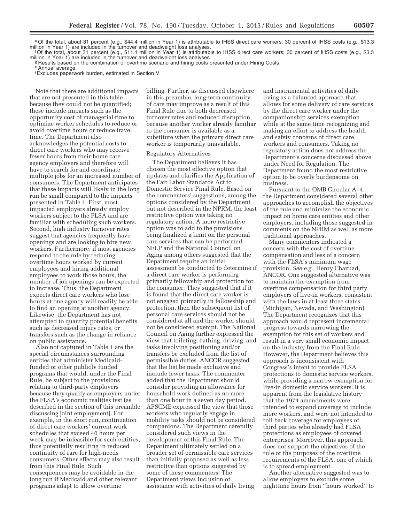eOf the total, about 31 percent (e.g., \$44.4 million in Year 1) is attributable to IHSS direct care workers; 30 percent of IHSS costs (e.g., \$13.3 <sup>f</sup> Of the total, about 31 percent (e.g., \$11.1 million in Year 1) is attributable to IHSS direct care workers; 30 percent of IHSS costs (e.g., \$3.3<br>million in Year 1) are included in the turnover and deadweight loss analy

<sup>g</sup> Results based on the combination of overtime scenario and hiring costs presented under Hiring Costs.

h Annual average.

iExcludes paperwork burden, estimated in Section V.

Note that there are additional impacts that are not presented in this table because they could not be quantified; these include impacts such as the opportunity cost of managerial time to optimize worker schedules to reduce or avoid overtime hours or reduce travel time. The Department also acknowledges the potential costs to direct care workers who may receive fewer hours from their home care agency employers and therefore will have to search for and coordinate multiple jobs for an increased number of consumers. The Department anticipates that these impacts will likely in the long run be small compared to the impacts presented in Table 1. First, most impacted employers already employ workers subject to the FLSA and are familiar with scheduling such workers. Second, high industry turnover rates suggest that agencies frequently have openings and are looking to hire new workers. Furthermore, if most agencies respond to the rule by reducing overtime hours worked by current employees and hiring additional employees to work those hours, the number of job openings can be expected to increase. Thus, the Department expects direct care workers who lose hours at one agency will readily be able to find an opening at another agency. Likewise, the Department has not attempted to quantify potential benefits such as decreased injury rates, or transfers such as the change in reliance on public assistance.

Also not captured in Table 1 are the special circumstances surrounding entities that administer Medicaidfunded or other publicly funded programs that would, under the Final Rule, be subject to the provisions relating to third-party employers because they qualify as employers under the FLSA's economic realities test (as described in the section of this preamble discussing joint employment). For example, in the short run, continuation of direct care workers' current work schedules that exceed 40 hours per week may be infeasible for such entities, thus potentially resulting in reduced continuity of care for high-needs consumers. Other effects may also result from this Final Rule. Such consequences may be avoidable in the long run if Medicaid and other relevant programs adapt to allow overtime

billing. Further, as discussed elsewhere in this preamble, long-term continuity of care may improve as a result of this Final Rule due to both decreased turnover rates and reduced disruption, because another worker already familiar to the consumer is available as a substitute when the primary direct care worker is temporarily unavailable.

#### Regulatory Alternatives

The Department believes it has chosen the most effective option that updates and clarifies the Application of the Fair Labor Standards Act to Domestic Service Final Rule. Based on the commenters' suggestions, among the options considered by the Department but not described in the NPRM, the least restrictive option was taking no regulatory action. A more restrictive option was to add to the provisions being finalized a limit on the personal care services that can be performed. NELP and the National Council on Aging among others suggested that the Department require an initial assessment be conducted to determine if a direct care worker is performing primarily fellowship and protection for the consumer. They suggested that if it is found that the direct care worker is not engaged primarily in fellowship and protection, then the subsequent list of personal care services should not be considered at all and the worker should not be considered exempt. The National Council on Aging further expressed the view that toileting, bathing, driving, and tasks involving positioning and/or transfers be excluded from the list of permissible duties. ANCOR suggested that the list be made exclusive and include fewer tasks. The commenter added that the Department should consider providing an allowance for household work defined as no more than one hour in a seven day period. AFSCME expressed the view that those workers who regularly engage in mobility tasks should not be considered companions. The Department carefully considered such views in the development of this Final Rule. The Department ultimately settled on a broader set of permissible care services than initially proposed as well as less restrictive than options suggested by some of these commenters. The Department views inclusion of assistance with activities of daily living

and instrumental activities of daily living as a balanced approach that allows for some delivery of care services by the direct care worker under the companionship services exemption while at the same time recognizing and making an effort to address the health and safety concerns of direct care workers and consumers. Taking no regulatory action does not address the Department's concerns discussed above under Need for Regulation. The Department found the most restrictive option to be overly burdensome on business.

Pursuant to the OMB Circular A–4, the Department considered several other approaches to accomplish the objectives of the rule and minimize the economic impact on home care entities and other employers, including those suggested in comments on the NPRM as well as more traditional approaches.

Many commenters indicated a concern with the cost of overtime compensation and less of a concern with the FLSA's minimum wage provision. *See e.g.,* Henry Chazuad, ANCOR. One suggested alternative was to maintain the exemption from overtime compensation for third party employers of live-in workers, consistent with the laws in at least three states (Michigan, Nevada, and Washington). The Department recognizes that this approach would represent incremental progress towards narrowing the exemption for this set of workers and result in a very small economic impact on the industry from the Final Rule. However, the Department believes this approach is inconsistent with Congress's intent to provide FLSA protections to domestic service workers, while providing a narrow exemption for live-in domestic service workers. It is apparent from the legislative history that the 1974 amendments were intended to expand coverage to include more workers, and were not intended to roll back coverage for employees of third parties who already had FLSA protections as employees of covered enterprises. Moreover, this approach does not support the objectives of the rule or the purposes of the overtime requirements of the FLSA, one of which is to spread employment.

Another alternative suggested was to allow employers to exclude some nighttime hours from ''hours worked'' to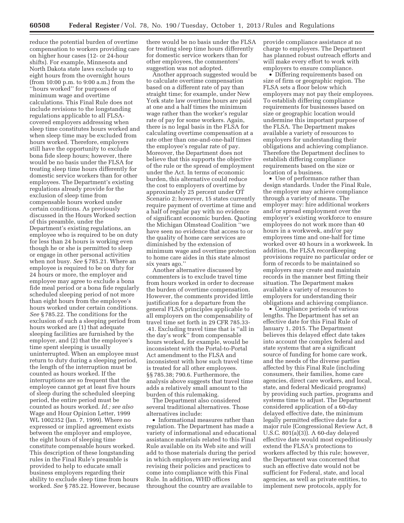reduce the potential burden of overtime compensation to workers providing care on higher hour cases (12- or 24-hour shifts). For example, Minnesota and North Dakota state laws exclude up to eight hours from the overnight hours (from 10:00 p.m. to 9:00 a.m.) from the ''hours worked'' for purposes of minimum wage and overtime calculations. This Final Rule does not include revisions to the longstanding regulations applicable to all FLSAcovered employers addressing when sleep time constitutes hours worked and when sleep time may be excluded from hours worked. Therefore, employers still have the opportunity to exclude bona fide sleep hours; however, there would be no basis under the FLSA for treating sleep time hours differently for domestic service workers than for other employees. The Department's existing regulations already provide for the exclusion of sleep time from compensable hours worked under certain conditions. As previously discussed in the Hours Worked section of this preamble, under the Department's existing regulations, an employee who is required to be on duty for less than 24 hours is working even though he or she is permitted to sleep or engage in other personal activities when not busy. *See* § 785.21. Where an employee is required to be on duty for 24 hours or more, the employer and employee may agree to exclude a bona fide meal period or a bona fide regularly scheduled sleeping period of not more than eight hours from the employee's hours worked under certain conditions. *See* § 785.22. The conditions for the exclusion of such a sleeping period from hours worked are (1) that adequate sleeping facilities are furnished by the employer, and (2) that the employee's time spent sleeping is usually uninterrupted. When an employee must return to duty during a sleeping period, the length of the interruption must be counted as hours worked. If the interruptions are so frequent that the employee cannot get at least five hours of sleep during the scheduled sleeping period, the entire period must be counted as hours worked. *Id.; see also*  Wage and Hour Opinion Letter, 1999 WL 1002352 (Jan. 7, 1999). Where no expressed or implied agreement exists between the employer and employee, the eight hours of sleeping time constitute compensable hours worked. This description of these longstanding rules in the Final Rule's preamble is provided to help to educate small business employers regarding their ability to exclude sleep time from hours worked. *See* § 785.22. However, because

there would be no basis under the FLSA for treating sleep time hours differently for domestic service workers than for other employees, the commenters' suggestion was not adopted.

Another approach suggested would be to calculate overtime compensation based on a different rate of pay than straight time; for example, under New York state law overtime hours are paid at one and a half times the minimum wage rather than the worker's regular rate of pay for some workers. Again, there is no legal basis in the FLSA for calculating overtime compensation at a rate other than one-and-one-half times the employee's regular rate of pay. Moreover, the Department does not believe that this supports the objective of the rule or the spread of employment under the Act. In terms of economic burden, this alternative could reduce the cost to employers of overtime by approximately 25 percent under OT Scenario 2; however, 15 states currently require payment of overtime at time and a half of regular pay with no evidence of significant economic burden. Quoting the Michigan Olmstead Coalition ''we have seen no evidence that access to or the quality of home care services are diminished by the extension of minimum wage and overtime protection to home care aides in this state almost six years ago.''

Another alternative discussed by commenters is to exclude travel time from hours worked in order to decrease the burden of overtime compensation. However, the comments provided little justification for a departure from the general FLSA principles applicable to all employers on the compensability of travel time set forth in 29 CFR 785.33- .41. Excluding travel time that is ''all in the day's work'' from compensable hours worked, for example, would be inconsistent with the Portal-to-Portal Act amendment to the FLSA and inconsistent with how such travel time is treated for all other employees. §§ 785.38; 790.6. Furthermore, the analysis above suggests that travel time adds a relatively small amount to the burden of this rulemaking.

The Department also considered several traditional alternatives. Those alternatives include:

• Informational measures rather than regulation. The Department has made a variety of informational and educational assistance materials related to this Final Rule available on its Web site and will add to those materials during the period in which employers are reviewing and revising their policies and practices to come into compliance with this Final Rule. In addition, WHD offices throughout the country are available to

provide compliance assistance at no charge to employers. The Department has planned robust outreach efforts and will make every effort to work with employers to ensure compliance.

• Differing requirements based on size of firm or geographic region. The FLSA sets a floor below which employers may not pay their employees. To establish differing compliance requirements for businesses based on size or geographic location would undermine this important purpose of the FLSA. The Department makes available a variety of resources to employers for understanding their obligations and achieving compliance. Therefore the Department declines to establish differing compliance requirements based on the size or location of a business.

• Use of performance rather than design standards. Under the Final Rule, the employer may achieve compliance through a variety of means. The employer may: hire additional workers and/or spread employment over the employer's existing workforce to ensure employees do not work more than 40 hours in a workweek, and/or pay employees time and one-half for time worked over 40 hours in a workweek. In addition, the FLSA recordkeeping provisions require no particular order or form of records to be maintained so employers may create and maintain records in the manner best fitting their situation. The Department makes available a variety of resources to employers for understanding their obligations and achieving compliance.

• Compliance periods of various lengths. The Department has set an effective date for this Final Rule of January 1, 2015. The Department believes this delayed effect date takes into account the complex federal and state systems that are a significant source of funding for home care work, and the needs of the diverse parties affected by this Final Rule (including consumers, their families, home care agencies, direct care workers, and local, state, and federal Medicaid programs) by providing such parties, programs and systems time to adjust. The Department considered application of a 60-day delayed effective date, the minimum legally permitted effective date for a major rule (Congressional Review Act, 8 U.S.C. 801(a)(3)). A 60-day delayed effective date would most expeditiously extend the FLSA's protections to workers affected by this rule; however, the Department was concerned that such an effective date would not be sufficient for Federal, state, and local agencies, as well as private entities, to implement new protocols, apply for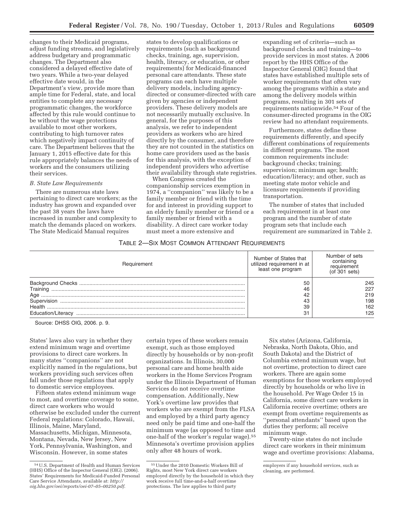changes to their Medicaid programs, adjust funding streams, and legislatively address budgetary and programmatic changes. The Department also considered a delayed effective date of two years. While a two-year delayed effective date would, in the Department's view, provide more than ample time for Federal, state, and local entities to complete any necessary programmatic changes, the workforce affected by this rule would continue to be without the wage protections available to most other workers, contributing to high turnover rates which negatively impact continuity of care. The Department believes that the January 1, 2015 effective date for this rule appropriately balances the needs of workers and the consumers utilizing their services.

## *B. State Law Requirements*

There are numerous state laws pertaining to direct care workers; as the industry has grown and expanded over the past 38 years the laws have increased in number and complexity to match the demands placed on workers. The State Medicaid Manual requires

states to develop qualifications or requirements (such as background checks, training, age, supervision, health, literacy, or education, or other requirements) for Medicaid-financed personal care attendants. These state programs can each have multiple delivery models, including agencydirected or consumer-directed with care given by agencies or independent providers. These delivery models are not necessarily mutually exclusive. In general, for the purposes of this analysis, we refer to independent providers as workers who are hired directly by the consumer, and therefore they are not counted in the statistics on home care providers used as the basis for this analysis, with the exception of independent providers who advertise their availability through state registries.

When Congress created the companionship services exemption in 1974, a ''companion'' was likely to be a family member or friend with the time for and interest in providing support to an elderly family member or friend or a family member or friend with a disability. A direct care worker today must meet a more extensive and

expanding set of criteria—such as background checks and training—to provide services in most states. A 2006 report by the HHS Office of the Inspector General (OIG) found that states have established multiple sets of worker requirements that often vary among the programs within a state and among the delivery models within programs, resulting in 301 sets of requirements nationwide.54 Four of the consumer-directed programs in the OIG review had no attendant requirements.

Furthermore, states define these requirements differently, and specify different combinations of requirements in different programs. The most common requirements include: background checks; training; supervision; minimum age; health; education/literacy; and other, such as meeting state motor vehicle and licensure requirements if providing transportation.

The number of states that included each requirement in at least one program and the number of state program sets that include each requirement are summarized in Table 2.

# TABLE 2—SIX MOST COMMON ATTENDANT REQUIREMENTS

|                    | Number of States that<br>utilized requirement in at<br>least one program | Number of sets |
|--------------------|--------------------------------------------------------------------------|----------------|
|                    | 50                                                                       | 245            |
| Training           | 46                                                                       | 227            |
| Aae                | 42                                                                       | 219            |
|                    | 43                                                                       | 198            |
|                    | 39                                                                       | 162            |
| Fducation/Literacy | 31                                                                       | 125            |

Source: DHSS OIG, 2006. p. 9.

States' laws also vary in whether they extend minimum wage and overtime provisions to direct care workers. In many states ''companions'' are not explicitly named in the regulations, but workers providing such services often fall under those regulations that apply to domestic service employees.

Fifteen states extend minimum wage to most, and overtime coverage to some, direct care workers who would otherwise be excluded under the current Federal regulations: Colorado, Hawaii, Illinois, Maine, Maryland, Massachusetts, Michigan, Minnesota, Montana, Nevada, New Jersey, New York, Pennsylvania, Washington, and Wisconsin. However, in some states

certain types of these workers remain exempt, such as those employed directly by households or by non-profit organizations. In Illinois, 30,000 personal care and home health aide workers in the Home Services Program under the Illinois Department of Human Services do not receive overtime compensation. Additionally, New York's overtime law provides that workers who are exempt from the FLSA and employed by a third party agency need only be paid time and one-half the minimum wage (as opposed to time and one-half of the worker's regular wage).55 Minnesota's overtime provision applies only after 48 hours of work.

Six states (Arizona, California, Nebraska, North Dakota, Ohio, and South Dakota) and the District of Columbia extend minimum wage, but not overtime, protection to direct care workers. There are again some exemptions for those workers employed directly by households or who live in the household. Per Wage Order 15 in California, some direct care workers in California receive overtime; others are exempt from overtime requirements as ''personal attendants'' based upon the duties they perform; all receive minimum wage.

Twenty-nine states do not include direct care workers in their minimum wage and overtime provisions: Alabama,

<sup>54</sup>U.S. Department of Health and Human Services (HHS) Office of the Inspector General (OIG). (2006). States' Requirements for Medicaid-Funded Personal Care Service Attendants, available at: *http:// oig.hhs.gov/oei/reports/oei-07–05–00250.pdf*.

<sup>55</sup>Under the 2010 Domestic Workers Bill of Rights, most New York direct care workers employed directly by the household in which they work receive full time-and-a-half overtime protections. The law applies to third party

employers if any household services, such as cleaning, are performed.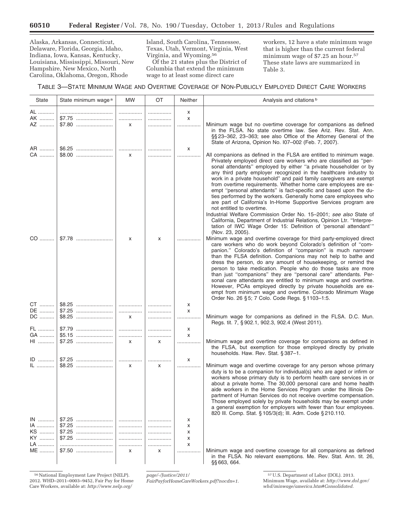Alaska, Arkansas, Connecticut, Delaware, Florida, Georgia, Idaho, Indiana, Iowa, Kansas, Kentucky, Louisiana, Mississippi, Missouri, New Hampshire, New Mexico, North Carolina, Oklahoma, Oregon, Rhode

Island, South Carolina, Tennessee, Texas, Utah, Vermont, Virginia, West Virginia, and Wyoming.56

Of the 21 states plus the District of Columbia that extend the minimum wage to at least some direct care

workers, 12 have a state minimum wage that is higher than the current federal minimum wage of \$7.25 an hour.57 These state laws are summarized in Table 3.

TABLE 3—STATE MINIMUM WAGE AND OVERTIME COVERAGE OF NON-PUBLICLY EMPLOYED DIRECT CARE WORKERS

| State          | State minimum wage a | MW                        | OT     | Neither     | Analysis and citations <sup>b</sup>                                                                                                                                                                                                                                                                                                                                                                                                                                                                                                                                                                                                                                                                                                           |
|----------------|----------------------|---------------------------|--------|-------------|-----------------------------------------------------------------------------------------------------------------------------------------------------------------------------------------------------------------------------------------------------------------------------------------------------------------------------------------------------------------------------------------------------------------------------------------------------------------------------------------------------------------------------------------------------------------------------------------------------------------------------------------------------------------------------------------------------------------------------------------------|
| AL<br>AK<br>AZ |                      | .<br>$\mathsf{x}$         | <br>.  | x<br>X<br>. | Minimum wage but no overtime coverage for companions as defined                                                                                                                                                                                                                                                                                                                                                                                                                                                                                                                                                                                                                                                                               |
|                |                      |                           |        |             | in the FLSA. No state overtime law. See Ariz. Rev. Stat. Ann.<br>§§23-362, 23-363; see also Office of the Attorney General of the<br>State of Arizona, Opinion No. 107-002 (Feb. 7, 2007).                                                                                                                                                                                                                                                                                                                                                                                                                                                                                                                                                    |
| AR ………<br>CA   |                      | $\mathsf{x}$              |        | X           | All companions as defined in the FLSA are entitled to minimum wage.<br>Privately employed direct care workers who are classified as "per-<br>sonal attendants" employed by either "a private householder or by<br>any third party employer recognized in the healthcare industry to<br>work in a private household" and paid family caregivers are exempt<br>from overtime requirements. Whether home care employees are ex-<br>empt "personal attendants" is fact-specific and based upon the du-<br>ties performed by the workers. Generally home care employees who<br>are part of California's In-Home Supportive Services program are<br>not entitled to overtime.<br>Industrial Welfare Commission Order No. 15-2001; see also State of |
|                |                      |                           |        |             | California, Department of Industrial Relations, Opinion Ltr. "Interpre-<br>tation of IWC Wage Order 15: Definition of 'personal attendant'"<br>(Nov. 23, 2005).                                                                                                                                                                                                                                                                                                                                                                                                                                                                                                                                                                               |
| CO             |                      | $\boldsymbol{\mathsf{x}}$ | х      |             | Minimum wage and overtime coverage for third party-employed direct<br>care workers who do work beyond Colorado's definition of "com-<br>panion." Colorado's definition of "companion" is much narrower<br>than the FLSA definition. Companions may not help to bathe and<br>dress the person, do any amount of housekeeping, or remind the<br>person to take medication. People who do those tasks are more<br>than just "companions" they are "personal care" attendants. Per-<br>sonal care attendants are entitled to minimum wage and overtime.<br>However, PCAs employed directly by private households are ex-<br>empt from minimum wage and overtime. Colorado Minimum Wage<br>Order No. 26 § 5; 7 Colo. Code Regs. § 1103-1:5.        |
| CT             |                      |                           |        | х           |                                                                                                                                                                                                                                                                                                                                                                                                                                                                                                                                                                                                                                                                                                                                               |
| DE             |                      | .                         | .      | X           |                                                                                                                                                                                                                                                                                                                                                                                                                                                                                                                                                                                                                                                                                                                                               |
| DC             |                      | $\boldsymbol{\mathsf{x}}$ | .      | .           | Minimum wage for companions as defined in the FLSA. D.C. Mun.<br>Regs. tit. 7, §902.1, 902.3, 902.4 (West 2011).                                                                                                                                                                                                                                                                                                                                                                                                                                                                                                                                                                                                                              |
| FL<br>GA       |                      | .<br>.                    | .      | x           |                                                                                                                                                                                                                                                                                                                                                                                                                                                                                                                                                                                                                                                                                                                                               |
| HI             |                      | $\boldsymbol{\mathsf{x}}$ | .<br>x | X<br>.      | Minimum wage and overtime coverage for companions as defined in<br>the FLSA, but exemption for those employed directly by private<br>households. Haw. Rev. Stat. § 387-1.                                                                                                                                                                                                                                                                                                                                                                                                                                                                                                                                                                     |
| $ID$           |                      |                           | .      | X           |                                                                                                                                                                                                                                                                                                                                                                                                                                                                                                                                                                                                                                                                                                                                               |
| $\mathsf{IL}$  |                      | $\mathsf{x}$              | x      |             | Minimum wage and overtime coverage for any person whose primary<br>duty is to be a companion for individual(s) who are aged or infirm or<br>workers whose primary duty is to perform health care services in or<br>about a private home. The 30,000 personal care and home health<br>aide workers in the Home Services Program under the Illinois De-<br>partment of Human Services do not receive overtime compensation.<br>Those employed solely by private households may be exempt under<br>a general exemption for employers with fewer than four employees.<br>820 III. Comp. Stat. § 105/3(d); III. Adm. Code § 210.110.                                                                                                               |
| $IN$           |                      |                           | .      | х           |                                                                                                                                                                                                                                                                                                                                                                                                                                                                                                                                                                                                                                                                                                                                               |
| IA             |                      | .                         | .      | x           |                                                                                                                                                                                                                                                                                                                                                                                                                                                                                                                                                                                                                                                                                                                                               |
| KS             |                      | .                         | .      | х           |                                                                                                                                                                                                                                                                                                                                                                                                                                                                                                                                                                                                                                                                                                                                               |
| KY<br>LA       |                      | .<br>.                    | .      | х<br>X      |                                                                                                                                                                                                                                                                                                                                                                                                                                                                                                                                                                                                                                                                                                                                               |
| ME             |                      | X                         | .<br>х | .           | Minimum wage and overtime coverage for all companions as defined<br>in the FLSA. No relevant exemptions. Me. Rev. Stat. Ann. tit. 26,<br>§§ 663, 664.                                                                                                                                                                                                                                                                                                                                                                                                                                                                                                                                                                                         |

 $^{56}$  National Employment Law Project (NELP). 2012. WHD–2011–0003–9452, Fair Pay for Home Care Workers, available at: *http://www.nelp.org/*

*page/-/Justice/2011/*

*FairPayforHomeCareWorkers.pdf?nocdn=1.* 

57U.S. Department of Labor (DOL). 2013. Minimum Wage, available at: *http://www.dol.gov/ whd/minwage/america.htm#Consolidated.*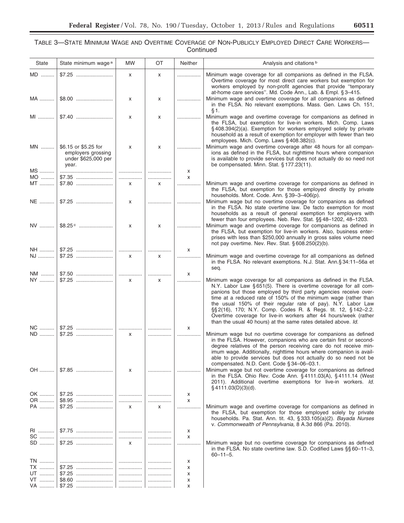# TABLE 3—STATE MINIMUM WAGE AND OVERTIME COVERAGE OF NON-PUBLICLY EMPLOYED DIRECT CARE WORKERS— Continued

| State | State minimum wage <sup>a</sup>                                            | <b>MW</b>    | OT | Neither | Analysis and citations <sup>b</sup>                                                                                                                                                                                                                                                                                                                                                                                                                                                                                                                  |
|-------|----------------------------------------------------------------------------|--------------|----|---------|------------------------------------------------------------------------------------------------------------------------------------------------------------------------------------------------------------------------------------------------------------------------------------------------------------------------------------------------------------------------------------------------------------------------------------------------------------------------------------------------------------------------------------------------------|
| MD    |                                                                            | x            | x  |         | Minimum wage coverage for all companions as defined in the FLSA.<br>Overtime coverage for most direct care workers but exemption for<br>workers employed by non-profit agencies that provide "temporary<br>at-home care services". Md. Code Ann., Lab. & Empl. §3-415.                                                                                                                                                                                                                                                                               |
| MA    |                                                                            | x            | x  |         | Minimum wage and overtime coverage for all companions as defined<br>in the FLSA. No relevant exemptions. Mass. Gen. Laws Ch. 151,<br>§ 1.                                                                                                                                                                                                                                                                                                                                                                                                            |
| MI    | \$7.40                                                                     | X            | х  | .       | Minimum wage and overtime coverage for companions as defined in<br>the FLSA, but exemption for live-in workers. Mich. Comp. Laws<br>§408.394(2)(a). Exemption for workers employed solely by private<br>household as a result of exemption for employer with fewer than two<br>employees. Mich. Comp. Laws § 408.382(c).                                                                                                                                                                                                                             |
| MN    | \$6.15 or \$5.25 for<br>employers grossing<br>under \$625,000 per<br>year. | x            | x  | .       | Minimum wage and overtime coverage after 48 hours for all compan-<br>ions as defined in the FLSA, but nighttime hours where companion<br>is available to provide services but does not actually do so need not<br>be compensated. Minn. Stat. §177.23(11).                                                                                                                                                                                                                                                                                           |
| MS    |                                                                            | .            | .  | X       |                                                                                                                                                                                                                                                                                                                                                                                                                                                                                                                                                      |
| $MO$  |                                                                            | .            | .  | X       |                                                                                                                                                                                                                                                                                                                                                                                                                                                                                                                                                      |
| MT    |                                                                            | X            | x  | .       | Minimum wage and overtime coverage for companions as defined in                                                                                                                                                                                                                                                                                                                                                                                                                                                                                      |
| NE    |                                                                            | x            |    |         | the FLSA, but exemption for those employed directly by private<br>households. Mont. Code. Ann. § 39-3-406(p).<br>Minimum wage but no overtime coverage for companions as defined<br>in the FLSA. No state overtime law. De facto exemption for most<br>households as a result of general exemption for employers with<br>fewer than four employees. Neb. Rev. Stat. §§48-1202, 48-1203.                                                                                                                                                              |
| NV    |                                                                            | x            | x  |         | Minimum wage and overtime coverage for companions as defined in<br>the FLSA, but exemption for live-in workers. Also, business enter-<br>prises with less than \$250,000 annually in gross sales volume need<br>not pay overtime. Nev. Rev. Stat. § 608.250(2)(b).                                                                                                                                                                                                                                                                                   |
| NH    |                                                                            |              |    | X       |                                                                                                                                                                                                                                                                                                                                                                                                                                                                                                                                                      |
| NJ    |                                                                            | $\pmb{\chi}$ | х  |         | Minimum wage and overtime coverage for all companions as defined<br>in the FLSA. No relevant exemptions. N.J. Stat. Ann.§ 34:11-56a et<br>seq.                                                                                                                                                                                                                                                                                                                                                                                                       |
| NM    |                                                                            |              |    | X       |                                                                                                                                                                                                                                                                                                                                                                                                                                                                                                                                                      |
| NY    |                                                                            | $\mathsf{x}$ | x  | .       | Minimum wage coverage for all companions as defined in the FLSA.<br>N.Y. Labor Law § 651(5). There is overtime coverage for all com-<br>panions but those employed by third party agencies receive over-<br>time at a reduced rate of 150% of the minimum wage (rather than<br>the usual 150% of their regular rate of pay). N.Y. Labor Law<br>§§ 2(16), 170; N.Y. Comp. Codes R. & Regs. tit. 12, § 142-2.2.<br>Overtime coverage for live-in workers after 44 hours/week (rather<br>than the usual 40 hours) at the same rates detailed above. Id. |
| NC    |                                                                            |              |    | х       |                                                                                                                                                                                                                                                                                                                                                                                                                                                                                                                                                      |
| ND    |                                                                            | $\pmb{\chi}$ |    |         | Minimum wage but no overtime coverage for companions as defined<br>in the FLSA. However, companions who are certain first or second-<br>degree relatives of the person receiving care do not receive min-<br>imum wage. Additionally, nighttime hours where companion is avail-<br>able to provide services but does not actually do so need not be<br>compensated. N.D. Cent. Code § 34-06-03.1.                                                                                                                                                    |
| OH    |                                                                            | х            |    |         | Minimum wage but not overtime coverage for companions as defined<br>in the FLSA. Ohio Rev. Code Ann. §4111.03(A), §4111.14 (West<br>2011). Additional overtime exemptions for live-in workers. Id.<br>$\S$ 4111.03(D)(3)(d).                                                                                                                                                                                                                                                                                                                         |
| OK    |                                                                            | .            | .  | х       |                                                                                                                                                                                                                                                                                                                                                                                                                                                                                                                                                      |
| OR    |                                                                            | .            | .  | X       |                                                                                                                                                                                                                                                                                                                                                                                                                                                                                                                                                      |
| PA    |                                                                            | X            | x  |         | Minimum wage and overtime coverage for companions as defined in<br>the FLSA, but exemption for those employed solely by private<br>households. Pa. Stat. Ann. tit. 43, §333.105(a)(2). Bayada Nurses<br>v. Commonwealth of Pennsylvania, 8 A.3d 866 (Pa. 2010).                                                                                                                                                                                                                                                                                      |
| RI    |                                                                            | $\ $         |    | х       |                                                                                                                                                                                                                                                                                                                                                                                                                                                                                                                                                      |
| SC    |                                                                            | .            |    | X       |                                                                                                                                                                                                                                                                                                                                                                                                                                                                                                                                                      |
| SD    |                                                                            | X            |    |         | Minimum wage but no overtime coverage for companions as defined<br>in the FLSA. No state overtime law. S.D. Codified Laws §§ 60-11-3,<br>$60 - 11 - 5$ .                                                                                                                                                                                                                                                                                                                                                                                             |
| TN    |                                                                            | .            | .  | х       |                                                                                                                                                                                                                                                                                                                                                                                                                                                                                                                                                      |
| TX    |                                                                            | .            | .  | х       |                                                                                                                                                                                                                                                                                                                                                                                                                                                                                                                                                      |
| UT    |                                                                            |              | .  | х       |                                                                                                                                                                                                                                                                                                                                                                                                                                                                                                                                                      |
| VT    |                                                                            |              | .  | x       |                                                                                                                                                                                                                                                                                                                                                                                                                                                                                                                                                      |
| VA    |                                                                            |              | .  | X       |                                                                                                                                                                                                                                                                                                                                                                                                                                                                                                                                                      |

۰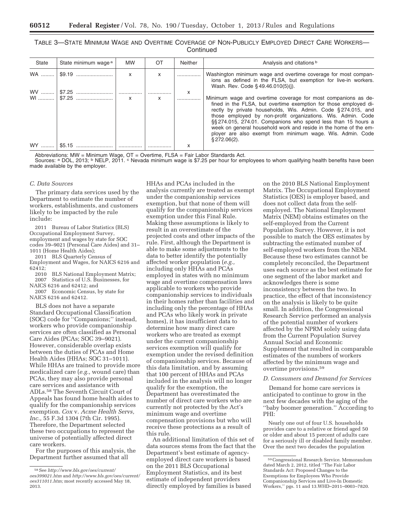| TABLE 3—STATE MINIMUM WAGE AND OVERTIME COVERAGE OF NON-PUBLICLY EMPLOYED DIRECT CARE WORKERS— |           |  |  |  |
|------------------------------------------------------------------------------------------------|-----------|--|--|--|
|                                                                                                | Continued |  |  |  |

| <b>State</b> | State minimum wage <sup>a</sup> | <b>MW</b>    | OT | Neither | Analysis and citations <sup>b</sup>                                                                                                                                                                                                                                                                                                                                                                                                                                                   |
|--------------|---------------------------------|--------------|----|---------|---------------------------------------------------------------------------------------------------------------------------------------------------------------------------------------------------------------------------------------------------------------------------------------------------------------------------------------------------------------------------------------------------------------------------------------------------------------------------------------|
| WA           |                                 | $\mathbf{x}$ | X  |         | Washington minimum wage and overtime coverage for most compan-<br>ions as defined in the FLSA, but exemption for live-in workers.<br>Wash. Rev. Code § 49.46.010(5)(j).                                                                                                                                                                                                                                                                                                               |
|              |                                 |              |    | x       |                                                                                                                                                                                                                                                                                                                                                                                                                                                                                       |
|              |                                 | $\mathsf{x}$ | x  |         | Minimum wage and overtime coverage for most companions as de-<br>fined in the FLSA, but overtime exemption for those employed di-<br>rectly by private households, Wis. Admin. Code §274.015, and<br>those employed by non-profit organizations. Wis. Admin. Code<br>§§274.015, 274.01. Companions who spend less than 15 hours a<br>week on general household work and reside in the home of the em-<br>ployer are also exempt from minimum wage. Wis. Admin. Code<br>$§$ 272.06(2). |
| WY           |                                 |              |    | x       |                                                                                                                                                                                                                                                                                                                                                                                                                                                                                       |

Abbreviations: MW = Minimum Wage, OT = Overtime, FLSA = Fair Labor Standards Act.

Sources: a DOL, 2013; <sup>b</sup> NELP, 2011. C Nevada minimum wage is \$7.25 per hour for employees to whom qualifying health benefits have been made available by the employer.

#### *C. Data Sources*

The primary data services used by the Department to estimate the number of workers, establishments, and customers likely to be impacted by the rule include:

2011 Bureau of Labor Statistics (BLS) Occupational Employment Survey, employment and wages by state for SOC codes 39–9021 (Personal Care Aides) and 31– 1011 (Home Health Aides);

2011 BLS Quarterly Census of Employment and Wages, for NAICS 6216 and 62412;

- 2010 BLS National Employment Matrix; 2007 Statistics of U.S. Businesses, for
- NAICS 6216 and 62412; and

2007 Economic Census, by state for NAICS 6216 and 62412.

BLS does not have a separate Standard Occupational Classification (SOC) code for ''Companions;'' instead, workers who provide companionship services are often classified as Personal Care Aides (PCAs; SOC 39–9021). However, considerable overlap exists between the duties of PCAs and Home Health Aides (HHAs; SOC 31–1011). While HHAs are trained to provide more medicalized care (*e.g.,* wound care) than PCAs, they may also provide personal care services and assistance with ADLs.58 The Seventh Circuit Court of Appeals has found home health aides to qualify for the companionship services exemption. *Cox* v. *Acme Health Servs, Inc.,* 55 F.3d 1304 (7th Cir. 1995). Therefore, the Department selected these two occupations to represent the universe of potentially affected direct care workers.

For the purposes of this analysis, the Department further assumed that all

HHAs and PCAs included in the analysis currently are treated as exempt under the companionship services exemption, but that none of them will qualify for the companionship services exemption under this Final Rule. Making these assumptions is likely to result in an overestimate of the projected costs and other impacts of the rule. First, although the Department is able to make some adjustments to the data to better identify the potentially affected worker population (*e.g.,*  including only HHAs and PCAs employed in states with no minimum wage and overtime compensation laws applicable to workers who provide companionship services to individuals in their homes rather than facilities and including only the percentage of HHAs and PCAs who likely work in private homes), it has insufficient data to determine how many direct care workers who are treated as exempt under the current companionship services exemption will qualify for exemption under the revised definition of companionship services. Because of this data limitation, and by assuming that 100 percent of HHAs and PCAs included in the analysis will no longer qualify for the exemption, the Department has overestimated the number of direct care workers who are currently not protected by the Act's minimum wage and overtime compensation provisions but who will receive these protections as a result of this rule.

An additional limitation of this set of data sources stems from the fact that the Department's best estimate of agencyemployed direct care workers is based on the 2011 BLS Occupational Employment Statistics, and its best estimate of independent providers directly employed by families is based

on the 2010 BLS National Employment Matrix. The Occupational Employment Statistics (OES) is employer based, and does not collect data from the selfemployed. The National Employment Matrix (NEM) obtains estimates on the self-employed from the Current Population Survey. However, it is not possible to match the OES estimates by subtracting the estimated number of self-employed workers from the NEM. Because these two estimates cannot be completely reconciled, the Department uses each source as the best estimate for one segment of the labor market and acknowledges there is some inconsistency between the two. In practice, the effect of that inconsistency on the analysis is likely to be quite small. In addition, the Congressional Research Service performed an analysis of the potential number of workers affected by the NPRM solely using data from the Current Population Survey Annual Social and Economic Supplement that resulted in comparable estimates of the numbers of workers affected by the minimum wage and overtime provisions.59

#### *D. Consumers and Demand for Services*

Demand for home care services is anticipated to continue to grow in the next few decades with the aging of the ''baby boomer generation.'' According to PHI:

Nearly one out of four U.S. households provides care to a relative or friend aged 50 or older and about 15 percent of adults care for a seriously ill or disabled family member. Over the next two decades the population

<sup>58</sup>See *http://www.bls.gov/oes/current/ oes399021.htm* and *http://www.bls.gov/oes/current/ oes311011.htm;* most recently accessed May 18, 2013.

<sup>59</sup>Congressional Research Service. Memorandum dated March 2, 2012, titled ''The Fair Labor Standards Act: Proposed Changes to the Exemptions for Employees Who Provide Companionship Services and Live-In Domestic Workers,'' pgs. 11 and 13.WHD–2011–0003–7820.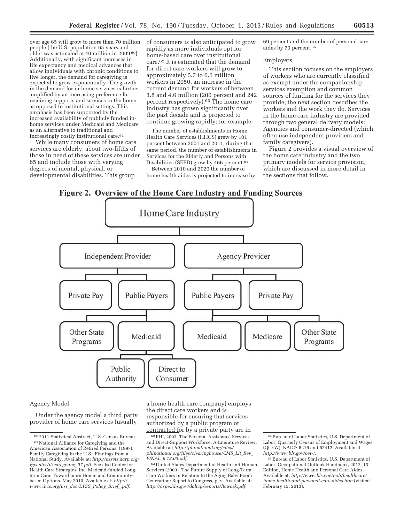over age 65 will grow to more than 70 million people [the U.S. population 65 years and older was estimated at 40 million in 2009 60]. Additionally, with significant increases in life expectancy and medical advances that allow individuals with chronic conditions to live longer, the demand for caregiving is expected to grow exponentially. The growth in the demand for in-home services is further amplified by an increasing preference for receiving supports and services in the home as opposed to institutional settings. This emphasis has been supported by the increased availability of publicly funded inhome services under Medicaid and Medicare as an alternative to traditional and increasingly costly institutional care.61

While many consumers of home care services are elderly, about two-fifths of those in need of these services are under 65 and include those with varying degrees of mental, physical, or developmental disabilities. This group

of consumers is also anticipated to grow rapidly as more individuals opt for home-based care over institutional care.62 It is estimated that the demand for direct care workers will grow to approximately 5.7 to 6.6 million workers in 2050, an increase in the current demand for workers of between 3.8 and 4.6 million (200 percent and 242 percent respectively).63 The home care industry has grown significantly over the past decade and is projected to continue growing rapidly; for example:

The number of establishments in Home Health Care Services (HHCS) grew by 101 percent between 2001 and 2011; during that same period, the number of establishments in Services for the Elderly and Persons with Disabilities (SEPD) grew by 466 percent.64

Between 2010 and 2020 the number of home health aides is projected to increase by 69 percent and the number of personal care aides by 70 percent.65

#### Employers

This section focuses on the employers of workers who are currently classified as exempt under the companionship services exemption and common sources of funding for the services they provide; the next section describes the workers and the work they do. Services in the home care industry are provided through two general delivery models: Agencies and consumer-directed (which often use independent providers and family caregivers).

Figure 2 provides a visual overview of the home care industry and the two primary models for service provision, which are discussed in more detail in the sections that follow.

Figure 2. Overview of the Home Care Industry and Funding Sources



## Agency Model

Under the agency model a third party provider of home care services (usually

a home health care company) employs the direct care workers and is responsible for ensuring that services authorized by a public program or contracted for by a private party are in

62PHI, 2003. The Personal Assistance Services and Direct-Support Workforce: A Literature Review. Available at: *http://phinational.org/sites/ phinational.org/files/clearinghouse/CMS*\_*Lit*\_*Rev*\_ *FINAL*\_*6.12.03.pdf.* 

63United States Department of Health and Human Services (2003). The Future Supply of Long-Term Care Workers in Relation to the Aging Baby Boom Generation: Report to Congress, p. v. Available at: *http://aspe.hhs.gov/daltcp/reports/ltcwork.pdf.* 

<sup>60</sup> 2011 Statistical Abstract, U.S. Census Bureau. 61National Alliance for Caregiving and the American Association of Retired Persons. (1997). Family Caregiving in the U.S.: Findings from a National Study. Available at: *http://assets.aarp.org/ rgcenter/il/caregiving*\_*97.pdf.* See also Center for Health Care Strategies, Inc. Medcaid-funded Longterm Care: Toward more Home- and Communitybased Options. May 2010. Available at: *http:// www.chcs.org/usr*\_*doc/LTSS*\_*Policy*\_*Brief*\_*.pdf.* 

<sup>64</sup>Bureau of Labor Statistics, U.S. Department of Labor, Quarterly Census of Employment and Wages (QCEW). NAICS 6216 and 62412. Available at *http://www.bls.gov/cew/.* 

<sup>65</sup>Bureau of Labor Statistics, U.S. Department of Labor, Occupational Outlook Handbook, 2012–13 Edition, Home Health and Personal Care Aides. Available at: *http://www.bls.gov/ooh/healthcare/ home-health-and-personal-care-aides.htm* (visited February 15, 2013).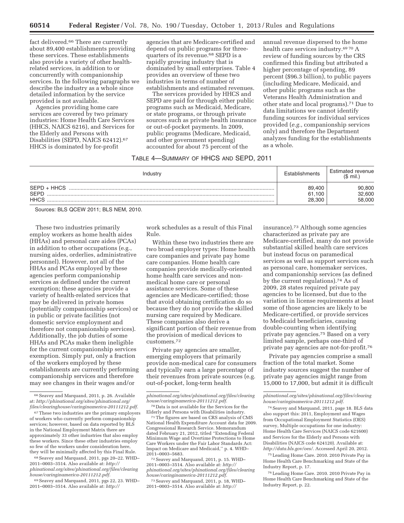fact delivered.66 There are currently about 89,400 establishments providing these services. These establishments also provide a variety of other healthrelated services, in addition to or concurrently with companionship services. In the following paragraphs we describe the industry as a whole since detailed information by the service provided is not available.

Agencies providing home care services are covered by two primary industries: Home Health Care Services (HHCS, NAICS 6216), and Services for the Elderly and Persons with Disabilities (SEPD, NAICS 62412).67 HHCS is dominated by for-profit

agencies that are Medicare-certified and depend on public programs for threequarters of its revenue.68 SEPD is a rapidly growing industry that is dominated by small enterprises. Table 4 provides an overview of these two industries in terms of number of establishments and estimated revenues.

The services provided by HHCS and SEPD are paid for through either public programs such as Medicaid, Medicare, or state programs, or through private sources such as private health insurance or out-of-pocket payments. In 2009, public programs (Medicare, Medicaid, and other government spending) accounted for about 75 percent of the

annual revenue dispersed to the home health care services industry.69 70 A review of funding sources by the CRS confirmed this finding but attributed a higher percentage of spending, 89 percent (\$96.3 billion), to public payers (including Medicare, Medicaid, and other public programs such as the Veterans Health Administration and other state and local programs).71 Due to data limitations we cannot identify funding sources for individual services provided (*e.g.,* companionship services only) and therefore the Department analyzes funding for the establishments as a whole.

## TABLE 4—SUMMARY OF HHCS AND SEPD, 2011

| Industry                                  | Establishments             | Estimated revenue<br>$($$ mil.) |
|-------------------------------------------|----------------------------|---------------------------------|
| SEPD + HHCS<br><b>SEPD</b><br><b>HHCS</b> | 89,400<br>61,100<br>28,300 | 90,800<br>32,600<br>58,000      |

Sources: BLS QCEW 2011; BLS NEM, 2010.

These two industries primarily employ workers as home health aides (HHAs) and personal care aides (PCAs) in addition to other occupations (e.g., nursing aides, orderlies, administrative personnel). However, not all of the HHAs and PCAs employed by these agencies perform companionship services as defined under the current exemption; these agencies provide a variety of health-related services that may be delivered in private homes (potentially companionship services) or in public or private facilities (not domestic service employment and therefore not companionship services). Additionally, the job duties of some HHAs and PCAs make them ineligible for the current companionship services exemption. Simply put, only a fraction of the workers employed by these establishments are currently performing companionship services and therefore may see changes in their wages and/or

68Seavey and Marquand, 2011, pgs 20–22. WHD– 2011–0003–3514. Also available at: *http:// phinational.org/sites/phinational.org/files/clearing house/caringinamerica-20111212.pdf.* 

69Seavey and Marquand, 2011, pgs 22, 23. WHD– 2011–0003–3514. Also available at: *http://*

work schedules as a result of this Final Rule.

Within these two industries there are two broad employer types: Home health care companies and private pay home care companies. Home health care companies provide medically-oriented home health care services and nonmedical home care or personal assistance services. Some of these agencies are Medicare-certified; those that avoid obtaining certification do so because they do not provide the skilled nursing care required by Medicare. These companies also derive a significant portion of their revenue from the provision of medical devices to customers.72

Private pay agencies are smaller, emerging employers that primarily provide non-medical care for consumers and typically earn a large percentage of their revenues from private sources (e.g. out-of-pocket, long-term health

 $^{70}$  Data is not available for the Services for the Elderly and Persons with Disabilities industry.

<sup>71</sup> The figures are based on CRS analysis of CMS National Health Expenditure Account data for 2009. Congressional Research Service. Memorandum dated February 21, 2012, titled ''Extending Federal Minimum Wage and Overtime Protections to Home Care Workers under the Fair Labor Standards Act: Impact on Medicare and Medicaid,'' p. 4. WHD–

<sup>72</sup> Seavey and Marquand, 2011, p. 15. WHD– 2011–0003–3514. Also available at: *http:// phinational.org/sites/phinational.org/files/clearing house/caringinamerica-20111212.pdf.* 

73Seavey and Marquand, 2011, p. 18, WHD– 2011–0003–3514. Also available at: *http://*

insurance).73 Although some agencies characterized as private pay are Medicare-certified, many do not provide substantial skilled health care services but instead focus on paramedical services as well as support services such as personal care, homemaker services, and companionship services (as defined by the current regulations).74 As of 2009, 28 states required private pay agencies to be licensed, but due to the variation in license requirements at least some of those agencies are likely to be Medicare-certified, or provide services to Medicaid beneficiaries, causing double-counting when identifying private pay agencies.75 Based on a very limited sample, perhaps one-third of private pay agencies are not-for-profit.76

Private pay agencies comprise a small fraction of the total market. Some industry sources suggest the number of private pay agencies might range from 15,000 to 17,000, but admit it is difficult

*phinational.org/sites/phinational.org/files/clearing house/caringinamerica-20111212.pdf.* 

74Seavey and Marquand, 2011, page 18. BLS data also support this: 2011, Employment and Wages from Occupational Employment Statistics (OES) survey, Multiple occupations for one industry: Home Health Care Services (NAICS code 621600) and Services for the Elderly and Persons with Disabilities (NAICS code 624120). Available at: *http://data.bls.gov/oes/.* Accessed April 20, 2012.

75Leading Home Care. 2010. 2010 Private Pay in Home Health Care Benchmarking and State of the Industry Report, p. 17.

76Leading Home Care. 2010. 2010 Private Pay in Home Health Care Benchmarking and State of the Industry Report, p. 22.

<sup>66</sup>Seavey and Marquand, 2011, p. 26. Available at: *http://phinational.org/sites/phinational.org/ files/clearinghouse/caringinamerica-20111212.pdf.* 

<sup>&</sup>lt;sup>67</sup> These two industries are the primary employers of workers who currently perform companionship services; however, based on data reported by BLS in the National Employment Matrix there are approximately 33 other industries that also employ these workers. Since these other industries employ so few of the workers under consideration here, they will be minimally affected by this Final Rule.

*phinational.org/sites/phinational.org/files/clearing house/caringinamerica-20111212.pdf.*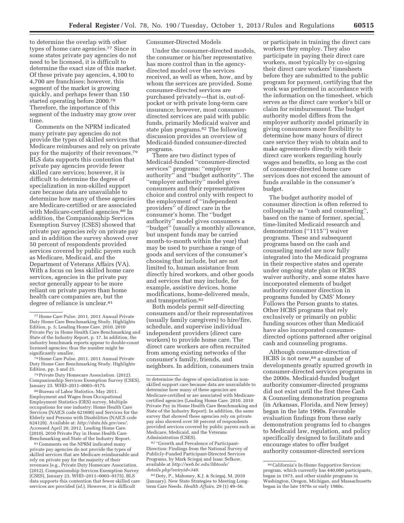to determine the overlap with other types of home care agencies.77 Since in some states private pay agencies do not need to be licensed, it is difficult to determine the exact size of this market. Of these private pay agencies, 4,100 to 4,700 are franchises; however, this segment of the market is growing quickly, and perhaps fewer than 150 started operating before 2000.78 Therefore, the importance of this segment of the industry may grow over time.

Comments on the NPRM indicated many private pay agencies do not provide the types of skilled services that Medicare reimburses and rely on private pay for the majority of their revenues.79 BLS data supports this contention that private pay agencies provide fewer skilled care services; however, it is difficult to determine the degree of specialization in non-skilled support care because data are unavailable to determine how many of these agencies are Medicare-certified or are associated with Medicare-certified agencies.80 In addition, the Companionship Services Exemption Survey (CSES) showed that private pay agencies rely on private pay and in addition the survey showed over 50 percent of respondents provided services covered by public payers such as Medicare, Medicaid, and the Department of Veterans Affairs (VA). With a focus on less skilled home care services, agencies in the private pay sector generally appear to be more reliant on private payers than home health care companies are, but the degree of reliance is unclear.<sup>81</sup>

80Bureau of Labor Statistics. May 2011. Employment and Wages from Occupational Employment Statistics (OES) survey, Multiple occupations for one industry: Home Health Care Services (NAICS code 621600) and Services for the Elderly and Persons with Disabilities (NAICS code 624120). Available at: *http://data.bls.gov/oes/.*  Accessed April 20, 2012. Leading Home Care. (2010). 2010 Private Pay in Home Health Care Benchmarking and State of the Industry Report.

81Comments on the NPRM indicated many private pay agencies do not provide the types of skilled services that are Medicare reimbursable and rely on private pay for the majority of their revenues (e.g., Private Duty Homecare Association. (2012). Companionship Services Exemption Survey (CSES), January 23, WHD–2011–0003–9175). BLS data supports this contention that fewer skilled care services are provided (*id.*). However, it is difficult

## Consumer-Directed Models

Under the consumer-directed models, the consumer or his/her representative has more control than in the agencydirected model over the services received, as well as when, how, and by whom the services are provided. Some consumer-directed services are purchased privately—that is, out-ofpocket or with private long-term care insurance; however, most consumerdirected services are paid with public funds, primarily Medicaid waiver and state plan programs.82 The following discussion provides an overview of Medicaid-funded consumer-directed programs.

There are two distinct types of Medicaid-funded ''consumer-directed services'' programs: ''employer authority'' and ''budget authority''. The ''employer authority'' model gives consumers and their representatives choice and control only with respect to the employment of ''independent providers'' of direct care in the consumer's home. The ''budget authority'' model gives consumers a ''budget'' (usually a monthly allowance, but unspent funds may be carried month-to-month within the year) that may be used to purchase a range of goods and services of the consumer's choosing that include, but are not limited to, human assistance from directly hired workers, and other goods and services that may include, for example, assistive devices, home modifications, home-delivered meals, and transportation.83

Both models permit self-directing consumers and/or their representatives (usually family caregivers) to hire/fire, schedule, and supervise individual independent providers (direct care workers) to provide home care. The direct care workers are often recruited from among existing networks of the consumer's family, friends, and neighbors. In addition, consumers train

82 ''Growth and Prevalence of Participant-Direction: Findings from the National Survey of Publicly-Funded Participant-Directed Services Programs, by Mark Sciegaj and Isaac Selkow, available at *http://web.bc.edu/libtools/ details.php?entryid=340.* 

83 Doty, P., Mahoney, K.J. & Sciegaj, M. 2010 (January). New State Strategies to Meeting Longterm Care Needs. *Health Affairs,* 29 (1) 49–56.

or participate in training the direct care workers they employ. They also participate in paying their direct care workers, most typically by co-signing their direct care workers' timesheets before they are submitted to the public program for payment, certifying that the work was performed in accordance with the information on the timesheet, which serves as the direct care worker's bill or claim for reimbursement. The budget authority model differs from the employer authority model primarily in giving consumers more flexibility to determine how many hours of direct care service they wish to obtain and to make agreements directly with their direct care workers regarding hourly wages and benefits, so long as the cost of consumer-directed home care services does not exceed the amount of funds available in the consumer's budget.

The budget authority model of consumer direction is often referred to colloquially as ''cash and counseling'', based on the name of former, special, time-limited Medicaid research and demonstration (''1115'') waiver programs. These and subsequent programs based on the cash and counseling model are now fully integrated into the Medicaid programs in their respective states and operate under ongoing state plan or HCBS waiver authority, and some states have incorporated elements of budget authority consumer direction in programs funded by CMS' Money Follows the Person grants to states. Other HCBS programs that rely exclusively or primarily on public funding sources other than Medicaid have also incorporated consumerdirected options patterned after original cash and counseling programs.

Although consumer-direction of HCBS is not new,84 a number of developments greatly spurred growth in consumer-directed services programs in the 2000s. Medicaid-funded budget authority consumer-directed programs did not exist until the first three Cash & Counseling demonstration programs (in Arkansas, Florida, and New Jersey) began in the late 1990s. Favorable evaluation findings from these early demonstration programs led to changes to Medicaid law, regulation, and policy specifically designed to facilitate and encourage states to offer budget authority consumer-directed services

<sup>77</sup>Home Care Pulse. 2011. 2011 Annual Private Duty Home Care Benchmarking Study. Highlights Edition, p. 5; Leading Home Care. 2010. 2010 Private Pay in Home Health Care Benchmarking and State of the Industry Report, p. 17. In addition, the industry benchmark reports appear to double-count licensed agencies; thus the number might be significantly smaller.

<sup>78</sup>Home Care Pulse. 2011. 2011 Annual Private Duty Home Care Benchmarking Study. Highlights Edition, pp. 5 and 21.

<sup>79</sup>Private Duty Homecare Association. (2012). Companionship Services Exemption Survey (CSES), January 23. WHD-2011-0003-9175.

to determine the degree of specialization in nonskilled support care because data are unavailable to determine how many of these agencies are Medicare-certified or are associated with Medicarecertified agencies (Leading Home Care. 2010. 2010 Private Pay in Home Health Care Benchmarking and State of the Industry Report). In addition, the same survey that showed these agencies rely on private pay also showed over 50 percent of respondents provided services covered by public payers such as Medicare, Medicaid, and the Veterans Administration (CSES).

<sup>84</sup>California's In-Home Supportive Services program, which currently has 440,000 participants, began in 1973, and other sizable programs in Washington, Oregon, Michigan, and Massachusetts began in the late 1970s or early 1980s.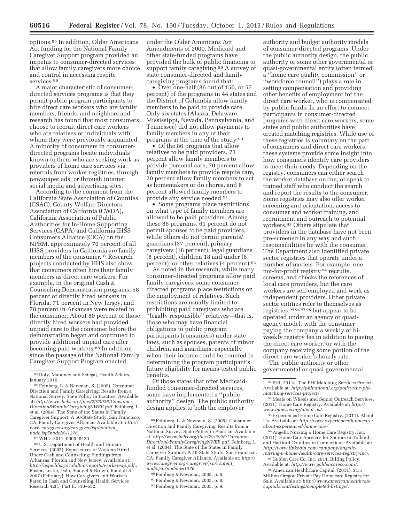options.85 In addition, Older Americans Act funding for the National Family Caregiver Support program provided an impetus to consumer-directed services that allow family caregivers more choice and control in accessing respite services.<sup>86</sup>

A major characteristic of consumerdirected services programs is that they permit public program participants to hire direct care workers who are family members, friends, and neighbors and research has found that most consumers choose to recruit direct care workers who are relatives or individuals with whom they were previously acquainted. A minority of consumers in consumerdirected programs locate individuals known to them who are seeking work as providers of home care services via referrals from worker registries, through newspaper ads, or through internet social media and advertising sites.

According to the comment from the California State Association of Counties (CSAC), County Welfare Directors Association of California (CWDA), California Association of Public Authorities for In-Home Supporting Services (CAPA) and California IHSS Consumers Alliance (CICA) on the NPRM, approximately 70 percent of all IHSS providers in California are family members of the consumer.87 Research projects conducted by HHS also show that consumers often hire their family members as direct care workers. For example, in the original Cash & Counseling Demonstration programs, 58 percent of directly hired workers in Florida, 71 percent in New Jersey, and 78 percent in Arkansas were related to the consumer. About 80 percent of those directly hired workers had provided unpaid care to the consumer before the demonstration began and continued to provide additional unpaid care after becoming paid workers.<sup>88</sup> In addition, since the passage of the National Family Caregiver Support Program enacted

under the Older Americans Act Amendments of 2000, Medicaid and other state-funded programs have provided the bulk of public financing to support family caregiving.89 A survey of state consumer-directed and family caregiving programs found that:

• Over one-half (86 out of 150, or 57 percent) of the programs in 44 states and the District of Columbia allow family members to be paid to provide care. Only six states (Alaska, Delaware, Mississippi, Nevada, Pennsylvania, and Tennessee) did not allow payments to family members in any of their programs at the time of the study.90

• Of the 86 programs that allow relatives to be paid providers, 73 percent allow family members to provide personal care, 70 percent allow family members to provide respite care, 20 percent allow family members to act as homemakers or do chores, and 6 percent allowed family members to provide any service needed.91

• Some programs place restrictions on what type of family members are allowed to be paid providers. Among these 86 programs, 61 percent do not permit spouses to be paid providers, while others do not permit parents/ guardians (37 percent), primary caregivers (18 percent), legal guardians (8 percent), children 18 and under (6 percent), or other relatives (4 percent).92

As noted in the research, while many consumer-directed programs allow paid family caregivers, some consumerdirected programs place restrictions on the employment of relatives. Such restrictions are usually limited to prohibiting paid caregivers who are ''legally responsible'' relatives—that is, those who may have financial obligations to public program participants (consumers) under state laws, such as spouses, parents of minor children, and guardians, especially when their income could be counted in determining the program participant's future eligibility for means-tested public benefits.

Of those states that offer Medicaidfunded consumer-directed services, some have implemented a ''public authority'' design. The public authority design applies to both the employer

90Feinberg & Newman, 2005. p. 8.

92Feinberg & Newman, 2005. p. 9.

authority and budget authority models of consumer-directed programs. Under the public authority design, the public authority or some other governmental or quasi-governmental entity (often termed a ''home care quality commission'' or ''workforce council'') plays a role in setting compensation and providing other benefits of employment for the direct care worker, who is compensated by public funds. In an effort to connect participants in consumer-directed programs with direct care workers, some states and public authorities have created matching registries. While use of these registries is voluntary on the part of consumers and direct care workers, these systems provide some insight into how consumers identify care providers to meet their needs. Depending on the registry, consumers can either search the worker database online, or speak to trained staff who conduct the search and report the results to the consumer. Some registries may also offer worker screening and orientation, access to consumer and worker training, and recruitment and outreach to potential workers.93 Others stipulate that providers in the database have not been pre-screened in any way and such responsibilities lie with the consumer. The Department also identified private sector registries that operate under a number of models. For example, one not-for-profit registry 94 recruits, screens, and checks the references of local care providers, but the care workers are self-employed and work as independent providers. Other private sector entities refer to themselves as registries,95 96 97 98 but appear to be operated under an agency or quasiagency model, with the consumer paying the company a weekly or biweekly registry fee in addition to paying the direct care worker, or with the company receiving some portion of the direct care worker's hourly rate.

The public authority or other governmental or quasi-governmental

97 Golden Care Co. Inc. 2011. Billing Policy. Available at: *http://www.goldencareco.com/.* 

98American HealthCare Capital. (2011). \$1.5 Million Oregon Private Pay Homecare Registry for Sale. Available at: *http://www.americanhealthcare capital.com/listings/completed-listings/.* 

<sup>85</sup> Doty, Mahoney and Sciegaj, Health Affairs, January 2010.

<sup>86</sup>Feinberg, L. & Newman, S. (2005). Consumer Direction and Family Caregiving: Results from a National Survey, State Policy in Practice. Available at: *http://www.hcbs.org/files/79/3926/Consumer Direction&FamilyCaregivingNWEB.pdf.* Feinberg, L. et al. (2004). The State of the States in Family Caregiver Support: A 50-State Study. San Francisco, CA: Family Caregiver Alliance. Available at: *http:// www.caregiver.org/caregiver/jsp/content*\_ *node.jsp?nodeid=1276.* 

<sup>87</sup>WHD–2011–0003–9420

<sup>88</sup>U.S. Department of Health and Human Services. (2005). Experiences of Workers Hired Under Cash and Counseling: Findings from Arkansas, Florida and New Jersey. Available at: *http://aspe.hhs.gov.daltcp/reports/workerexp.pdf.;*  Foster, Leslie, Dale, Stacy B.& Brown, Randall S. 2007 (February). How Caregivers and Workers Fared in Cash and Counseling. Health Services Research 42(1) Part II: 510–532.

<sup>89</sup>Feinberg, L. & Newman, S. (2005). Consumer Direction and Family Caregiving: Results from a National Survey, State Policy in Practice. Available at: *http://www.hcbs.org/files/79/3926/Consumer Direction&FamilyCaregivingNWEB.pdf.* Feinberg, L. et al. (2004). The State of the States in Family Caregiver Support: A 50-State Study. San Francisco, CA: Family Caregiver Alliance. Available at: *http:// www.caregiver.org/caregiver/jsp/content*\_ *node.jsp?nodeid=1276.* 

<sup>91</sup>Feinberg & Newman, 2005. p. 8.

<sup>93</sup>PHI, 2011a. The PHI Matching Services Project. Available at: *http://phinational.org/policy/the-phimatching-services-project/.* 

<sup>94</sup>Meals on Wheels and Senior Outreach Services. (2011). Home Care Registry. Available at: *http:// www.mowsos.org/about-us/.* 

<sup>95</sup>Experienced Home Care Registry. (2011). About Us. Available at: *http://www.experiencedhomecare/ about-experienced-home-care/.* 

<sup>96</sup>Angelic Nursing & Home Care Registry, Inc. (2011). Home Care Services for Seniors in Tolland and Hartford Counties in Connecticut. Available at: *http://www.linkedin.com/company/angelicnursing-&-home-health-care-services-registry-inc-.*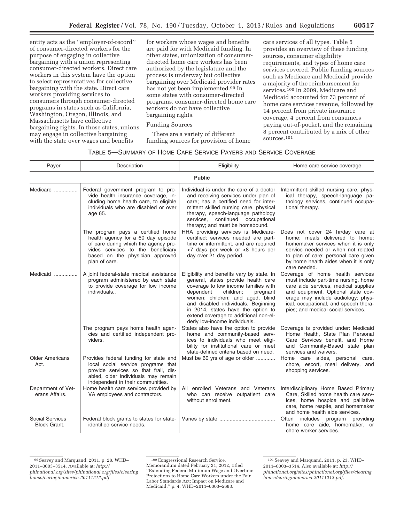entity acts as the ''employer-of-record'' of consumer-directed workers for the purpose of engaging in collective bargaining with a union representing consumer-directed workers. Direct care workers in this system have the option to select representatives for collective bargaining with the state. Direct care workers providing services to consumers through consumer-directed programs in states such as California, Washington, Oregon, Illinois, and Massachusetts have collective bargaining rights. In those states, unions may engage in collective bargaining with the state over wages and benefits

for workers whose wages and benefits are paid for with Medicaid funding. In other states, unionization of consumerdirected home care workers has been authorized by the legislature and the process is underway but collective bargaining over Medicaid provider rates has not yet been implemented.99 In some states with consumer-directed programs, consumer-directed home care workers do not have collective bargaining rights.

#### Funding Sources

There are a variety of different funding sources for provision of home

care services of all types. Table 5 provides an overview of these funding sources, consumer eligibility requirements, and types of home care services covered. Public funding sources such as Medicare and Medicaid provide a majority of the reimbursement for services.100 In 2009, Medicare and Medicaid accounted for 73 percent of home care services revenue, followed by 14 percent from private insurance coverage, 4 percent from consumers paying out-of-pocket, and the remaining 8 percent contributed by a mix of other sources.101

# TABLE 5—SUMMARY OF HOME CARE SERVICE PAYERS AND SERVICE COVERAGE

| Payer                                         | Description                                                                                                                                                                                              | Eligibility                                                                                                                                                                                                                                                                                                                                                | Home care service coverage                                                                                                                                                                                                                                                  |  |
|-----------------------------------------------|----------------------------------------------------------------------------------------------------------------------------------------------------------------------------------------------------------|------------------------------------------------------------------------------------------------------------------------------------------------------------------------------------------------------------------------------------------------------------------------------------------------------------------------------------------------------------|-----------------------------------------------------------------------------------------------------------------------------------------------------------------------------------------------------------------------------------------------------------------------------|--|
|                                               |                                                                                                                                                                                                          | <b>Public</b>                                                                                                                                                                                                                                                                                                                                              |                                                                                                                                                                                                                                                                             |  |
| Medicare                                      | Federal government program to pro-<br>vide health insurance coverage, in-<br>cluding home health care, to eligible<br>individuals who are disabled or over<br>age 65.                                    | Individual is under the care of a doctor<br>and receiving services under plan of<br>care; has a certified need for inter-<br>mittent skilled nursing care, physical<br>therapy, speech-language pathology<br>services, continued occupational<br>therapy; and must be homebound.                                                                           | Intermittent skilled nursing care, phys-<br>ical therapy, speech-language pa-<br>thology services, continued occupa-<br>tional therapy.                                                                                                                                     |  |
|                                               | The program pays a certified home<br>health agency for a 60 day episode<br>of care during which the agency pro-<br>vides services to the beneficiary<br>based on the physician approved<br>plan of care. | HHA providing services is Medicare-<br>certified; services needed are part-<br>time or intermittent, and are required<br><7 days per week or <8 hours per<br>day over 21 day period.                                                                                                                                                                       | Does not cover 24 hr/day care at<br>home; meals delivered to home;<br>homemaker services when it is only<br>service needed or when not related<br>to plan of care; personal care given<br>by home health aides when it is only<br>care needed.                              |  |
| Medicaid                                      | A joint federal-state medical assistance<br>program administered by each state<br>to provide coverage for low income<br>individuals                                                                      | Eligibility and benefits vary by state. In<br>general, states provide health care<br>coverage to low income families with<br>dependent<br>children;<br>pregnant<br>women; children; and aged, blind<br>and disabled individuals. Beginning<br>in 2014, states have the option to<br>extend coverage to additional non-el-<br>derly low-income individuals. | Coverage of home health services<br>must include part-time nursing, home<br>care aide services, medical supplies<br>and equipment. Optional state cov-<br>erage may include audiology; phys-<br>ical, occupational, and speech thera-<br>pies; and medical social services. |  |
|                                               | The program pays home health agen-<br>cies and certified independent pro-<br>viders.                                                                                                                     | States also have the option to provide<br>home and community-based serv-<br>ices to individuals who meet eligi-<br>bility for institutional care or meet<br>state-defined criteria based on need.                                                                                                                                                          | Coverage is provided under: Medicaid<br>Home Health, State Plan Personal<br>Care Services benefit, and Home<br>and Community-Based state plan<br>services and waivers.                                                                                                      |  |
| <b>Older Americans</b><br>Act.                | Provides federal funding for state and<br>local social service programs that<br>provide services so that frail, dis-<br>abled, older individuals may remain<br>independent in their communities.         | Must be 60 yrs of age or older                                                                                                                                                                                                                                                                                                                             | Home care aides, personal care,<br>chore, escort, meal delivery, and<br>shopping services.                                                                                                                                                                                  |  |
| Department of Vet-<br>erans Affairs.          | Home health care services provided by<br>VA employees and contractors.                                                                                                                                   | All enrolled Veterans and Veterans<br>who can receive outpatient care<br>without enrollment.                                                                                                                                                                                                                                                               | Interdisciplinary Home Based Primary<br>Care, Skilled home health care serv-<br>ices, home hospice and palliative<br>care, home respite, and homemaker<br>and home health aide services.                                                                                    |  |
| <b>Social Services</b><br><b>Block Grant.</b> | Federal block grants to states for state-<br>identified service needs.                                                                                                                                   |                                                                                                                                                                                                                                                                                                                                                            | Often includes program providing<br>home care aide, homemaker, or<br>chore worker services.                                                                                                                                                                                 |  |

99Seavey and Marquand, 2011, p. 28. WHD– 2011–0003–3514. Available at: *http:// phinational.org/sites/phinational.org/files/clearing house/caringinamerica-20111212.pdf.* 

100Congressional Research Service. Memorandum dated February 21, 2012, titled ''Extending Federal Minimum Wage and Overtime Protections to Home Care Workers under the Fair Labor Standards Act: Impact on Medicare and Medicaid,'' p. 4. WHD–2011–0003–5683.

<sup>101</sup> Seavey and Marquand, 2011, p. 23. WHD-2011–0003–3514. Also available at: *http:// phinational.org/sites/phinational.org/files/clearing house/caringinamerica-20111212.pdf.*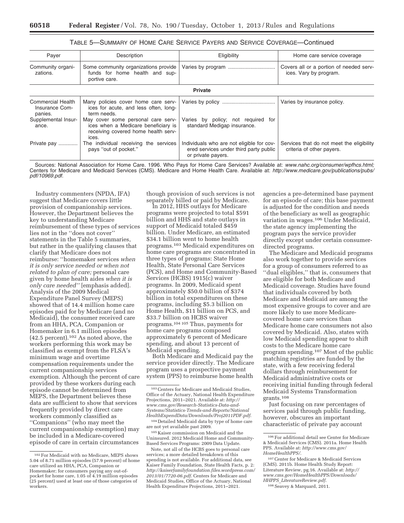| TABLE 5—SUMMARY OF HOME CARE SERVICE PAYERS AND SERVICE COVERAGE—Continued |  |
|----------------------------------------------------------------------------|--|
|----------------------------------------------------------------------------|--|

| Description<br>Payer<br>Some community organizations provide<br>Community organi-<br>funds for home health and sup-<br>zations.<br>portive care. |                                                                                                                           | Eligibility                                                                                               | Home care service coverage                                             |  |  |
|--------------------------------------------------------------------------------------------------------------------------------------------------|---------------------------------------------------------------------------------------------------------------------------|-----------------------------------------------------------------------------------------------------------|------------------------------------------------------------------------|--|--|
|                                                                                                                                                  |                                                                                                                           |                                                                                                           | Covers all or a portion of needed serv-<br>ices. Vary by program.      |  |  |
|                                                                                                                                                  |                                                                                                                           | <b>Private</b>                                                                                            |                                                                        |  |  |
| Commercial Health<br>Insurance Com-<br>panies.                                                                                                   | Many policies cover home care serv-<br>ices for acute, and less often, long-<br>term needs.                               |                                                                                                           | Varies by insurance policy.                                            |  |  |
| Supplemental Insur-<br>ance.                                                                                                                     | May cover some personal care serv-<br>ices when a Medicare beneficiary is<br>receiving covered home health serv-<br>ices. | Varies by policy; not required for<br>standard Medigap insurance.                                         |                                                                        |  |  |
| Private pay                                                                                                                                      | The individual receiving the services<br>pays "out of pocket."                                                            | Individuals who are not eligible for cov-<br>ered services under third party public<br>or private payers. | Services that do not meet the eligibility<br>criteria of other payers. |  |  |

Sources: National Association for Home Care. 1996. Who Pays for Home Care Services? Available at: www.nahc.org/consumer/wpfhcs.html; Centers for Medicare and Medicaid Services (CMS). Medicare and Home Health Care. Available at: http://www.medicare.gov/publications/pubs/ pdf/10969.pdf.

Industry commenters (NPDA, IFA) suggest that Medicare covers little provision of companionship services. However, the Department believes the key to understanding Medicare reimbursement of these types of services lies not in the ''does not cover'' statements in the Table 5 summaries, but rather in the qualifying clauses that clarify that Medicare does not reimburse: ''homemaker services *when it is only service needed or when not related to plan of care;* personal care given by home health aides *when it is only care needed''* [emphasis added]. Analysis of the 2009 Medical Expenditure Panel Survey (MEPS) showed that of 14.4 million home care episodes paid for by Medicare (and no Medicaid), the consumer received care from an HHA, PCA, Companion or Homemaker in 6.1 million episodes (42.5 percent).102 As noted above, the workers performing this work may be classified as exempt from the FLSA's minimum wage and overtime compensation requirements under the current companionship services exemption. Although the percent of care provided by these workers during each episode cannot be determined from MEPS, the Department believes these data are sufficient to show that services frequently provided by direct care workers commonly classified as ''Companions'' (who may meet the current companionship exemption) may be included in a Medicare-covered episode of care in certain circumstances

though provision of such services is not separately billed or paid by Medicare.

In 2012, HHS outlays for Medicare programs were projected to total \$591 billion and HHS and state outlays in support of Medicaid totaled \$459 billion. Under Medicare, an estimated \$34.1 billion went to home health programs.103 Medicaid expenditures on home care programs are concentrated in three types of programs: State Home Health, State Personal Care Services (PCS), and Home and Community-Based Services (HCBS) 1915(c) waiver programs. In 2009, Medicaid spent approximately \$50.0 billion of \$374 billion in total expenditures on these programs, including \$5.3 billion on Home Health, \$11 billion on PCS, and \$33.7 billion on HCBS waiver programs.104 105 Thus, payments for home care programs composed approximately 6 percent of Medicare spending, and about 13 percent of Medicaid spending.

Both Medicare and Medicaid pay the service provider directly. The Medicare program uses a prospective payment system (PPS) to reimburse home health

104 Detailed Medicaid data by type of home care are not yet available past 2009.

105 Kaiser commission on Medicaid and the Uninsured. 2012 Medicaid Home and Community-Based Services Programs: 2009 Data Update.

agencies a pre-determined base payment for an episode of care; this base payment is adjusted for the condition and needs of the beneficiary as well as geographic variation in wages.106 Under Medicaid, the state agency implementing the program pays the service provider directly except under certain consumerdirected programs.

The Medicare and Medicaid programs also work together to provide services for a group of consumers referred to as ''dual eligibles,'' that is, consumers that are eligible for both Medicare and Medicaid coverage. Studies have found that individuals covered by both Medicare and Medicaid are among the most expensive groups to cover and are more likely to use more Medicarecovered home care services than Medicare home care consumers not also covered by Medicaid. Also, states with low Medicaid spending appear to shift costs to the Medicare home care program spending.107 Most of the public matching registries are funded by the state, with a few receiving federal dollars through reimbursement for Medicaid administrative costs or receiving initial funding through federal Medicaid Systems Transformation grants.108

Just focusing on raw percentages of services paid through public funding, however, obscures an important characteristic of private pay account

<sup>102</sup>For Medicaid with no Medicare, MEPS shows 5.04 of 8.71 million episodes (57.9 percent) of home care utilized an HHA, PCA, Companion or Homemaker; for consumers paying any out-ofpocket for home care, 1.05 of 4.19 million episodes (25 percent) used at least one of those categories of workers.

<sup>103</sup>Centers for Medicare and Medicaid Studies, Office of the Actuary, National Health Expenditure Projections, 2011–2021. Available at: *http:// www.cms.gov/Research-Statistics-Data-and-Systems/Statistics-Trends-and-Reports/National HealthExpendData/Downloads/Proj2011PDF.pdf*.

Note, not all of the HCBS goes to personal care services; a more detailed breakdown of this spending is not available. For additional data, see Kaiser Family Foundation, State Health Facts, p. 2: *http://kaiserfamilyfoundation.files.wordpress.com/ 2013/01/7720-06.pdf*. Centers for Medicare and Medicaid Studies, Office of the Actuary, National Health Expenditure Projections, 2011–2021.

<sup>106</sup>For additional detail see Center for Medicare & Medicaid Services (CMS). 2011a. Home Health PPS. Available at: *http://www.cms.gov/ HomeHealthPPS/*.

<sup>107</sup>Center for Medicare & Medicaid Services (CMS). 2011b. Home Health Study Report: Literature Review, pg.16. Available at: *http:// www.cms.gov/HomeHealthPPS/Downloads/ HHPPS*\_*LiteratureReview.pdf*.

<sup>108</sup>Seavey & Marquard, 2011.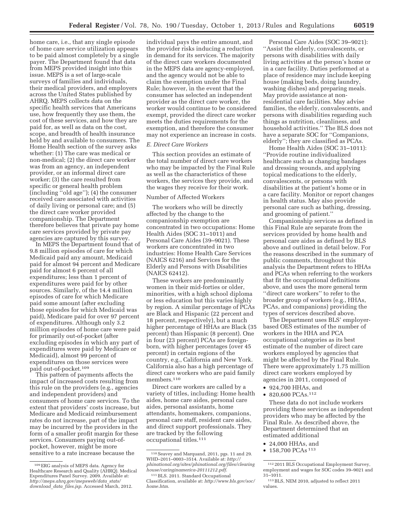home care, i.e., that any single episode of home care service utilization appears to be paid almost completely by a single payer. The Department found that data from MEPS provided insight into this issue. MEPS is a set of large-scale surveys of families and individuals, their medical providers, and employers across the United States published by AHRQ. MEPS collects data on the specific health services that Americans use, how frequently they use them, the cost of these services, and how they are paid for, as well as data on the cost, scope, and breadth of health insurance held by and available to consumers. The Home Health section of the survey asks whether: (1) The care was medical or non-medical; (2) the direct care worker was from an agency, an independent provider, or an informal direct care worker; (3) the care resulted from specific or general health problem (including ''old age''); (4) the consumer received care associated with activities of daily living or personal care; and (5) the direct care worker provided companionship. The Department therefore believes that private pay home care services provided by private pay agencies are captured by this survey.

In MEPS the Department found that of 9.8 million episodes of care for which Medicaid paid any amount, Medicaid paid for almost 94 percent and Medicare paid for almost 6 percent of all expenditures; less than 1 percent of expenditures were paid for by other sources. Similarly, of the 14.4 million episodes of care for which Medicare paid some amount (after excluding those episodes for which Medicaid was paid), Medicare paid for over 97 percent of expenditures. Although only 3.2 million episodes of home care were paid for primarily out-of-pocket (after excluding episodes in which any part of expenditures were paid by Medicare or Medicaid), almost 99 percent of expenditures on those services were paid out-of-pocket.109

This pattern of payments affects the impact of increased costs resulting from this rule on the providers (e.g., agencies and independent providers) and consumers of home care services. To the extent that providers' costs increase, but Medicare and Medicaid reimbursement rates do not increase, part of the impact may be incurred by the providers in the form of a smaller profit margin for these services. Consumers paying out-ofpocket, however, might be more sensitive to a rate increase because the

individual pays the entire amount, and the provider risks inducing a reduction in demand for its services. The majority of the direct care workers documented in the MEPS data are agency-employed, and the agency would not be able to claim the exemption under the Final Rule; however, in the event that the consumer has selected an independent provider as the direct care worker, the worker would continue to be considered exempt, provided the direct care worker meets the duties requirements for the exemption, and therefore the consumer may not experience an increase in costs.

# *E. Direct Care Workers*

This section provides an estimate of the total number of direct care workers who may be impacted by the Final Rule as well as the characteristics of these workers, the services they provide, and the wages they receive for their work.

### Number of Affected Workers

The workers who will be directly affected by the change to the companionship exemption are concentrated in two occupations: Home Health Aides (SOC 31–1011) and Personal Care Aides (39–9021). These workers are concentrated in two industries: Home Health Care Services (NAICS 6216) and Services for the Elderly and Persons with Disabilities (NAICS 62412).

These workers are predominantly women in their mid-forties or older, minorities, with a high school diploma or less education but this varies highly by region. A similar percentage of PCAs are Black and Hispanic (22 percent and 18 percent, respectively), but a much higher percentage of HHAs are Black (35 percent) than Hispanic (8 percent). One in four (23 percent) PCAs are foreignborn, with higher percentages (over 45 percent) in certain regions of the country, e.g., California and New York. California also has a high percentage of direct care workers who are paid family members.<sup>110</sup>

Direct care workers are called by a variety of titles, including: Home health aides, home care aides, personal care aides, personal assistants, home attendants, homemakers, companions, personal care staff, resident care aides, and direct support professionals. They are tracked by the following occupational titles.111

Personal Care Aides (SOC 39–9021): ''Assist the elderly, convalescents, or persons with disabilities with daily living activities at the person's home or in a care facility. Duties performed at a place of residence may include keeping house (making beds, doing laundry, washing dishes) and preparing meals. May provide assistance at nonresidential care facilities. May advise families, the elderly, convalescents, and persons with disabilities regarding such things as nutrition, cleanliness, and household activities.'' The BLS does not have a separate SOC for ''Companions, elderly''; they are classified as PCAs.

Home Health Aides (SOC 31–1011): ''Provide routine individualized healthcare such as changing bandages and dressing wounds, and applying topical medications to the elderly, convalescents, or persons with disabilities at the patient's home or in a care facility. Monitor or report changes in health status. May also provide personal care such as bathing, dressing, and grooming of patient.''

Companionship services as defined in this Final Rule are separate from the services provided by home health and personal care aides as defined by BLS above and outlined in detail below. For the reasons described in the summary of public comments, throughout this analysis the Department refers to HHAs and PCAs when referring to the workers that fit the occupational definitions above, and uses the more general term ''direct care workers'' to refer to the broader group of workers (e.g., HHAs, PCAs, and companions) providing the types of services described above.

The Department uses BLS' employerbased OES estimates of the number of workers in the HHA and PCA occupational categories as its best estimate of the number of direct care workers employed by agencies that might be affected by the Final Rule. There were approximately 1.75 million direct care workers employed by agencies in 2011, composed of

- 924,700 HHAs, and
- 820,600 PCAs.<sup>112</sup>

These data do not include workers providing these services as independent providers who may be affected by the Final Rule. As described above, the Department determined that an estimated additional

- 24,000 HHAs, and
- 158,700 PCAs<sup>113</sup>

<sup>109</sup>ERG analysis of MEPS data. Agency for Healthcare Research and Quality (AHRQ). Medical Expenditures Panel Survey. 2009. Available at: *http://meps.ahrq.gov/mepsweb/data*\_*stats/ download*\_*data*\_*files.jsp*. Accessed March, 2012.

<sup>110</sup>Seavey and Marquand, 2011, pgs. 11 and 29. WHD–2011–0003–3514. Available at: *http:// phinational.org/sites/phinational.org/files/clearing house/caringinamerica-20111212.pdf*.

<sup>111</sup>BLS. 2011. Standard Occupational Classification, available at: *http://www.bls.gov/soc/ home.htm*.

<sup>112</sup> 2011 BLS Occupational Employment Survey, employment and wages for SOC codes 39–9021 and 31–1011.

<sup>113</sup>BLS, NEM 2010, adjusted to reflect 2011 values.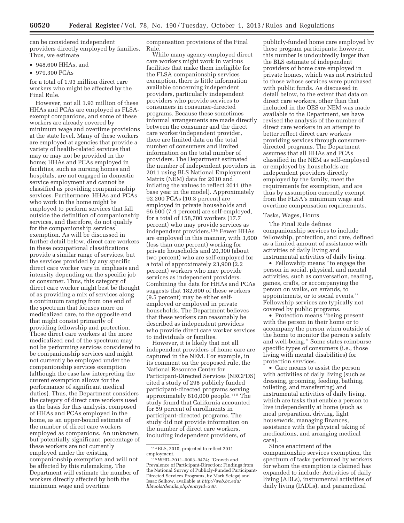can be considered independent providers directly employed by families. Thus, we estimate

- 948,600 HHAs, and
- 979,300 PCAs

for a total of 1.93 million direct care workers who might be affected by the Final Rule.

However, not all 1.93 million of these HHAs and PCAs are employed as FLSAexempt companions, and some of these workers are already covered by minimum wage and overtime provisions at the state level. Many of these workers are employed at agencies that provide a variety of health-related services that may or may not be provided in the home; HHAs and PCAs employed in facilities, such as nursing homes and hospitals, are not engaged in domestic service employment and cannot be classified as providing companionship services. Furthermore, HHAs and PCAs who work in the home might be employed to perform services that fall outside the definition of companionship services, and therefore, do not qualify for the companionship services exemption. As will be discussed in further detail below, direct care workers in these occupational classifications provide a similar range of services, but the services provided by any specific direct care worker vary in emphasis and intensity depending on the specific job or consumer. Thus, this category of direct care worker might best be thought of as providing a mix of services along a continuum ranging from one end of the spectrum that focuses more on medicalized care, to the opposite end that might consist primarily of providing fellowship and protection. Those direct care workers at the more medicalized end of the spectrum may not be performing services considered to be companionship services and might not currently be employed under the companionship services exemption (although the case law interpreting the current exemption allows for the performance of significant medical duties). Thus, the Department considers the category of direct care workers used as the basis for this analysis, composed of HHAs and PCAs employed in the home, as an upper-bound estimate of the number of direct care workers employed as companions. An unknown, but potentially significant, percentage of these workers are not currently employed under the existing companionship exemption and will not be affected by this rulemaking. The Department will estimate the number of workers directly affected by both the minimum wage and overtime

compensation provisions of the Final Rule.

While many agency-employed direct care workers might work in various facilities that make them ineligible for the FLSA companionship services exemption, there is little information available concerning independent providers, particularly independent providers who provide services to consumers in consumer-directed programs. Because these sometimes informal arrangements are made directly between the consumer and the direct care worker/independent provider, there are limited data on the total number of consumers and limited information on the total number of providers. The Department estimated the number of independent providers in 2011 using BLS National Employment Matrix (NEM) data for 2010 and inflating the values to reflect 2011 (the base year in the model). Approximately 92,200 PCAs (10.3 percent) are employed in private households and 66,500 (7.4 percent) are self-employed, for a total of 158,700 workers (17.7 percent) who may provide services as independent providers.114 Fewer HHAs are employed in this manner, with 3,600 (less than one percent) working for private households and 20,300 (about two percent) who are self-employed for a total of approximately 23,900 (2.2 percent) workers who may provide services as independent providers. Combining the data for HHAs and PCAs suggests that 182,600 of these workers (9.5 percent) may be either selfemployed or employed in private households. The Department believes that these workers can reasonably be described as independent providers who provide direct care worker services to individuals or families.

However, it is likely that not all independent providers of home care are captured in the NEM. For example, in its comment on the proposed rule, the National Resource Center for Participant-Directed Services (NRCPDS) cited a study of 298 publicly funded participant-directed programs serving approximately 810,000 people.115 The study found that California accounted for 59 percent of enrollments in participant-directed programs. The study did not provide information on the number of direct care workers, including independent providers, of

publicly-funded home care employed by these program participants; however, this number is undoubtedly larger than the BLS estimate of independent providers of home care employed in private homes, which was not restricted to those whose services were purchased with public funds. As discussed in detail below, to the extent that data on direct care workers, other than that included in the OES or NEM was made available to the Department, we have revised the analysis of the number of direct care workers in an attempt to better reflect direct care workers providing services through consumerdirected programs. The Department assumes that all HHAs and PCAs classified in the NEM as self-employed or employed by households are independent providers directly employed by the family, meet the requirements for exemption, and are thus by assumption currently exempt from the FLSA's minimum wage and overtime compensation requirements.

#### Tasks, Wages, Hours

The Final Rule defines companionship services to include fellowship, protection, and care, defined as a limited amount of assistance with activities of daily living and instrumental activities of daily living.

• Fellowship means ''to engage the person in social, physical, and mental activities, such as conversation, reading, games, crafts, or accompanying the person on walks, on errands, to appointments, or to social events.'' Fellowship services are typically not covered by public programs.

• Protection means ''being present with the person in their home or to accompany the person when outside of the home to monitor the person's safety and well-being.'' Some states reimburse specific types of consumers (i.e., those living with mental disabilities) for protection services.

• Care means to assist the person with activities of daily living (such as dressing, grooming, feeding, bathing, toileting, and transferring) and instrumental activities of daily living, which are tasks that enable a person to live independently at home (such as meal preparation, driving, light housework, managing finances, assistance with the physical taking of medications, and arranging medical care).

Since enactment of the companionship services exemption, the spectrum of tasks performed by workers for whom the exemption is claimed has expanded to include: Activities of daily living (ADLs), instrumental activities of daily living (IADLs), and paramedical

<sup>114</sup>BLS, 2010, projected to reflect 2011 employment.

<sup>115</sup>WHD–2011–0003–9474; ''Growth and Prevalence of Participant-Direction: Findings from the National Survey of Publicly-Funded Participant-Directed Services Programs, by Mark Sciegaj and Isaac Selkow, available at *http://web.bc.edu/ libtools/details.php?entryid=340.*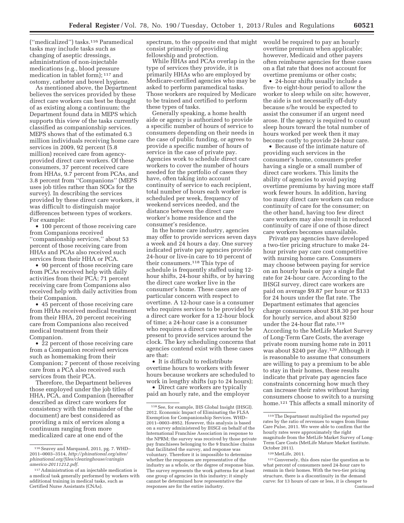(''medicalized'') tasks.116 Paramedical tasks may include tasks such as changing of aseptic dressings, administration of non-injectable medications (e.g., blood pressure medication in tablet form); 117 and ostomy, catheter and bowel hygiene.

As mentioned above, the Department believes the services provided by these direct care workers can best be thought of as existing along a continuum; the Department found data in MEPS which supports this view of the tasks currently classified as companionship services. MEPS shows that of the estimated 6.3 million individuals receiving home care services in 2009, 92 percent (5.8 million) received care from agencyprovided direct care workers. Of these consumers, 37 percent received care from HHAs, 9.7 percent from PCAs, and 3.8 percent from ''Companions'' (MEPS uses job titles rather than SOCs for the survey). In describing the services provided by these direct care workers, it was difficult to distinguish major differences between types of workers. For example:

• 100 percent of those receiving care from Companions received ''companionship services,'' about 53 percent of those receiving care from HHAs and PCAs also received such services from their HHA or PCA.

• 90 percent of those receiving care from PCAs received help with daily activities from their PCA; 71 percent receiving care from Companions also received help with daily activities from their Companion.

• 45 percent of those receiving care from HHAs received medical treatment from their HHA, 20 percent receiving care from Companions also received medical treatment from their Companion.

• 22 percent of those receiving care from a Companion received services such as homemaking from their Companion; 7 percent of those receiving care from a PCA also received such services from their PCA.

Therefore, the Department believes those employed under the job titles of HHA, PCA, and Companion (hereafter described as direct care workers for consistency with the remainder of the document) are best considered as providing a mix of services along a continuum ranging from more medicalized care at one end of the

spectrum, to the opposite end that might would be required to pay an hourly consist primarily of providing fellowship and protection.

While HHAs and PCAs overlap in the type of services they provide, it is primarily HHAs who are employed by Medicare-certified agencies who may be asked to perform paramedical tasks. Those workers are required by Medicare to be trained and certified to perform these types of tasks.

Generally speaking, a home health aide or agency is authorized to provide a specific number of hours of service to consumers depending on their needs in the case of public funding, or agrees to provide a specific number of hours of service in the case of private pay. Agencies work to schedule direct care workers to cover the number of hours needed for the portfolio of cases they have, often taking into account continuity of service to each recipient, total number of hours each worker is scheduled per week, frequency of weekend services needed, and the distance between the direct care worker's home residence and the consumer's residence.

In the home care industry, agencies may offer to provide services seven days a week and 24 hours a day. One survey indicated private pay agencies provide 24-hour or live-in care to 10 percent of their consumers.118 This type of schedule is frequently staffed using 12 hour shifts, 24-hour shifts, or by having the direct care worker live in the consumer's home. These cases are of particular concern with respect to overtime. A 12-hour case is a consumer who requires services to be provided by a direct care worker for a 12-hour block of time; a 24-hour case is a consumer who requires a direct care worker to be present to provide services around the clock. The key scheduling concerns that agencies contend exist with these cases are that:

• It is difficult to redistribute overtime hours to workers with fewer hours because workers are scheduled to work in lengthy shifts (up to 24 hours);

• Direct care workers are typically paid an hourly rate, and the employer

overtime premium when applicable; however, Medicaid and other payers often reimburse agencies for these cases on a flat rate that does not account for overtime premiums or other costs;

• 24-hour shifts usually include a five- to eight-hour period to allow the worker to sleep while on site; however, the aide is not necessarily off-duty because s/he would be expected to assist the consumer if an urgent need arose. If the agency is required to count sleep hours toward the total number of hours worked per week then it may become costly to provide 24-hour care.

• Because of the intimate nature of providing such services in the consumer's home, consumers prefer having a single or a small number of direct care workers. This limits the ability of agencies to avoid paying overtime premiums by having more staff work fewer hours. In addition, having too many direct care workers can reduce continuity of care for the consumer; on the other hand, having too few direct care workers may also result in reduced continuity of care if one of those direct care workers becomes unavailable.

Private pay agencies have developed a two-tier pricing structure to make 24 hour private pay care cost competitive with nursing home care. Consumers may choose between paying for service on an hourly basis or pay a single flat rate for 24-hour care. According to the IHSGI survey, direct care workers are paid on average \$9.87 per hour or \$133 for 24 hours under the flat rate. The Department estimates that agencies charge consumers about \$18.30 per hour for hourly service, and about \$250 under the 24-hour flat rate.<sup>119</sup> According to the MetLife Market Survey of Long-Term Care Costs, the average private room nursing home rate in 2011 was about \$240 per day.120 Although it is reasonable to assume that consumers are willing to pay a premium to be able to stay in their homes, these results indicate that private pay agencies face constraints concerning how much they can increase their rates without having consumers choose to switch to a nursing home.<sup>121</sup> This affects a small minority of

<sup>116</sup>Seavey and Marquand, 2011, pg. 7. WHD– 2011–0003–3514, *http://phinational.org/sites/ phinational.org/files/clearinghouse/caringin america-20111212.pdf*.

<sup>117</sup>Administration of an injectable medication is a medical task generally performed by workers with additional training in medical tasks, such as Certified Nurse Assistants (CNAs).

<sup>118</sup>See, for example, IHS Global Insight (IHSGI). 2012. Economic Impact of Eliminating the FLSA Exemption for Companionship Services. WHD– 2011–0003–8952. However, this analysis is based on a survey administered by IHSGI on behalf of the International Franchise Association in response to the NPRM; the survey was received by those private pay franchisees belonging to the 9 franchise chains that facilitated the survey, and response was voluntary. Therefore it is impossible to determine whether the responses are representative of the industry as a whole, or the degree of response bias. The survey represents the work patterns for at least one group of agencies in this industry; it simply cannot be determined how representative the responses are for the entire industry.

<sup>119</sup>The Department multiplied the reported pay rates by the ratio of revenues to wages from Home Care Pulse, 2011. We were able to confirm that the hourly rates were approximately the right magnitude from the MetLife Market Survey of Long-Term Care Costs (MetLife Mature Market Institute. October 2011).

<sup>120</sup>MetLife, 2011.

<sup>121</sup>Conversely, this does raise the question as to what percent of consumers need 24-hour care to remain in their homes. With the two-tier pricing structure, there is a discontinuity in the demand curve: for 13 hours of care or less, it is cheaper to Continued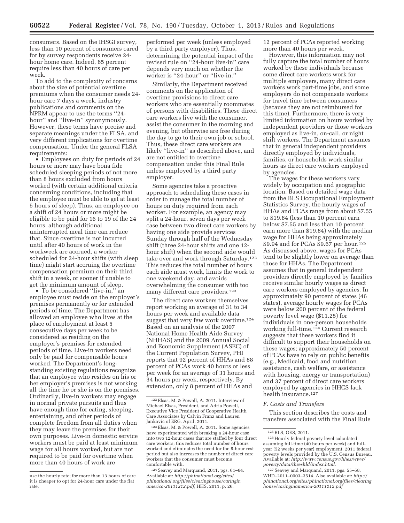consumers. Based on the IHSGI survey, less than 10 percent of consumers cared for by survey respondents receive 24 hour home care. Indeed, 65 percent require less than 40 hours of care per week.

To add to the complexity of concerns about the size of potential overtime premiums when the consumer needs 24hour care 7 days a week, industry publications and comments on the NPRM appear to use the terms ''24 hour" and "live-in" synonymously. However, these terms have precise and separate meanings under the FLSA, and very different implications for overtime compensation. Under the general FLSA requirements:

• Employees on duty for periods of 24 hours or more may have bona fide scheduled sleeping periods of not more than 8 hours excluded from hours worked (with certain additional criteria concerning conditions, including that the employee must be able to get at least 5 hours of sleep). Thus, an employee on a shift of 24 hours or more might be eligible to be paid for 16 to 19 of the 24 hours, although additional uninterrupted meal time can reduce that. Since overtime is not incurred until after 40 hours of work in the workweek are accrued, a worker scheduled for 24-hour shifts (with sleep time) might start accruing the overtime compensation premium on their third shift in a week, or sooner if unable to get the minimum amount of sleep.

• To be considered ''live-in,'' an employee must reside on the employer's premises permanently or for extended periods of time. The Department has allowed an employee who lives at the place of employment at least 5 consecutive days per week to be considered as residing on the employer's premises for extended periods of time. Live-in workers need only be paid for compensable hours worked. The Department's longstanding existing regulations recognize that an employee who resides on his or her employer's premises is not working all the time he or she is on the premises. Ordinarily, live-in workers may engage in normal private pursuits and thus have enough time for eating, sleeping, entertaining, and other periods of complete freedom from all duties when they may leave the premises for their own purposes. Live-in domestic service workers must be paid at least minimum wage for all hours worked, but are not required to be paid for overtime when more than 40 hours of work are

performed per week (unless employed by a third party employer). Thus, determining the potential impact of the revised rule on ''24-hour live-in'' care depends very much on whether the worker is ''24-hour'' or ''live-in.''

Similarly, the Department received comments on the application of overtime provisions to direct care workers who are essentially roommates of persons with disabilities. These direct care workers live with the consumer, assist the consumer in the morning and evening, but otherwise are free during the day to go to their own job or school. Thus, these direct care workers are likely ''live-in'' as described above, and are not entitled to overtime compensation under this Final Rule unless employed by a third party employer.

Some agencies take a proactive approach to scheduling these cases in order to manage the total number of hours on duty required from each worker. For example, an agency may split a 24-hour, seven days per week case between two direct care workers by having one aide provide services Sunday through half of the Wednesday shift (three 24-hour shifts and one 12 hour shift) when the second aide would take over and work through Saturday.122 This reduces the total number of hours each aide must work, limits the work to one weekend day, and avoids overwhelming the consumer with too many different care providers.123

The direct care workers themselves report working an average of 31 to 34 hours per week and available data suggest that very few work overtime.124 Based on an analysis of the 2007 National Home Health Aide Survey (NHHAS) and the 2009 Annual Social and Economic Supplement (ASEC) of the Current Population Survey, PHI reports that 92 percent of HHAs and 88 percent of PCAs work 40 hours or less per week for an average of 31 hours and 34 hours per week, respectively. By extension, only 8 percent of HHAs and

12 percent of PCAs reported working more than 40 hours per week.

However, this information may not fully capture the total number of hours worked by these individuals because some direct care workers work for multiple employers, many direct care workers work part-time jobs, and some employers do not compensate workers for travel time between consumers (because they are not reimbursed for this time). Furthermore, there is very limited information on hours worked by independent providers or those workers employed as live-in, on-call, or night shift workers. The Department assumes that in general independent providers directly employed by individuals, families, or households work similar hours as direct care workers employed by agencies.

The wages for these workers vary widely by occupation and geographic location. Based on detailed wage data from the BLS Occupational Employment Statistics Survey, the hourly wages of HHAs and PCAs range from about \$7.55 to \$19.84 (less than 10 percent earn below \$7.55 and less than 10 percent earn more than \$19.84) with the median wage for HHAs being approximately \$9.94 and for PCAs \$9.67 per hour.125 As discussed above, wages for PCAs tend to be slightly lower on average than those for HHAs. The Department assumes that in general independent providers directly employed by families receive similar hourly wages as direct care workers employed by agencies. In approximately 90 percent of states (46 states), average hourly wages for PCAs were below 200 percent of the federal poverty level wage (\$11.25) for individuals in one-person households working full-time.126 Current research suggests that these workers find it difficult to support their households on these wages; approximately 50 percent of PCAs have to rely on public benefits (e.g., Medicaid, food and nutrition assistance, cash welfare, or assistance with housing, energy or transportation) and 37 percent of direct care workers employed by agencies in HHCS lack health insurance.<sup>127</sup>

### *F. Costs and Transfers*

This section describes the costs and transfers associated with the Final Rule

use the hourly rate; for more than 13 hours of care it is cheaper to opt for 24-hour care under the flat rate.

<sup>122</sup>Elsas, M. & Powell, A. 2011. Interview of Michael Elsas, President, and Adria Powell, Executive Vice President of Cooperative Health Care Associates by Calvin Franz and Lauren Jankovic of ERG. April, 2011.

<sup>123</sup>Elsas, M. & Powell, A. 2011. Some agencies have experimented with breaking a 24-hour case into two 12-hour cases that are staffed by four direct care workers; this reduces total number of hours worked and eliminates the need for the 8-hour rest period but also increases the number of direct care workers that the consumer must become comfortable with.

<sup>124</sup>Seavey and Marquand, 2011, pgs. 61–64. Available at: *http://phinational.org/sites/ phinational.org/files/clearinghouse/caringin america-20111212.pdf*; HHS, 2011, p. 26.

<sup>125</sup>BLS, OES, 2011.

 $^{\rm 126}\,$  Hourly federal poverty level calculated assuming full-time (40 hours per week) and fullyear (52 weeks per year) employment. 2011 federal poverty levels provided by the U.S. Census Bureau. Available at: *http://www.census.gov/hhes/www/ poverty/data/threshld/index.html*.

<sup>127</sup>Seavey and Marquand, 2011, pgs. 55–58. WHD–2011–0003–3514. Also available at: *http:// phinational.org/sites/phinational.org/files/clearing house/caringinamerica-20111212.pdf*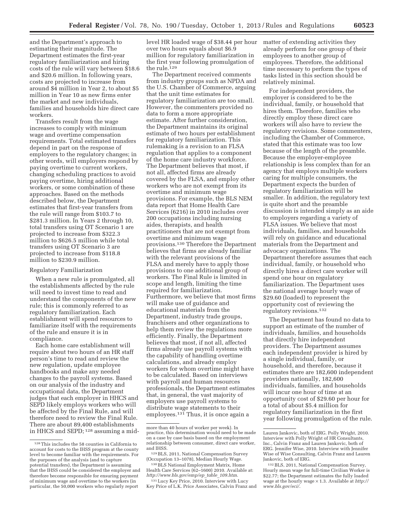and the Department's approach to estimating their magnitude. The Department estimates the first-year regulatory familiarization and hiring costs of the rule will vary between \$18.6 and \$20.6 million. In following years, costs are projected to increase from around \$4 million in Year 2, to about \$5 million in Year 10 as new firms enter the market and new individuals, families and households hire direct care workers.

Transfers result from the wage increases to comply with minimum wage and overtime compensation requirements. Total estimated transfers depend in part on the response of employers to the regulatory changes; in other words, will employers respond by paying overtime to current workers, changing scheduling practices to avoid paying overtime, hiring additional workers, or some combination of these approaches. Based on the methods described below, the Department estimates that first-year transfers from the rule will range from \$103.7 to \$281.3 million. In Years 2 through 10, total transfers using OT Scenario 1 are projected to increase from \$322.3 million to \$626.5 million while total transfers using OT Scenario 3 are projected to increase from \$118.8 million to \$230.9 million.

#### Regulatory Familiarization

When a new rule is promulgated, all the establishments affected by the rule will need to invest time to read and understand the components of the new rule; this is commonly referred to as regulatory familiarization. Each establishment will spend resources to familiarize itself with the requirements of the rule and ensure it is in compliance.

Each home care establishment will require about two hours of an HR staff person's time to read and review the new regulation, update employee handbooks and make any needed changes to the payroll systems. Based on our analysis of the industry and occupational data, the Department judges that each employer in HHCS and SEPD likely employs workers who will be affected by the Final Rule, and will therefore need to review the Final Rule. There are about 89,400 establishments in HHCS and SEPD; 128 assuming a mid-

level HR loaded wage of \$38.44 per hour over two hours equals about \$6.9 million for regulatory familiarization in the first year following promulgation of the rule.<sup>129</sup>

The Department received comments from industry groups such as NPDA and the U.S. Chamber of Commerce, arguing that the unit time estimates for regulatory familiarization are too small. However, the commenters provided no data to form a more appropriate estimate. After further consideration, the Department maintains its original estimate of two hours per establishment for regulatory familiarization. This rulemaking is a revision to an FLSA regulation that applies to a component of the home care industry workforce. The Department believes that most, if not all, affected firms are already covered by the FLSA, and employ other workers who are not exempt from its overtime and minimum wage provisions. For example, the BLS NEM data report that Home Health Care Services (6216) in 2010 includes over 200 occupations including nursing aides, therapists, and health practitioners that are not exempt from overtime and minimum wage provisions.130 Therefore the Department believes that firms are already familiar with the relevant provisions of the FLSA and merely have to apply those provisions to one additional group of workers. The Final Rule is limited in scope and length, limiting the time required for familiarization. Furthermore, we believe that most firms will make use of guidance and educational materials from the Department, industry trade groups, franchisers and other organizations to help them review the regulations more efficiently. Finally, the Department believes that most, if not all, affected firms already use payroll systems with the capability of handling overtime calculations, and already employ workers for whom overtime might have to be calculated. Based on interviews with payroll and human resources professionals, the Department estimates that, in general, the vast majority of employers use payroll systems to distribute wage statements to their employees.131 Thus, it is once again a

<sup>131</sup> Lucy Key Price, 2010. Interview with Lucy Key Price of L.K. Price Associates, Calvin Franz and matter of extending activities they already perform for one group of their employees to another group of employees. Therefore, the additional time necessary to perform the types of tasks listed in this section should be relatively minimal.

For independent providers, the employer is considered to be the individual, family, or household that hires them. Therefore, families who directly employ these direct care workers will also have to review the regulatory revisions. Some commenters, including the Chamber of Commerce, stated that this estimate was too low because of the length of the preamble. Because the employer-employee relationship is less complex than for an agency that employs multiple workers caring for multiple consumers, the Department expects the burden of regulatory familiarization will be smaller. In addition, the regulatory text is quite short and the preamble discussion is intended simply as an aide to employers regarding a variety of FLSA issues. We believe that most individuals, families, and households will rely on guidance and educational materials from the Department and advocacy organizations. The Department therefore assumes that each individual, family, or household who directly hires a direct care worker will spend one hour on regulatory familiarization. The Department uses the national average hourly wage of \$29.60 (loaded) to represent the opportunity cost of reviewing the regulatory revisions.132

The Department has found no data to support an estimate of the number of individuals, families, and households that directly hire independent providers. The Department assumes each independent provider is hired by a single individual, family, or household, and therefore, because it estimates there are 182,600 independent providers nationally, 182,600 individuals, families, and households will incur one hour of time at an opportunity cost of \$29.60 per hour for a total of about \$5.4 million for regulatory familiarization in the first year following promulgation of the rule.

<sup>128</sup>This includes the 58 counties in California to account for costs to the IHSS program at the county level to become familiar with the requirements. For the purposes of the analysis (and to capture potential transfers), the Department is assuming that the IHSS could be considered the employer and therefore become responsible for ensuring payment of minimum wage and overtime to the workers (in particular, the 50,000 workers who regularly report

more than 40 hours of worker per week). In practice, this determination would need to be made on a case by case basis based on the employment relationship between consumer, direct care worker,

<sup>&</sup>lt;sup>129</sup> BLS, 2011, National Compensation Survey<br>(Occupation 13–1078), Median Hourly Wage.

<sup>&</sup>lt;sup>130</sup> BLS National Employment Matrix, Home Health Care Services (62–1600) 2010. Available at:<br>http://www.bls.gov/emp/ep\_table\_109.htm.

Lauren Jankovic, both of ERG. Polly Wright, 2010. Interview with Polly Wright of HR Consultants, Inc., Calvin Franz and Lauren Jankovic, both of ERG. Jennifer Wise, 2010. Interview with Jennifer Wise of Wise Consulting, Calvin Franz and Lauren Jankovic, both of ERG.

<sup>132</sup>BLS, 2011, National Compensation Survey, Hourly mean wage for full-time Civilian Worker is \$22.77; the Department estimates the fully loaded wage at the hourly wage × 1.3. Available at *http:// www.bls.gov/eci/*.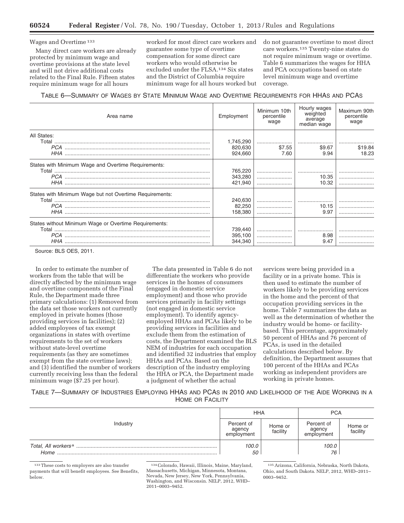## Wages and Overtime 133

Many direct care workers are already protected by minimum wage and overtime provisions at the state level and will not drive additional costs related to the Final Rule. Fifteen states require minimum wage for all hours

worked for most direct care workers and guarantee some type of overtime compensation for some direct care workers who would otherwise be excluded under the FLSA.134 Six states and the District of Columbia require minimum wage for all hours worked but

do not guarantee overtime to most direct care workers.135 Twenty-nine states do not require minimum wage or overtime. Table 6 summarizes the wages for HHA and PCA occupations based on state level minimum wage and overtime coverage.

TABLE 6—SUMMARY OF WAGES BY STATE MINIMUM WAGE AND OVERTIME REQUIREMENTS FOR HHAS AND PCAS

| Area name                                               | Employment                      | Minimum 10th<br>percentile<br>wage | Hourly wages<br>weighted<br>average<br>median wage | Maximum 90th<br>percentile<br>wage |
|---------------------------------------------------------|---------------------------------|------------------------------------|----------------------------------------------------|------------------------------------|
| All States:                                             | 1,745,290<br>820.630<br>924.660 | \$7.55<br>7.60                     | <br>\$9.67<br>9.94                                 | \$19.84<br>18.23                   |
| States with Minimum Wage and Overtime Requirements:     | 765,220<br>343,280<br>421.940   |                                    | <br>10.35<br>10.32                                 |                                    |
| States with Minimum Wage but not Overtime Requirements: | 240,630<br>82,250<br>158.380    | <br>                               | 10.15<br>9.97                                      |                                    |
| States without Minimum Wage or Overtime Requirements:   | 739,440<br>395,100<br>344.340   |                                    | 8.98<br>9.47                                       |                                    |

Source: BLS OES, 2011.

In order to estimate the number of workers from the table that will be directly affected by the minimum wage and overtime components of the Final Rule, the Department made three primary calculations: (1) Removed from the data set those workers not currently employed in private homes (those providing services in facilities); (2) added employees of tax exempt organizations in states with overtime requirements to the set of workers without state-level overtime requirements (as they are sometimes exempt from the state overtime laws); and (3) identified the number of workers currently receiving less than the federal minimum wage (\$7.25 per hour).

The data presented in Table 6 do not differentiate the workers who provide services in the homes of consumers (engaged in domestic service employment) and those who provide services primarily in facility settings (not engaged in domestic service employment). To identify agencyemployed HHAs and PCAs likely to be providing services in facilities and exclude them from the estimation of costs, the Department examined the BLS NEM of industries for each occupation and identified 32 industries that employ HHAs and PCAs. Based on the description of the industry employing the HHA or PCA, the Department made a judgment of whether the actual

services were being provided in a facility or in a private home. This is then used to estimate the number of workers likely to be providing services in the home and the percent of that occupation providing services in the home. Table 7 summarizes the data as well as the determination of whether the industry would be home- or facilitybased. This percentage, approximately 50 percent of HHAs and 76 percent of PCAs, is used in the detailed calculations described below. By definition, the Department assumes that 100 percent of the HHAs and PCAs working as independent providers are working in private homes.

TABLE 7—SUMMARY OF INDUSTRIES EMPLOYING HHAS AND PCAS IN 2010 AND LIKELIHOOD OF THE AIDE WORKING IN A HOME OR FACILITY

|          | <b>HHA</b>                         |                     | <b>PCA</b>                         |                     |  |
|----------|------------------------------------|---------------------|------------------------------------|---------------------|--|
| Industry | Percent of<br>agency<br>employment | Home or<br>facility | Percent of<br>agency<br>employment | Home or<br>facility |  |
| Home     | 100.0<br>50                        |                     | 100.0<br>76                        |                     |  |

133These costs to employers are also transfer payments that will benefit employees. See Benefits, below.

134Colorado, Hawaii, Illinois, Maine, Maryland, Massachusetts, Michigan, Minnesota, Montana, Nevada, New Jersey, New York, Pennsylvania, Washington, and Wisconsin. NELP, 2012, WHD– 2011–0003–9452.

135Arizona, California, Nebraska, North Dakota, Ohio, and South Dakota. NELP, 2012, WHD–2011– 0003–9452.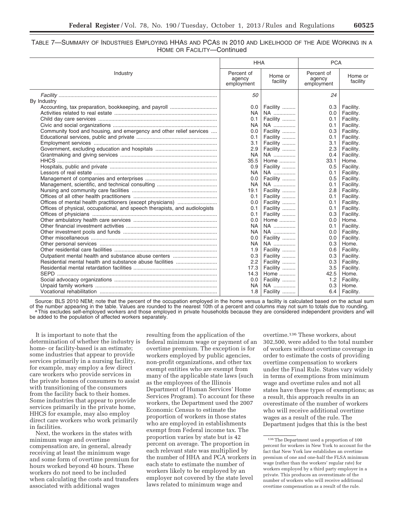# TABLE 7—SUMMARY OF INDUSTRIES EMPLOYING HHAS AND PCAS IN 2010 AND LIKELIHOOD OF THE AIDE WORKING IN A HOME OR FACILITY—Continued

|                                                                            | <b>HHA</b>                         |                     | <b>PCA</b>                         |                     |  |
|----------------------------------------------------------------------------|------------------------------------|---------------------|------------------------------------|---------------------|--|
| Industry                                                                   | Percent of<br>agency<br>employment | Home or<br>facility | Percent of<br>agency<br>employment | Home or<br>facility |  |
|                                                                            | 50                                 |                     | 24                                 |                     |  |
| By Industry                                                                |                                    |                     |                                    |                     |  |
|                                                                            | 0.0                                | Facility            | 0.3                                | Facility.           |  |
|                                                                            | NA.                                | NA                  | 0.0                                | Facility.           |  |
|                                                                            | 0.1                                | Facility            | 0.1                                | Facility.           |  |
|                                                                            | NA.                                | NA                  | 0.1                                | Facility.           |  |
| Community food and housing, and emergency and other relief services        | 0.0                                | Facility            | 0.3                                | Facility.           |  |
|                                                                            | 0.1                                | Facility            | 0.1                                | Facility.           |  |
|                                                                            | 3.1                                | Facility            | 3.1                                | Facility.           |  |
|                                                                            | 2.9                                | Facility            | 2.3                                | Facility.           |  |
|                                                                            | NA.                                | NA                  | 0.4                                | Facility.           |  |
|                                                                            | 35.5                               | Home                | 33.1                               | Home.               |  |
|                                                                            | 0.9                                | Facility            | 0.5                                | Facility.           |  |
|                                                                            | NA.                                | NA                  | 0.1                                | Facility.           |  |
|                                                                            | 0.0                                | Facility            | 0.5                                | Facility.           |  |
|                                                                            | NA.                                | NA                  | 0.1                                | Facility.           |  |
|                                                                            | 19.1                               | Facility            | 2.8                                | Facility.           |  |
|                                                                            | 0.1                                | Facility            | 0.1                                | Facility.           |  |
|                                                                            | 0.0                                | Facility            | 0.1                                | Facility.           |  |
| Offices of physical, occupational, and speech therapists, and audiologists | 0.1                                | Facility            | 0.1                                | Facility.           |  |
|                                                                            | 0.1                                | Facility            | 0.3                                | Facility.           |  |
|                                                                            | 0.0                                | Home                | 0.0                                | Home.               |  |
|                                                                            | NA                                 | NA                  | 0.1                                | Facility.           |  |
|                                                                            | NA                                 | NA                  | 0.0                                | Facility.           |  |
|                                                                            | 0.0                                | Facility            | 0.0                                | Facility.           |  |
|                                                                            | NA.                                | NA                  | 0.3                                | Home.               |  |
|                                                                            | 1.9                                | Facility            | 0.6                                | Facility.           |  |
|                                                                            | 0.3                                | Facility            | 0.3                                | Facility.           |  |
|                                                                            | $2.2^{\circ}$                      | Facility            | 0.3                                | Facility.           |  |
|                                                                            | 17.3                               | Facility            | 3.5                                | Facility.           |  |
|                                                                            | 14.3                               | Home                | 42.5                               | Home.               |  |
|                                                                            | 0.0                                | Facility            | 1.2                                | Facility.           |  |
|                                                                            | <b>NA</b>                          | NA                  | 0.3                                | Home.               |  |
|                                                                            | 1.8                                | Facility            | 6.4                                | Facility.           |  |

Source: BLS 2010 NEM; note that the percent of the occupation employed in the home versus a facility is calculated based on the actual sum of the number appearing in the table. Values are rounded to the nearest 10th of a p a This excludes self-employed workers and those employed in private households because they are considered independent providers and will be added to the population of affected workers separately.

It is important to note that the determination of whether the industry is home- or facility-based is an estimate; some industries that appear to provide services primarily in a nursing facility, for example, may employ a few direct care workers who provide services in the private homes of consumers to assist with transitioning of the consumers from the facility back to their homes. Some industries that appear to provide services primarily in the private home, HHCS for example, may also employ direct care workers who work primarily in facilities.

Next, the workers in the states with minimum wage and overtime compensation are, in general, already receiving at least the minimum wage and some form of overtime premium for hours worked beyond 40 hours. These workers do not need to be included when calculating the costs and transfers associated with additional wages

resulting from the application of the federal minimum wage or payment of an overtime premium. The exception is for workers employed by public agencies, non-profit organizations, and other tax exempt entities who are exempt from many of the applicable state laws (such as the employees of the Illinois Department of Human Services' Home Services Program). To account for these workers, the Department used the 2007 Economic Census to estimate the proportion of workers in those states who are employed in establishments exempt from Federal income tax. The proportion varies by state but is 42 percent on average. The proportion in each relevant state was multiplied by the number of HHA and PCA workers in each state to estimate the number of workers likely to be employed by an employer not covered by the state level laws related to minimum wage and

overtime.136 These workers, about 302,500, were added to the total number of workers without overtime coverage in order to estimate the costs of providing overtime compensation to workers under the Final Rule. States vary widely in terms of exemptions from minimum wage and overtime rules and not all states have these types of exemptions; as a result, this approach results in an overestimate of the number of workers who will receive additional overtime wages as a result of the rule. The Department judges that this is the best

<sup>136</sup>The Department used a proportion of 100 percent for workers in New York to account for the fact that New York law establishes an overtime premium of one and one-half the FLSA minimum wage (rather than the workers' regular rate) for workers employed by a third party employer in a private. This produces an overestimate of the number of workers who will receive additional overtime compensation as a result of the rule.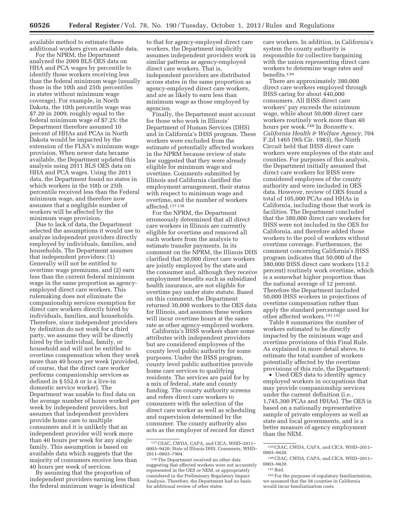available method to estimate these additional workers given available data.

For the NPRM, the Department analyzed the 2009 BLS OES data on HHA and PCA wages by percentile to identify those workers receiving less than the federal minimum wage (usually those in the 10th and 25th percentiles in states without minimum wage coverage). For example, in North Dakota, the 10th percentile wage was \$7.20 in 2009, roughly equal to the federal minimum wage of \$7.25; the Department therefore assumed 10 percent of HHAs and PCAs in North Dakota would be impacted by the extension of the FLSA's minimum wage provision. When newer data became available, the Department updated this analysis using 2011 BLS OES data on HHA and PCA wages. Using the 2011 data, the Department found no states in which workers in the 10th or 25th percentile received less than the Federal minimum wage, and therefore now assumes that a negligible number of workers will be affected by the minimum wage provision.

Due to lack of data, the Department selected the assumptions it would use to analyze independent providers directly employed by individuals, families, and households. The Department assumes that independent providers: (1) Generally will not be entitled to overtime wage premiums, and (2) earn less than the current federal minimum wage in the same proportion as agencyemployed direct care workers. This rulemaking does not eliminate the companionship services exemption for direct care workers directly hired by individuals, families, and households. Therefore, since independent providers by definition do not work for a third party, we assume they will be directly hired by the individual, family, or household and will not be entitled to overtime compensation when they work more than 40 hours per week (provided, of course, that the direct care worker performs companionship services as defined in § 552.6 or is a live-in domestic service worker). The Department was unable to find data on the average number of hours worked per week by independent providers, but assumes that independent providers provide home care to multiple consumers and it is unlikely that an independent provider will work more than 40 hours per week for any single family. This assumption is based on available data which suggests that the majority of consumers receive less than 40 hours per week of services.

By assuming that the proportion of independent providers earning less than the federal minimum wage is identical

to that for agency-employed direct care workers, the Department implicitly assumes independent providers work in similar patterns as agency-employed direct care workers. That is, independent providers are distributed across states in the same proportion as agency-employed direct care workers, and are as likely to earn less than minimum wage as those employed by agencies.

Finally, the Department must account for those who work in Illinois' Department of Human Services (DHS) and in California's IHSS program. These workers were excluded from the estimate of potentially affected workers in the NPRM because review of state law suggested that they were already eligible for minimum wage and overtime. Comments submitted by Illinois and California clarified the employment arrangement, their status with respect to minimum wage and overtime, and the number of workers affected.137 138

For the NPRM, the Department erroneously determined that all direct care workers in Illinois are currently eligible for overtime and removed all such workers from the analysis to estimate transfer payments. In its comment on the NPRM, the Illinois DHS clarified that 30,000 direct care workers are jointly employed by the state and the consumer and, although they receive employment benefits such as subsidized health insurance, are not eligible for overtime pay under state statute. Based on this comment, the Department returned 30,000 workers to the OES data for Illinois, and assumes these workers will incur overtime hours at the same rate as other agency-employed workers.

California's IHSS workers share some attributes with independent providers but are considered employees of the county level public authority for some purposes. Under the IHSS program, county level public authorities provide home care services to qualifying residents. The services are paid for by a mix of federal, state and county funding. The county authority screens and refers direct care workers to consumers with the selection of the direct care worker as well as scheduling and supervision determined by the consumer. The county authority also acts as the employer of record for direct

care workers. In addition, in California's system the county authority is responsible for collective bargaining with the union representing direct care workers to determine wage rates and benefits.139

There are approximately 380,000 direct care workers employed through IHSS caring for about 440,000 consumers. All IHSS direct care workers' pay exceeds the minimum wage, while about 50,000 direct care workers routinely work more than 40 hours per week.140 In *Bonnette* v. *California Health & Welfare Agency,* 704 F.2d 1465 (9th Cir. 1983), the Ninth Circuit held that IHSS direct care workers were employees of the state and counties. For purposes of this analysis, the Department initially assumed that direct care workers for IHSS were considered employees of the county authority and were included in OES data. However, review of OES found a total of 105,000 PCAs and HHAs in California, including those that work in facilities. The Department concluded that the 380,000 direct care workers for IHSS were not included in the OES for California, and therefore added those workers to the pool of workers without overtime coverage. Furthermore, the comment concerning California's IHSS program indicates that 50,000 of the 380,000 IHSS direct care workers (13.2 percent) routinely work overtime, which is a somewhat higher proportion than the national average of 12 percent. Therefore the Department included 50,000 IHSS workers in projections of overtime compensation rather than apply the standard percentage used for other affected workers.141 142

Table 8 summarizes the number of workers estimated to be directly impacted by the minimum wage and overtime provisions of this Final Rule. As explained in more detail above, to estimate the total number of workers potentially affected by the overtime provisions of this rule, the Department:

• Used OES data to identify agency employed workers in occupations that may provide companionship services under the current definition (i.e., 1,745,300 PCAs and HHAs). The OES is based on a nationally representative sample of private employers as well as state and local governments, and is a better measure of agency employment than the NEM.

<sup>137</sup>CSAC, CWDA, CAPA, and CICA, WHD–2011– 0003–9420; State of Illinois DHS, Comments, WHD– 2011–0003–7904.

<sup>138</sup>The Department received no other data suggesting that affected workers were not accurately represented in the OES or NEM, or appropriately considered in the Preliminary Regulatory Impact Analysis. Therefore, the Department had no basis for additional review of other states.

<sup>139</sup>CSAC, CWDA, CAPA, and CICA. WHD–2011– 0003–9420.

<sup>140</sup>CSAC, CWDA, CAPA, and CICA. WHD–2011– 0003–9420.

<sup>141</sup> Ibid.

<sup>142</sup>For the purposes of regulatory familiarization, we assumed that the 58 counties in California would incur familiarization costs.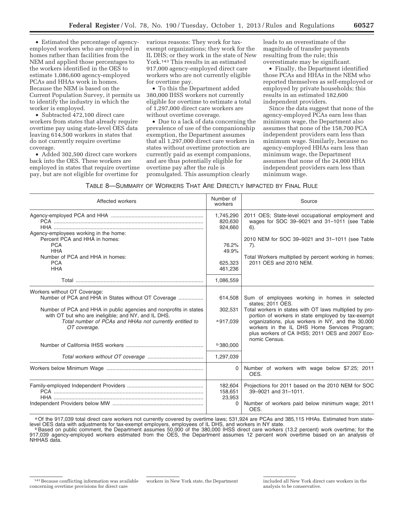• Estimated the percentage of agencyemployed workers who are employed in homes rather than facilities from the NEM and applied those percentages to the workers identified in the OES to estimate 1,086,600 agency-employed PCAs and HHAs work in homes. Because the NEM is based on the Current Population Survey, it permits us to identify the industry in which the worker is employed.

• Subtracted 472,100 direct care workers from states that already require overtime pay using state-level OES data leaving 614,500 workers in states that do not currently require overtime coverage.

• Added 302,500 direct care workers back into the OES. These workers are employed in states that require overtime pay, but are not eligible for overtime for

various reasons: They work for taxexempt organizations; they work for the IL DHS; or they work in the state of New York.143 This results in an estimated 917,000 agency-employed direct care workers who are not currently eligible for overtime pay.

• To this the Department added 380,000 IHSS workers not currently eligible for overtime to estimate a total of 1,297,000 direct care workers are without overtime coverage.

• Due to a lack of data concerning the prevalence of use of the companionship exemption, the Department assumes that all 1,297,000 direct care workers in states without overtime protection are currently paid as exempt companions, and are thus potentially eligible for overtime pay after the rule is promulgated. This assumption clearly

leads to an overestimate of the magnitude of transfer payments resulting from the rule; this overestimate may be significant.

• Finally, the Department identified those PCAs and HHAs in the NEM who reported themselves as self-employed or employed by private households; this results in an estimated 182,600 independent providers.

Since the data suggest that none of the agency-employed PCAs earn less than minimum wage, the Department also assumes that none of the 158,700 PCA independent providers earn less than minimum wage. Similarly, because no agency-employed HHAs earn less than minimum wage, the Department assumes that none of the 24,000 HHA independent providers earn less than minimum wage.

| Table 8—Summary of Workers That Are Directly Impacted by Final Rule |
|---------------------------------------------------------------------|
|---------------------------------------------------------------------|

| Affected workers                                                                                                                                                                                                                                                                           | Number of<br>workers                           | Source                                                                                                                                                                                                                                                                                                                                                       |
|--------------------------------------------------------------------------------------------------------------------------------------------------------------------------------------------------------------------------------------------------------------------------------------------|------------------------------------------------|--------------------------------------------------------------------------------------------------------------------------------------------------------------------------------------------------------------------------------------------------------------------------------------------------------------------------------------------------------------|
| Agency-employees working in the home:                                                                                                                                                                                                                                                      | 1,745,290<br>820,630<br>924.660                | 2011 OES; State-level occupational employment and<br>wages for SOC 39-9021 and 31-1011 (see Table<br>$6$ ).                                                                                                                                                                                                                                                  |
| Percent PCA and HHA in homes:<br><b>PCA</b><br><b>HHA</b>                                                                                                                                                                                                                                  | 76.2%<br>49.9%                                 | 2010 NEM for SOC 39-9021 and 31-1011 (see Table<br>$(7)$ .                                                                                                                                                                                                                                                                                                   |
| Number of PCA and HHA in homes:<br><b>PCA</b><br><b>HHA</b>                                                                                                                                                                                                                                | 625.323<br>461,236                             | Total Workers multiplied by percent working in homes;<br>2011 OES and 2010 NEM.                                                                                                                                                                                                                                                                              |
|                                                                                                                                                                                                                                                                                            | 1,086,559                                      |                                                                                                                                                                                                                                                                                                                                                              |
| Workers without OT Coverage:<br>Number of PCA and HHA in States without OT Coverage<br>Number of PCA and HHA in public agencies and nonprofits in states<br>with OT but who are ineligible; and NY, and IL DHS.<br>Total number of PCAs and HHAs not currently entitled to<br>OT coverage. | 614,508<br>302,531<br>a 917,039<br>$b$ 380.000 | Sum of employees working in homes in selected<br>states; 2011 OES.<br>Total workers in states with OT laws multiplied by pro-<br>portion of workers in state employed by tax-exempt<br>organizations, plus workers in NY, and the 30,000<br>workers in the IL DHS Home Services Program;<br>plus workers of CA IHSS; 2011 OES and 2007 Eco-<br>nomic Census. |
|                                                                                                                                                                                                                                                                                            | 1,297,039                                      |                                                                                                                                                                                                                                                                                                                                                              |
|                                                                                                                                                                                                                                                                                            | $\mathbf{0}$                                   | Number of workers with wage below \$7.25; 2011<br>OES.                                                                                                                                                                                                                                                                                                       |
|                                                                                                                                                                                                                                                                                            | 182,604<br>158,651<br>23,953<br>0              | Projections for 2011 based on the 2010 NEM for SOC<br>39-9021 and 31-1011.<br>Number of workers paid below minimum wage; 2011<br>OES.                                                                                                                                                                                                                        |

a Of the 917,039 total direct care workers not currently covered by overtime laws; 531,924 are PCAs and 385,115 HHAs. Estimated from statelevel OES data with adjustments for tax-exempt employers, employees of IL DHS, and workers in NY state.<br><sup>b</sup> Based on public comment, the Department assumes 50,000 of the 380,000 IHSS direct care workers (13.2 percent) work

917,039 agency-employed workers estimated from the OES, the Department assumes 12 percent work overtime based on an analysis of NHHAS data.

<sup>143</sup>Because conflicting information was available concerning overtime provisions for direct care

workers in New York state, the Department included all New York direct care workers in the analysis to be conservative.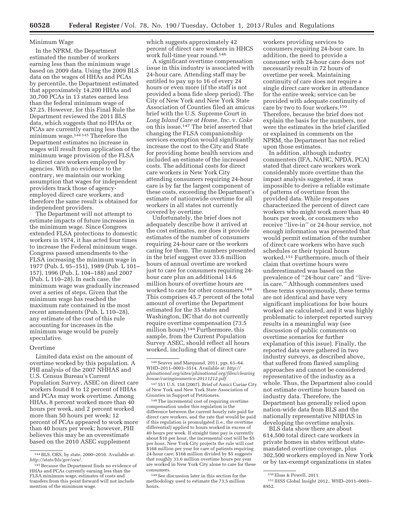### Minimum Wage

In the NPRM, the Department estimated the number of workers earning less than the minimum wage based on 2009 data. Using the 2009 BLS data on the wages of HHAs and PCAs by percentile, the Department estimated that approximately 14,200 HHAs and 30,700 PCAs in 13 states earned less than the federal minimum wage of \$7.25. However, for this Final Rule the Department reviewed the 2011 BLS data, which suggests that no HHAs or PCAs are currently earning less than the minimum wage.<sup>144 145</sup> Therefore the Department estimates no increase in wages will result from application of the minimum wage provision of the FLSA to direct care workers employed by agencies. With no evidence to the contrary, we maintain our working assumption that wages for independent providers track those of agencyemployed direct care workers, and therefore the same result is obtained for independent providers.

The Department will not attempt to estimate impacts of future increases in the minimum wage. Since Congress extended FLSA protections to domestic workers in 1974, it has acted four times to increase the Federal minimum wage. Congress passed amendments to the FLSA increasing the minimum wage in 1977 (Pub. L 95–151), 1989 (Pub. L 101– 157), 1996 (Pub. L 104–188) and 2007 (Pub. L 110–28). In each case, the minimum wage was gradually increased over a series of steps. Given that the minimum wage has reached the maximum rate contained in the most recent amendments (Pub. L 110–28), any estimate of the cost of this rule accounting for increases in the minimum wage would be purely speculative.

## Overtime

Limited data exist on the amount of overtime worked by this population. A PHI analysis of the 2007 NHHAS and U.S. Census Bureau's Current Population Survey, ASEC on direct care workers found 8 to 12 percent of HHAs and PCAs may work overtime. Among HHAs, 8 percent worked more than 40 hours per week, and 2 percent worked more than 50 hours per week; 12 percent of PCAs appeared to work more than 40 hours per week; however, PHI believes this may be an overestimate based on the 2010 ASEC supplement

which suggests approximately 42 percent of direct care workers in HHCS work full-time year round.146

A significant overtime compensation issue in this industry is associated with 24-hour care. Attending staff may be entitled to pay up to 16 of every 24 hours or even more (if the staff is not provided a bona fide sleep period). The City of New York and New York State Association of Counties filed an amicus brief with the U.S. Supreme Court in *Long Island Care at Home, Inc.* v. *Coke*  on this issue.147 The brief asserted that changing the FLSA companionship services exemption would significantly increase the cost to the City and State for providing home health services and included an estimate of the increased costs. The additional costs for direct care workers in New York City attending consumers requiring 24-hour care is by far the largest component of these costs, exceeding the Department's estimate of nationwide overtime for all workers in all states not currently covered by overtime.

Unfortunately, the brief does not adequately describe how it arrived at the cost estimates, nor does it provide estimates of the number of consumers requiring 24-hour care or the workers caring for them. The numbers presented in the brief suggest over 33.6 million hours of annual overtime are worked just to care for consumers requiring 24hour care plus an additional 14.6 million hours of overtime hours are worked to care for other consumers.148 This comprises 45.7 percent of the total amount of overtime the Department estimated for the 35 states and Washington, DC that do not currently require overtime compensation (73.5 million hours).149 Furthermore, this sample, from the Current Population Survey ASEC, should reflect all hours worked, including that of direct care

148The incremental cost of requiring overtime compensation under this regulation is the difference between the current hourly rate paid for direct care workers, and the rate that would be paid if this regulation is promulgated (i.e., the overtime differential) applied to hours worked in excess of 40 hours per week. If straight time pay is currently about \$10 per hour, the incremental cost will be \$5 per hour. New York City projects the rule will cost \$168 million per year for care of patients requiring 24-hour care; \$168 million divided by \$5 suggests that roughly 33.6 million overtime hours per year are worked in New York City alone to care for these consumers.

149See discussion later in this section for the methodology used to estimate the 73.5 million hours.

workers providing services to consumers requiring 24-hour care. In addition, the need to provide a consumer with 24-hour care does not necessarily result in 72 hours of overtime per week. Maintaining continuity of care does not require a single direct care worker in attendance for the entire week; service can be provided with adequate continuity of care by two to four workers.150 Therefore, because the brief does not explain the basis for the numbers, nor were the estimates in the brief clarified or explained in comments on the NPRM, the Department has not relied upon those estimates.

In addition, although industry commenters (IFA, NAHC, NPDA, PCA) stated that direct care workers work considerably more overtime than the impact analysis suggested, it was impossible to derive a reliable estimate of patterns of overtime from the provided data. While responses characterized the percent of direct care workers who might work more than 40 hours per week, or consumers who receive ''live-in'' or 24-hour service, not enough information was presented that would permit estimation of the number of direct care workers who have such schedules or their typical hours worked.151 Furthermore, much of their claim that overtime hours were underestimated was based on the prevalence of ''24-hour care'' and ''livein care.'' Although commenters used these terms synonymously, these terms are not identical and have very significant implications for how hours worked are calculated, and it was highly problematic to interpret reported survey results in a meaningful way (see discussion of public comments on overtime scenarios for further explanation of this issue). Finally, the reported data were gathered in two industry surveys, as described above, that suffered from flawed sampling approaches and cannot be considered representative of the industry as a whole. Thus, the Department also could not estimate overtime hours based on industry data. Therefore, the Department has generally relied upon nation-wide data from BLS and the nationally representative NHHAS in developing the overtime analysis.

BLS data show there are about 614,500 total direct care workers in private homes in states without statemandated overtime coverage, plus 302,500 workers employed in New York or by tax-exempt organizations in states

<sup>144</sup>BLS, OES, by state, 2000–2010. Available at: *http://stats/bls/gov/oes/.* 

<sup>145</sup> Because the Department finds no evidence of HHAs and PCAs currently earning less than the FLSA minimum wage, estimates of costs and transfers from this point forward will not include mention of the minimum wage.

<sup>146</sup>Seavey and Marquand, 2011, pgs. 61–64. WHD–2011–0003–3514. Available at: *http:// phinational.org/sites/phinational.org/files/clearing house/caringinamerica-20111212.pdf.* 

<sup>147</sup> 551 U.S. 158 (2007). Brief of Amici Curiae City of New York and New York State Association of Counties in Support of Petitioners.

<sup>150</sup>Elsas & Powell, 2011.

<sup>151</sup> IHSS Global Insight 2012,. WHD–2011–0003– 8952.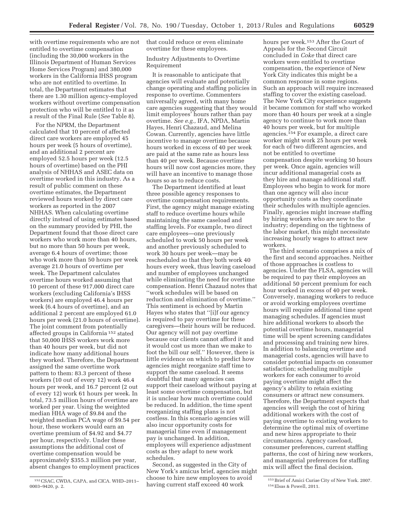with overtime requirements who are not entitled to overtime compensation (including the 30,000 workers in the Illinois Department of Human Services Home Services Program) and 380,000 workers in the California IHSS program who are not entitled to overtime. In total, the Department estimates that there are 1.30 million agency-employed workers without overtime compensation protection who will be entitled to it as a result of the Final Rule (*See* Table 8).

For the NPRM, the Department calculated that 10 percent of affected direct care workers are employed 45 hours per week (5 hours of overtime), and an additional 2 percent are employed 52.5 hours per week (12.5 hours of overtime) based on the PHI analysis of NHHAS and ASEC data on overtime worked in this industry. As a result of public comment on these overtime estimates, the Department reviewed hours worked by direct care workers as reported in the 2007 NHHAS. When calculating overtime directly instead of using estimates based on the summary provided by PHI, the Department found that those direct care workers who work more than 40 hours, but no more than 50 hours per week, average 6.4 hours of overtime; those who work more than 50 hours per week average 21.0 hours of overtime per week. The Department calculates overtime hours worked assuming that 10 percent of these 917,000 direct care workers (excluding California's IHSS workers) are employed 46.4 hours per week (6.4 hours of overtime), and an additional 2 percent are employed 61.0 hours per week (21.0 hours of overtime). The joint comment from potentially affected groups in California 152 stated that 50,000 IHSS workers work more than 40 hours per week, but did not indicate how many additional hours they worked. Therefore, the Department assigned the same overtime work pattern to them: 83.3 percent of these workers (10 out of every 12) work 46.4 hours per week, and 16.7 percent (2 out of every 12) work 61 hours per week. In total, 73.5 million hours of overtime are worked per year. Using the weighted median HHA wage of \$9.84 and the weighted median PCA wage of \$9.54 per hour, these workers would earn an overtime premium of \$4.92 and \$4.77 per hour, respectively. Under these assumptions the additional cost of overtime compensation would be approximately \$355.3 million per year, absent changes to employment practices

that could reduce or even eliminate overtime for these employees.

### Industry Adjustments to Overtime Requirement

It is reasonable to anticipate that agencies will evaluate and potentially change operating and staffing policies in response to overtime. Commenters universally agreed, with many home care agencies suggesting that they would limit employees' hours rather than pay overtime. *See e.g.,* IFA, NPDA, Martin Hayes, Henri Chazaud, and Melina Cowan. Currently, agencies have little incentive to manage overtime because hours worked in excess of 40 per week are paid at the same rate as hours less than 40 per week. Because overtime hours will now cost agencies more, they will have an incentive to manage those hours so as to reduce costs.

The Department identified at least three possible agency responses to overtime compensation requirements. First, the agency might manage existing staff to reduce overtime hours while maintaining the same caseload and staffing levels. For example, two direct care employees—one previously scheduled to work 50 hours per week and another previously scheduled to work 30 hours per week—may be rescheduled so that they both work 40 hours every week, thus leaving caseload and number of employees unchanged while eliminating the need for overtime compensation. Henri Chazaud notes that ''work schedules will be based on reduction and elimination of overtime.'' This sentiment is echoed by Martin Hayes who states that ''[i]f our agency is required to pay overtime for these caregivers—their hours will be reduced. Our agency will not pay overtime because our clients cannot afford it and it would cost us more than we make to foot the bill our self.'' However, there is little evidence on which to predict how agencies might reorganize staff time to support the same caseload. It seems doubtful that many agencies can support their caseload without paying at least some overtime compensation, but it is unclear how much overtime could be reduced. In addition, the time spent reorganizing staffing plans is not costless. In this scenario agencies will also incur opportunity costs for managerial time even if management pay is unchanged. In addition, employees will experience adjustment costs as they adapt to new work schedules.

Second, as suggested in the City of New York's amicus brief, agencies might choose to hire new employees to avoid having current staff exceed 40 work

hours per week.153 After the Court of Appeals for the Second Circuit concluded in *Coke* that direct care workers were entitled to overtime compensation, the experience of New York City indicates this might be a common response in some regions. Such an approach will require increased staffing to cover the existing caseload. The New York City experience suggests it became common for staff who worked more than 40 hours per week at a single agency to continue to work more than 40 hours per week, but for multiple agencies.154 For example, a direct care worker might work 25 hours per week for each of two different agencies, and not be entitled to overtime compensation despite working 50 hours per week. Once again, agencies will incur additional managerial costs as they hire and manage additional staff. Employees who begin to work for more than one agency will also incur opportunity costs as they coordinate their schedules with multiple agencies. Finally, agencies might increase staffing by hiring workers who are new to the industry; depending on the tightness of the labor market, this might necessitate increasing hourly wages to attract new workers.

The third scenario comprises a mix of the first and second approaches. Neither of those approaches is costless to agencies. Under the FLSA, agencies will be required to pay their employees an additional 50 percent premium for each hour worked in excess of 40 per week. Conversely, managing workers to reduce or avoid working employees overtime hours will require additional time spent managing schedules. If agencies must hire additional workers to absorb the potential overtime hours, managerial time will be spent screening candidates and processing and training new hires. In addition to balancing overtime and managerial costs, agencies will have to consider potential impacts on consumer satisfaction; scheduling multiple workers for each consumer to avoid paying overtime might affect the agency's ability to retain existing consumers or attract new consumers. Therefore, the Department expects that agencies will weigh the cost of hiring additional workers with the cost of paying overtime to existing workers to determine the optimal mix of overtime and new hires appropriate to their circumstances. Agency caseload, consumer preferences, current staffing patterns, the cost of hiring new workers, and managerial preferences for staffing mix will affect the final decision.

<sup>152</sup>CSAC, CWDA, CAPA, and CICA. WHD–2011– 0003–9420, p. 2.

<sup>153</sup>Brief of Amici Curiae City of New York. 2007. 154Elsas & Powell, 2011.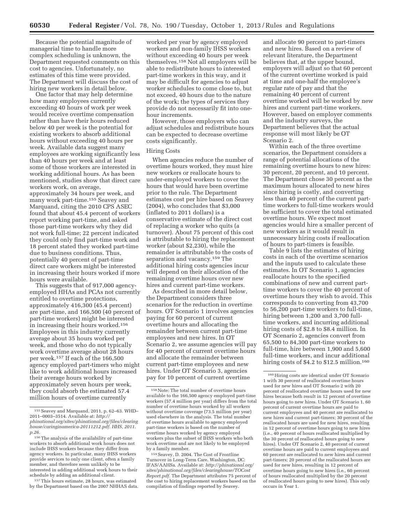Because the potential magnitude of managerial time to handle more complex scheduling is unknown, the Department requested comments on this cost to agencies. Unfortunately, no estimates of this time were provided. The Department will discuss the cost of hiring new workers in detail below.

One factor that may help determine how many employees currently exceeding 40 hours of work per week would receive overtime compensation rather than have their hours reduced below 40 per week is the potential for existing workers to absorb additional hours without exceeding 40 hours per week. Available data suggest many employees are working significantly less than 40 hours per week and at least some of those workers are interested in working additional hours. As has been mentioned, studies show that direct care workers work, on average, approximately 34 hours per week, and many work part-time.155 Seavey and Marquand, citing the 2010 CPS ASEC found that about 45.4 percent of workers report working part-time, and asked those part-time workers why they did not work full-time; 22 percent indicated they could only find part-time work and 18 percent stated they worked part-time due to business conditions. Thus, potentially 40 percent of part-time direct care workers might be interested in increasing their hours worked if more hours were available.

This suggests that of 917,000 agencyemployed HHAs and PCAs not currently entitled to overtime protections, approximately 416,300 (45.4 percent) are part-time, and 166,500 (40 percent of part-time workers) might be interested in increasing their hours worked.156 Employees in this industry currently average about 35 hours worked per week, and those who do not typically work overtime average about 28 hours per week.157 If each of the 166,500 agency employed part-timers who might like to work additional hours increased their average hours worked by approximately seven hours per week, they could absorb the estimated 57.4 million hours of overtime currently

157This hours estimate, 28 hours, was estimated by the Department based on the 2007 NHHAS data.

worked per year by agency employed workers and non-family IHSS workers without exceeding 40 hours per week themselves.158 Not all employers will be able to redistribute hours to interested part-time workers in this way, and it may be difficult for agencies to adjust worker schedules to come close to, but not exceed, 40 hours due to the nature of the work; the types of services they provide do not necessarily fit into onehour increments.

However, those employers who can adjust schedules and redistribute hours can be expected to decrease overtime costs significantly.

## Hiring Costs

When agencies reduce the number of overtime hours worked, they must hire new workers or reallocate hours to under-employed workers to cover the hours that would have been overtime prior to the rule. The Department estimates cost per hire based on Seavey (2004), who concludes that \$3,000 (inflated to 2011 dollars) is a conservative estimate of the direct cost of replacing a worker who quits (a turnover). About 75 percent of this cost is attributable to hiring the replacement worker (about \$2,230), while the remainder is attributable to the costs of separation and vacancy.159 The additional hiring costs agencies incur will depend on their allocation of the remaining overtime hours over new hires and current part-time workers.

As described in more detail below, the Department considers three scenarios for the reduction in overtime hours. OT Scenario 1 involves agencies paying for 60 percent of current overtime hours and allocating the remainder between current part-time employees and new hires. In OT Scenario 2, we assume agencies will pay for 40 percent of current overtime hours and allocate the remainder between current part-time employees and new hires. Under OT Scenario 3, agencies pay for 10 percent of current overtime

and allocate 90 percent to part-timers and new hires. Based on a review of relevant literature, the Department believes that, at the upper bound, employers will adjust so that 60 percent of the current overtime worked is paid at time and one-half the employee's regular rate of pay and that the remaining 40 percent of current overtime worked will be worked by new hires and current part-time workers. However, based on employer comments and the industry surveys, the Department believes that the actual response will most likely be OT Scenario 2.

Within each of the three overtime scenarios, the Department considers a range of potential allocations of the remaining overtime hours to new hires: 30 percent, 20 percent, and 10 percent. The Department chose 30 percent as the maximum hours allocated to new hires since hiring is costly, and converting less than 40 percent of the current parttime workers to full-time workers would be sufficient to cover the total estimated overtime hours. We expect most agencies would hire a smaller percent of new workers as it would result in unnecessary hiring costs if reallocation of hours to part-timers is feasible.

Table 9 lists the estimates of hiring costs in each of the overtime scenarios and the inputs used to calculate these estimates. In OT Scenario 1, agencies reallocate hours to the specified combinations of new and current parttime workers to cover the 40 percent of overtime hours they wish to avoid. This corresponds to converting from 43,700 to 56,200 part-time workers to full-time, hiring between 1,200 and 3,700 fulltime workers, and incurring additional hiring costs of \$2.8 to \$8.4 million. In OT Scenario 2, agencies convert from 65,500 to 84,300 part-time workers to full-time, hire between 1,900 and 5,600 full-time workers, and incur additional hiring costs of \$4.2 to \$12.5 million.<sup>160</sup>

<sup>155</sup>Seavey and Marquand, 2011, p. 62–63. WHD– 2011–0003–3514. Available at: *http://*

*phinational.org/sites/phinational.org/files/clearing house/caringinamerica-20111212.pdf. HHS, 2011. p.26.* 

<sup>156</sup>The analysis of the availability of part-time workers to absorb additional work hours does not include IHSS workers because they differ from agency workers. In particular, many IHSS workers provide services to only one client, often a family member, and therefore seem unlikely to be interested in adding additional work hours to their schedule by adding an additional client.

<sup>158</sup>Note: The total number of overtime hours available to the 166,500 agency employed part-time workers (57.4 million per year) differs from the total number of overtime hours worked by all workers without overtime coverage (73.5 million per year) used elsewhere in the analysis. The total number of overtime hours available to agency employed part-time workers is based on the number of overtime hours worked by agency employed workers plus the subset of IHSS workers who both work overtime and are not likely to be employed by a family member.

<sup>159</sup>Seavey, D. 2004. The Cost of Frontline Turnover in Long-Term Care. Washington, DC: IFAS/AAHSa. Available at: *http://phinational.org/ sites/phinational.org/files/clearinghouse/TOCost Report.pdf.* The Department attributes 75 percent of the cost to hiring replacement workers based on the compilation of findings reported by Seavey.

<sup>160</sup>Hiring costs are identical under OT Scenario 1 with 30 percent of reallocated overtime hours used for new hires and OT Scenario 2 with 20 percent of reallocated overtime hours used for new hires because both result in 12 percent of overtime hours going to new hires. Under OT Scenario 1, 60 percent of current overtime hours are paid to current employees and 40 percent are reallocated to new hires and current part-timers; 30 percent of the reallocated hours are used for new hires, resulting in 12 percent of overtime hours going to new hires (i.e., 40 percent of hours reallocated multiplied by the 30 percent of reallocated hours going to new hires). Under OT Scenario 2, 40 percent of current overtime hours are paid to current employees and 60 percent are reallocated to new hires and current part-timers; 20 percent of the reallocated hours are used for new hires, resulting in 12 percent of overtime hours going to new hires (i.e., 60 percent of hours reallocated multiplied by the 20 percent of reallocated hours going to new hires). This only occurs in Year 1.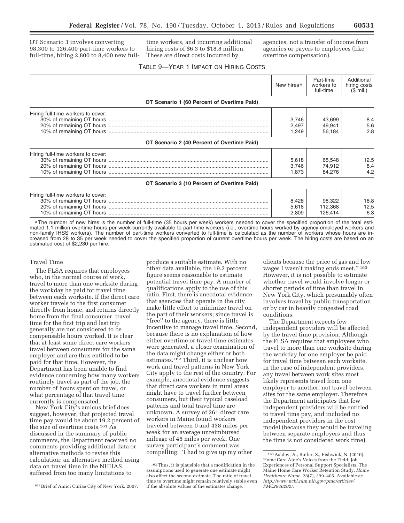OT Scenario 3 involves converting 98,300 to 126,400 part-time workers to full-time, hiring 2,800 to 8,400 new full-

time workers, and incurring additional hiring costs of \$6.3 to \$18.8 million. These are direct costs incurred by

TABLE 9—YEAR 1 IMPACT ON HIRING COSTS

agencies, not a transfer of income from agencies or payers to employees (like overtime compensation).

|                                                                                                                                              | New hires <sup>a</sup> | Part-time<br>workers to<br>full-time | Additional<br>hiring costs<br>$($$ mil.) |
|----------------------------------------------------------------------------------------------------------------------------------------------|------------------------|--------------------------------------|------------------------------------------|
| OT Scenario 1 (60 Percent of Overtime Paid)                                                                                                  |                        |                                      |                                          |
| Hiring full-time workers to cover:                                                                                                           |                        |                                      |                                          |
|                                                                                                                                              | 3,746                  | 43,699                               | 8.4                                      |
|                                                                                                                                              | 2,497                  | 49,941                               | 5.6                                      |
|                                                                                                                                              | 1.249                  | 56,184                               | 2.8                                      |
| OT Scenario 2 (40 Percent of Overtime Paid)                                                                                                  |                        |                                      |                                          |
| Hiring full-time workers to cover:                                                                                                           |                        |                                      |                                          |
|                                                                                                                                              | 5,618                  | 65,548                               | 12.5                                     |
|                                                                                                                                              | 3,746                  | 74,912                               | 8.4                                      |
|                                                                                                                                              | 1,873                  | 84,276                               | 4.2                                      |
| OT Scenario 3 (10 Percent of Overtime Paid)                                                                                                  |                        |                                      |                                          |
| Hiring full-time workers to cover:                                                                                                           |                        |                                      |                                          |
|                                                                                                                                              | 8,428                  | 98,322                               | 18.8                                     |
|                                                                                                                                              | 5,618                  | 112,368                              | 12.5                                     |
|                                                                                                                                              | 2,809                  | 126,414                              | 6.3                                      |
| a The number of new hires is the number of full-time (35 hours per week) workers needed to cover the specified proportion of the total esti- |                        |                                      |                                          |

aThe number of new hires is the number of full-time (35 hours per week) workers needed to cover the specified proportion of the total estimated 1.1 million overtime hours per week currently available to part-time workers (i.e., overtime hours worked by agency-employed workers and non-family IHSS workers). The number of part-time workers converted to full-time is calculated as the number of workers whose hours are increased from 28 to 35 per week needed to cover the specified proportion of current overtime hours per week. The hiring costs are based on an estimated cost of \$2,230 per hire.

#### Travel Time

The FLSA requires that employees who, in the normal course of work, travel to more than one worksite during the workday be paid for travel time between each worksite. If the direct care worker travels to the first consumer directly from home, and returns directly home from the final consumer, travel time for the first trip and last trip generally are not considered to be compensable hours worked. It is clear that at least some direct care workers travel between consumers for the same employer and are thus entitled to be paid for that time. However, the Department has been unable to find evidence concerning how many workers routinely travel as part of the job, the number of hours spent on travel, or what percentage of that travel time currently is compensated.

New York City's amicus brief does suggest, however, that projected travel time pay would be about 19.2 percent of the size of overtime costs.161 As discussed in the summary of public comments, the Department received no comments providing additional data or alternative methods to revise this calculation; an alternative method using data on travel time in the NHHAS suffered from too many limitations to

produce a suitable estimate. With no other data available, the 19.2 percent figure seems reasonable to estimate potential travel time pay. A number of qualifications apply to the use of this ratio. First, there is anecdotal evidence that agencies that operate in the city make little effort to minimize travel on the part of their workers; since travel is ''free'' to the agency, there is little incentive to manage travel time. Second, because there is no explanation of how either overtime or travel time estimates were generated, a closer examination of the data might change either or both estimates.162 Third, it is unclear how work and travel patterns in New York City apply to the rest of the country. For example, anecdotal evidence suggests that direct care workers in rural areas might have to travel further between consumers, but their typical caseload patterns and total travel time are unknown. A survey of 261 direct care workers in Maine found workers traveled between 0 and 438 miles per week for an average unreimbursed mileage of 45 miles per week. One survey participant's comment was compelling: ''I had to give up my other

clients because the price of gas and low wages I wasn't making ends meet.'' 163 However, it is not possible to estimate whether travel would involve longer or shorter periods of time than travel in New York City, which presumably often involves travel by public transportation or by car in heavily congested road conditions.

The Department expects few independent providers will be affected by the travel time provision. Although the FLSA requires that employees who travel to more than one worksite during the workday for one employer be paid for travel time between each worksite, in the case of independent providers, any travel between work sites most likely represents travel from one employer to another, not travel between sites for the same employer. Therefore the Department anticipates that few independent providers will be entitled to travel time pay, and included no independent providers in the cost model (because they would be traveling between separate employers and thus the time is not considered work time).

<sup>161</sup>Brief of Amici Curiae City of New York. 2007.

<sup>162</sup>Thus, it is plausible that a modification in the assumptions used to generate one estimate might also affect the second estimate. The ratio of travel time to overtime might remain relatively stable even if the absolute values of the estimates change.

<sup>163</sup>Ashley, A., Butler, S., Fishwick, N. (2010). Home Care Aide's Voices from the Field: Job Experiences of Personal Support Specialists. The Maine Home Care Worker Retention Study. *Home Healthcare Nurse,* 28(7), 399–405. Available at: *http://www.ncbi.nlm.nih.gov/pmc/articles/ PMC2946202/.*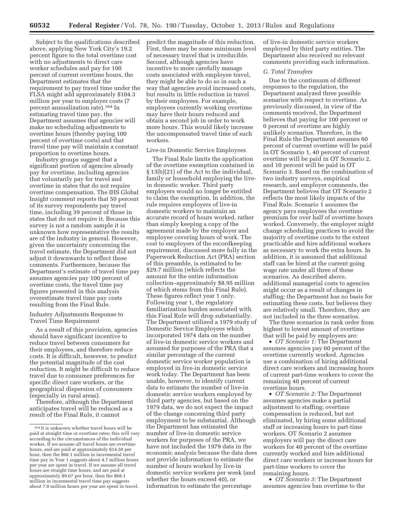Subject to the qualifications described above, applying New York City's 19.2 percent figure to the total overtime cost with no adjustments to direct care worker schedules and pay for 100 percent of current overtime hours, the Department estimates that the requirement to pay travel time under the FLSA might add approximately \$104.3 million per year to employer costs (7 percent annualization rate).164 In estimating travel time pay, the Department assumes that agencies will make no scheduling adjustments to overtime hours (thereby paying 100 percent of overtime costs) and that travel time pay will maintain a constant proportion to overtime hours.

Industry groups suggest that a significant portion of agencies already pay for overtime, including agencies that voluntarily pay for travel and overtime in states that do not require overtime compensation. The IHS Global Insight comment reports that 50 percent of its survey respondents pay travel time, including 39 percent of those in states that do not require it. Because this survey is not a random sample it is unknown how representative the results are of the industry in general. However, given the uncertainty concerning the travel estimate, the Department did not adjust it downwards to reflect these comments. Furthermore, because the Department's estimate of travel time pay assumes agencies pay 100 percent of overtime costs, the travel time pay figures presented in this analysis overestimate travel time pay costs resulting from the Final Rule.

Industry Adjustments Response to Travel Time Requirement

As a result of this provision, agencies should have significant incentive to reduce travel between consumers for their employees, and therefore reduce costs. It is difficult, however, to predict the potential magnitude of the cost reduction. It might be difficult to reduce travel due to consumer preferences for specific direct care workers, or the geographical dispersion of consumers (especially in rural areas).

Therefore, although the Department anticipates travel will be reduced as a result of the Final Rule, it cannot

predict the magnitude of this reduction. First, there may be some minimum level of necessary travel that is irreducible. Second, although agencies have incentive to more carefully manage costs associated with employee travel, they might be able to do so in such a way that agencies avoid increased costs, but results in little reduction in travel by their employees. For example, employees currently working overtime may have their hours reduced and obtain a second job in order to work more hours. This would likely increase the uncompensated travel time of such workers.

#### Live-in Domestic Service Employees

The Final Rule limits the application of the overtime exemption contained in § 13(b)(21) of the Act to the individual, family or household employing the livein domestic worker. Third party employers would no longer be entitled to claim the exemption. In addition, the rule requires employers of live-in domestic workers to maintain an accurate record of hours worked, rather than simply keeping a copy of the agreement made by the employer and employee covering hours of work. The cost to employers of the recordkeeping requirement, discussed more fully in the Paperwork Reduction Act (PRA) section of this preamble, is estimated to be \$29.7 million (which reflects the amount for the entire information collection–approximately \$8.95 million of which stems from this Final Rule). These figures reflect year 1 only. Following year 1, the regulatory familiarization burden associated with this Final Rule will drop substantially. The Department utilized a 1979 study of Domestic Service Employees which incorporated 1974 data on the number of live-in domestic service workers and assumed for purposes of the PRA that a similar percentage of the current domestic service worker population is employed in live-in domestic service work today. The Department has been unable, however, to identify current data to estimate the number of live-in domestic service workers employed by third party agencies, but based on the 1979 data, we do not expect the impact of the change concerning third party employment to be substantial. Although the Department has estimated the number of live-in domestic service workers for purposes of the PRA, we have not included the 1979 data in the economic analysis because the data does not provide information to estimate the number of hours worked by live-in domestic service workers per week (and whether the hours exceed 40), or information to estimate the percentage

of live-in domestic service workers employed by third party entities. The Department also received no relevant comments providing such information.

### *G. Total Transfers*

Due to the continuum of different responses to the regulation, the Department analyzed three possible scenarios with respect to overtime. As previously discussed, in view of the comments received, the Department believes that paying for 100 percent or 0 percent of overtime are highly unlikely scenarios. Therefore, in the Final Rule the Department assumes 60 percent of current overtime will be paid in OT Scenario 1, 40 percent of current overtime will be paid in OT Scenario 2, and 10 percent will be paid in OT Scenario 3. Based on the combination of two industry surveys, empirical research, and employer comments, the Department believes that OT Scenario 2 reflects the most likely impacts of the Final Rule. Scenario 1 assumes the agency pays employees the overtime premium for over half of overtime hours worked. Conversely, the employer might change scheduling practices to avoid the majority of overtime costs to the extent practicable and hire additional workers as necessary to work the extra hours. In addition, it is assumed that additional staff can be hired at the current going wage rate under all three of these scenarios. As described above, additional managerial costs to agencies might occur as a result of changes in staffing; the Department has no basis for estimating these costs, but believes they are relatively small. Therefore, they are not included in the three scenarios.

The three scenarios in rank order from highest to lowest amount of overtime that will be paid by employers are:

• *OT Scenario 1:* The Department assumes agencies pay 60 percent of the overtime currently worked. Agencies use a combination of hiring additional direct care workers and increasing hours of current part-time workers to cover the remaining 40 percent of current overtime hours.

• *OT Scenario 2:* The Department assumes agencies make a partial adjustment to staffing; overtime compensation is reduced, but not eliminated, by hiring some additional staff or increasing hours to part-time workers. OT Scenario 2 assumes employers will pay the direct care workers for 40 percent of the overtime currently worked and hire additional direct care workers or increase hours for part-time workers to cover the remaining hours.

• *OT Scenario 3:* The Department assumes agencies ban overtime to the

 $^{164}\!$  It is unknown whether travel hours will be paid at straight time or overtime rates; this will vary according to the circumstances of the individual worker. If we assume all travel hours are overtime hours, and are paid at approximately \$14.50 per hour, then the \$68.1 million in incremental travel time pay in Year 1 suggests about 4.7 million hours per year are spent in travel. If we assume all travel hours are straight time hours, and are paid at approximately \$9.67 per hour, then the \$68.1 million in incremental travel time pay suggests about 7.0 million hours per year are spent in travel.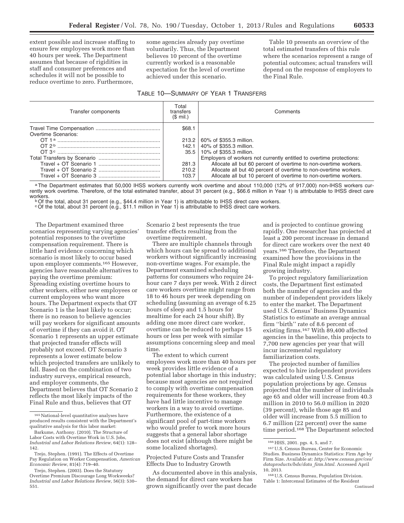extent possible and increase staffing to ensure few employees work more than 40 hours per week. The Department assumes that because of rigidities in staff and consumer preferences and schedules it will not be possible to reduce overtime to zero. Furthermore,

some agencies already pay overtime voluntarily. Thus, the Department believes 10 percent of the overtime currently worked is a reasonable expectation for the level of overtime achieved under this scenario.

Table 10 presents an overview of the total estimated transfers of this rule where the scenarios represent a range of potential outcomes; actual transfers will depend on the response of employers to the Final Rule.

# TABLE 10—SUMMARY OF YEAR 1 TRANSFERS

| Transfer components | Total<br>transfers<br>$$$ mil.) | Comments                                                                                                                                 |
|---------------------|---------------------------------|------------------------------------------------------------------------------------------------------------------------------------------|
| Overtime Scenarios: | \$68.1                          |                                                                                                                                          |
|                     |                                 | $213.2$   60% of \$355.3 million.<br>40% of \$355.3 million.                                                                             |
|                     | 142.1                           | 35.5   10% of \$355.3 million.                                                                                                           |
|                     | 281.3                           | Employers of workers not currently entitled to overtime protections:<br>Allocate all but 60 percent of overtime to non-overtime workers. |
|                     | 210.2<br>103.7                  | Allocate all but 40 percent of overtime to non-overtime workers.<br>Allocate all but 10 percent of overtime to non-overtime workers.     |

aThe Department estimates that 50,000 IHSS workers currently work overtime and about 110,000 (12% of 917,000) non-IHSS workers currently work overtime. Therefore, of the total estimated transfer, about 31 percent (e.g., \$66.6 million in Year 1) is attributable to IHSS direct care workers.<br>• Of the total, about 31 percent (e.g., \$44.4 million in Year 1) is attributable to IHSS direct care workers.

cOf the total, about 31 percent (e.g., \$11.1 million in Year 1) is attributable to IHSS direct care workers.

The Department examined three scenarios representing varying agencies' potential responses to the overtime compensation requirement. There is little hard evidence concerning which scenario is most likely to occur based upon employer comments.165 However, agencies have reasonable alternatives to paying the overtime premium: Spreading existing overtime hours to other workers, either new employees or current employees who want more hours. The Department expects that OT Scenario 1 is the least likely to occur; there is no reason to believe agencies will pay workers for significant amounts of overtime if they can avoid it. OT Scenario 1 represents an upper estimate that projected transfer effects will probably not exceed. OT Scenario 3 represents a lower estimate below which projected transfers are unlikely to fall. Based on the combination of two industry surveys, empirical research, and employer comments, the Department believes that OT Scenario 2 reflects the most likely impacts of the Final Rule and thus, believes that OT

Scenario 2 best represents the true transfer effects resulting from the overtime requirement.

There are multiple channels through which hours can be spread to additional workers without significantly increasing non-overtime wages. For example, the Department examined scheduling patterns for consumers who require 24 hour care 7 days per week. With 2 direct care workers overtime might range from 18 to 46 hours per week depending on scheduling (assuming an average of 6.25 hours of sleep and 1.5 hours for mealtime for each 24 hour shift). By adding one more direct care worker, overtime can be reduced to perhaps 15 hours or less per week with similar assumptions concerning sleep and meal time.

The extent to which current employees work more than 40 hours per week provides little evidence of a potential labor shortage in this industry; because most agencies are not required to comply with overtime compensation requirements for these workers, they have had little incentive to manage workers in a way to avoid overtime. Furthermore, the existence of a significant pool of part-time workers who would prefer to work more hours suggests that a general labor shortage does not exist (although there might be some localized shortages).

Projected Future Costs and Transfer Effects Due to Industry Growth

As documented above in this analysis, the demand for direct care workers has grown significantly over the past decade

and is projected to continue growing rapidly. One researcher has projected at least a 200 percent increase in demand for direct care workers over the next 40 years.166 Therefore, the Department examined how the provisions in the Final Rule might impact a rapidly growing industry.

To project regulatory familiarization costs, the Department first estimated both the number of agencies and the number of independent providers likely to enter the market. The Department used U.S. Census' Business Dynamics Statistics to estimate an average annual firm ''birth'' rate of 8.6 percent of existing firms.167 With 89,400 affected agencies in the baseline, this projects to 7,700 new agencies per year that will incur incremental regulatory familiarization costs.

The projected number of families expected to hire independent providers was calculated using U.S. Census population projections by age. Census projected that the number of individuals age 65 and older will increase from 40.3 million in 2010 to 56.0 million in 2020 (39 percent), while those age 85 and older will increase from 5.5 million to 6.7 million (22 percent) over the same time period.168 The Department selected

 $^{\rm 165}\,$  National-level quantitative analyses have produced results consistent with the Department's qualitative analysis for this labor market:

Barkume, Anthony. (2010). The Structure of Labor Costs with Overtime Work in U.S. Jobs, *Industrial and Labor Relations Review,* 64(1): 128– 142.

Trejo, Stephen. (1991). The Effects of Overtime Pay Regulation on Worker Compensation, *American Economic Review,* 81(4): 719–40.

Trejo, Stephen. (2003). Does the Statutory Overtime Premium Discourage Long Workweeks? *Industrial and Labor Relations Review,* 56(3): 530– 551.

<sup>166</sup>HHS, 2001. pgs. 4, 5, and 7.

<sup>167</sup>U.S. Census Bureau, Center for Economic Studies. Business Dynamics Statistics: Firm Age by Firm Size. Available at: *http://www.census.gov/ces/ dataproducts/bds/data*\_*firm.html.* Accessed April 10, 2013.

<sup>168</sup>U.S. Census Bureau, Population Division. Table 1: Intercensal Estimates of the Resident Continued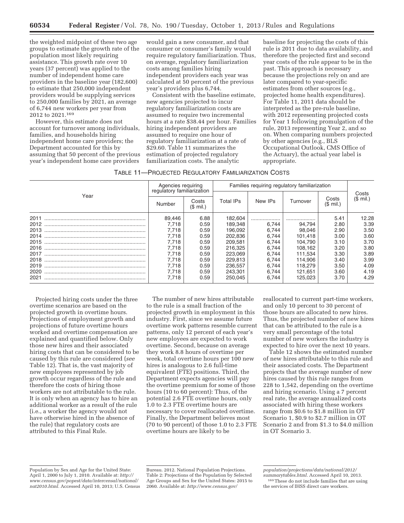the weighted midpoint of these two age groups to estimate the growth rate of the population most likely requiring assistance. This growth rate over 10 years (37 percent) was applied to the number of independent home care providers in the baseline year (182,600) to estimate that 250,000 independent providers would be supplying services to 250,000 families by 2021, an average of 6,744 new workers per year from 2012 to 2021.169

However, this estimate does not account for turnover among individuals, families, and households hiring independent home care providers; the Department accounted for this by assuming that 50 percent of the previous year's independent home care providers

would gain a new consumer, and that consumer or consumer's family would require regulatory familiarization. Thus, on average, regulatory familiarization costs among families hiring independent providers each year was calculated at 50 percent of the previous year's providers plus 6,744.

Consistent with the baseline estimate, new agencies projected to incur regulatory familiarization costs are assumed to require two incremental hours at a rate \$38.44 per hour. Families hiring independent providers are assumed to require one hour of regulatory familiarization at a rate of \$29.60. Table 11 summarizes the estimation of projected regulatory familiarization costs. The analytic

baseline for projecting the costs of this rule is 2011 due to data availability, and therefore the projected first and second year costs of the rule appear to be in the past. This approach is necessary because the projections rely on and are later compared to year-specific estimates from other sources (e.g., projected home health expenditures). For Table 11, 2011 data should be interpreted as the pre-rule baseline, with 2012 representing projected costs for Year 1 following promulgation of the rule, 2013 representing Year 2, and so on. When comparing numbers projected by other agencies (e.g., BLS Occupational Outlook, CMS Office of the Actuary), the actual year label is appropriate.

#### TABLE 11—PROJECTED REGULATORY FAMILIARIZATION COSTS

|      | Agencies requiring<br>regulatory familiarization<br>Costs<br>Number<br>$(S \text{ mil.})$ |      | Families requiring regulatory familiarization |         |                                 |      |                             |
|------|-------------------------------------------------------------------------------------------|------|-----------------------------------------------|---------|---------------------------------|------|-----------------------------|
| Year |                                                                                           |      | Total IPs                                     | New IPs | Costs<br>Turnover<br>$($$ mil.) |      | Costs<br>$(S \text{ mil.})$ |
| 2011 | 89.446                                                                                    | 6.88 | 182.604                                       |         |                                 | 5.41 | 12.28                       |
| 2012 | 7,718                                                                                     | 0.59 | 189.348                                       | 6.744   | 94.794                          | 2.80 | 3.39                        |
| 2013 | 7.718                                                                                     | 0.59 | 196.092                                       | 6.744   | 98.046                          | 2.90 | 3.50                        |
| 2014 | 7.718                                                                                     | 0.59 | 202.836                                       | 6.744   | 101.418                         | 3.00 | 3.60                        |
| 2015 | 7.718                                                                                     | 0.59 | 209.581                                       | 6.744   | 104.790                         | 3.10 | 3.70                        |
| 2016 | 7.718                                                                                     | 0.59 | 216.325                                       | 6.744   | 108.162                         | 3.20 | 3.80                        |
| 2017 | 7.718                                                                                     | 0.59 | 223,069                                       | 6.744   | 111.534                         | 3.30 | 3.89                        |
| 2018 | 7.718                                                                                     | 0.59 | 229.813                                       | 6.744   | 114.906                         | 3.40 | 3.99                        |
| 2019 | 7.718                                                                                     | 0.59 | 236.557                                       | 6.744   | 118,279                         | 3.50 | 4.09                        |
| 2020 | 7.718                                                                                     | 0.59 | 243.301                                       | 6.744   | 121.651                         | 3.60 | 4.19                        |
| 2021 | 7.718                                                                                     | 0.59 | 250.045                                       | 6.744   | 125.023                         | 3.70 | 4.29                        |

Projected hiring costs under the three overtime scenarios are based on the projected growth in overtime hours. Projections of employment growth and projections of future overtime hours worked and overtime compensation are explained and quantified below. Only those new hires and their associated hiring costs that can be considered to be caused by this rule are considered (*see*  Table 12). That is, the vast majority of new employees represented by job growth occur regardless of the rule and therefore the costs of hiring those workers are not attributable to the rule. It is only when an agency has to hire an additional worker as a result of the rule (i.e., a worker the agency would not have otherwise hired in the absence of the rule) that regulatory costs are attributed to this Final Rule.

The number of new hires attributable to the rule is a small fraction of the projected growth in employment in this industry. First, since we assume future overtime work patterns resemble current patterns, only 12 percent of each year's new employees are expected to work overtime. Second, because on average they work 8.8 hours of overtime per week, total overtime hours per 100 new hires is analogous to 2.6 full-time equivalent (FTE) positions. Third, the Department expects agencies will pay the overtime premium for some of those hours (10 to 60 percent): Thus, of the potential 2.6 FTE overtime hours, only 1.0 to 2.3 FTE overtime hours are necessary to cover reallocated overtime. Finally, the Department believes most (70 to 90 percent) of those 1.0 to 2.3 FTE overtime hours are likely to be

reallocated to current part-time workers, and only 10 percent to 30 percent of those hours are allocated to new hires. Thus, the projected number of new hires that can be attributed to the rule is a very small percentage of the total number of new workers the industry is expected to hire over the next 10 years.

Table 12 shows the estimated number of new hires attributable to this rule and their associated costs. The Department projects that the average number of new hires caused by this rule ranges from 228 to 1,542, depending on the overtime and hiring scenario. Using a 7 percent real rate, the average annualized costs associated with hiring these workers range from \$0.6 to \$1.8 million in OT Scenario 1, \$0.9 to \$2.7 million in OT Scenario 2 and from \$1.3 to \$4.0 million in OT Scenario 3.

Population by Sex and Age for the United State: April 1, 2000 to July 1, 2010. Available at: *http:// www.census.gov/popest/data/intercensal/national/ nat2010.html.* Accessed April 10, 2013; U.S. Census

Bureau. 2012. National Population Projections. Table 2: Projections of the Population by Selected Age Groups and Sex for the United States: 2015 to 2060. Available at: *http://www.census.gov/*

*population/projections/data/national/2012/ summarytables.html.* Accessed April 10, 2013.

<sup>169</sup>These do not include families that are using the services of IHSS direct care workers.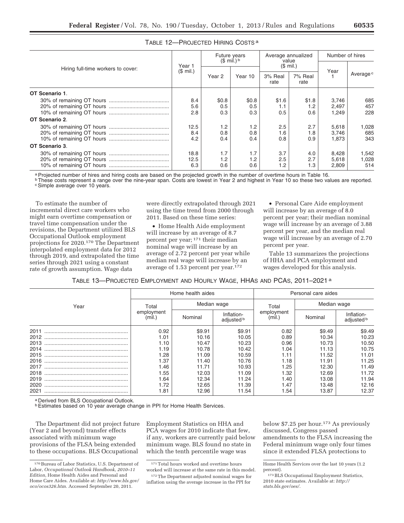|                                    |                     | Future years<br>$($$ mil.) <sup>b</sup> |                     | Average annualized<br>value |                     | Number of hires         |                       |
|------------------------------------|---------------------|-----------------------------------------|---------------------|-----------------------------|---------------------|-------------------------|-----------------------|
| Hiring full-time workers to cover: | Year 1              |                                         |                     | $(S \text{ mil.})$          |                     |                         |                       |
|                                    | $($$ mil.)          | Year 2                                  | Year 10             | 3% Real<br>rate             | 7% Real<br>rate     | Year                    | Average <sup>c</sup>  |
| OT Scenario 1.                     |                     |                                         |                     |                             |                     |                         |                       |
|                                    | 8.4<br>5.6<br>2.8   | \$0.8<br>0.5<br>0.3                     | \$0.8<br>0.5<br>0.3 | \$1.6<br>1.1<br>0.5         | \$1.8<br>1.2<br>0.6 | 3,746<br>2,497<br>1.249 | 685<br>457<br>228     |
| OT Scenario 2.                     |                     |                                         |                     |                             |                     |                         |                       |
|                                    | 12.5<br>8.4<br>4.2  | 1.2<br>0.8<br>0.4                       | 1.2<br>0.8<br>0.4   | 2.5<br>1.6<br>0.8           | 2.7<br>1.8<br>0.9   | 5,618<br>3,746<br>1.873 | 1,028<br>685<br>343   |
| OT Scenario 3.                     |                     |                                         |                     |                             |                     |                         |                       |
|                                    | 18.8<br>12.5<br>6.3 | 1.7<br>1.2<br>0.6                       | 1.7<br>1.2<br>0.6   | 3.7<br>2.5<br>1.2           | 4.0<br>2.7<br>1.3   | 8,428<br>5,618<br>2,809 | 1,542<br>1,028<br>514 |

## TABLE 12—PROJECTED HIRING COSTS a

a Projected number of hires and hiring costs are based on the projected growth in the number of overtime hours in Table 16.

bThese costs represent a range over the nine-year span. Costs are lowest in Year 2 and highest in Year 10 so these two values are reported. cSimple average over 10 years.

To estimate the number of incremental direct care workers who might earn overtime compensation or travel time compensation under the revisions, the Department utilized BLS Occupational Outlook employment projections for 2020.170 The Department interpolated employment data for 2012 through 2019, and extrapolated the time series through 2021 using a constant rate of growth assumption. Wage data

were directly extrapolated through 2021 using the time trend from 2000 through 2011. Based on these time series:

• Home Health Aide employment will increase by an average of 8.7 percent per year; 171 their median nominal wage will increase by an average of 2.72 percent per year while median real wage will increase by an average of 1.53 percent per year.172

• Personal Care Aide employment will increase by an average of 8.0 percent per year; their median nominal wage will increase by an average of 3.88 percent per year, and the median real wage will increase by an average of 2.70 percent per year.

Table 13 summarizes the projections of HHA and PCA employment and wages developed for this analysis.

TABLE 13—PROJECTED EMPLOYMENT AND HOURLY WAGE, HHAS AND PCAS, 2011–2021 a

|      |                      | Home health aides |                                                  | Personal care aides |             |                          |  |
|------|----------------------|-------------------|--------------------------------------------------|---------------------|-------------|--------------------------|--|
| Year | Total                | Median wage       |                                                  | Total               | Median wage |                          |  |
|      | employment<br>(mil.) | Nominal           | employment<br>Inflation-<br>(mil.)<br>adjusted b |                     | Nominal     | Inflation-<br>adiusted b |  |
| 2011 | 0.92                 | \$9.91            | \$9.91                                           | 0.82                | \$9.49      | \$9.49                   |  |
| 2012 | 1.01                 | 10.16             | 10.05                                            | 0.89                | 10.34       | 10.23                    |  |
| 2013 | 1.10                 | 10.47             | 10.23                                            | 0.96                | 10.73       | 10.50                    |  |
| 2014 | 1.19                 | 10.78             | 10.42                                            | 1.04                | 11.13       | 10.75                    |  |
| 2015 | .28                  | 11.09             | 10.59                                            | 1.11                | 11.52       | 11.01                    |  |
| 2016 | 1.37                 | 11.40             | 10.76                                            | 1.18                | 11.91       | 11.25                    |  |
| 2017 | l.46                 | 11.71             | 10.93                                            | 1.25                | 12.30       | 11.49                    |  |
| 2018 | 1.55                 | 12.03             | 11.09                                            | 1.32                | 12.69       | 11.72                    |  |
| 2019 | .64                  | 12.34             | 11.24                                            | 1.40                | 13.08       | 11.94                    |  |
| 2020 | 1.72                 | 12.65             | 11.39                                            | 1.47                | 13.48       | 12.16                    |  |
| 2021 | l.81                 | 12.96             | 11.54                                            | 1.54                | 13.87       | 12.37                    |  |

a Derived from BLS Occupational Outlook.

**b Estimates based on 10 year average change in PPI for Home Health Services.** 

The Department did not project future (Year 2 and beyond) transfer effects associated with minimum wage provisions of the FLSA being extended to these occupations. BLS Occupational

Employment Statistics on HHA and PCA wages for 2010 indicate that few, if any, workers are currently paid below minimum wage. BLS found no state in which the tenth percentile wage was

below \$7.25 per hour.173 As previously discussed, Congress passed amendments to the FLSA increasing the Federal minimum wage only four times since it extended FLSA protections to

<sup>170</sup>Bureau of Labor Statistics, U.S. Department of Labor, *Occupational Outlook Handbook, 2010–11 Edition,* Home Health Aides and Personal and Home Care Aides. Available at: *http://www.bls.gov/ oco/ocos326.htm.* Accessed September 20, 2011.

<sup>171</sup>Total hours worked and overtime hours worked will increase at the same rate in this model.

<sup>172</sup>The Department adjusted nominal wages for inflation using the average increase in the PPI for

Home Health Services over the last 10 years (1.2 percent).

<sup>173</sup>BLS Occupational Employment Statistics, 2010 state estimates. Available at: *http:// stats.bls.gov/oes/.*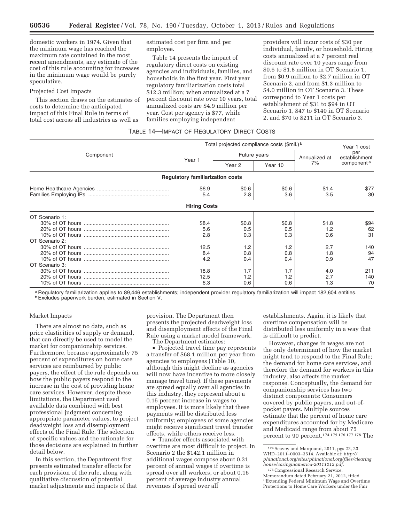domestic workers in 1974. Given that the minimum wage has reached the maximum rate contained in the most recent amendments, any estimate of the cost of this rule accounting for increases in the minimum wage would be purely speculative.

#### Projected Cost Impacts

This section draws on the estimates of costs to determine the anticipated impact of this Final Rule in terms of total cost across all industries as well as

estimated cost per firm and per employee.

Table 14 presents the impact of regulatory direct costs on existing agencies and individuals, families, and households in the first year. First year regulatory familiarization costs total \$12.3 million; when annualized at a 7 percent discount rate over 10 years, total annualized costs are \$4.9 million per year. Cost per agency is \$77, while families employing independent

providers will incur costs of \$30 per individual, family, or household. Hiring costs annualized at a 7 percent real discount rate over 10 years range from \$0.6 to \$1.8 million in OT Scenario 1, from \$0.9 million to \$2.7 million in OT Scenario 2, and from \$1.3 million to \$4.0 million in OT Scenario 3. These correspond to Year 1 costs per establishment of \$31 to \$94 in OT Scenario 1, \$47 to \$140 in OT Scenario 2, and \$70 to \$211 in OT Scenario 3.

## TABLE 14—IMPACT OF REGULATORY DIRECT COSTS

|                | Total projected compliance costs (\$mil.) b | Year 1 cost  |         |               |                        |
|----------------|---------------------------------------------|--------------|---------|---------------|------------------------|
| Component      |                                             | Future years |         | Annualized at | per<br>establishment   |
|                | Year 1                                      | Year 2       | Year 10 | 7%            | component <sup>a</sup> |
|                | <b>Regulatory familiarization costs</b>     |              |         |               |                        |
|                | \$6.9                                       | \$0.6        | \$0.6   | \$1.4         | \$77                   |
|                | 5.4                                         | 2.8          | 3.6     | 3.5           | 30                     |
|                | <b>Hiring Costs</b>                         |              |         |               |                        |
| OT Scenario 1: |                                             |              |         |               |                        |
|                | \$8.4                                       | \$0.8        | \$0.8   | \$1.8         | \$94                   |
|                | 5.6                                         | 0.5          | 0.5     | 1.2           | 62                     |
|                | 2.8                                         | 0.3          | 0.3     | 0.6           | 31                     |
| OT Scenario 2: |                                             |              |         |               |                        |
|                | 12.5                                        | 1.2          | 1.2     | 2.7           | 140                    |
|                | 8.4                                         | 0.8          | 0.8     | 1.8           | 94                     |
|                | 4.2                                         | 0.4          | 0.4     | 0.9           | 47                     |
| OT Scenario 3: |                                             |              |         |               |                        |
|                | 18.8                                        | 1.7          | 1.7     | 4.0           | 211                    |
|                | 12.5                                        | 1.2          | 1.2     | 2.7           | 140                    |
|                | 6.3                                         | 0.6          | 0.6     | 1.3           | 70                     |

a Regulatory familiarization applies to 89,446 establishments; independent provider regulatory familiarization will impact 182,604 entities.<br><sup>b</sup> Excludes paperwork burden, estimated in Section V.

#### Market Impacts

There are almost no data, such as price elasticities of supply or demand, that can directly be used to model the market for companionship services. Furthermore, because approximately 75 percent of expenditures on home care services are reimbursed by public payers, the effect of the rule depends on how the public payers respond to the increase in the cost of providing home care services. However, despite these limitations, the Department used available data combined with best professional judgment concerning appropriate parameter values, to project deadweight loss and disemployment effects of the Final Rule. The selection of specific values and the rationale for those decisions are explained in further detail below.

In this section, the Department first presents estimated transfer effects for each provision of the rule, along with qualitative discussion of potential market adjustments and impacts of that provision. The Department then presents the projected deadweight loss and disemployment effects of the Final Rule using a market model framework.

The Department estimates:

• Projected travel time pay represents a transfer of \$68.1 million per year from agencies to employees (Table 10, although this might decline as agencies will now have incentive to more closely manage travel time). If these payments are spread equally over all agencies in this industry, they represent about a 0.15 percent increase in wages to employees. It is more likely that these payments will be distributed less uniformly; employees of some agencies might receive significant travel transfer effects, while others receive less.

• Transfer effects associated with overtime are most difficult to project. In Scenario 2 the \$142.1 million in additional wages compose about 0.31 percent of annual wages if overtime is spread over all workers, or about 0.16 percent of average industry annual revenues if spread over all

establishments. Again, it is likely that overtime compensation will be distributed less uniformly in a way that is difficult to predict.

However, changes in wages are not the only determinant of how the market might tend to respond to the Final Rule; the demand for home care services, and therefore the demand for workers in this industry, also affects the market response. Conceptually, the demand for companionship services has two distinct components: Consumers covered by public payers, and out-ofpocket payers. Multiple sources estimate that the percent of home care expenditures accounted for by Medicare and Medicaid range from about 75 percent to 90 percent.174 175 176 177 178 The

<sup>174</sup>Seavey and Marquand, 2011, pgs 22, 23. WHD–2011–0003–3514. Available at: *http:// phinational.org/sites/phinational.org/files/clearing house/caringinamerica-20111212.pdf.* 

<sup>175</sup>Congressional Research Service. Memorandum dated February 21, 2012, titled ''Extending Federal Minimum Wage and Overtime Protections to Home Care Workers under the Fair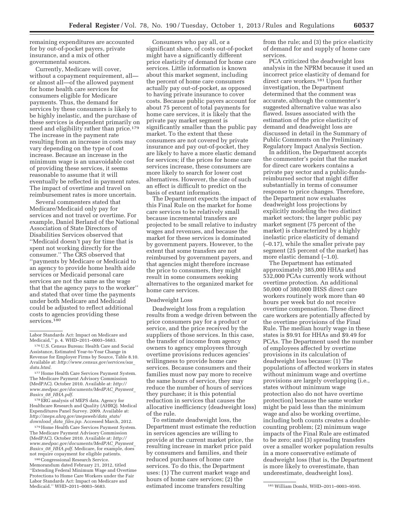remaining expenditures are accounted for by out-of-pocket payers, private insurance, and a mix of other governmental sources.

Currently, Medicare will cover, without a copayment requirement, all or almost all—of the allowed payment for home health care services for consumers eligible for Medicare payments. Thus, the demand for services by these consumers is likely to be highly inelastic, and the purchase of these services is dependent primarily on need and eligibility rather than price.179 The increase in the payment rate resulting from an increase in costs may vary depending on the type of cost increase. Because an increase in the minimum wage is an unavoidable cost of providing these services, it seems reasonable to assume that it will eventually be reflected in payment rates. The impact of overtime and travel on reimbursement rates is more uncertain.

Several commenters stated that Medicare/Medicaid only pay for services and not travel or overtime. For example, Daniel Berland of the National Association of State Directors of Disabilities Services observed that ''Medicaid doesn't pay for time that is spent not working directly for the consumer.'' The CRS observed that ''payments by Medicare or Medicaid to an agency to provide home health aide services or Medicaid personal care services are not the same as the wage that that the agency pays to the worker'' and stated that over time the payments under both Medicare and Medicaid could be adjusted to reflect additional costs to agencies providing these services.<sup>180</sup>

177Home Health Care Services Payment System. The Medicare Payment Advisory Commission (MedPAC). October 2010. Available at: *http:// www.medpac.gov/documents/MedPAC*\_*Payment*\_ *Basics*\_*08*\_*HHA.pdf*.

178ERG analysis of MEPS data. Agency for Healthcare Research and Quality (AHRQ). Medical Expenditures Panel Survey. 2009. Available at: *http://meps.ahrq.gov/mepsweb/data*\_*stats/ download*\_*data*\_*files.jsp.* Accessed March, 2012.

179 Home Health Care Services Payment System. The Medicare Payment Advisory Commission (MedPAC). October 2010. Available at: *http:// www.medpac.gov/documents/MedPAC*\_*Payment*\_ *Basics*\_*08*\_*HHA.pdf.* Medicare, for example, does not require copayment for eligible patients.

180Congressional Research Service. Memorandum dated February 21, 2012, titled ''Extending Federal Minimum Wage and Overtime Protections to Home Care Workers under the Fair Labor Standards Act: Impact on Medicare and<br>Medicaid.'' WHD–2011–0003–5683. Medicaid.'' WHD–2011–0003–5683. estimated income transfers resulting <sup>181</sup>William Dombi, WHD–2011–0003–9595.

Consumers who pay all, or a significant share, of costs out-of-pocket might have a significantly different price elasticity of demand for home care services. Little information is known about this market segment, including the percent of home care consumers actually pay out-of-pocket, as opposed to having private insurance to cover costs. Because public payers account for about 75 percent of total payments for home care services, it is likely that the private pay market segment is significantly smaller than the public pay market. To the extent that these consumers are not covered by private insurance and pay out-of-pocket, they are likely to have a more elastic demand for services; if the prices for home care services increase, these consumers are more likely to search for lower cost alternatives. However, the size of such an effect is difficult to predict on the basis of extant information.

The Department expects the impact of this Final Rule on the market for home care services to be relatively small because incremental transfers are projected to be small relative to industry wages and revenues, and because the market for these services is dominated by government payers. However, to the extent that some transfers are not reimbursed by government payers, and that agencies might therefore increase the price to consumers, they might result in some consumers seeking alternatives to the organized market for home care services.

#### Deadweight Loss

Deadweight loss from a regulation results from a wedge driven between the price consumers pay for a product or service, and the price received by the suppliers of those services. In this case, the transfer of income from agency owners to agency employees through overtime provisions reduces agencies' willingness to provide home care services. Because consumers and their families must now pay more to receive the same hours of service, they may reduce the number of hours of services they purchase; it is this potential reduction in services that causes the allocative inefficiency (deadweight loss) of the rule.

To estimate deadweight loss, the Department must estimate the reduction in services agencies are willing to provide at the current market price, the resulting increase in market price paid by consumers and families, and their reduced purchases of home care services. To do this, the Department uses: (1) The current market wage and hours of home care services; (2) the

from the rule; and (3) the price elasticity of demand for and supply of home care services.

PCA criticized the deadweight loss analysis in the NPRM because it used an incorrect price elasticity of demand for direct care workers.<sup>181</sup> Upon further investigation, the Department determined that the comment was accurate, although the commenter's suggested alternative value was also flawed. Issues associated with the estimation of the price elasticity of demand and deadweight loss are discussed in detail in the Summary of Public Comments on the Preliminary Regulatory Impact Analysis Section.

In addition, the Department accepts the commenter's point that the market for direct care workers contains a private pay sector and a public-fundsreimbursed sector that might differ substantially in terms of consumer response to price changes. Therefore, the Department now evaluates deadweight loss projections by explicitly modeling the two distinct market sectors; the larger public pay market segment (75 percent of the market) is characterized by a highly inelastic price elasticity of demand (–0.17), while the smaller private pay segment (25 percent of the market) has more elastic demand (–1.0).

The Department has estimated approximately 385,000 HHAs and 532,000 PCAs currently work without overtime protection. An additional 50,000 of 380,000 IHSS direct care workers routinely work more than 40 hours per week but do not receive overtime compensation. These direct care workers are potentially affected by the overtime provisions of the Final Rule. The median hourly wage in these states is \$9.91 for HHAs and \$9.49 for PCAs. The Department used the number of employees affected by overtime provisions in its calculation of deadweight loss because: (1) The populations of affected workers in states without minimum wage and overtime provisions are largely overlapping (i.e., states without minimum wage protection also do not have overtime protection) because the same worker might be paid less than the minimum wage and also be working overtime, including both counts creates a doublecounting problem; (2) minimum wage impacts of the Final Rule are estimated to be zero; and (3) spreading transfers over a smaller worker population results in a more conservative estimate of deadweight loss (that is, the Department is more likely to overestimate, than underestimate, deadweight loss).

Labor Standards Act: Impact on Medicare and Medicaid,'' p. 4. WHD–2011–0003–5683.

<sup>176</sup>U.S. Census Bureau: Health Care and Social Assistance, Estimated Year-to-Year Change in Revenue for Employer Firms by Source, Table 8.10. Available at: *http://www.census.gov/services/sas*\_ *data.html.*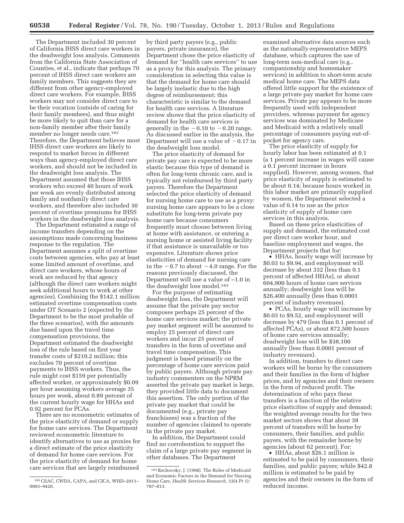The Department included 30 percent of California IHSS direct care workers in the deadweight loss analysis. Comments from the California State Association of Counties, et al., indicate that perhaps 70 percent of IHSS direct care workers are family members. This suggests they are different from other agency-employed direct care workers. For example, IHSS workers may not consider direct care to be their vocation (outside of caring for their family members), and thus might be more likely to quit than care for a non-family member after their family member no longer needs care.182 Therefore, the Department believes most IHSS direct care workers are likely to respond to market forces in different ways than agency-employed direct care workers, and should not be included in the deadweight loss analysis. The Department assumed that those IHSS workers who exceed 40 hours of work per week are evenly distributed among family and nonfamily direct care workers, and therefore also included 30 percent of overtime premiums for IHSS workers in the deadweight loss analysis.

The Department estimated a range of income transfers depending on the assumptions made concerning business response to the regulation. The Department assumes a split of overtime costs between agencies, who pay at least some limited amount of overtime, and direct care workers, whose hours of work are reduced by that agency (although the direct care workers might seek additional hours to work at other agencies). Combining the \$142.1 million estimated overtime compensation costs under OT Scenario 2 (expected by the Department to be the most probable of the three scenarios), with the amounts due based upon the travel time compensation provisions, the Department estimated the deadweight loss of the rule based on first year transfer costs of \$210.2 million; this excludes 70 percent of overtime payments to IHSS workers. Thus, the rule might cost \$159 per potentially affected worker, or approximately \$0.09 per hour assuming workers average 35 hours per week, about 0.89 percent of the current hourly wage for HHAs and 0.92 percent for PCAs.

There are no econometric estimates of the price elasticity of demand or supply for home care services. The Department reviewed econometric literature to identify alternatives to use as proxies for a direct estimate of the price elasticity of demand for home care services. For the price elasticity of demand for home care services that are largely reimbursed

by third party payers (e.g., public payers, private insurance), the Department chose the price elasticity of demand for ''health care services'' to use as a proxy for this analysis. The primary consideration in selecting this value is that the demand for home care should be largely inelastic due to the high degree of reimbursement; this characteristic is similar to the demand for health care services. A literature review shows that the price elasticity of demand for health care services is degree of reimbursement; this<br>characteristic is similar to the demand<br>for health care services. A literature<br>review shows that the price elasticity of<br>demand for health care services is<br>generally in the  $-0.10$  to  $-0.20$ As discussed earlier in the analysis, the for health care services. A literature<br>review shows that the price elasticity of<br>demand for health care services is<br>generally in the  $-0.10$  to  $-0.20$  range.<br>As discussed earlier in the analysis, the<br>Department will use the deadweight loss model.

The price elasticity of demand for private pay care is expected to be more elastic because this type of demand is often for long-term chronic care, and is typically not reimbursed by third party payers. Therefore the Department selected the price elasticity of demand for nursing home care to use as a proxy: nursing home care appears to be a close substitute for long-term private pay home care because consumers frequently must choose between living at home with assistance, or entering a nursing home or assisted living facility if that assistance is unavailable or too expensive. Literature shows price elasticities of demand for nursing care at home with assistance, or entering a<br>nursing home or assisted living facility<br>if that assistance is unavailable or too<br>expensive. Literature shows price<br>elasticities of demand for nursing care<br>in the  $-0.7$  to about  $-4$ reasons previously discussed, the Department will use a value of –1.0 in the deadweight loss model.183

For the purpose of estimating deadweight loss, the Department will assume that the private pay sector composes perhaps 25 percent of the home care services market; the private pay market segment will be assumed to employ 25 percent of direct care workers and incur 25 percent of transfers in the form of overtime and travel time compensation. This judgment is based primarily on the percentage of home care services paid by public payers. Although private pay industry commenters on the NPRM asserted the private pay market is large, they provided little data to document this assertion. The only portion of the private pay market that could be documented (e.g., private pay franchisees) was a fraction of the number of agencies claimed to operate in the private pay market.

In addition, the Department could find no corroboration to support the claim of a large private pay segment in other databases. The Department

examined alternative data sources such as the nationally-representative MEPS database, which captures the use of long-term non-medical care (e.g., companionship and homemaker services) in addition to short-term acute medical home care. The MEPS data offered little support for the existence of a large private pay market for home care services. Private pay appears to be more frequently used with independent providers, whereas payment for agency services was dominated by Medicare and Medicaid with a relatively small percentage of consumers paying out-ofpocket for agency care.

The price elasticity of supply for hourly labor has been estimated at 0.1 (a 1 percent increase in wages will cause a 0.1 percent increase in hours supplied). However, among women, that price elasticity of supply is estimated to be about 0.14; because hours worked in this labor market are primarily supplied by women, the Department selected a value of 0.14 to use as the price elasticity of supply of home care services in this analysis.

Based on these price elasticities of supply and demand, the estimated cost per direct care worker hour, and baseline employment and wages, the Department projects that for:

• HHAs, hourly wage will increase by \$0.03 to \$9.94, and employment will decrease by about 332 (less than 0.1 percent of affected HHAs), or about 604,900 hours of home care services annually; deadweight loss will be \$26,400 annually (less than 0.0001 percent of industry revenues).

• PCAs, hourly wage will increase by \$0.03 to \$9.52, and employment will decrease by 479 (less than 0.1 percent of affected PCAs), or about 872,500 hours of home care services annually; deadweight loss will be \$38,100 annually (less than 0.0001 percent of industry revenues).

In addition, transfers to direct care workers will be borne by the consumers and their families in the form of higher prices, and by agencies and their owners in the form of reduced profit. The determination of who pays these transfers is a function of the relative price elasticities of supply and demand; the weighted average results for the two market sectors shows that about 38 percent of transfers will be borne by consumers, their families, and public payers, with the remainder borne by agencies (about 62 percent). For:

• HHAs, about \$26.1 million is estimated to be paid by consumers, their families, and public payers; while \$42.8 million is estimated to be paid by agencies and their owners in the form of reduced income.

<sup>182</sup>CSAC, CWDA, CAPA, and CICA, WHD–2011– 0003–9420.

<sup>183</sup>Rechovsky, J. (1998). The Roles of Medicaid and Economic Factors in the Demand for Nursing Home Care, *Health Services Research,* 33(4 Pt 1): 787–813.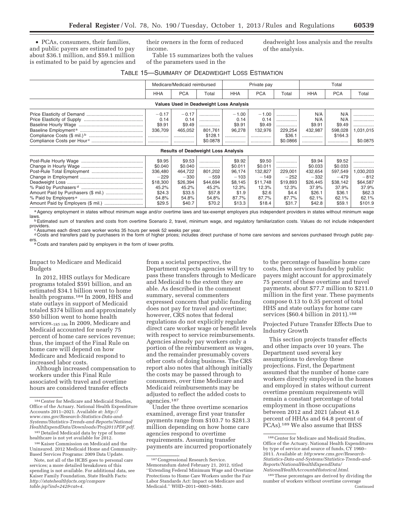• PCAs, consumers, their families, and public payers are estimated to pay about \$36.1 million, and \$59.1 million is estimated to be paid by agencies and their owners in the form of reduced income.

Table 15 summarizes both the values of the parameters used in the

deadweight loss analysis and the results of the analysis.

| TABLE 15—SUMMARY OF DEADWEIGHT LOSS ESTIMATION |  |
|------------------------------------------------|--|
|------------------------------------------------|--|

|                                                | Medicare/Medicaid reimbursed |                                            |          | Private pay |            |          | Total      |            |           |  |  |  |
|------------------------------------------------|------------------------------|--------------------------------------------|----------|-------------|------------|----------|------------|------------|-----------|--|--|--|
|                                                | <b>HHA</b>                   | <b>PCA</b>                                 | Total    | <b>HHA</b>  | <b>PCA</b> | Total    | <b>HHA</b> | <b>PCA</b> | Total     |  |  |  |
| <b>Values Used in Deadweight Loss Analysis</b> |                              |                                            |          |             |            |          |            |            |           |  |  |  |
|                                                | $-0.17$                      | $-0.17$                                    | .        | $-1.00$     | $-1.00$    |          | N/A        | N/A        |           |  |  |  |
|                                                | 0.14                         | 0.14                                       |          | 0.14        | 0.14       |          | N/A        | N/A        |           |  |  |  |
|                                                | \$9.91                       | \$9.49                                     |          | \$9.91      | \$9.49     | .        | \$9.91     | \$9.49     | .         |  |  |  |
|                                                | 336,709                      | 465,052                                    | 801,761  | 96,278      | 132,976    | 229,254  | 432,987    | 598,028    | 1,031,015 |  |  |  |
|                                                | .                            |                                            | \$128.1  |             |            | \$36.1   |            | \$164.3    |           |  |  |  |
|                                                | .                            |                                            | \$0.0878 |             |            | \$0.0866 |            |            | \$0.0875  |  |  |  |
|                                                |                              | <b>Results of Deadweight Loss Analysis</b> |          |             |            |          |            |            |           |  |  |  |
|                                                | \$9.95                       | \$9.53                                     |          | \$9.92      | \$9.50     |          | \$9.94     | \$9.52     | .         |  |  |  |
|                                                | \$0.040                      | \$0.040                                    |          | \$0.011     | \$0.011    |          | \$0.033    | \$0.033    |           |  |  |  |
|                                                | 336,480                      | 464,722                                    | 801,202  | 96,174      | 132,827    | 229,001  | 432,654    | 597,549    | 1,030,203 |  |  |  |
|                                                | $-229$                       | $-330$                                     | $-559$   | $-103$      | $-149$     | $-252$   | $-332$     | $-479$     | $-812$    |  |  |  |
|                                                | \$18,300                     | \$26,394                                   | \$44,694 | \$8,145     | \$11,748   | \$19,893 | \$26,445   | \$38,142   | \$64,587  |  |  |  |
|                                                | 45.2%                        | 45.2%                                      | 45.2%    | 12.3%       | 12.3%      | 12.3%    | 37.9%      | 37.9%      | 37.9%     |  |  |  |
|                                                | \$24.3                       | \$33.5                                     | \$57.8   | \$1.9       | \$2.6      | \$4.4    | \$26.1     | \$36.1     | \$62.3    |  |  |  |
|                                                | 54.8%                        | 54.8%                                      | 54.8%    | 87.7%       | 87.7%      | 87.7%    | 62.1%      | 62.1%      | 62.1%     |  |  |  |
|                                                | \$29.5                       | \$40.7                                     | \$70.2   | \$13.3      | \$18.4     | \$31.7   | \$42.8     | \$59.1     | \$101.9   |  |  |  |

a Agency employment in states without minimum wage and/or overtime laws and tax-exempt employers plus independent providers in states without minimum wage laws.

Lab Estimated sum of transfers and costs from overtime Scenario 2, travel, minimum wage, and regulatory familiarization costs. Values do not include independent<br>providers. cAssumes each direct care worker works 35 hours per week 52 weeks per year.

d'Oosts and transfers paid by purchasers in the form of higher prices; includes direct purchase of home care services and services purchased through public payers.<br>
experiences and transfers paid by employers in the form o

Impact to Medicare and Medicaid Budgets

In 2012, HHS outlays for Medicare programs totaled \$591 billion, and an estimated \$34.1 billion went to home health programs.184 In 2009, HHS and state outlays in support of Medicaid totaled \$374 billion and approximately \$50 billion went to home health services.185 186 In 2009, Medicare and Medicaid accounted for nearly 75 percent of home care services revenue; thus, the impact of the Final Rule on home care will depend on how Medicare and Medicaid respond to increased labor costs.

Although increased compensation to workers under this Final Rule associated with travel and overtime hours are considered transfer effects

from a societal perspective, the Department expects agencies will try to pass these transfers through to Medicare and Medicaid to the extent they are able. As described in the comment summary, several commenters expressed concern that public funding does not pay for travel and overtime; however, CRS notes that federal regulations do not explicitly regulate direct care worker wage or benefit levels with respect to service reimbursements. Agencies already pay workers only a portion of the reimbursement as wages, and the remainder presumably covers other costs of doing business. The CRS report also notes that although initially the costs may be passed through to consumers, over time Medicare and Medicaid reimbursements may be adjusted to reflect the added costs to agencies.187

Under the three overtime scenarios examined, average first year transfer payments range from \$103.7 to \$281.3 million depending on how home care agencies respond to overtime requirements. Assuming transfer payments are incurred proportionately

to the percentage of baseline home care costs, then services funded by public payers might account for approximately 75 percent of these overtime and travel payments, about \$77.7 million to \$211.0 million in the first year. These payments compose 0.13 to 0.35 percent of total HHS and state outlays for home care services (\$60.4 billion in 2011).<sup>188</sup>

Projected Future Transfer Effects Due to Industry Growth

This section projects transfer effects and other impacts over 10 years. The Department used several key assumptions to develop these projections. First, the Department assumed that the number of home care workers directly employed in the homes and employed in states without current overtime premium requirements will remain a constant percentage of total employment in those occupations between 2012 and 2021 (about 41.6 percent of HHAs and 64.8 percent of PCAs).<sup>189</sup> We also assume that IHSS

<sup>184</sup>Center for Medicare and Medicaid Studies, Office of the Actuary. National Health Expenditure Accounts 2011–2021. Available at: *http:// www.cms.gov/Research-Statistics-Data-and-Systems/Statistics-Trends-and-Reports/National HealthExpendData/Downloads/Proj2011PDF.pdf.* 

<sup>185</sup> Detailed Medicaid data by type of home healthcare is not yet available for 2012.

<sup>186</sup> Kaiser Commission on Medicaid and the Uninsured. 2012 Medicaid Home and Community-Based Services Programs: 2009 Data Update.

Note, not all of the HCBS goes to personal care services; a more detailed breakdown of this spending is not available. For additional data, see Kaiser Family Foundation, State Health Facts: *http://statehealthfacts.org/compare table.jsp?ind=242&cat=4.* 

<sup>187</sup>Congressional Research Service. Memorandum dated February 21, 2012, titled ''Extending Federal Minimum Wage and Overtime Protections to Home Care Workers under the Fair Labor Standards Act: Impact on Medicare and Medicaid.'' WHD–2011–0003–5683.

<sup>188</sup>Center for Medicare and Medicaid Studies, Office of the Actuary. National Health Expenditures by type of service and source of funds,  $C\tilde{Y}$  1960– 2011. Available at: *http:www.cms.gov/Research-Statistics-Data-and-Systems/Statistics-Trends-and-Reports/NationalHealthExpendData/ NationalHealthAccountsHistorical.html.* 

<sup>189</sup>These percentages are derived by dividing the number of workers without overtime coverage **Continued**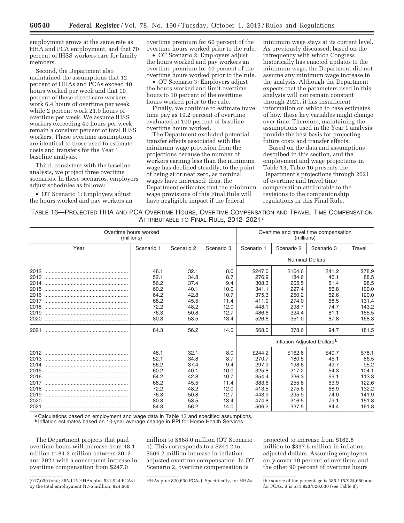employment grows at the same rate as HHA and PCA employment, and that 70 percent of IHSS workers care for family members.

Second, the Department also maintained the assumptions that 12 percent of HHAs and PCAs exceed 40 hours worked per week and that 10 percent of these direct care workers work 6.4 hours of overtime per week while 2 percent work 21.0 hours of overtime per week. We assume IHSS workers exceeding 40 hours per week remain a constant percent of total IHSS workers. These overtime assumptions are identical to those used to estimate costs and transfers for the Year 1 baseline analysis.

Third, consistent with the baseline analysis, we project three overtime scenarios. In these scenarios, employers adjust schedules as follows:

• OT Scenario 1: Employers adjust the hours worked and pay workers an overtime premium for 60 percent of the overtime hours worked prior to the rule.

• OT Scenario 2: Employers adjust the hours worked and pay workers an overtime premium for 40 percent of the overtime hours worked prior to the rule.

• OT Scenario 3: Employers adjust the hours worked and limit overtime hours to 10 percent of the overtime hours worked prior to the rule.

Finally, we continue to estimate travel time pay as 19.2 percent of overtime evaluated at 100 percent of baseline overtime hours worked.

The Department excluded potential transfer effects associated with the minimum wage provision from the projections because the number of workers earning less than the minimum wage has declined steadily, to the point of being at or near zero, as nominal wages have increased: thus, the Department estimates that the minimum wage provisions of this Final Rule will have negligible impact if the federal

minimum wage stays at its current level. As previously discussed, based on the infrequency with which Congress historically has enacted updates to the minimum wage, the Department did not assume any minimum wage increase in the analysis. Although the Department expects that the parameters used in this analysis will not remain constant through 2021, it has insufficient information on which to base estimates of how these key variables might change over time. Therefore, maintaining the assumptions used in the Year 1 analysis provide the best basis for projecting future costs and transfer effects.

Based on the data and assumptions described in this section, and the employment and wage projections in Table 13, Table 16 presents the Department's projections through 2021 of overtime and travel time compensation attributable to the revisions to the companionship regulations in this Final Rule.

| TABLE 16-PROJECTED HHA AND PCA OVERTIME HOURS, OVERTIME COMPENSATION AND TRAVEL TIME COMPENSATION |  |
|---------------------------------------------------------------------------------------------------|--|
| ATTRIBUTABLE TO FINAL RULE, 2012-2021 <sup>a</sup>                                                |  |

| Overtime hours worked<br>(millions) |            |            |            |            | Overtime and travel time compensation<br>(millions) |            |        |  |
|-------------------------------------|------------|------------|------------|------------|-----------------------------------------------------|------------|--------|--|
| Year                                | Scenario 1 | Scenario 2 | Scenario 3 | Scenario 1 | Scenario 2                                          | Scenario 3 | Travel |  |
|                                     |            |            |            |            | <b>Nominal Dollars</b>                              |            |        |  |
| 2012                                | 48.1       | 32.1       | 8.0        | \$247.0    | \$164.6                                             | \$41.2     | \$78.9 |  |
| 2013                                | 52.1       | 34.8       | 8.7        | 276.9      | 184.6                                               | 46.1       | 88.5   |  |
| 2014                                | 56.2       | 37.4       | 9.4        | 308.3      | 205.5                                               | 51.4       | 98.5   |  |
| 2015                                | 60.2       | 40.1       | 10.0       | 341.1      | 227.4                                               | 56.8       | 109.0  |  |
| 2016                                | 64.2       | 42.8       | 10.7       | 375.3      | 250.2                                               | 62.6       | 120.0  |  |
| 2017                                | 68.2       | 45.5       | 11.4       | 411.0      | 274.0                                               | 68.5       | 131.4  |  |
| 2018                                | 72.2       | 48.2       | 12.0       | 448.1      | 298.7                                               | 74.7       | 143.2  |  |
| 2019                                | 76.3       | 50.8       | 12.7       | 486.6      | 324.4                                               | 81.1       | 155.5  |  |
|                                     | 80.3       | 53.5       | 13.4       | 526.6      | 351.0                                               | 87.8       | 168.3  |  |
| 2021                                | 84.3       | 56.2       | 14.0       | 568.0      | 378.6                                               | 94.7       | 181.5  |  |
|                                     |            |            |            |            | Inflation-Adjusted Dollars <sup>b</sup>             |            |        |  |
|                                     | 48.1       | 32.1       | 8.0        | \$244.2    | \$162.8                                             | \$40.7     | \$78.1 |  |
| 2013                                | 52.1       | 34.8       | 8.7        | 270.7      | 180.5                                               | 45.1       | 86.5   |  |
| 2014                                | 56.2       | 37.4       | 9.4        | 297.9      | 198.6                                               | 49.7       | 95.2   |  |
| 2015                                | 60.2       | 40.1       | 10.0       | 325.8      | 217.2                                               | 54.3       | 104.1  |  |
| 2016                                | 64.2       | 42.8       | 10.7       | 354.4      | 236.3                                               | 59.1       | 113.3  |  |
| 2017                                | 68.2       | 45.5       | 11.4       | 383.6      | 255.8                                               | 63.9       | 122.6  |  |
| 2018                                | 72.2       | 48.2       | 12.0       | 413.5      | 275.6                                               | 68.9       | 132.2  |  |
| 2019                                | 76.3       | 50.8       | 12.7       | 443.9      | 295.9                                               | 74.0       | 141.9  |  |
| 2020                                | 80.3       | 53.5       | 13.4       | 474.8      | 316.5                                               | 79.1       | 151.8  |  |
|                                     | 84.3       | 56.2       | 14.0       | 506.2      | 337.5                                               | 84.4       | 161.8  |  |

a Calculations based on employment and wage data in Table 13 and specified assumptions. b Inflation estimates based on 10-year average change in PPI for Home Health Services.

The Department projects that paid overtime hours will increase from 48.1 million to 84.3 million between 2012 and 2021 with a consequent increase in overtime compensation from \$247.0

million to \$568.0 million (OT Scenario 1). This corresponds to a \$244.2 to \$506.2 million increase in inflationadjusted overtime compensation. In OT Scenario 2, overtime compensation is

projected to increase from \$162.8 million to \$337.5 million in inflationadjusted dollars. Assuming employers only cover 10 percent of overtime, and the other 90 percent of overtime hours

HHAs plus 820,630 PCAs). Specifically, for HHAs, the source of the percentage is 385,115/924,660 and

<sup>(917,039</sup> total; 385,115 HHAs plus 531,924 PCAs) by the total employment (1.75 million; 924,660

for PCAs, it is 531,923/820,630 (see Table 8).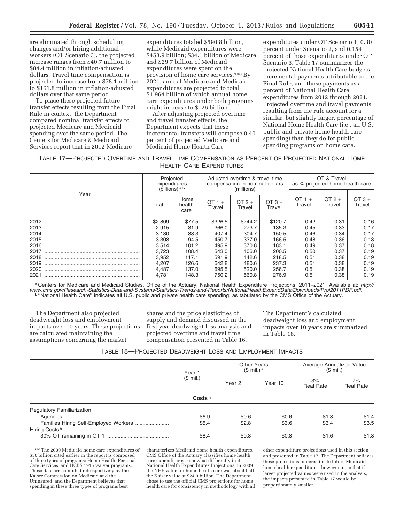are eliminated through scheduling changes and/or hiring additional workers (OT Scenario 3), the projected increase ranges from \$40.7 million to \$84.4 million in inflation-adjusted dollars. Travel time compensation is projected to increase from \$78.1 million to \$161.8 million in inflation-adjusted dollars over that same period.

To place these projected future transfer effects resulting from the Final Rule in context, the Department compared nominal transfer effects to projected Medicare and Medicaid spending over the same period. The Centers for Medicare & Medicaid Services report that in 2012 Medicare

expenditures totaled \$590.8 billion, while Medicaid expenditures were \$458.9 billion; \$34.1 billion of Medicare and \$29.7 billion of Medicaid expenditures were spent on the provision of home care services.190 By 2021, annual Medicare and Medicaid expenditures are projected to total \$1,964 billion of which annual home care expenditures under both programs might increase to \$126 billion .

After adjusting projected overtime and travel transfer effects, the Department expects that these incremental transfers will compose 0.40 percent of projected Medicare and Medicaid Home Health Care

expenditures under OT Scenario 1, 0.30 percent under Scenario 2, and 0.154 percent of those expenditures under OT Scenario 3. Table 17 summarizes the projected National Health Care budgets, incremental payments attributable to the Final Rule, and those payments as a percent of National Health Care expenditures from 2012 through 2021. Projected overtime and travel payments resulting from the rule account for a similar, but slightly larger, percentage of National Home Health Care (i.e., all U.S. public and private home health care spending) than they do for public spending programs on home care.

| Table 17—Projected Overtime and Travel Time Compensation as Percent of Projected National Home |  |                          |  |  |  |
|------------------------------------------------------------------------------------------------|--|--------------------------|--|--|--|
|                                                                                                |  | HEALTH CARE EXPENDITURES |  |  |  |

|      | Projected<br>expenditures<br>(billions) $a b$ |                        | Adjusted overtime & travel time<br>compensation in nominal dollars<br>(millions) |                    |                                                               | OT & Travel<br>as % projected home health care |                  |      |
|------|-----------------------------------------------|------------------------|----------------------------------------------------------------------------------|--------------------|---------------------------------------------------------------|------------------------------------------------|------------------|------|
| Year | Total                                         | Home<br>health<br>care | OT 1 +<br>Travel                                                                 | OT 2 $+$<br>Travel | OT $2 +$<br>OT 1 $+$<br>OT $3+$<br>Travel<br>Travel<br>Travel |                                                | $OT3+$<br>Travel |      |
| 2012 | \$2,809                                       | \$77.5                 | \$326.5                                                                          | \$244.2            | \$120.7                                                       | 0.42                                           | 0.31             | 0.16 |
| 2013 | 2.915                                         | 81.9                   | 366.0                                                                            | 273.7              | 135.3                                                         | 0.45                                           | 0.33             | 0.17 |
| 2014 | 3,130                                         | 88.3                   | 407.4                                                                            | 304.7              | 150.5                                                         | 0.46                                           | 0.34             | 0.17 |
| 2015 | 3,308                                         | 94.5                   | 450.7                                                                            | 337.0              | 166.5                                                         | 0.48                                           | 0.36             | 0.18 |
| 2016 | 3,514                                         | 101.2                  | 495.9                                                                            | 370.8              | 183.1                                                         | 0.49                                           | 0.37             | 0.18 |
| 2017 | 3,723                                         | 108.4                  | 543.0                                                                            | 406.0              | 200.5                                                         | 0.50                                           | 0.37             | 0.19 |
| 2018 | 3,952                                         | 117.1                  | 591.9                                                                            | 442.6              | 218.5                                                         | 0.51                                           | 0.38             | 0.19 |
| 2019 | 4.207                                         | 126.6                  | 642.8                                                                            | 480.6              | 237.3                                                         | 0.51                                           | 0.38             | 0.19 |
| 2020 | 4.487                                         | 137.0                  | 695.5                                                                            | 520.0              | 256.7                                                         | 0.51                                           | 0.38             | 0.19 |
| 2021 | 4.781                                         | 148.3                  | 750.2                                                                            | 560.8              | 276.9                                                         | 0.51                                           | 0.38             | 0.19 |

a Centers for Medicare and Medicaid Studies, Office of the Actuary, National Health Expenditure Projections, 2011–2021. Available at: http:// www.cms.gov/Research-Statistics-Data-and-Systems/Statistics-Trends-and-Reports/NationalHealthExpendData/Downloads/Proj2011PDF.pdf.<br>"National Health Care" indicates all U.S. public and private health care spending, as tabul

The Department also projected deadweight loss and employment impacts over 10 years. These projections are calculated maintaining the assumptions concerning the market

shares and the price elasticities of supply and demand discussed in the first year deadweight loss analysis and projected overtime and travel time compensation presented in Table 16.

The Department's calculated deadweight loss and employment impacts over 10 years are summarized in Table 18.

| TABLE 18-PROJECTED DEADWEIGHT LOSS AND EMPLOYMENT IMPACTS |  |
|-----------------------------------------------------------|--|
|-----------------------------------------------------------|--|

|                                                            | Other Years<br>$$$ mil.) a<br>Year 1 |                         |                         | Average Annualized Value<br>$($$ mil.) |                         |
|------------------------------------------------------------|--------------------------------------|-------------------------|-------------------------|----------------------------------------|-------------------------|
|                                                            | $$$ mil.)                            | Year 2                  | Year 10                 | 3%<br><b>Real Rate</b>                 | 7%<br><b>Real Rate</b>  |
|                                                            | Costs <sup>h</sup>                   |                         |                         |                                        |                         |
| Regulatory Familiarization:<br>Hiring Costs <sup>b</sup> : | \$6.9<br>\$5.4<br>\$8.4              | \$0.6<br>\$2.8<br>\$0.8 | \$0.6<br>\$3.6<br>\$0.8 | \$1.3<br>\$3.4<br>\$1.6                | \$1.4<br>\$3.5<br>\$1.8 |

<sup>190</sup>The 2009 Medicaid home care expenditures of \$50 billion cited earlier in the report is composed of three types of programs: Home Health, Personal Care Services, and HCBS 1915 waiver programs. These data are compiled retrospectively by the Kaiser Commission on Medicaid and the Uninsured, and the Department believes that spending in these three types of programs best

characterizes Medicaid home health expenditures. CMS Office of the Actuary classifies home health care expenditures somewhat differently in its National Health Expenditures Projections; in 2009 the NHE value for home health care was about half the Kaiser value at \$24.3 billion. The Department chose to use the official CMS projections for home health care for consistency in methodology with all other expenditure projections used in this section and presented in Table 17. The Department believes these projections underestimate future Medicaid home health expenditures; however, note that if larger projected values were used in the analysis, the impacts presented in Table 17 would be proportionately smaller.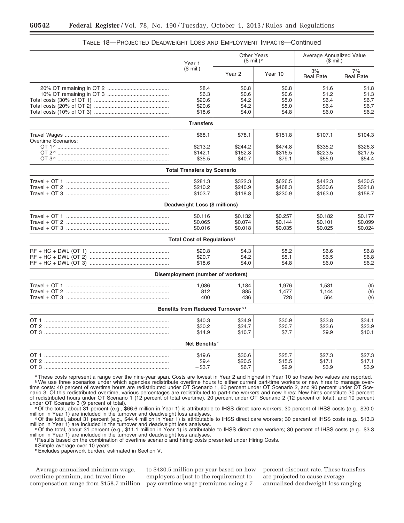|                     | Year 1                                 | <b>Other Years</b><br>$$$ mil.) a |         | Average Annualized Value<br>$($$ mil.) |                        |
|---------------------|----------------------------------------|-----------------------------------|---------|----------------------------------------|------------------------|
|                     | $($$ mil.)                             | Year 2                            | Year 10 | 3%<br><b>Real Rate</b>                 | 7%<br><b>Real Rate</b> |
|                     | \$8.4                                  | \$0.8                             | \$0.8   | \$1.6                                  | \$1.8                  |
|                     | \$6.3                                  | \$0.6                             | \$0.6   | \$1.2                                  | \$1.3                  |
|                     | \$20.6                                 | \$4.2                             | \$5.0   | \$6.4                                  | \$6.7                  |
|                     | \$20.6                                 | \$4.2                             | \$5.0   | \$6.4                                  | \$6.7                  |
|                     | \$18.6                                 | \$4.0                             | \$4.8   | \$6.0                                  | \$6.2                  |
|                     | <b>Transfers</b>                       |                                   |         |                                        |                        |
|                     | \$68.1                                 | \$78.1                            | \$151.8 | \$107.1                                | \$104.3                |
| Overtime Scenarios: |                                        |                                   |         |                                        |                        |
|                     | \$213.2                                | \$244.2                           | \$474.8 | \$335.2                                | \$326.3                |
|                     | \$142.1                                | \$162.8                           | \$316.5 | \$223.5                                | \$217.5                |
|                     | \$35.5                                 | \$40.7                            | \$79.1  | \$55.9                                 | \$54.4                 |
|                     | <b>Total Transfers by Scenario</b>     |                                   |         |                                        |                        |
|                     | \$281.3                                | \$322.3                           | \$626.5 | \$442.3                                | \$430.5                |
|                     | \$210.2                                | \$240.9                           | \$468.3 | \$330.6                                | \$321.8                |
|                     | \$103.7                                | \$118.8                           | \$230.9 | \$163.0                                | \$158.7                |
|                     | Deadweight Loss (\$ millions)          |                                   |         |                                        |                        |
|                     | \$0.116                                | \$0.132                           | \$0.257 | \$0.182                                | \$0.177                |
|                     | \$0.065                                | \$0.074                           | \$0.144 | \$0.101                                | \$0.099                |
|                     | \$0.016                                | \$0.018                           | \$0.035 | \$0.025                                | \$0.024                |
|                     | Total Cost of Regulations <sup>f</sup> |                                   |         |                                        |                        |
|                     | \$20.8                                 | \$4.3                             | \$5.2   | \$6.6                                  | \$6.8                  |
|                     | \$20.7                                 | \$4.2                             | \$5.1   | \$6.5                                  | \$6.8                  |
|                     | \$18.6                                 | \$4.0                             | \$4.8   | \$6.0                                  | \$6.2                  |
|                     | Disemployment (number of workers)      |                                   |         |                                        |                        |
|                     | 1,086                                  | 1,184                             | 1,976   | 1,531                                  | (a)                    |
|                     | 812                                    | 885                               | 1,477   | 1,144                                  | (9)                    |
|                     | 400                                    | 436                               | 728     | 564                                    | (9)                    |
|                     | Benefits from Reduced Turnover bf      |                                   |         |                                        |                        |
|                     | \$40.3                                 | \$34.9                            | \$30.9  | \$33.8                                 | \$34.1                 |
|                     | \$30.2                                 | \$24.7                            | \$20.7  | \$23.6                                 | \$23.9                 |
|                     | \$14.9                                 | \$10.7                            | \$7.7   | \$9.9                                  | \$10.1                 |
|                     | Net Benefits <sup>f</sup>              |                                   |         |                                        |                        |
|                     | \$19.6                                 | \$30.6                            | \$25.7  | \$27.3                                 | \$27.3                 |
|                     | \$9.4                                  | \$20.5                            | \$15.5  | \$17.1                                 | \$17.1                 |
|                     |                                        |                                   |         |                                        |                        |

## TABLE 18—PROJECTED DEADWEIGHT LOSS AND EMPLOYMENT IMPACTS—Continued

<sup>b</sup>We use three scenarios under which agencies redistribute overtime hours to either current part-time workers or new hires to manage overtime costs: 40 percent of overtime hours are redistributed under OT Scenario 1, 60 percent under OT Scenario 2, and 90 percent under OT Scenario 3. Of this redistributed overtime, various percentages are redistributed to part-time workers and new hires: New hires constitute 30 percent of redistributed hours under OT Scenario 1 (12 percent of total overtime), 20 percent under OT Scenario 2 (12 percent of total), and 10 percent

under OT Scenario 3 (9 percent of total).<br>°Of the total, about 31 percent (e.g., \$66.6 million in Year 1) is attributable to IHSS direct care workers; 30 percent of IHSS costs (e.g., \$20.0 million in Year 1) are included in the turnover and deadweight loss analyses.<br><sup>d</sup>Of the total, about 31 percent (e.g., \$44.4 million in Year 1) is attributable to IHSS direct care workers; 30 percent of IHSS costs (e.g., \$

million in Year 1) are included in the turnover and deadweight loss analyses.<br>eOf the total, about 31 percent (e.g., \$11.1 million in Year 1) is attributable to IHSS direct care workers; 30 percent of IHSS costs (e.g., \$3.

f Results based on the combination of overtime scenario and hiring costs presented under Hiring Costs.

<sup>g</sup> Simple average over 10 years.

h Excludes paperwork burden, estimated in Section V.

Average annualized minimum wage, overtime premium, and travel time compensation range from \$158.7 million pay overtime wage premiums using a 7

to \$430.5 million per year based on how employers adjust to the requirement to

percent discount rate. These transfers are projected to cause average annualized deadweight loss ranging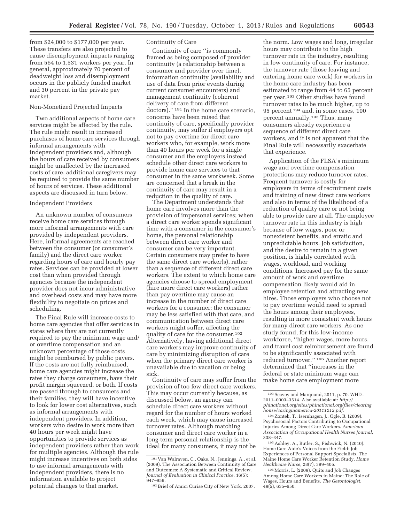from \$24,000 to \$177,000 per year. These transfers are also projected to cause disemployment impacts ranging from 564 to 1,531 workers per year. In general, approximately 70 percent of deadweight loss and disemployment occurs in the publicly funded market and 30 percent in the private pay market.

#### Non-Monetized Projected Impacts

Two additional aspects of home care services might be affected by the rule. The rule might result in increased purchases of home care services through informal arrangements with independent providers and, although the hours of care received by consumers might be unaffected by the increased costs of care, additional caregivers may be required to provide the same number of hours of services. These additional aspects are discussed in turn below.

#### Independent Providers

An unknown number of consumers receive home care services through more informal arrangements with care provided by independent providers. Here, informal agreements are reached between the consumer (or consumer's family) and the direct care worker regarding hours of care and hourly pay rates. Services can be provided at lower cost than when provided through agencies because the independent provider does not incur administrative and overhead costs and may have more flexibility to negotiate on prices and scheduling.

The Final Rule will increase costs to home care agencies that offer services in states where they are not currently required to pay the minimum wage and/ or overtime compensation and an unknown percentage of those costs might be reimbursed by public payers. If the costs are not fully reimbursed, home care agencies might increase the rates they charge consumers, have their profit margin squeezed, or both. If costs are passed through to consumers and their families, they will have incentive to look for lower cost alternatives, such as informal arrangements with independent providers. In addition, workers who desire to work more than 40 hours per week might have opportunities to provide services as independent providers rather than work for multiple agencies. Although the rule might increase incentives on both sides to use informal arrangements with independent providers, there is no information available to project potential changes to that market.

## Continuity of Care

Continuity of care ''is commonly framed as being composed of provider continuity (a relationship between a consumer and provider over time), information continuity (availability and use of data from prior events during current consumer encounters) and management continuity (coherent delivery of care from different doctors).'' 191 In the home care scenario, concerns have been raised that continuity of care, specifically provider continuity, may suffer if employers opt not to pay overtime for direct care workers who, for example, work more than 40 hours per week for a single consumer and the employers instead schedule other direct care workers to provide home care services to that consumer in the same workweek. Some are concerned that a break in the continuity of care may result in a reduction in the quality of care.

The Department understands that home care involves more than the provision of impersonal services; when a direct care worker spends significant time with a consumer in the consumer's home, the personal relationship between direct care worker and consumer can be very important. Certain consumers may prefer to have the same direct care worker(s), rather than a sequence of different direct care workers. The extent to which home care agencies choose to spread employment (hire more direct care workers) rather than pay overtime may cause an increase in the number of direct care workers for a consumer; the consumer may be less satisfied with that care, and communication between direct care workers might suffer, affecting the quality of care for the consumer.192 Alternatively, having additional direct care workers may improve continuity of care by minimizing disruption of care when the primary direct care worker is unavailable due to vacation or being sick.

Continuity of care may suffer from the provision of too few direct care workers. This may occur currently because, as discussed below, an agency can schedule direct care workers without regard for the number of hours worked each week, which may cause increased turnover rates. Although matching consumer and direct care worker in a long-term personal relationship is the ideal for many consumers, it may not be

the norm. Low wages and long, irregular hours may contribute to the high turnover rate in the industry, resulting in low continuity of care. For instance, the turnover rate (those leaving and entering home care work) for workers in the home care industry has been estimated to range from 44 to 65 percent per year.193 Other studies have found turnover rates to be much higher, up to 95 percent 194 and, in some cases, 100 percent annually.195 Thus, many consumers already experience a sequence of different direct care workers, and it is not apparent that the Final Rule will necessarily exacerbate that experience.

Application of the FLSA's minimum wage and overtime compensation protections may reduce turnover rates. Frequent turnover is costly for employers in terms of recruitment costs and training of new direct care workers and also in terms of the likelihood of a reduction of quality care or not being able to provide care at all. The employee turnover rate in this industry is high because of low wages, poor or nonexistent benefits, and erratic and unpredictable hours. Job satisfaction, and the desire to remain in a given position, is highly correlated with wages, workload, and working conditions. Increased pay for the same amount of work and overtime compensation likely would aid in employee retention and attracting new hires. Those employers who choose not to pay overtime would need to spread the hours among their employees, resulting in more consistent work hours for many direct care workers. As one study found, for this low-income workforce, ''higher wages, more hours, and travel cost reimbursement are found to be significantly associated with reduced turnover.'' 196 Another report determined that ''increases in the federal or state minimum wage can make home care employment more

<sup>191</sup> Van Walraven, C., Oake, N., Jennings, A., et al. (2009). The Association Between Continuity of Care and Outcomes: A Systematic and Critical Review. *Journal of Evaluation in Clinical Practice,* 16(5): 947–956.

<sup>192</sup>Brief of Amici Curiae City of New York. 2007.

<sup>193</sup>Seavey and Marquand, 2011, p. 70. WHD– 2011–0003–3514. Also available at: *http:// phinational.org/sites/phinational.org/files/clearing house/caringinamerica-20111212.pdf*.

<sup>194</sup>Zontek, T., Isernhagen, J., Ogle, B. (2009). Psychosocial Factors Contributing to Occupational Injuries Among Direct Care Workers. *American Association of Occupational Health Nurses Journal,*  338–347.

<sup>195</sup>Ashley, A., Butler, S., Fishwick, N. (2010). Home Care Aide's Voices from the Field: Job Experiences of Personal Support Specialists. The Maine Home Care Worker Retention Study. *Home Healthcare Nurse,* 28(7), 399–405.

<sup>196</sup>Morris, L. (2009). Quits and Job Changes Among Home Care Workers in Maine: The Role of Wages, Hours and Benefits. *The Gerontologist,*  49(5), 635–650.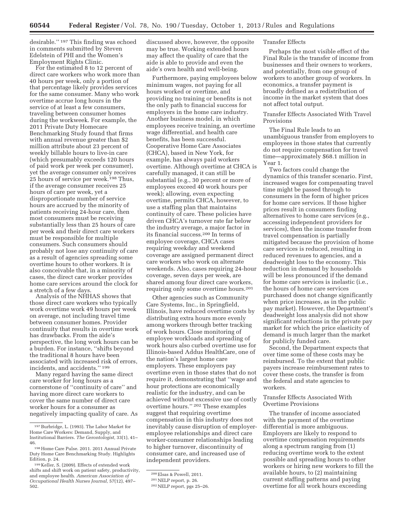desirable.'' 197 This finding was echoed in comments submitted by Steven Edelstein of PHI and the Women's Employment Rights Clinic.

For the estimated 8 to 12 percent of direct care workers who work more than 40 hours per week, only a portion of that percentage likely provides services for the same consumer. Many who work overtime accrue long hours in the service of at least a few consumers, traveling between consumer homes during the workweek. For example, the 2011 Private Duty Homecare Benchmarking Study found that firms with annual revenue greater than \$2 million attribute about 23 percent of weekly billable hours to live-in care (which presumably exceeds 120 hours of paid work per week per consumer), yet the average consumer only receives 25 hours of service per week.198 Thus, if the average consumer receives 25 hours of care per week, yet a disproportionate number of service hours are accrued by the minority of patients receiving 24-hour care, then most consumers must be receiving substantially less than 25 hours of care per week and their direct care workers must be responsible for multiple consumers. Such consumers should probably not lose any continuity of care as a result of agencies spreading some overtime hours to other workers. It is also conceivable that, in a minority of cases, the direct care worker provides home care services around the clock for a stretch of a few days.

Analysis of the NHHAS shows that those direct care workers who typically work overtime work 49 hours per week on average, not including travel time between consumer homes. Provider continuity that results in overtime work has drawbacks. From the aide's perspective, the long work hours can be a burden. For instance, ''shifts beyond the traditional 8 hours have been associated with increased risk of errors, incidents, and accidents.'' 199

Many regard having the same direct care worker for long hours as a cornerstone of ''continuity of care'' and having more direct care workers to cover the same number of direct care worker hours for a consumer as negatively impacting quality of care. As discussed above, however, the opposite may be true. Working extended hours may affect the quality of care that the aide is able to provide and even the aide's own health and well-being.

Furthermore, paying employees below minimum wages, not paying for all hours worked or overtime, and providing no training or benefits is not the only path to financial success for employers in the home care industry. Another business model, in which employees receive training, an overtime wage differential, and health care benefits, has been successful. Cooperative Home Care Associates (CHCA), based in New York, for example, has always paid workers overtime. Although overtime at CHCA is carefully managed, it can still be substantial (e.g., 30 percent or more of employees exceed 40 work hours per week); allowing, even expecting overtime, permits CHCA, however, to use a staffing plan that maintains continuity of care. These policies have driven CHCA's turnover rate far below the industry average, a major factor in its financial success.200 In terms of employee coverage, CHCA cases requiring weekday and weekend coverage are assigned permanent direct care workers who work on alternate weekends. Also, cases requiring 24-hour coverage, seven days per week, are shared among four direct care workers, requiring only some overtime hours.201

Other agencies such as Community Care Systems, Inc., in Springfield, Illinois, have reduced overtime costs by distributing extra hours more evenly among workers through better tracking of work hours. Close monitoring of employee workloads and spreading of work hours also curbed overtime use for Illinois-based Addus HealthCare, one of the nation's largest home care employers. These employers pay overtime even in those states that do not require it, demonstrating that ''wage and hour protections are economically realistic for the industry, and can be achieved without excessive use of costly overtime hours.'' 202 These examples suggest that requiring overtime compensation in this industry does not inevitably cause disruption of employeremployee relationships and direct care worker-consumer relationships leading to higher turnover, discontinuity of consumer care, and increased use of independent providers.

#### Transfer Effects

Perhaps the most visible effect of the Final Rule is the transfer of income from businesses and their owners to workers, and potentially, from one group of workers to another group of workers. In economics, a transfer payment is broadly defined as a redistribution of income in the market system that does not affect total output.

Transfer Effects Associated With Travel Provisions

The Final Rule leads to an unambiguous transfer from employers to employees in those states that currently do not require compensation for travel time—approximately \$68.1 million in Year 1.

Two factors could change the dynamics of this transfer scenario. First, increased wages for compensating travel time might be passed through to consumers in the form of higher prices for home care services. If those higher prices result in consumers finding alternatives to home care services (e.g., accessing independent providers for services), then the income transfer from travel compensation is partially mitigated because the provision of home care services is reduced, resulting in reduced revenues to agencies, and a deadweight loss to the economy. This reduction in demand by households will be less pronounced if the demand for home care services is inelastic (i.e., the hours of home care services purchased does not change significantly when price increases, as in the public pay market). However, the Department's deadweight loss analysis did not show significant reductions in the private pay market for which the price elasticity of demand is much larger than the market for publicly funded care.

Second, the Department expects that over time some of these costs may be reimbursed. To the extent that public payers increase reimbursement rates to cover these costs, the transfer is from the federal and state agencies to workers.

## Transfer Effects Associated With Overtime Provisions

The transfer of income associated with the payment of the overtime differential is more ambiguous. Employers are likely to respond to overtime compensation requirements along a spectrum ranging from (1) reducing overtime work to the extent possible and spreading hours to other workers or hiring new workers to fill the available hours, to (2) maintaining current staffing patterns and paying overtime for all work hours exceeding

<sup>197</sup>Burbridge, L. (1993). The Labor Market for Home Care Workers: Demand, Supply, and Institutional Barriers. *The Gerontologist,* 33(1), 41– 46.

<sup>198</sup>Home Care Pulse. 2011. 2011 Annual Private Duty Home Care Benchmarking Study. Highlights Edition, p. 24.

<sup>199</sup> Keller, S. (2009). Effects of extended work shifts and shift work on patient safety, productivity, and employee health. *American Association of Occupational Health Nurses Journal,* 57(12), 497– 502.

<sup>200</sup>Elsas & Powell, 2011.

<sup>201</sup>NELP report, p. 26.

<sup>202</sup>NELP report, pgs 25–26.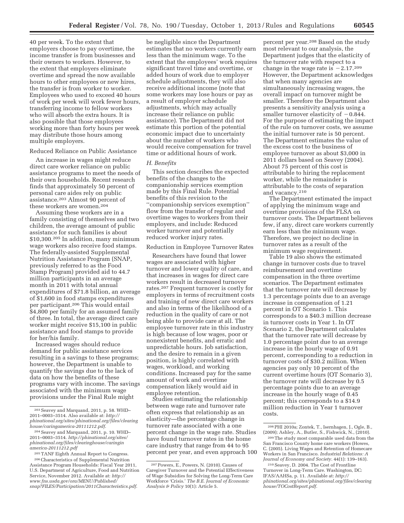40 per week. To the extent that employers choose to pay overtime, the income transfer is from businesses and their owners to workers. However, to the extent that employers eliminate overtime and spread the now available hours to other employees or new hires, the transfer is from worker to worker. Employees who used to exceed 40 hours of work per week will work fewer hours, transferring income to fellow workers who will absorb the extra hours. It is also possible that those employees working more than forty hours per week may distribute those hours among multiple employers.

## Reduced Reliance on Public Assistance

An increase in wages might reduce direct care worker reliance on public assistance programs to meet the needs of their own households. Recent research finds that approximately 50 percent of personal care aides rely on public assistance.203 Almost 90 percent of these workers are women.204

Assuming these workers are in a family consisting of themselves and two children, the average amount of public assistance for such families is about \$10,300.205 In addition, many minimum wage workers also receive food stamps. The federally-assisted Supplemental Nutrition Assistance Program (SNAP, previously referred to as the Food Stamp Program) provided aid to 44.7 million participants in an average month in 2011 with total annual expenditures of \$71.8 billion, an average of \$1,600 in food stamps expenditures per participant.206 This would entail \$4,800 per family for an assumed family of three. In total, the average direct care worker might receive \$15,100 in public assistance and food stamps to provide for her/his family.

Increased wages should reduce demand for public assistance services resulting in a savings to these programs; however, the Department is unable to quantify the savings due to the lack of data on how the benefits of these programs vary with income. The savings associated with the minimum wage provisions under the Final Rule might

be negligible since the Department estimates that no workers currently earn less than the minimum wage. To the extent that the employees' work requires significant travel time and overtime, or added hours of work due to employer schedule adjustments, they will also receive additional income (note that some workers may lose hours or pay as a result of employer schedule adjustments, which may actually increase their reliance on public assistance). The Department did not estimate this portion of the potential economic impact due to uncertainty about the number of workers who would receive compensation for travel time or additional hours of work.

#### *H. Benefits*

This section describes the expected benefits of the changes to the companionship services exemption made by this Final Rule. Potential benefits of this revision to the ''companionship services exemption'' flow from the transfer of regular and overtime wages to workers from their employers, and include: Reduced worker turnover and potentially reduced worker injury rates.

### Reduction in Employee Turnover Rates

Researchers have found that lower wages are associated with higher turnover and lower quality of care, and that increases in wages for direct care workers result in decreased turnover rates.207 Frequent turnover is costly for employers in terms of recruitment costs and training of new direct care workers and also in terms of the likelihood of a reduction in the quality of care or not being able to provide care at all. The employee turnover rate in this industry is high because of low wages, poor or nonexistent benefits, and erratic and unpredictable hours. Job satisfaction, and the desire to remain in a given position, is highly correlated with wages, workload, and working conditions. Increased pay for the same amount of work and overtime compensation likely would aid in employee retention.

Studies estimating the relationship between wage rate and turnover rate often express that relationship as an elasticity—the percentage change in turnover rate associated with a one percent change in the wage rate. Studies have found turnover rates in the home care industry that range from 44 to 95 percent per year, and even approach 100

percent per year.208 Based on the study most relevant to our analysis, the Department judges that the elasticity of the turnover rate with respect to a<br>change in the wage rate is  $-2.17.^{209}$ percent per year.<sup>208</sup> Based on the stumost relevant to our analysis, the Department judges that the elasticity the turnover rate with respect to a change in the wage rate is  $-2.17$ .<sup>209</sup> However, the Department acknowledges that when many agencies are simultaneously increasing wages, the overall impact on turnover might be smaller. Therefore the Department also presents a sensitivity analysis using a that when many agencies are<br>simultaneously increasing wages, the<br>overall impact on turnover might be<br>smaller. Therefore the Department also<br>presents a sensitivity analysis using a<br>smaller turnover elasticity of  $-0.844$ . For the purpose of estimating the impact of the rule on turnover costs, we assume the initial turnover rate is 50 percent. The Department estimates the value of the excess cost to the business of employee turnover as about \$3,000 in 2011 dollars based on Seavey (2004). About 75 percent of this cost is attributable to hiring the replacement worker, while the remainder is attributable to the costs of separation and vacancy.210

The Department estimated the impact of applying the minimum wage and overtime provisions of the FLSA on turnover costs. The Department believes few, if any, direct care workers currently earn less than the minimum wage. Therefore, we project no decline in turnover rates as a result of the minimum wage requirement.

Table 19 also shows the estimated change in turnover costs due to travel reimbursement and overtime compensation in the three overtime scenarios. The Department estimates that the turnover rate will decrease by 1.3 percentage points due to an average increase in compensation of 1.21 percent in OT Scenario 1. This corresponds to a \$40.3 million decrease in turnover costs in Year 1. In OT Scenario 2, the Department calculates that the turnover rate will decrease by 1.0 percentage point due to an average increase in the hourly wage of 0.91 percent, corresponding to a reduction in turnover costs of \$30.2 million. When agencies pay only 10 percent of the current overtime hours (OT Scenario 3), the turnover rate will decrease by 0.5 percentage points due to an average increase in the hourly wage of 0.45 percent; this corresponds to a \$14.9 million reduction in Year 1 turnover costs.

<sup>203</sup>Seavey and Marquand, 2011, p. 58. WHD– 2011–0003–3514. Also available at: *http:// phinational.org/sites/phinational.org/files/clearing house/caringamerica-20111212.pdf*.

<sup>204</sup>Seavey and Marquand, 2011, p. 10. WHD– 2011–0003–3514. *http://phinational.org/sites/ phinational.org/files/clearinghouse/caringin america-20111212.pdf* 

<sup>205</sup>TANF Eighth Annual Report to Congress. 206Characteristics of Supplemental Nutrition

Assistance Program Households: Fiscal Year 2011, U.S. Department of Agriculture, Food and Nutrition Service, November 2012. Available at: *http:// www.fns.usda.gov/ora/MENU/Published/ snap?FILES/Participation/2011Characteristics.pdf*.

<sup>207</sup>Powers, E., Powers, N. (2010). Causes of Caregiver Turnover and the Potential Effectiveness of Wage Subsidies for Solving the Long-Term Care Workforce 'Crisis.' *The B.E. Journal of Economic Analysis & Policy* 10(1): Article 5.

<sup>208</sup>PHI 2010a; Zontek, T., Isernhagen, J., Ogle, B., (2009); Ashley, A., Butler, S., Fishwick, N., (2010).

<sup>209</sup>The study most comparable used data from the San Francisco County home care workers (Howes, C. (2005). Living Wages and Retention of Homecare Workers in San Francisco. *Industrial Relations: A Journal of Economy and Society.* 44(1): 139–163).

<sup>210</sup>Seavey, D. 2004. The Cost of Frontline Turnover in Long-Term Care. Washington, DC: IFAS/AAHSa, p. 11. Available at: *http:// phinational.org/sites/phinational.org/files/clearing house/TOCostReport.pdf.*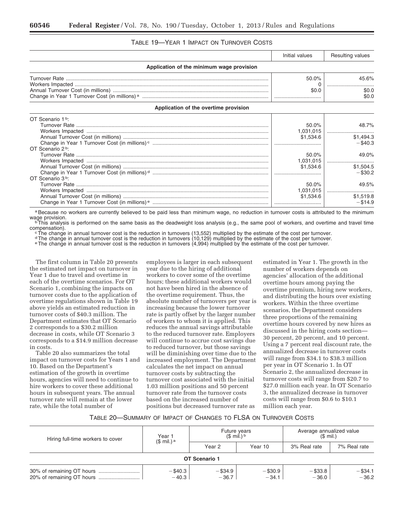# TABLE 19—YEAR 1 IMPACT ON TURNOVER COSTS

|                                                              | Initial values                                                     | <b>Resulting values</b>                                                      |
|--------------------------------------------------------------|--------------------------------------------------------------------|------------------------------------------------------------------------------|
| Application of the minimum wage provision                    |                                                                    |                                                                              |
|                                                              | 50.0%                                                              | 45.6%                                                                        |
|                                                              | \$0.0                                                              | \$0.0<br>\$0.0                                                               |
| Application of the overtime provision                        |                                                                    |                                                                              |
| OT Scenario 1 <sup>b</sup> :<br>OT Scenario 2 <sup>b</sup> : | 50.0%<br>1,031,015<br>\$1,534.6<br>50.0%<br>1,031,015<br>\$1,534.6 | 48.7%<br><br>\$1,494.3<br>$-$ \$40.3<br>49.0%<br><br>\$1,504.5<br>$-$ \$30.2 |
| OT Scenario 3 <sup>b</sup> :                                 | 50.0%<br>1,031,015<br>\$1,534.6                                    | 49.5%<br>\$1,519.8<br>$-$ \$14.9                                             |

a Because no workers are currently believed to be paid less than minimum wage, no reduction in turnover costs is attributed to the minimum<br>wage provision.

<sup>b Thi</sup>s analysis is performed on the same basis as the deadweight loss analysis (e.g., the same pool of workers, and overtime and travel time<br>compensation).

 $\sigma$  The change in annual turnover cost is the reduction in turnovers (13,552) multiplied by the estimate of the cost per turnover.

<sup>d</sup>The change in annual turnover cost is the reduction in turnovers (10,129) multiplied by the estimate of the cost per turnover.

eThe change in annual turnover cost is the reduction in turnovers (4,994) multiplied by the estimate of the cost per turnover.

The first column in Table 20 presents the estimated net impact on turnover in Year 1 due to travel and overtime in each of the overtime scenarios. For OT Scenario 1, combining the impacts on turnover costs due to the application of overtime regulations shown in Table 19 above yields an estimated reduction in turnover costs of \$40.3 million. The Department estimates that OT Scenario 2 corresponds to a \$30.2 million decrease in costs, while OT Scenario 3 corresponds to a \$14.9 million decrease in costs.

Table 20 also summarizes the total impact on turnover costs for Years 1 and 10. Based on the Department's estimation of the growth in overtime hours, agencies will need to continue to hire workers to cover these additional hours in subsequent years. The annual turnover rate will remain at the lower rate, while the total number of

employees is larger in each subsequent year due to the hiring of additional workers to cover some of the overtime hours; these additional workers would not have been hired in the absence of the overtime requirement. Thus, the absolute number of turnovers per year is increasing because the lower turnover rate is partly offset by the larger number of workers to whom it is applied. This reduces the annual savings attributable to the reduced turnover rate. Employers will continue to accrue cost savings due to reduced turnover, but those savings will be diminishing over time due to the increased employment. The Department calculates the net impact on annual turnover costs by subtracting the turnover cost associated with the initial 1.03 million positions and 50 percent turnover rate from the turnover costs based on the increased number of positions but decreased turnover rate as

estimated in Year 1. The growth in the number of workers depends on agencies' allocation of the additional overtime hours among paying the overtime premium, hiring new workers, and distributing the hours over existing workers. Within the three overtime scenarios, the Department considers three proportions of the remaining overtime hours covered by new hires as discussed in the hiring costs section— 30 percent, 20 percent, and 10 percent. Using a 7 percent real discount rate, the annualized decrease in turnover costs will range from \$34.1 to \$38.3 million per year in OT Scenario 1. In OT Scenario 2, the annualized decrease in turnover costs will range from \$20.7 to \$27.0 million each year. In OT Scenario 3, the annualized decrease in turnover costs will range from \$0.6 to \$10.1 million each year.

## TABLE 20—SUMMARY OF IMPACT OF CHANGES TO FLSA ON TURNOVER COSTS

| Hiring full-time workers to cover | Year 1<br>$($$ mil.) <sup>a</sup> | Future years<br>$(S \text{ mil.})^b$ |                      | Average annualized value<br>$(S \text{ mil.})$ |                       |  |  |  |  |  |  |
|-----------------------------------|-----------------------------------|--------------------------------------|----------------------|------------------------------------------------|-----------------------|--|--|--|--|--|--|
|                                   |                                   | Year 2                               | Year 10              | 3% Real rate                                   | 7% Real rate          |  |  |  |  |  |  |
| OT Scenario 1                     |                                   |                                      |                      |                                                |                       |  |  |  |  |  |  |
|                                   | $- $40.3$<br>$-40.3$              | $- $34.9$<br>$-36.7$                 | $- $30.9$<br>$-34.1$ | $- $33.8$<br>$-36.0$                           | $-$ \$34.1<br>$-36.2$ |  |  |  |  |  |  |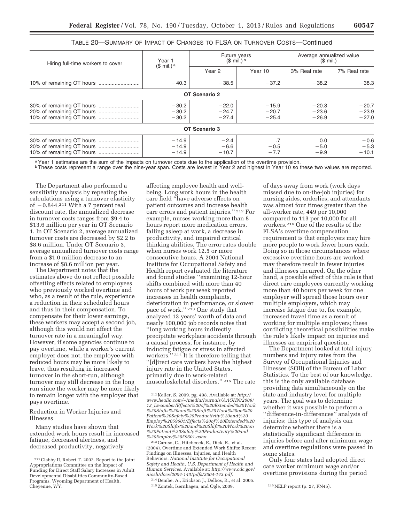|  | TABLE 20—SUMMARY OF IMPACT OF CHANGES TO FLSA ON TURNOVER COSTS—Continued |
|--|---------------------------------------------------------------------------|
|--|---------------------------------------------------------------------------|

| Hiring full-time workers to cover | Year 1                        | Future years                  | $($$ mil.) <sup>b</sup>       | Average annualized value<br>$$$ mil.) |                               |  |
|-----------------------------------|-------------------------------|-------------------------------|-------------------------------|---------------------------------------|-------------------------------|--|
|                                   | $($$ mil.) <sup>a</sup>       | Year 2                        | Year 10                       | 3% Real rate                          | 7% Real rate                  |  |
|                                   | $-40.3$                       | $-38.5$                       | $-37.2$                       | $-38.2$                               | $-38.3$                       |  |
|                                   |                               | OT Scenario 2                 |                               |                                       |                               |  |
|                                   | $-30.2$<br>$-30.2$<br>$-30.2$ | $-22.0$<br>$-24.7$<br>$-27.4$ | $-15.9$<br>$-20.7$<br>$-25.4$ | $-20.3$<br>$-23.6$<br>$-26.9$         | $-20.7$<br>$-23.9$<br>$-27.0$ |  |
|                                   |                               | OT Scenario 3                 |                               |                                       |                               |  |
|                                   | $-14.9$<br>$-14.9$<br>$-14.9$ | $-2.4$<br>$-6.6$<br>$-10.7$   | $-0.5$<br>$-7.7$              | 0.0<br>$-5.0$<br>$-9.9$               | $-0.6$<br>$-5.3$<br>$-10.1$   |  |

a Year 1 estimates are the sum of the impacts on turnover costs due to the application of the overtime provision.

<sup>b</sup>These costs represent a range over the nine-year span. Costs are lowest in Year 2 and highest in Year 10 so these two values are reported.

The Department also performed a sensitivity analysis by repeating the calculations using a turnover elasticity The Department also performed a<br>sensitivity analysis by repeating the<br>calculations using a turnover elastic<br>of  $-0.844^{211}$  With a 7 percent real discount rate, the annualized decrease in turnover costs ranges from \$9.4 to \$13.6 million per year in OT Scenario 1. In OT Scenario 2, average annualized turnover costs are decreased by \$2.2 to \$8.6 million. Under OT Scenario 3, average annualized turnover costs range from a \$1.0 million decrease to an increase of \$8.6 million per year.

The Department notes that the estimates above do not reflect possible offsetting effects related to employees who previously worked overtime and who, as a result of the rule, experience a reduction in their scheduled hours and thus in their compensation. To compensate for their lower earnings, these workers may accept a second job, although this would not affect the turnover rate in a meaningful way. However, if some agencies continue to pay overtime, while a worker's current employer does not, the employee with reduced hours may be more likely to leave, thus resulting in increased turnover in the short-run, although turnover may still decrease in the long run since the worker may be more likely to remain longer with the employer that pays overtime.

Reduction in Worker Injuries and Illnesses

Many studies have shown that extended work hours result in increased fatigue, decreased alertness, and decreased productivity, negatively

affecting employee health and wellbeing. Long work hours in the health care field ''have adverse effects on patient outcomes and increase health care errors and patient injuries.'' 212 For example, nurses working more than 8 hours report more medication errors, falling asleep at work, a decrease in productivity, and impaired critical thinking abilities. The error rates double when nurses work 12.5 or more consecutive hours. A 2004 National Institute for Occupational Safety and Health report evaluated the literature and found studies ''examining 12-hour shifts combined with more than 40 hours of work per week reported increases in health complaints, deterioration in performance, or slower pace of work.'' 213 One study that analyzed 13 years' worth of data and nearly 100,000 job records notes that ''long working hours indirectly precipitate workplace accidents through a causal process, for instance, by inducing fatigue or stress in affected workers.'' 214 It is therefore telling that ''[d]irect care workers have the highest injury rate in the United States, primarily due to work-related musculoskeletal disorders.'' 215 The rate

214 Dembe, A., Erickson J., Delbos, R., et al. 2005. 215Zontek, Isernhagen, and Ogle, 2009. 216NELP report (p. 27, FN45).

of days away from work (work days missed due to on-the-job injuries) for nursing aides, orderlies, and attendants was almost four times greater than the all-worker rate, 449 per 10,000 compared to 113 per 10,000 for all workers.216 One of the results of the FLSA's overtime compensation requirement is that employers may hire more people to work fewer hours each. Doing so in those circumstances where excessive overtime hours are worked may therefore result in fewer injuries and illnesses incurred. On the other hand, a possible effect of this rule is that direct care employees currently working more than 40 hours per week for one employer will spread those hours over multiple employers, which may increase fatigue due to, for example, increased travel time as a result of working for multiple employers; these conflicting theoretical possibilities make the rule's likely impact on injuries and illnesses an empirical question.

The Department looked at total injury numbers and injury rates from the Survey of Occupational Injuries and Illnesses (SOII) of the Bureau of Labor Statistics. To the best of our knowledge, this is the only available database providing data simultaneously on the state and industry level for multiple years. The goal was to determine whether it was possible to perform a ''difference-in-differences'' analysis of injuries; this type of analysis can determine whether there is a statistically significant difference in injuries before and after minimum wage and overtime regulations were passed in some states.

Only four states had adopted direct care worker minimum wage and/or overtime provisions during the period

<sup>211</sup>Clabby II, Robert T. 2002. Report to the Joint Appropriations Committee on the Impact of Funding for Direct Staff Salary Increases in Adult Developmental Disabilities Community-Based Programs. Wyoming Department of Health, Cheyenne, WY.

<sup>212</sup> Keller, S. 2009. pg. 498. Available at: *http:// www.healio.com/*∼*/media/Journals/AAOHN/2009/ 12*\_*December/Effects%20of%20Extended%20Work %20Shifts%20and%20Shift%20Work%20on%20 Patient%20Safety%20Productivity%20and%20 Employ%2059601/Effects%20of%20Extended%20 Work%20Shifts%20and%20Shift%20Work%20on %20Patient%20Safety%20Productivity%20and %20Employ%2059601.ashx.* 

<sup>213</sup>Caruso, C., Hitchcock, E., Dick, R., et al. (2004). Overtime and Extended Work Shifts: Recent Findings on Illnesses, Injuries, and Health Behaviors. *National Institute for Occupational Safety and Health, U.S. Department of Health and Human Services.* Available at: *http://www.cdc.gov/ niosh/docs/2004-143/pdfs/2004-143.pdf.*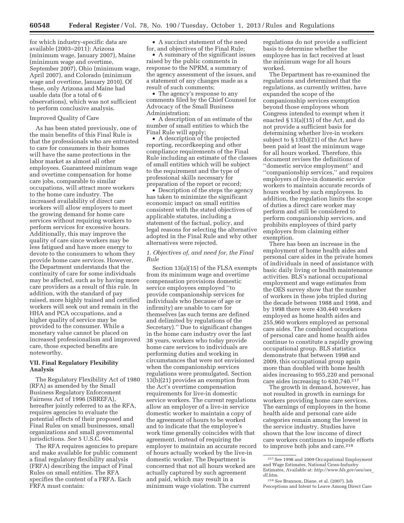for which industry-specific data are available (2003–2011): Arizona (minimum wage, January 2007), Maine (minimum wage and overtime, September 2007), Ohio (minimum wage, April 2007), and Colorado (minimum wage and overtime, January 2010). Of these, only Arizona and Maine had usable data (for a total of 6 observations), which was not sufficient to perform conclusive analysis.

### Improved Quality of Care

As has been stated previously, one of the main benefits of this Final Rule is that the professionals who are entrusted to care for consumers in their homes will have the same protections in the labor market as almost all other employees. Guaranteed minimum wage and overtime compensation for home care jobs, comparable to similar occupations, will attract more workers to the home care industry. The increased availability of direct care workers will allow employers to meet the growing demand for home care services without requiring workers to perform services for excessive hours. Additionally, this may improve the quality of care since workers may be less fatigued and have more energy to devote to the consumers to whom they provide home care services. However, the Department understands that the continuity of care for some individuals may be affected, such as by having more care providers as a result of this rule. In addition, with the standard of pay raised, more highly trained and certified workers will seek out and remain in the HHA and PCA occupations, and a higher quality of service may be provided to the consumer. While a monetary value cannot be placed on increased professionalism and improved care, those expected benefits are noteworthy.

## **VII. Final Regulatory Flexibility Analysis**

The Regulatory Flexibility Act of 1980 (RFA) as amended by the Small Business Regulatory Enforcement Fairness Act of 1996 (SBREFA), hereafter jointly referred to as the RFA, requires agencies to evaluate the potential effects of their proposed and Final Rules on small businesses, small organizations and small governmental jurisdictions. *See* 5 U.S.C. 604.

The RFA requires agencies to prepare and make available for public comment a final regulatory flexibility analysis (FRFA) describing the impact of Final Rules on small entities. The RFA specifies the content of a FRFA. Each FRFA must contain:

• A succinct statement of the need for, and objectives of the Final Rule;

• A summary of the significant issues raised by the public comments in response to the NPRM, a summary of the agency assessment of the issues, and a statement of any changes made as a result of such comments;

• The agency's response to any comments filed by the Chief Counsel for Advocacy of the Small Business Administration;

• A description of an estimate of the number of small entities to which the Final Rule will apply;

• A description of the projected reporting, recordkeeping and other compliance requirements of the Final Rule including an estimate of the classes of small entities which will be subject to the requirement and the type of professional skills necessary for preparation of the report or record;

• Description of the steps the agency has taken to minimize the significant economic impact on small entities consistent with the stated objectives of applicable statutes, including a statement of the factual, policy, and legal reasons for selecting the alternative adopted in the Final Rule and why other alternatives were rejected.

## *1. Objectives of, and need for, the Final Rule*

Section 13(a)(15) of the FLSA exempts from its minimum wage and overtime compensation provisions domestic service employees employed ''to provide companionship services for individuals who (because of age or infirmity) are unable to care for themselves (as such terms are defined and delimited by regulations of the Secretary).'' Due to significant changes in the home care industry over the last 38 years, workers who today provide home care services to individuals are performing duties and working in circumstances that were not envisioned when the companionship services regulations were promulgated. Section 13(b)(21) provides an exemption from the Act's overtime compensation requirements for live-in domestic service workers. The current regulations allow an employer of a live-in service domestic worker to maintain a copy of the agreement of hours to be worked and to indicate that the employee's work time generally coincides with that agreement, instead of requiring the employer to maintain an accurate record of hours actually worked by the live-in domestic worker. The Department is concerned that not all hours worked are actually captured by such agreement and paid, which may result in a minimum wage violation. The current

regulations do not provide a sufficient basis to determine whether the employee has in fact received at least the minimum wage for all hours worked.

The Department has re-examined the regulations and determined that the regulations, as currently written, have expanded the scope of the companionship services exemption beyond those employees whom Congress intended to exempt when it enacted § 13(a)(15) of the Act, and do not provide a sufficient basis for determining whether live-in workers subject to § 13(b)(21) of the Act have been paid at least the minimum wage for all hours worked. Therefore, this document revises the definitions of ''domestic service employment'' and ''companionship services,'' and requires employers of live-in domestic service workers to maintain accurate records of hours worked by such employees. In addition, the regulation limits the scope of duties a direct care worker may perform and still be considered to perform companionship services, and prohibits employees of third party employers from claiming either exemption.

There has been an increase in the employment of home health aides and personal care aides in the private homes of individuals in need of assistance with basic daily living or health maintenance activities. BLS's national occupational employment and wage estimates from the OES survey show that the number of workers in these jobs tripled during the decade between 1988 and 1998, and by 1998 there were 430,440 workers employed as home health aides and 255,960 workers employed as personal care aides. The combined occupations of personal care and home health aides continue to constitute a rapidly growing occupational group. BLS statistics demonstrate that between 1998 and 2009, this occupational group again more than doubled with home health aides increasing to 955,220 and personal care aides increasing to 630,740.217

The growth in demand, however, has not resulted in growth in earnings for workers providing home care services. The earnings of employees in the home health aide and personal care aide categories remain among the lowest in the service industry. Studies have shown that the low income of direct care workers continues to impede efforts to improve both jobs and care.<sup>218</sup>

<sup>217</sup>See 1998 and 2009 Occupational Employment and Wage Estimates, National Cross-Industry Estimates, Available at: *http://www.bls.gov/oes/oes*\_ *dl.htm*.

<sup>218</sup>*See* Brannon, Diane, et al. (2007). Job Perceptions and Intent to Leave Among Direct Care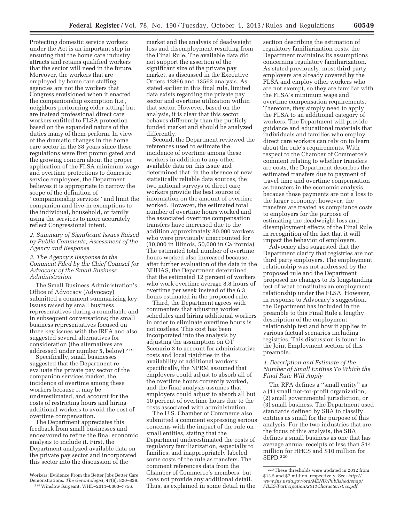Protecting domestic service workers under the Act is an important step in ensuring that the home care industry attracts and retains qualified workers that the sector will need in the future. Moreover, the workers that are employed by home care staffing agencies are not the workers that Congress envisioned when it enacted the companionship exemption (i.e., neighbors performing elder sitting) but are instead professional direct care workers entitled to FLSA protection based on the expanded nature of the duties many of them perform. In view of the dramatic changes in the home care sector in the 38 years since these regulations were first promulgated and the growing concern about the proper application of the FLSA minimum wage and overtime protections to domestic service employees, the Department believes it is appropriate to narrow the scope of the definition of ''companionship services'' and limit the

companion and live-in exemptions to the individual, household, or family using the services to more accurately reflect Congressional intent.

## *2. Summary of Significant Issues Raised by Public Comments, Assessment of the Agency and Response*

## *3. The Agency's Response to the Comment Filed by the Chief Counsel for Advocacy of the Small Business Administration*

The Small Business Administration's Office of Advocacy (Advocacy) submitted a comment summarizing key issues raised by small business representatives during a roundtable and in subsequent conversations; the small business representatives focused on three key issues with the IRFA and also suggested several alternatives for consideration (the alternatives are addressed under number 5, below).219

Specifically, small businesses suggested that the Department reevaluate the private pay sector of the companion services market, the incidence of overtime among these workers because it may be underestimated, and account for the costs of restricting hours and hiring additional workers to avoid the cost of overtime compensation.

The Department appreciates this feedback from small businesses and endeavored to refine the final economic analysis to include it. First, the Department analyzed available data on the private pay sector and incorporated this sector into the discussion of the

market and the analysis of deadweight loss and disemployment resulting from the Final Rule. The available data did not support the assertion of the significant size of the private pay market, as discussed in the Executive Orders 12866 and 13563 analysis. As stated earlier in this final rule, limited data exists regarding the private pay sector and overtime utilization within that sector. However, based on the analysis, it is clear that this sector behaves differently than the publicly funded market and should be analyzed differently.

Second, the Department reviewed the references used to estimate the incidence of overtime among these workers in addition to any other available data on this issue and determined that, in the absence of new statistically reliable data sources, the two national surveys of direct care workers provide the best source of information on the amount of overtime worked. However, the estimated total number of overtime hours worked and the associated overtime compensation transfers have increased due to the addition approximately 80,000 workers who were previously unaccounted for (30,000 in Illinois, 50,000 in California). The estimated total number of overtime hours worked also increased because, after further evaluation of the data in the NHHAS, the Department determined that the estimated 12 percent of workers who work overtime average 8.8 hours of overtime per week instead of the 6.3 hours estimated in the proposed rule.

Third, the Department agrees with commenters that adjusting worker schedules and hiring additional workers in order to eliminate overtime hours is not costless. This cost has been incorporated into the analysis by adjusting the assumption on OT Scenario 3 to account for administrative costs and local rigidities in the availability of additional workers; specifically, the NPRM assumed that employers could adjust to absorb all of the overtime hours currently worked, and the final analysis assumes that employers could adjust to absorb all but 10 percent of overtime hours due to the costs associated with administration.

The U.S. Chamber of Commerce also submitted a comment expressing serious concerns with the impact of the rule on small entities, stating that the Department underestimated the costs of regulatory familiarization, especially to families, and inappropriately labeled some costs of the rule as transfers. The comment references data from the Chamber of Commerce's members, but does not provide any additional detail. Thus, as explained in some detail in the

section describing the estimation of regulatory familiarization costs, the Department maintains its assumptions concerning regulatory familiarization. As stated previously, most third party employers are already covered by the FLSA and employ other workers who are not exempt, so they are familiar with the FLSA's minimum wage and overtime compensation requirements. Therefore, they simply need to apply the FLSA to an additional category of workers. The Department will provide guidance and educational materials that individuals and families who employ direct care workers can rely on to learn about the rule's requirements. With respect to the Chamber of Commerce's comment relating to whether transfers are costs, the Department describes the estimated transfers due to payment of travel time and overtime compensation as transfers in the economic analysis because those payments are not a loss to the larger economy; however, the transfers are treated as compliance costs to employers for the purpose of estimating the deadweight loss and disemployment effects of the Final Rule in recognition of the fact that it will impact the behavior of employers.

Advocacy also suggested that the Department clarify that registries are not third party employers. The employment relationship was not addressed by the proposed rule and the Department proposed no changes to its longstanding test of what constitutes an employment relationship under the FLSA. However, in response to Advocacy's suggestion, the Department has included in the preamble to this Final Rule a lengthy description of the employment relationship test and how it applies in various factual scenarios including registries. This discussion is found in the Joint Employment section of this preamble.

## *4. Description and Estimate of the Number of Small Entities To Which the Final Rule Will Apply*

The RFA defines a ''small entity'' as a (1) small not-for-profit organization, (2) small governmental jurisdiction, or (3) small business. The Department used standards defined by SBA to classify entities as small for the purpose of this analysis. For the two industries that are the focus of this analysis, the SBA defines a small business as one that has average annual receipts of less than \$14 million for HHCS and \$10 million for SEPD.220

Workers: Evidence From the Better Jobs Better Care Demonstrations. *The Gerontologist,* 47(6): 820–829. 219Winslow Sargeant, WHD–2011–0003–7756.

<sup>220</sup>These thresholds were updated in 2012 from \$13.5 and \$7 million, respectively. See: *http:// www.fns.usda.gov/ora/MENU/Published/snap/ FILES/Participation/2011Characteristics.pdf*.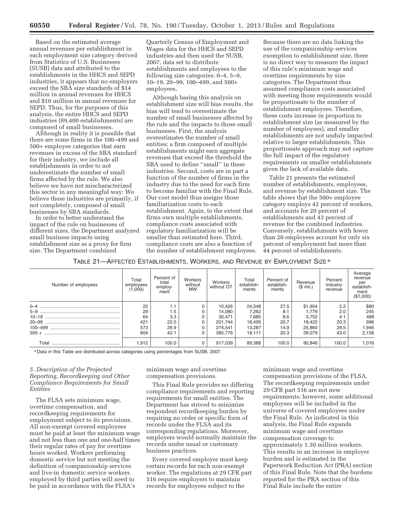Based on the estimated average annual revenues per establishment in each employment size category derived from Statistics of U.S. Businesses (SUSB) data and attributed to the establishments in the HHCS and SEPD industries, it appears that no employers exceed the SBA size standards of \$14 million in annual revenues for HHCS and \$10 million in annual revenues for SEPD. Thus, for the purposes of this analysis, the entire HHCS and SEPD industries (89,400 establishments) are composed of small businesses.

Although in reality it is possible that there are some firms in the 100–499 and 500+ employee categories that earn revenues in excess of the SBA standard for their industry, we include all establishments in order to not underestimate the number of small firms affected by the rule. We also believe we have not mischaracterized this sector in any meaningful way: We believe these industries are primarily, if not completely, composed of small businesses by SBA standards.

In order to better understand the impact of the rule on businesses of different sizes, the Department analyzed small business impacts using establishment size as a proxy for firm size. The Department combined

Quarterly Census of Employment and Wages data for the HHCS and SEPD industries and then used the SUSB, 2007, data set to distribute establishments and employees to the following size categories: 0–4, 5–9, 10–19, 20–99, 100–499, and 500+ employees.

Although basing this analysis on establishment size will bias results, the bias will tend to overestimate the number of small businesses affected by the rule and the impacts to those small businesses. First, the analysis overestimates the number of small entities; a firm composed of multiple establishments might earn aggregate revenues that exceed the threshold the SBA used to define ''small'' in these industries. Second, costs are in part a function of the number of firms in the industry due to the need for each firm to become familiar with the Final Rule. Our cost model thus assigns those familiarization costs to each establishment. Again, to the extent that firms own multiple establishments, compliance costs associated with regulatory familiarization will be smaller than estimated here. Third, compliance costs are also a function of the number of establishment employees.

Because there are no data linking the use of the companionship services exemption to establishment size, there is no direct way to measure the impact of this rule's minimum wage and overtime requirements by size categories. The Department thus assumed compliance costs associated with meeting those requirements would be proportionate to the number of establishment employees. Therefore, these costs increase in proportion to establishment size (as measured by the number of employees), and smaller establishments are not unduly impacted relative to larger establishments. This proportionate approach may not capture the full impact of the regulatory requirements on smaller establishments given the lack of available data.

Table 21 presents the estimated number of establishments, employees, and revenue by establishment size. The table shows that the 500+ employee category employs 42 percent of workers, and accounts for 20 percent of establishments and 43 percent of revenue for the combined industries. Conversely, establishments with fewer than 20 employees account for only six percent of employment but more than 44 percent of establishments.

TABLE 21—AFFECTED ESTABLISHMENTS, WORKERS, AND REVENUE BY EMPLOYMENT SIZE a

| Number of employees | Total<br>employees<br>1,000 | Percent of<br>total<br>employ-<br>ment | Workers<br>without<br><b>MW</b> | Workers<br>without OT | Total<br>establish-<br>ments | Percent of<br>establish-<br>ments | Revenue<br>$($$ mil.) | Percent<br>industry<br>revenue | Average<br>revenue<br>per<br>establish-<br>ment<br>(\$1,000) |
|---------------------|-----------------------------|----------------------------------------|---------------------------------|-----------------------|------------------------------|-----------------------------------|-----------------------|--------------------------------|--------------------------------------------------------------|
| $0 - 4$             | 22                          |                                        |                                 | 10.426                | 24,548                       | 27.5                              | \$1,954               | 2.2                            | \$80                                                         |
|                     | 29                          | 1.5                                    |                                 | 14,080                | 7,262                        | 8.1                               | 1.779                 | 2.0                            | 245                                                          |
|                     | 64                          | 3.3                                    |                                 | 30.471                | 7,685                        | 8.6                               | 3.752                 | 4.1                            | 488                                                          |
|                     | 421                         | 22.0                                   |                                 | 201.744               | 18,495                       | 20.7                              | 18,422                | 20.3                           | 996                                                          |
| 100-499             | 573                         | 29.9                                   |                                 | 274.541               | 13,287                       | 14.9                              | 25,860                | 28.5                           | 1,946                                                        |
| $500 +$             | 804                         | 42.1                                   |                                 | 385.776               | 18,111                       | 20.3                              | 39.079                | 43.0                           | 2,158                                                        |
| Total               | 1.912                       | 100.0                                  |                                 | 917.039               | 89.388                       | 100.0                             | 90.846                | 100.0                          | 1,016                                                        |

a Data in this Table are distributed across categories using percentages from SUSB, 2007.

## *5. Description of the Projected Reporting, Recordkeeping and Other Compliance Requirements for Small Entities*

The FLSA sets minimum wage, overtime compensation, and recordkeeping requirements for employment subject to its provisions. All non-exempt covered employees must be paid at least the minimum wage and not less than one and one-half times their regular rates of pay for overtime hours worked. Workers performing domestic service but not meeting the definition of companionship services and live-in domestic service workers employed by third parties will need to be paid in accordance with the FLSA's

minimum wage and overtime compensation provisions.

This Final Rule provides no differing compliance requirements and reporting requirements for small entities. The Department has strived to minimize respondent recordkeeping burden by requiring no order or specific form of records under the FLSA and its corresponding regulations. Moreover, employers would normally maintain the records under usual or customary business practices.

Every covered employer must keep certain records for each non-exempt worker. The regulations at 29 CFR part 516 require employers to maintain records for employees subject to the

minimum wage and overtime compensation provisions of the FLSA. The recordkeeping requirements under 29 CFR part 516 are not new requirements; however, some additional employees will be included in the universe of covered employees under the Final Rule. As indicated in this analysis, the Final Rule expands minimum wage and overtime compensation coverage to approximately 1.30 million workers. This results in an increase in employer burden and is estimated in the Paperwork Reduction Act (PRA) section of this Final Rule. Note that the burdens reported for the PRA section of this Final Rule include the entire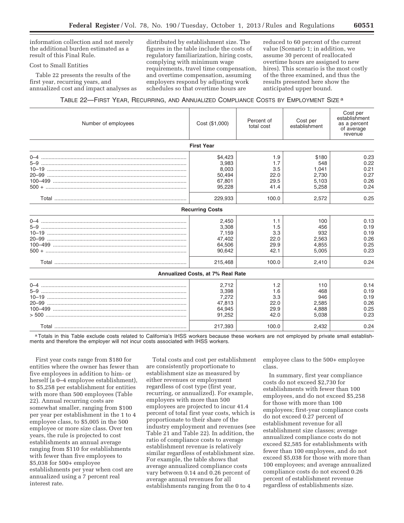information collection and not merely the additional burden estimated as a result of this Final Rule.

## Cost to Small Entities

Table 22 presents the results of the first year, recurring years, and annualized cost and impact analyses as distributed by establishment size. The figures in the table include the costs of regulatory familiarization, hiring costs, complying with minimum wage requirements, travel time compensation, and overtime compensation, assuming employers respond by adjusting work schedules so that overtime hours are

reduced to 60 percent of the current value (Scenario 1; in addition, we assume 30 percent of reallocated overtime hours are assigned to new hires). This scenario is the most costly of the three examined, and thus the results presented here show the anticipated upper bound.

## TABLE 22—FIRST YEAR, RECURRING, AND ANNUALIZED COMPLIANCE COSTS BY EMPLOYMENT SIZE a

| Number of employees | Cost (\$1,000)                                                   | Percent of<br>total cost                           | Cost per<br>establishment                             | Cost per<br>establishment<br>as a percent<br>of average<br>revenue |  |  |  |  |  |  |  |  |
|---------------------|------------------------------------------------------------------|----------------------------------------------------|-------------------------------------------------------|--------------------------------------------------------------------|--|--|--|--|--|--|--|--|
| <b>First Year</b>   |                                                                  |                                                    |                                                       |                                                                    |  |  |  |  |  |  |  |  |
|                     | \$4,423<br>3,983                                                 | 1.9<br>1.7                                         | \$180<br>548                                          | 0.23<br>0.22                                                       |  |  |  |  |  |  |  |  |
|                     | 8,003<br>50,494<br>67,801<br>95,228                              | 3.5<br>22.0<br>29.5<br>41.4                        | 1,041<br>2,730<br>5,103<br>5,258                      | 0.21<br>0.27<br>0.26<br>0.24                                       |  |  |  |  |  |  |  |  |
|                     | 229,933                                                          | 100.0                                              | 2,572                                                 | 0.25                                                               |  |  |  |  |  |  |  |  |
|                     | <b>Recurring Costs</b>                                           |                                                    |                                                       |                                                                    |  |  |  |  |  |  |  |  |
|                     | 2,450<br>3,308<br>7.159<br>47,402<br>64,506<br>90,642<br>215,468 | 1.1<br>1.5<br>3.3<br>22.0<br>29.9<br>42.1<br>100.0 | 100<br>456<br>932<br>2,563<br>4,855<br>5,005<br>2,410 | 0.13<br>0.19<br>0.19<br>0.26<br>0.25<br>0.23<br>0.24               |  |  |  |  |  |  |  |  |
|                     | Annualized Costs, at 7% Real Rate                                |                                                    |                                                       |                                                                    |  |  |  |  |  |  |  |  |
|                     | 2,712<br>3,398<br>7,272<br>47,813<br>64,945<br>91,252            | 1.2<br>1.6<br>3.3<br>22.0<br>29.9<br>42.0          | 110<br>468<br>946<br>2,585<br>4,888<br>5,038          | 0.14<br>0.19<br>0.19<br>0.26<br>0.25<br>0.23                       |  |  |  |  |  |  |  |  |
|                     | 217,393                                                          | 100.0                                              | 2,432                                                 | 0.24                                                               |  |  |  |  |  |  |  |  |

a Totals in this Table exclude costs related to California's IHSS workers because these workers are not employed by private small establishments and therefore the employer will not incur costs associated with IHSS workers.

First year costs range from \$180 for entities where the owner has fewer than five employees in addition to him- or herself (a 0–4 employee establishment), to \$5,258 per establishment for entities with more than 500 employees (Table 22). Annual recurring costs are somewhat smaller, ranging from \$100 per year per establishment in the 1 to 4 employee class, to \$5,005 in the 500 employee or more size class. Over ten years, the rule is projected to cost establishments an annual average ranging from \$110 for establishments with fewer than five employees to \$5,038 for 500+ employee establishments per year when cost are annualized using a 7 percent real interest rate.

Total costs and cost per establishment are consistently proportionate to establishment size as measured by either revenues or employment regardless of cost type (first year, recurring, or annualized). For example, employers with more than 500 employees are projected to incur 41.4 percent of total first year costs, which is proportionate to their share of the industry employment and revenues (see Table 21 and Table 22). In addition, the ratio of compliance costs to average establishment revenue is relatively similar regardless of establishment size. For example, the table shows that average annualized compliance costs vary between 0.14 and 0.26 percent of average annual revenues for all establishments ranging from the 0 to 4

employee class to the 500+ employee class.

In summary, first year compliance costs do not exceed \$2,730 for establishments with fewer than 100 employees, and do not exceed \$5,258 for those with more than 100 employees; first-year compliance costs do not exceed 0.27 percent of establishment revenue for all establishment size classes; average annualized compliance costs do not exceed \$2,585 for establishments with fewer than 100 employees, and do not exceed \$5,038 for those with more than 100 employees; and average annualized compliance costs do not exceed 0.26 percent of establishment revenue regardless of establishments size.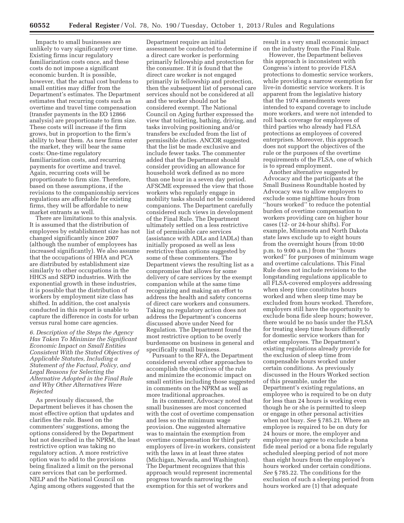Impacts to small businesses are unlikely to vary significantly over time. Existing firms incur regulatory familiarization costs once, and these costs do not impose a significant economic burden. It is possible, however, that the actual cost burdens to small entities may differ from the Department's estimates. The Department estimates that recurring costs such as overtime and travel time compensation (transfer payments in the EO 12866 analysis) are proportionate to firm size. These costs will increase if the firm grows, but in proportion to the firm's ability to bear them. As new firms enter the market, they will bear the same costs: One-time regulatory familiarization costs, and recurring payments for overtime and travel. Again, recurring costs will be proportionate to firm size. Therefore, based on these assumptions, if the revisions to the companionship services regulations are affordable for existing firms, they will be affordable to new market entrants as well.

There are limitations to this analysis. It is assumed that the distribution of employees by establishment size has not changed significantly since 2007 (although the number of employees has increased significantly). We also assume that the occupations of HHA and PCA are distributed by establishment size similarly to other occupations in the HHCS and SEPD industries. With the exponential growth in these industries, it is possible that the distribution of workers by employment size class has shifted. In addition, the cost analysis conducted in this report is unable to capture the difference in costs for urban versus rural home care agencies.

*6. Description of the Steps the Agency Has Taken To Minimize the Significant Economic Impact on Small Entities Consistent With the Stated Objectives of Applicable Statutes, Including a Statement of the Factual, Policy, and Legal Reasons for Selecting the Alternative Adopted in the Final Rule and Why Other Alternatives Were Rejected* 

As previously discussed, the Department believes it has chosen the most effective option that updates and clarifies the rule. Based on the commenters' suggestions, among the options considered by the Department but not described in the NPRM, the least restrictive option was taking no regulatory action. A more restrictive option was to add to the provisions being finalized a limit on the personal care services that can be performed. NELP and the National Council on Aging among others suggested that the

Department require an initial assessment be conducted to determine if a direct care worker is performing primarily fellowship and protection for the consumer. If it is found that the direct care worker is not engaged primarily in fellowship and protection, then the subsequent list of personal care services should not be considered at all and the worker should not be considered exempt. The National Council on Aging further expressed the view that toileting, bathing, driving, and tasks involving positioning and/or transfers be excluded from the list of permissible duties. ANCOR suggested that the list be made exclusive and include fewer tasks. The commenter added that the Department should consider providing an allowance for household work defined as no more than one hour in a seven day period. AFSCME expressed the view that those workers who regularly engage in mobility tasks should not be considered companions. The Department carefully considered such views in development of the Final Rule. The Department ultimately settled on a less restrictive list of permissible care services (assistance with ADLs and IADLs) than initially proposed as well as less restrictive than options suggested by some of these commenters. The Department views the resulting list as a compromise that allows for some delivery of care services by the exempt companion while at the same time recognizing and making an effort to address the health and safety concerns of direct care workers and consumers. Taking no regulatory action does not address the Department's concerns discussed above under Need for Regulation. The Department found the most restrictive option to be overly burdensome on business in general and specifically small business.

Pursuant to the RFA, the Department considered several other approaches to accomplish the objectives of the rule and minimize the economic impact on small entities including those suggested in comments on the NPRM as well as more traditional approaches.

In its comment, Advocacy noted that small businesses are most concerned with the cost of overtime compensation and less so the minimum wage provision. One suggested alternative was to maintain the exemption from overtime compensation for third party employers of live-in workers, consistent with the laws in at least three states (Michigan, Nevada, and Washington). The Department recognizes that this approach would represent incremental progress towards narrowing the exemption for this set of workers and

result in a very small economic impact on the industry from the Final Rule.

However, the Department believes this approach is inconsistent with Congress's intent to provide FLSA protections to domestic service workers, while providing a narrow exemption for live-in domestic service workers. It is apparent from the legislative history that the 1974 amendments were intended to expand coverage to include more workers, and were not intended to roll back coverage for employees of third parties who already had FLSA protections as employees of covered enterprises. Moreover, this approach does not support the objectives of the rule or the purposes of the overtime requirements of the FLSA, one of which is to spread employment.

Another alternative suggested by Advocacy and the participants at the Small Business Roundtable hosted by Advocacy was to allow employers to exclude some nighttime hours from ''hours worked'' to reduce the potential burden of overtime compensation to workers providing care on higher hour cases (12- or 24-hour shifts). For example, Minnesota and North Dakota state laws exclude up to eight hours from the overnight hours (from 10:00 p.m. to 9:00 a.m.) from the ''hours worked'' for purposes of minimum wage and overtime calculations. This Final Rule does not include revisions to the longstanding regulations applicable to all FLSA-covered employers addressing when sleep time constitutes hours worked and when sleep time may be excluded from hours worked. Therefore, employers still have the opportunity to exclude bona fide sleep hours; however, there would be no basis under the FLSA for treating sleep time hours differently for domestic service workers than for other employees. The Department's existing regulations already provide for the exclusion of sleep time from compensable hours worked under certain conditions. As previously discussed in the Hours Worked section of this preamble, under the Department's existing regulations, an employee who is required to be on duty for less than 24 hours is working even though he or she is permitted to sleep or engage in other personal activities when not busy. *See* § 785.21. Where an employee is required to be on duty for 24 hours or more, the employer and employee may agree to exclude a bona fide meal period or a bona fide regularly scheduled sleeping period of not more than eight hours from the employee's hours worked under certain conditions. *See* § 785.22. The conditions for the exclusion of such a sleeping period from hours worked are (1) that adequate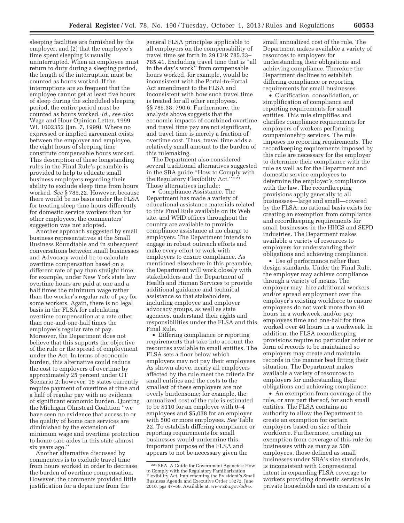sleeping facilities are furnished by the employer, and (2) that the employee's time spent sleeping is usually uninterrupted. When an employee must return to duty during a sleeping period, the length of the interruption must be counted as hours worked. If the interruptions are so frequent that the employee cannot get at least five hours of sleep during the scheduled sleeping period, the entire period must be counted as hours worked. *Id.; see also*  Wage and Hour Opinion Letter, 1999 WL 1002352 (Jan. 7, 1999). Where no expressed or implied agreement exists between the employer and employee, the eight hours of sleeping time constitute compensable hours worked. This description of these longstanding rules in the Final Rule's preamble is provided to help to educate small business employers regarding their ability to exclude sleep time from hours worked. *See* § 785.22. However, because there would be no basis under the FLSA for treating sleep time hours differently for domestic service workers than for other employees, the commenters' suggestion was not adopted.

Another approach suggested by small business representatives at the Small Business Roundtable and in subsequent conversations between small businesses and Advocacy would be to calculate overtime compensation based on a different rate of pay than straight time; for example, under New York state law overtime hours are paid at one and a half times the minimum wage rather than the worker's regular rate of pay for some workers. Again, there is no legal basis in the FLSA for calculating overtime compensation at a rate other than one-and-one-half times the employee's regular rate of pay. Moreover, the Department does not believe that this supports the objective of the rule or the spread of employment under the Act. In terms of economic burden, this alternative could reduce the cost to employers of overtime by approximately 25 percent under OT Scenario 2; however, 15 states currently require payment of overtime at time and a half of regular pay with no evidence of significant economic burden. Quoting the Michigan Olmstead Coalition ''we have seen no evidence that access to or the quality of home care services are diminished by the extension of minimum wage and overtime protection to home care aides in this state almost six years ago.''

Another alternative discussed by commenters is to exclude travel time from hours worked in order to decrease the burden of overtime compensation. However, the comments provided little justification for a departure from the

general FLSA principles applicable to all employers on the compensability of travel time set forth in 29 CFR 785.33– 785.41. Excluding travel time that is ''all in the day's work'' from compensable hours worked, for example, would be inconsistent with the Portal-to-Portal Act amendment to the FLSA and inconsistent with how such travel time is treated for all other employees. §§ 785.38; 790.6. Furthermore, the analysis above suggests that the economic impacts of combined overtime and travel time pay are not significant, and travel time is merely a fraction of overtime cost. Thus, travel time adds a relatively small amount to the burden of this rulemaking.

The Department also considered several traditional alternatives suggested in the SBA guide ''How to Comply with the Regulatory Flexibility Act.'' 221 Those alternatives include:

• Compliance Assistance. The Department has made a variety of educational assistance materials related to this Final Rule available on its Web site, and WHD offices throughout the country are available to provide compliance assistance at no charge to employers. The Department intends to engage in robust outreach efforts and make every effort to work with employers to ensure compliance. As mentioned elsewhere in this preamble, the Department will work closely with stakeholders and the Department of Health and Human Services to provide additional guidance and technical assistance so that stakeholders, including employee and employer advocacy groups, as well as state agencies, understand their rights and responsibilities under the FLSA and this Final Rule.

• Differing compliance or reporting requirements that take into account the resources available to small entities. The FLSA sets a floor below which employers may not pay their employees. As shown above, nearly all employers affected by the rule meet the criteria for small entities and the costs to the smallest of these employers are not overly burdensome; for example, the annualized cost of the rule is estimated to be \$110 for an employer with 0–4 employees and \$5,038 for an employer with 500 or more employees. *See* Table 22. To establish differing compliance or reporting requirements for small businesses would undermine this important purpose of the FLSA and appears to not be necessary given the

small annualized cost of the rule. The Department makes available a variety of resources to employers for understanding their obligations and achieving compliance. Therefore the Department declines to establish differing compliance or reporting requirements for small businesses.

• Clarification, consolidation, or simplification of compliance and reporting requirements for small entities. This rule simplifies and clarifies compliance requirements for employers of workers performing companionship services. The rule imposes no reporting requirements. The recordkeeping requirements imposed by this rule are necessary for the employer to determine their compliance with the rule as well as for the Department and domestic service employees to determine the employer's compliance with the law. The recordkeeping provisions apply generally to all businesses—large and small—covered by the FLSA; no rational basis exists for creating an exemption from compliance and recordkeeping requirements for small businesses in the HHCS and SEPD industries. The Department makes available a variety of resources to employers for understanding their obligations and achieving compliance.

• Use of performance rather than design standards. Under the Final Rule, the employer may achieve compliance through a variety of means. The employer may: hire additional workers and/or spread employment over the employer's existing workforce to ensure employees do not work more than 40 hours in a workweek, and/or pay employees time and one-half for time worked over 40 hours in a workweek. In addition, the FLSA recordkeeping provisions require no particular order or form of records to be maintained so employers may create and maintain records in the manner best fitting their situation. The Department makes available a variety of resources to employers for understanding their obligations and achieving compliance.

• An exemption from coverage of the rule, or any part thereof, for such small entities. The FLSA contains no authority to allow the Department to create an exemption for certain employers based on size of their workforce. Furthermore, creating an exemption from coverage of this rule for businesses with as many as 500 employees, those defined as small businesses under SBA's size standards, is inconsistent with Congressional intent in expanding FLSA coverage to workers providing domestic services in private households and its creation of a

<sup>221</sup>SBA, A Guide for Government Agencies: How to Comply with the Regulatory Familiarization Flexibility Act, Implementing the President's Small Business Agenda and Executive Order 13272. June 2010. pgs 47–58. Available at: *www.sba.gov/advo.*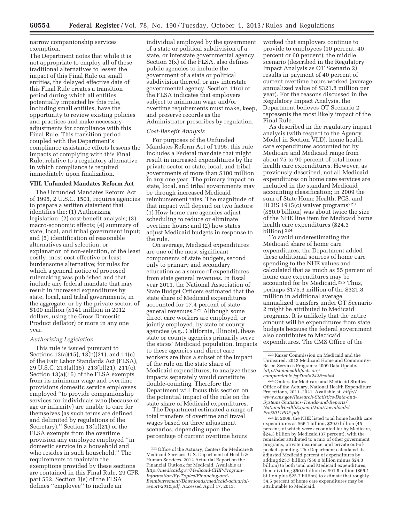narrow companionship services exemption.

The Department notes that while it is not appropriate to employ all of these traditional alternatives to lessen the impact of this Final Rule on small entities, the delayed effective date of this Final Rule creates a transition period during which all entities potentially impacted by this rule, including small entities, have the opportunity to review existing policies and practices and make necessary adjustments for compliance with this Final Rule. This transition period coupled with the Department's compliance assistance efforts lessens the impacts of complying with this Final Rule, relative to a regulatory alternative in which compliance is required immediately upon finalization.

## **VIII. Unfunded Mandates Reform Act**

The Unfunded Mandates Reform Act of 1995, 2 U.S.C. 1501, requires agencies to prepare a written statement that identifies the: (1) Authorizing legislation; (2) cost-benefit analysis; (3) macro-economic effects; (4) summary of state, local, and tribal government input; and (5) identification of reasonable alternatives and selection, or explanation of non-selection, of the least costly, most cost-effective or least burdensome alternative; for rules for which a general notice of proposed rulemaking was published and that include any federal mandate that may result in increased expenditures by state, local, and tribal governments, in the aggregate, or by the private sector, of \$100 million (\$141 million in 2012 dollars, using the Gross Domestic Product deflator) or more in any one year.

#### *Authorizing Legislation*

This rule is issued pursuant to Sections 13(a)(15), 13(b)(21), and 11(c) of the Fair Labor Standards Act (FLSA), 29 U.S.C. 213(a)(15), 213(b)(21), 211(c). Section 13(a)(15) of the FLSA exempts from its minimum wage and overtime provisions domestic service employees employed ''to provide companionship services for individuals who (because of age or infirmity) are unable to care for themselves (as such terms are defined and delimited by regulations of the Secretary).'' Section 13(b)(21) of the FLSA exempts from the overtime provision any employee employed ''in domestic service in a household and who resides in such household.'' The requirements to maintain the exemptions provided by these sections are contained in this Final Rule, 29 CFR part 552. Section 3(e) of the FLSA defines ''employee'' to include an

individual employed by the government of a state or political subdivision of a state, or interstate governmental agency. Section 3(x) of the FLSA, also defines public agencies to include the government of a state or political subdivision thereof, or any interstate governmental agency. Section 11(c) of the FLSA indicates that employers subject to minimum wage and/or overtime requirements must make, keep, and preserve records as the Administrator prescribes by regulation.

#### *Cost-Benefit Analysis*

For purposes of the Unfunded Mandates Reform Act of 1995, this rule includes a Federal mandate that might result in increased expenditures by the private sector or state, local, and tribal governments of more than \$100 million in any one year. The primary impact on state, local, and tribal governments may be through increased Medicaid reimbursement rates. The magnitude of that impact will depend on two factors: (1) How home care agencies adjust scheduling to reduce or eliminate overtime hours; and (2) how states adjust Medicaid budgets in response to the rule.

On average, Medicaid expenditures are one of the most significant components of state budgets, second only to primary and secondary education as a source of expenditures from state general revenues. In fiscal year 2011, the National Association of State Budget Officers estimated that the state share of Medicaid expenditures accounted for 17.4 percent of state general revenues.222 Although some direct care workers are employed, or jointly employed, by state or county agencies (e.g., California, Illinois), these state or county agencies primarily serve the states' Medicaid population. Impacts to these agencies and direct care workers are thus a subset of the impact of the rule on the state share of Medicaid expenditures; to analyze these impacts separately would constitute double-counting. Therefore the Department will focus this section on the potential impact of the rule on the state share of Medicaid expenditures.

The Department estimated a range of total transfers of overtime and travel wages based on three adjustment scenarios, depending upon the percentage of current overtime hours

worked that employers continue to provide to employees (10 percent, 40 percent or 60 percent); the middle scenario (described in the Regulatory Impact Analysis as OT Scenario 2) results in payment of 40 percent of current overtime hours worked (average annualized value of \$321.8 million per year). For the reasons discussed in the Regulatory Impact Analysis, the Department believes OT Scenario 2 represents the most likely impact of the Final Rule.

As described in the regulatory impact analysis (with respect to the Agency Model in Section VI.D), home health care expenditures accounted for by Medicare and Medicaid range from about 75 to 90 percent of total home health care expenditures. However, as previously described, not all Medicaid expenditures on home care services are included in the standard Medicaid accounting classification; in 2009 the sum of State Home Health, PCS, and HCBS 1915(c) waiver programs<sup>223</sup> (\$50.0 billion) was about twice the size of the NHE line item for Medicaid home health care expenditures (\$24.3 billion).224

To avoid underestimating the Medicaid share of home care expenditures, the Department added these additional sources of home care spending to the NHE values and calculated that as much as 55 percent of home care expenditures may be accounted for by Medicaid.225 Thus, perhaps \$175.3 million of the \$321.8 million in additional average annualized transfers under OT Scenario 2 might be attributed to Medicaid programs. It is unlikely that the entire amount will be expenditures from state budgets because the federal government also contributes to Medicaid expenditures. The CMS Office of the

225 In 2009, the NHE listed total home health care expenditures as \$66.1 billion, \$29.9 billion (45 percent) of which were accounted for by Medicare, \$24.3 billion by Medicaid (37 percent), with the remainder attributed to a mix of other government programs, private insurance, and private out-ofpocket spending. The Department calculated its adjusted Medicaid percent of expenditures by adding \$25.7 billion (\$50.0 billion minus \$24.3 billion) to both total and Medicaid expenditures, then dividing \$50.0 billion by \$91.8 billion (\$66.1 billion plus \$25.7 billion) to estimate that roughly 54.5 percent of home care expenditures may be attributable to Medicaid.

<sup>222</sup>Office of the Actuary, Centers for Medicare & Medicaid Services, U.S. Department of Health & Human Services. 2012 Actuarial Report on the Financial Outlook for Medicaid. Available at: *http://medicaid.gov/Medicaid-CHIP-Program-Information/By-Topics/Financing-and-Reimbursement/Downloads/medicaid-actuarialreport-2012.pdf.* Accessed April 17, 2013.

<sup>223</sup> Kaiser Commission on Medicaid and the Uninsured. 2012 Medicaid Home and Community-Based Services Programs: 2009 Data Update. *http://statehealthfacts.org/ comparetable.jsp?ind=242&cat=4.* 

<sup>&</sup>lt;sup>224</sup> Centers for Medicare and Medicaid Studies, Office of the Actuary, National Health Expenditure Projections, 2011–2021. Available at: *http:// www.cms.gov/Research-Statistics-Data-and-Systems/Statistics-Trends-and-Reports/ NationalHealthExpendData/Downloads/ Proj2011PDF.pdf.*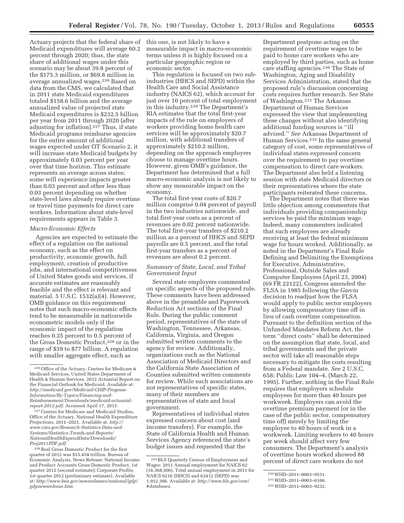Actuary projects that the federal share of this one, is not likely to have a Medicaid expenditures will average 60.2 percent through 2020; thus, the state share of additional wages under this scenario may be about 39.8 percent of the \$175.3 million, or \$69.8 million in average annualized wages.226 Based on data from the CMS, we calculated that in 2011 state Medicaid expenditures totaled \$158.6 billion and the average annualized value of projected state Medicaid expenditures is \$232.5 billion per year from 2011 through 2020 (after adjusting for inflation).<sup>227</sup> Thus, if state Medicaid programs reimburse agencies for the entire amount of additional wages expected under OT Scenario 2, it will increase state Medicaid budgets by approximately 0.03 percent per year over that time horizon. This estimate represents an average across states; some will experience impacts greater than 0.03 percent and other less than 0.03 percent depending on whether state-level laws already require overtime or travel time payments for direct care workers. Information about state-level requirements appears in Table 3.

## *Macro-Economic Effects*

Agencies are expected to estimate the effect of a regulation on the national economy, such as the effect on productivity, economic growth, full employment, creation of productive jobs, and international competitiveness of United States goods and services, if accurate estimates are reasonably feasible and the effect is relevant and material. 5 U.S.C. 1532(a)(4). However, OMB guidance on this requirement notes that such macro-economic effects tend to be measureable in nationwide econometric models only if the economic impact of the regulation reaches 0.25 percent to 0.5 percent of the Gross Domestic Product,<sup>228</sup> or in the range of \$39 to \$77 billion. A regulation with smaller aggregate effect, such as

227Centers for Medicare and Medicaid Studies, Office of the Actuary, National Health Expenditure Projections, 2011–2021. Available at: *http:// www.cms.gov/Research-Statistics-Data-and-Systems/Statistics-Trends-and-Reports/ NationalHealthExpendData/Downloads/ Proj2011PDF.pdf.* 

228Real Gross Domestic Product for the first quarter of 2012 was \$15.454 trillion. Bureau of Economic Analysis, News Release: National Income and Product Accounts Gross Domestic Product, 1st quarter 2012 (second estimate); Corporate Profits, 1st quarter 2012 (preliminary estimate). Available at: *http://www.bea.gov/newsreleases/national/gdp/ gdpnewsrelease.htm.* 

measurable impact in macro-economic terms unless it is highly focused on a particular geographic region or economic sector.

This regulation is focused on two subindustries (HHCS and SEPD) within the Health Care and Social Assistance industry (NAICS 62), which account for just over 10 percent of total employment in this industry.229 The Department's RIA estimates that the total first-year impacts of the rule on employers of workers providing home health care services will be approximately \$20.7 million, with additional transfers of approximately \$210.2 million, depending on the approach employers choose to manage overtime hours. However, given OMB's guidance, the Department has determined that a full macro-economic analysis is not likely to show any measurable impact on the economy.

The total first-year costs of \$20.7 million comprise 0.04 percent of payroll in the two industries nationwide, and total first-year costs as a percent of revenues are 0.02 percent nationwide. The total first-year transfers of \$210.2 million as a percent of HHCS and SEPD payrolls are 0.5 percent, and the total first-year transfers as a percent of revenues are about 0.2 percent.

## *Summary of State, Local, and Tribal Government Input*

Several state employers commented on specific aspects of the proposed rule. These comments have been addressed above in the preamble and Paperwork Reduction Act sections of the Final Rule. During the public comment period, representatives of the state of Washington, Tennessee, Arkansas, California, Virginia, and Oregon submitted written comments to the agency for review. Additionally, organizations such as the National Association of Medicaid Directors and the California State Association of Counties submitted written comments for review. While such associations are not representatives of specific states, many of their members are representatives of state and local government.

Representatives of individual states expressed concern about cost (and income transfers). For example, the State of California Health and Human Services Agency referenced the state's budget issues and requested that the

Department postpone acting on the requirement of overtime wages to be paid to home care workers who are employed by third parties, such as home care staffing agencies.230 The State of Washington, Aging and Disability Services Administration, stated that the proposed rule's discussion concerning costs requires further research. *See* State of Washington.231 The Arkansas Department of Human Services expressed the view that implementing these changes without also identifying additional funding sources is ''ill advised.'' *See* Arkansas Department of Human Services.232 In the same general category of cost, some representatives of individual states expressed concern over the requirement to pay overtime compensation to direct care workers. The Department also held a listening session with state Medicaid directors or their representatives where the state participants reiterated these concerns.

The Department notes that there was little objection among commenters that individuals providing companionship services be paid the minimum wage. Indeed, many commenters indicated that such employees are already receiving at least the federal minimum wage for hours worked. Additionally, as noted in the Department's Final Rule Defining and Delimiting the Exemptions for Executive, Administrative, Professional, Outside Sales and Computer Employees (April 23, 2004) (69 FR 22122), Congress amended the FLSA in 1985 following the *Garcia*  decision to readjust how the FLSA would apply to public sector employers by allowing compensatory time off in lieu of cash overtime compensation. Pursuant to the definition section of the Unfunded Mandates Reform Act, the term ''direct costs'' shall be determined on the assumption that state, local, and tribal governments and the private sector will take all reasonable steps necessary to mitigate the costs resulting from a Federal mandate. *See* 2 U.S.C. 658; Public Law 104–4, (March 22, 1995). Further, nothing in the Final Rule requires that employers schedule employees for more than 40 hours per workweek. Employers can avoid the overtime premium payment (or in the case of the public sector, compensatory time off) merely by limiting the employee to 40 hours of work in a workweek. Limiting workers to 40 hours per week should affect very few consumers. The Department's analysis of overtime hours worked showed 88 percent of direct care workers do not

 $^{\rm 226}$  Office of the Actuary, Centers for Medicare & Medicaid Services, United States Department of Health & Human Services. 2012 Actuarial Report on the Financial Outlook for Medicaid. Available at: *http://medicaid.gov/Medicaid-CHIP-Program-Information/By-Topics/Financing-and-Reimbursement/Downloads/medicaid-actuarialreport-2012.pdf.* Accessed April 17, 2013.

<sup>229</sup>BLS Quarterly Census of Employment and Wages: 2011 Annual employment for NAICS 62 (18,368,506). Total annual employment in 2011 for NAICS 6216 (HHCS) and 62412 (SEPD) was 1,912,306. Available at: *http://www.bls.gov/cew/ #databases.* 

<sup>230</sup>WHD–2011–0003–9531.

<sup>231</sup>WHD–2011–0003–6166.

<sup>232</sup>WHD–2011–0003–9232.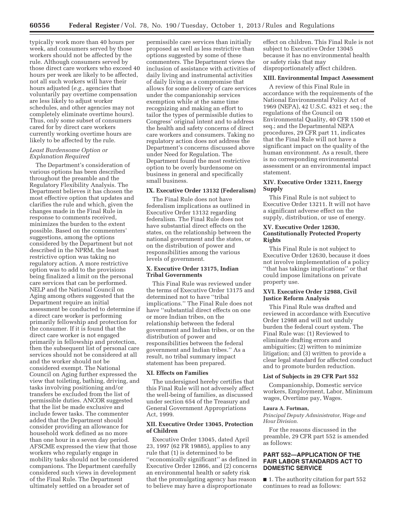typically work more than 40 hours per week, and consumers served by those workers should not be affected by the rule. Although consumers served by those direct care workers who exceed 40 hours per week are likely to be affected, not all such workers will have their hours adjusted (*e.g.,* agencies that voluntarily pay overtime compensation are less likely to adjust worker schedules, and other agencies may not completely eliminate overtime hours). Thus, only some subset of consumers cared for by direct care workers currently working overtime hours are likely to be affected by the rule.

## *Least Burdensome Option or Explanation Required*

The Department's consideration of various options has been described throughout the preamble and the Regulatory Flexibility Analysis. The Department believes it has chosen the most effective option that updates and clarifies the rule and which, given the changes made in the Final Rule in response to comments received, minimizes the burden to the extent possible. Based on the commenters' suggestions, among the options considered by the Department but not described in the NPRM, the least restrictive option was taking no regulatory action. A more restrictive option was to add to the provisions being finalized a limit on the personal care services that can be performed. NELP and the National Council on Aging among others suggested that the Department require an initial assessment be conducted to determine if a direct care worker is performing primarily fellowship and protection for the consumer. If it is found that the direct care worker is not engaged primarily in fellowship and protection, then the subsequent list of personal care services should not be considered at all and the worker should not be considered exempt. The National Council on Aging further expressed the view that toileting, bathing, driving, and tasks involving positioning and/or transfers be excluded from the list of permissible duties. ANCOR suggested that the list be made exclusive and include fewer tasks. The commenter added that the Department should consider providing an allowance for household work defined as no more than one hour in a seven day period. AFSCME expressed the view that those workers who regularly engage in mobility tasks should not be considered companions. The Department carefully considered such views in development of the Final Rule. The Department ultimately settled on a broader set of

permissible care services than initially proposed as well as less restrictive than options suggested by some of these commenters. The Department views the inclusion of assistance with activities of daily living and instrumental activities of daily living as a compromise that allows for some delivery of care services under the companionship services exemption while at the same time recognizing and making an effort to tailor the types of permissible duties to Congress' original intent and to address the health and safety concerns of direct care workers and consumers. Taking no regulatory action does not address the Department's concerns discussed above under Need for Regulation. The Department found the most restrictive option to be overly burdensome on business in general and specifically small business.

#### **IX. Executive Order 13132 (Federalism)**

The Final Rule does not have federalism implications as outlined in Executive Order 13132 regarding federalism. The Final Rule does not have substantial direct effects on the states, on the relationship between the national government and the states, or on the distribution of power and responsibilities among the various levels of government.

## **X. Executive Order 13175, Indian Tribal Governments**

This Final Rule was reviewed under the terms of Executive Order 13175 and determined not to have ''tribal implications.'' The Final Rule does not have ''substantial direct effects on one or more Indian tribes, on the relationship between the federal government and Indian tribes, or on the distribution of power and responsibilities between the federal government and Indian tribes.'' As a result, no tribal summary impact statement has been prepared.

## **XI. Effects on Families**

The undersigned hereby certifies that this Final Rule will not adversely affect the well-being of families, as discussed under section 654 of the Treasury and General Government Appropriations Act, 1999.

### **XII. Executive Order 13045, Protection of Children**

Executive Order 13045, dated April 23, 1997 (62 FR 19885), applies to any rule that (1) is determined to be ''economically significant'' as defined in Executive Order 12866, and (2) concerns an environmental health or safety risk that the promulgating agency has reason to believe may have a disproportionate

effect on children. This Final Rule is not subject to Executive Order 13045 because it has no environmental health or safety risks that may disproportionately affect children.

#### **XIII. Environmental Impact Assessment**

A review of this Final Rule in accordance with the requirements of the National Environmental Policy Act of 1969 (NEPA), 42 U.S.C. 4321 et seq.; the regulations of the Council on Environmental Quality, 40 CFR 1500 et seq.; and the Departmental NEPA procedures, 29 CFR part 11, indicates that the Final Rule will not have a significant impact on the quality of the human environment. As a result, there is no corresponding environmental assessment or an environmental impact statement.

### **XIV. Executive Order 13211, Energy Supply**

This Final Rule is not subject to Executive Order 13211. It will not have a significant adverse effect on the supply, distribution, or use of energy.

## **XV. Executive Order 12630, Constitutionally Protected Property Rights**

This Final Rule is not subject to Executive Order 12630, because it does not involve implementation of a policy ''that has takings implications'' or that could impose limitations on private property use.

## **XVI. Executive Order 12988, Civil Justice Reform Analysis**

This Final Rule was drafted and reviewed in accordance with Executive Order 12988 and will not unduly burden the federal court system. The Final Rule was: (1) Reviewed to eliminate drafting errors and ambiguities; (2) written to minimize litigation; and (3) written to provide a clear legal standard for affected conduct and to promote burden reduction.

#### **List of Subjects in 29 CFR Part 552**

Companionship, Domestic service workers, Employment, Labor, Minimum wages, Overtime pay, Wages.

#### **Laura A. Fortman,**

*Principal Deputy Administrator, Wage and Hour Division.* 

For the reasons discussed in the preamble, 29 CFR part 552 is amended as follows:

## **PART 552—APPLICATION OF THE FAIR LABOR STANDARDS ACT TO DOMESTIC SERVICE**

■ 1. The authority citation for part 552 continues to read as follows: